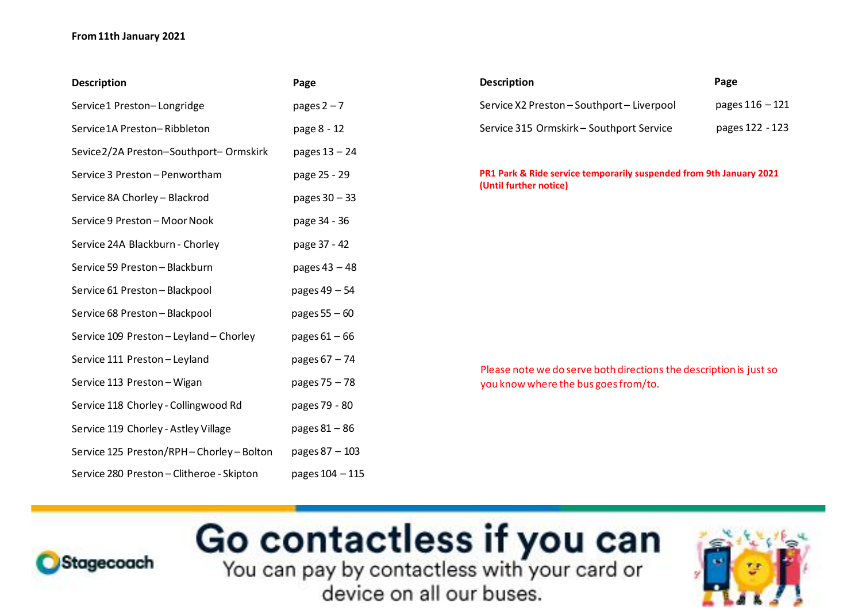## **From 11th January 2021**

| <b>Description</b>                        | Page            |
|-------------------------------------------|-----------------|
| Service1 Preston-Longridge                | pages $2 - 7$   |
| Service1A Preston-Ribbleton               | page 8 - 12     |
| Sevice 2/2A Preston-Southport-Ormskirk    | pages 13 - 24   |
| Service 3 Preston - Penwortham            | page 25 - 29    |
| Service 8A Chorley - Blackrod             | pages 30 - 33   |
| Service 9 Preston - Moor Nook             | page 34 - 36    |
| Service 24A Blackburn - Chorley           | page 37 - 42    |
| Service 59 Preston - Blackburn            | pages 43 - 48   |
| Service 61 Preston - Blackpool            | pages 49 - 54   |
| Service 68 Preston - Blackpool            | pages 55 - 60   |
| Service 109 Preston - Leyland - Chorley   | pages $61 - 66$ |
| Service 111 Preston - Leyland             | pages 67 - 74   |
| Service 113 Preston - Wigan               | pages 75 - 78   |
| Service 118 Chorley - Collingwood Rd      | pages 79 - 80   |
| Service 119 Chorley - Astley Village      | pages 81 - 86   |
| Service 125 Preston/RPH-Chorley-Bolton    | pages 87 - 103  |
| Service 280 Preston - Clitheroe - Skipton | pages 104 - 115 |

| <b>Description</b>                         | Page              |
|--------------------------------------------|-------------------|
| Service X2 Preston - Southport - Liverpool | pages $116 - 121$ |
| Service 315 Ormskirk - Southport Service   | pages 122 - 123   |

**PR1 Park & Ride service temporarily suspended from 9th January 2021 (Until further notice)**

Please note we do serve both directions the description is just so you know where the bus goes from/to.

## Go contactless if you can



device on all our buses.

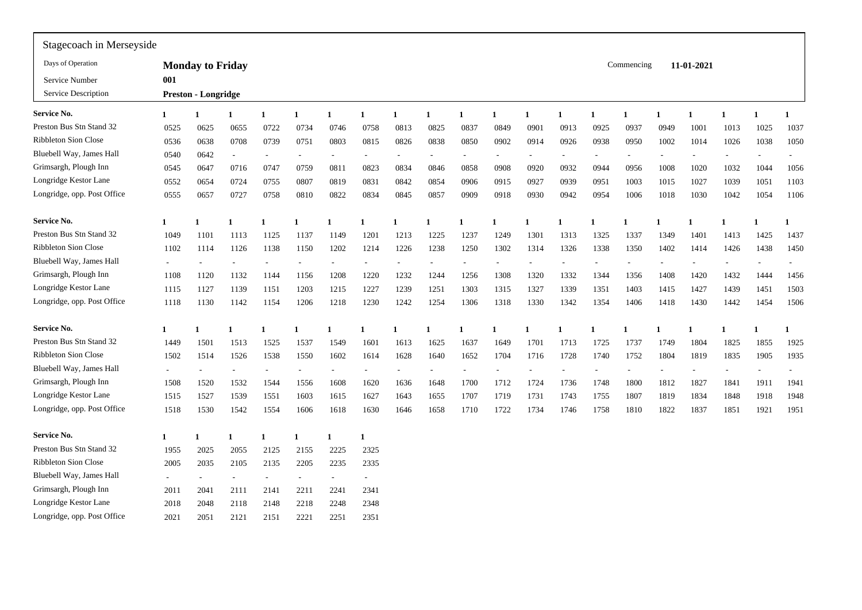| 001          |      |      |                                                       |      |              |              |      |                          |      |                          |             |      |      |              |              |            |                          |            |      |
|--------------|------|------|-------------------------------------------------------|------|--------------|--------------|------|--------------------------|------|--------------------------|-------------|------|------|--------------|--------------|------------|--------------------------|------------|------|
|              |      |      |                                                       |      |              |              |      |                          |      |                          |             |      |      |              |              |            |                          |            |      |
| $\mathbf{1}$ | 1    |      | $\mathbf{1}$                                          | 1    | $\mathbf{1}$ | $\mathbf{1}$ | 1    | $\mathbf{1}$             | 1    | $\mathbf{1}$             | $\mathbf 1$ | 1    |      | $\mathbf{1}$ | $\mathbf{1}$ | 1          | $\mathbf{1}$             | 1          | 1    |
| 0525         | 0625 | 0655 | 0722                                                  | 0734 | 0746         | 0758         | 0813 | 0825                     | 0837 | 0849                     | 090         | 0913 | 0925 | 0937         | 0949         | 1001       | 1013                     | 1025       | 1037 |
| 0536         | 0638 | 0708 | 0739                                                  | 0751 | 0803         | 0815         | 0826 | 0838                     | 0850 | 0902                     | 0914        | 0926 | 0938 | 0950         | 1002         | 1014       | 1026                     | 1038       | 1050 |
| 0540         | 0642 |      |                                                       |      |              |              |      | $\overline{a}$           |      |                          |             |      |      |              |              |            |                          |            |      |
| 0545         | 0647 | 0716 | 0747                                                  | 0759 | 0811         | 0823         | 0834 | 0846                     | 0858 | 0908                     | 0920        | 0932 | 0944 | 0956         | 1008         | 1020       | 1032                     | 1044       | 1056 |
| 0552         | 0654 | 0724 | 0755                                                  | 0807 | 0819         | 0831         | 0842 | 0854                     | 0906 | 0915                     | 0927        | 0939 | 0951 | 1003         | 1015         | 1027       | 1039                     | 1051       | 1103 |
| 0555         | 0657 | 0727 | 0758                                                  | 0810 | 0822         | 0834         | 0845 | 0857                     | 0909 | 0918                     | 0930        | 0942 | 0954 | 1006         | 1018         | 1030       | 1042                     | 1054       | 1106 |
| $\mathbf{1}$ |      |      | $\mathbf{1}$                                          |      | $\mathbf 1$  |              |      |                          |      |                          |             |      |      |              |              |            |                          |            |      |
| 1049         | 1101 | 1113 | 1125                                                  | 1137 | 1149         | 1201         | 1213 | 1225                     | 1237 | 1249                     | 1301        | 1313 | 1325 | 1337         | 1349         | 1401       | 1413                     | 1425       | 1437 |
| 1102         | 1114 | 1126 | 1138                                                  | 1150 | 1202         | 1214         | 1226 | 1238                     | 1250 | 1302                     | 1314        | 1326 | 1338 | 1350         | 1402         | 1414       | 1426                     | 1438       | 1450 |
|              |      |      |                                                       |      |              |              |      | $\overline{\phantom{a}}$ |      | $\overline{\phantom{a}}$ |             |      |      |              |              |            |                          |            |      |
| 1108         | 1120 | 1132 | 1144                                                  | 1156 | 1208         | 1220         | 1232 | 1244                     | 1256 | 1308                     | 1320        | 1332 | 1344 | 1356         | 1408         | 1420       | 1432                     | 1444       | 1456 |
| 1115         | 1127 | 1139 | 1151                                                  | 1203 | 1215         | 1227         | 1239 | 1251                     | 1303 | 1315                     | 1327        | 1339 | 1351 | 1403         | 1415         | 1427       | 1439                     | 1451       | 1503 |
| 1118         | 1130 | 1142 | 1154                                                  | 1206 | 1218         | 1230         | 1242 | 1254                     | 1306 | 1318                     | 1330        | 1342 | 1354 | 1406         | 1418         | 1430       | 1442                     | 1454       | 1506 |
| 1            | 1    |      | -1                                                    | 1    |              | -1           |      |                          |      | 1                        |             | 1    |      |              |              | 1          |                          |            |      |
| 1449         | 1501 | 1513 | 1525                                                  | 1537 | 1549         | 1601         | 1613 | 1625                     | 1637 | 1649                     | 1701        | 1713 | 1725 | 1737         | 1749         | 1804       | 1825                     | 1855       | 1925 |
| 1502         | 1514 | 1526 | 1538                                                  | 1550 | 1602         | 1614         | 1628 | 1640                     | 1652 | 1704                     | 1716        | 1728 | 1740 | 1752         | 1804         | 1819       | 1835                     | 1905       | 1935 |
|              |      |      |                                                       |      |              |              |      | $\overline{a}$           |      |                          |             |      |      |              |              |            | $\overline{\phantom{a}}$ |            |      |
| 1508         | 1520 | 1532 | 1544                                                  | 1556 | 1608         | 1620         | 1636 | 1648                     | 1700 | 1712                     | 1724        | 1736 | 1748 | 1800         | 1812         | 1827       | 1841                     | 1911       | 1941 |
| 1515         | 1527 | 1539 | 1551                                                  | 1603 | 1615         | 1627         | 1643 | 1655                     | 1707 | 1719                     | 1731        | 1743 | 1755 | 1807         | 1819         | 1834       | 1848                     | 1918       | 1948 |
| 1518         | 1530 | 1542 | 1554                                                  | 1606 | 1618         | 1630         | 1646 | 1658                     | 1710 | 1722                     | 1734        | 1746 | 1758 | 1810         | 1822         | 1837       | 1851                     | 1921       | 1951 |
| $\mathbf{1}$ | 1    |      | $\mathbf{1}$                                          | 1    | $\mathbf{1}$ | -1           |      |                          |      |                          |             |      |      |              |              |            |                          |            |      |
| 1955         | 2025 | 2055 | 2125                                                  | 2155 | 2225         | 2325         |      |                          |      |                          |             |      |      |              |              |            |                          |            |      |
| 2005         | 2035 | 2105 | 2135                                                  | 2205 | 2235         | 2335         |      |                          |      |                          |             |      |      |              |              |            |                          |            |      |
|              |      |      |                                                       |      |              |              |      |                          |      |                          |             |      |      |              |              |            |                          |            |      |
| 2011         | 2041 | 2111 | 2141                                                  | 2211 | 2241         | 2341         |      |                          |      |                          |             |      |      |              |              |            |                          |            |      |
| 2018         | 2048 | 2118 | 2148                                                  | 2218 | 2248         | 2348         |      |                          |      |                          |             |      |      |              |              |            |                          |            |      |
| 2021         | 2051 | 2121 | 2151                                                  | 2221 | 2251         | 2351         |      |                          |      |                          |             |      |      |              |              |            |                          |            |      |
|              |      |      | <b>Monday to Friday</b><br><b>Preston - Longridge</b> |      |              |              |      |                          |      |                          |             |      |      |              |              | Commencing |                          | 11-01-2021 |      |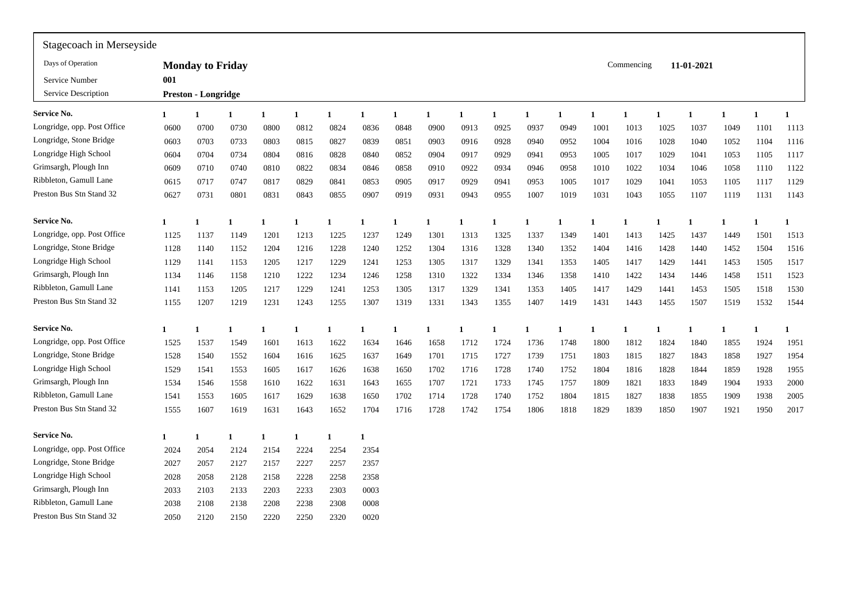| Stagecoach in Merseyside    |              |                            |      |              |              |              |      |      |              |              |              |              |              |      |              |              |            |              |              |      |
|-----------------------------|--------------|----------------------------|------|--------------|--------------|--------------|------|------|--------------|--------------|--------------|--------------|--------------|------|--------------|--------------|------------|--------------|--------------|------|
| Days of Operation           |              | <b>Monday to Friday</b>    |      |              |              |              |      |      |              |              |              |              |              |      | Commencing   |              | 11-01-2021 |              |              |      |
| Service Number              | 001          |                            |      |              |              |              |      |      |              |              |              |              |              |      |              |              |            |              |              |      |
| Service Description         |              | <b>Preston - Longridge</b> |      |              |              |              |      |      |              |              |              |              |              |      |              |              |            |              |              |      |
| Service No.                 | 1            | 1                          | 1    | $\mathbf{1}$ | $\mathbf{1}$ | 1            | 1    | 1    | $\mathbf{1}$ | $\mathbf{1}$ | $\mathbf{1}$ | $\mathbf{1}$ | $\mathbf{1}$ |      | $\mathbf{1}$ | $\mathbf{1}$ | 1          | $\mathbf{1}$ | $\mathbf{1}$ | 1    |
| Longridge, opp. Post Office | 0600         | 0700                       | 0730 | 0800         | 0812         | 0824         | 0836 | 0848 | 0900         | 0913         | 0925         | 0937         | 0949         | 1001 | 1013         | 1025         | 1037       | 1049         | 1101         | 1113 |
| Longridge, Stone Bridge     | 0603         | 0703                       | 0733 | 0803         | 0815         | 0827         | 0839 | 0851 | 0903         | 0916         | 0928         | 0940         | 0952         | 1004 | 1016         | 1028         | 1040       | 1052         | 1104         | 1116 |
| Longridge High School       | 0604         | 0704                       | 0734 | 0804         | 0816         | 0828         | 0840 | 0852 | 0904         | 0917         | 0929         | 0941         | 0953         | 1005 | 1017         | 1029         | 1041       | 1053         | 1105         | 1117 |
| Grimsargh, Plough Inn       | 0609         | 0710                       | 0740 | 0810         | 0822         | 0834         | 0846 | 0858 | 0910         | 0922         | 0934         | 0946         | 0958         | 1010 | 1022         | 1034         | 1046       | 1058         | 1110         | 1122 |
| Ribbleton, Gamull Lane      | 0615         | 0717                       | 0747 | 0817         | 0829         | 0841         | 0853 | 0905 | 0917         | 0929         | 0941         | 0953         | 1005         | 1017 | 1029         | 1041         | 1053       | 1105         | 1117         | 1129 |
| Preston Bus Stn Stand 32    | 0627         | 0731                       | 0801 | 0831         | 0843         | 0855         | 0907 | 0919 | 0931         | 0943         | 0955         | 1007         | 1019         | 1031 | 1043         | 1055         | 1107       | 1119         | 1131         | 1143 |
| Service No.                 | $\mathbf{1}$ |                            |      |              |              | $\mathbf{1}$ | 1    | 1    |              |              |              |              |              |      | 1            | 1            | 1          |              |              |      |
| Longridge, opp. Post Office | 1125         | 1137                       | 1149 | 1201         | 1213         | 1225         | 1237 | 1249 | 1301         | 1313         | 1325         | 1337         | 1349         | 1401 | 1413         | 1425         | 1437       | 1449         | 1501         | 1513 |
| Longridge, Stone Bridge     | 1128         | 1140                       | 1152 | 1204         | 1216         | 1228         | 1240 | 1252 | 1304         | 1316         | 1328         | 1340         | 1352         | 1404 | 1416         | 1428         | 1440       | 1452         | 1504         | 1516 |
| Longridge High School       | 1129         | 1141                       | 1153 | 1205         | 1217         | 1229         | 1241 | 1253 | 1305         | 1317         | 1329         | 1341         | 1353         | 1405 | 1417         | 1429         | 1441       | 1453         | 1505         | 1517 |
| Grimsargh, Plough Inn       | 1134         | 1146                       | 1158 | 1210         | 1222         | 1234         | 1246 | 1258 | 1310         | 1322         | 1334         | 1346         | 1358         | 1410 | 1422         | 1434         | 1446       | 1458         | 1511         | 1523 |
| Ribbleton, Gamull Lane      | 1141         | 1153                       | 1205 | 1217         | 1229         | 1241         | 1253 | 1305 | 1317         | 1329         | 1341         | 1353         | 1405         | 1417 | 1429         | 1441         | 1453       | 1505         | 1518         | 1530 |
| Preston Bus Stn Stand 32    | 1155         | 1207                       | 1219 | 1231         | 1243         | 1255         | 1307 | 1319 | 1331         | 1343         | 1355         | 1407         | 1419         | 1431 | 1443         | 1455         | 1507       | 1519         | 1532         | 1544 |
| Service No.                 | $\mathbf{1}$ |                            |      | -1           | -1           | -1           | 1    | 1    | -1           | 1            | 1            | -1           |              |      | 1            | -1           | 1          | -1           | 1            | 1    |
| Longridge, opp. Post Office | 1525         | 1537                       | 1549 | 1601         | 1613         | 1622         | 1634 | 1646 | 1658         | 1712         | 1724         | 1736         | 1748         | 1800 | 1812         | 1824         | 1840       | 1855         | 1924         | 1951 |
| Longridge, Stone Bridge     | 1528         | 1540                       | 1552 | 1604         | 1616         | 1625         | 1637 | 1649 | 1701         | 1715         | 1727         | 1739         | 1751         | 1803 | 1815         | 1827         | 1843       | 1858         | 1927         | 1954 |
| Longridge High School       | 1529         | 1541                       | 1553 | 1605         | 1617         | 1626         | 1638 | 1650 | 1702         | 1716         | 1728         | 1740         | 1752         | 1804 | 1816         | 1828         | 1844       | 1859         | 1928         | 1955 |
| Grimsargh, Plough Inn       | 1534         | 1546                       | 1558 | 1610         | 1622         | 1631         | 1643 | 1655 | 1707         | 1721         | 1733         | 1745         | 1757         | 1809 | 1821         | 1833         | 1849       | 1904         | 1933         | 2000 |
| Ribbleton, Gamull Lane      | 1541         | 1553                       | 1605 | 1617         | 1629         | 1638         | 1650 | 1702 | 1714         | 1728         | 1740         | 1752         | 1804         | 1815 | 1827         | 1838         | 1855       | 1909         | 1938         | 2005 |
| Preston Bus Stn Stand 32    | 1555         | 1607                       | 1619 | 1631         | 1643         | 1652         | 1704 | 1716 | 1728         | 1742         | 1754         | 1806         | 1818         | 1829 | 1839         | 1850         | 1907       | 1921         | 1950         | 2017 |
| Service No.                 | $\mathbf{1}$ |                            | 1    | $\mathbf 1$  | $\mathbf{1}$ | $\mathbf{1}$ | -1   |      |              |              |              |              |              |      |              |              |            |              |              |      |
| Longridge, opp. Post Office | 2024         | 2054                       | 2124 | 2154         | 2224         | 2254         | 2354 |      |              |              |              |              |              |      |              |              |            |              |              |      |
| Longridge, Stone Bridge     | 2027         | 2057                       | 2127 | 2157         | 2227         | 2257         | 2357 |      |              |              |              |              |              |      |              |              |            |              |              |      |
| Longridge High School       | 2028         | 2058                       | 2128 | 2158         | 2228         | 2258         | 2358 |      |              |              |              |              |              |      |              |              |            |              |              |      |
| Grimsargh, Plough Inn       | 2033         | 2103                       | 2133 | 2203         | 2233         | 2303         | 0003 |      |              |              |              |              |              |      |              |              |            |              |              |      |
| Ribbleton, Gamull Lane      | 2038         | 2108                       | 2138 | 2208         | 2238         | 2308         | 0008 |      |              |              |              |              |              |      |              |              |            |              |              |      |
| Preston Bus Stn Stand 32    | 2050         | 2120                       | 2150 | 2220         | 2250         | 2320         | 0020 |      |              |              |              |              |              |      |              |              |            |              |              |      |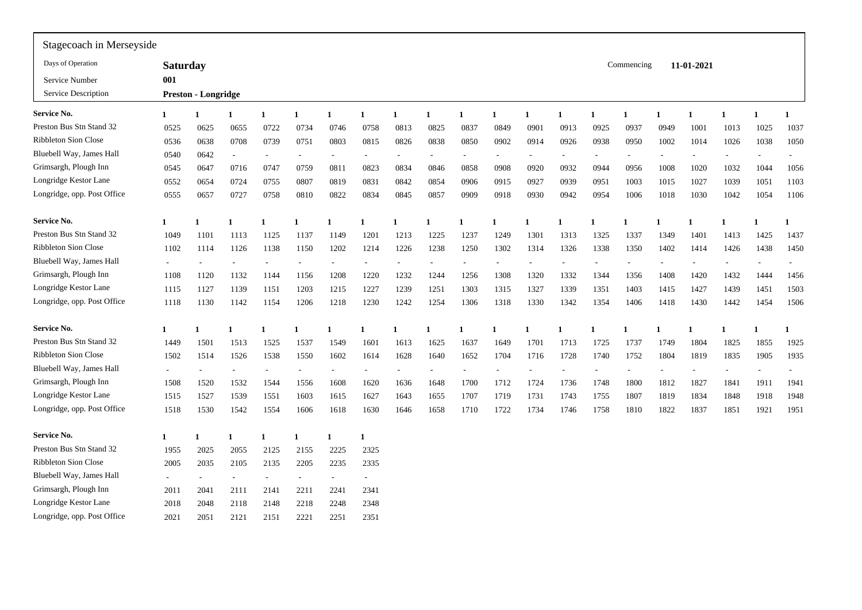| Stagecoach in Merseyside           |                 |                            |                          |              |                          |                |              |      |                          |      |                          |                          |      |                |            |                |            |                          |      |      |
|------------------------------------|-----------------|----------------------------|--------------------------|--------------|--------------------------|----------------|--------------|------|--------------------------|------|--------------------------|--------------------------|------|----------------|------------|----------------|------------|--------------------------|------|------|
| Days of Operation                  | <b>Saturday</b> |                            |                          |              |                          |                |              |      |                          |      |                          |                          |      |                | Commencing |                | 11-01-2021 |                          |      |      |
| Service Number                     | 001             |                            |                          |              |                          |                |              |      |                          |      |                          |                          |      |                |            |                |            |                          |      |      |
| Service Description                |                 | <b>Preston - Longridge</b> |                          |              |                          |                |              |      |                          |      |                          |                          |      |                |            |                |            |                          |      |      |
| Service No.<br>$\mathbf{1}$        |                 | 1                          |                          | $\mathbf{1}$ | $\mathbf{1}$             | $\mathbf{1}$   | $\mathbf{1}$ | 1    | $\mathbf{1}$             | 1    | $\mathbf{1}$             | $\mathbf 1$              | 1    |                | 1          | $\mathbf{1}$   | 1          |                          |      | 1    |
| Preston Bus Stn Stand 32           | 0525            | 0625                       | 0655                     | 0722         | 0734                     | 0746           | 0758         | 0813 | 0825                     | 0837 | 0849                     | 0901                     | 0913 | 0925           | 0937       | 0949           | 1001       | 1013                     | 1025 | 1037 |
| <b>Ribbleton Sion Close</b>        | 0536            | 0638                       | 0708                     | 0739         | 0751                     | 0803           | 0815         | 0826 | 0838                     | 0850 | 0902                     | 0914                     | 0926 | 0938           | 0950       | 1002           | 1014       | 1026                     | 1038 | 1050 |
| Bluebell Way, James Hall           | 0540            | 0642                       | $\overline{\phantom{a}}$ |              |                          |                |              |      | $\overline{\phantom{a}}$ |      |                          |                          |      |                |            |                |            |                          |      |      |
| Grimsargh, Plough Inn              | 0545            | 0647                       | 0716                     | 0747         | 0759                     | 081            | 0823         | 0834 | 0846                     | 0858 | 0908                     | 0920                     | 0932 | 0944           | 0956       | 1008           | 1020       | 1032                     | 1044 | 1056 |
| Longridge Kestor Lane              | 0552            | 0654                       | 0724                     | 0755         | 0807                     | 0819           | 0831         | 0842 | 0854                     | 0906 | 0915                     | 0927                     | 0939 | 0951           | 1003       | 1015           | 1027       | 1039                     | 1051 | 1103 |
| Longridge, opp. Post Office        | 0555            | 0657                       | 0727                     | 0758         | 0810                     | 0822           | 0834         | 0845 | 0857                     | 0909 | 0918                     | 0930                     | 0942 | 0954           | 1006       | 1018           | 1030       | 1042                     | 1054 | 1106 |
| <b>Service No.</b><br>$\mathbf{1}$ |                 |                            |                          | $\mathbf{1}$ | 1                        | $\mathbf{1}$   | $\mathbf{1}$ |      |                          |      |                          |                          |      |                |            |                | 1          |                          |      |      |
| Preston Bus Stn Stand 32           | 1049            | 1101                       | 1113                     | 1125         | 1137                     | 1149           | 1201         | 1213 | 1225                     | 1237 | 1249                     | 1301                     | 1313 | 1325           | 1337       | 1349           | 1401       | 1413                     | 1425 | 1437 |
| <b>Ribbleton Sion Close</b>        | 1102            | 1114                       | 1126                     | 1138         | 1150                     | 1202           | 1214         | 1226 | 1238                     | 1250 | 1302                     | 1314                     | 1326 | 1338           | 1350       | 1402           | 1414       | 1426                     | 1438 | 1450 |
| Bluebell Way, James Hall           |                 |                            |                          |              |                          | $\overline{a}$ |              |      | $\overline{\phantom{a}}$ |      | $\overline{\phantom{a}}$ | $\overline{\phantom{0}}$ |      | $\overline{a}$ |            | $\overline{a}$ |            | $\overline{\phantom{a}}$ |      |      |
| Grimsargh, Plough Inn              | 1108            | 1120                       | 1132                     | 1144         | 1156                     | 1208           | 1220         | 1232 | 1244                     | 1256 | 1308                     | 1320                     | 1332 | 1344           | 1356       | 1408           | 1420       | 1432                     | 1444 | 1456 |
| Longridge Kestor Lane              | 1115            | 1127                       | 1139                     | 1151         | 1203                     | 1215           | 1227         | 1239 | 1251                     | 1303 | 1315                     | 1327                     | 1339 | 1351           | 1403       | 1415           | 1427       | 1439                     | 1451 | 1503 |
| Longridge, opp. Post Office        | 1118            | 1130                       | 1142                     | 1154         | 1206                     | 1218           | 1230         | 1242 | 1254                     | 1306 | 1318                     | 1330                     | 1342 | 1354           | 1406       | 1418           | 1430       | 1442                     | 1454 | 1506 |
| Service No.<br>1                   |                 | 1                          |                          | -1           | 1                        | -1             | -1           |      |                          |      | -1                       |                          | 1    |                |            |                | 1          |                          |      | 1    |
| Preston Bus Stn Stand 32           | 1449            | 1501                       | 1513                     | 1525         | 1537                     | 1549           | 1601         | 1613 | 1625                     | 1637 | 1649                     | 1701                     | 1713 | 1725           | 1737       | 1749           | 1804       | 1825                     | 1855 | 1925 |
| <b>Ribbleton Sion Close</b>        | 1502            | 1514                       | 1526                     | 1538         | 1550                     | 1602           | 1614         | 1628 | 1640                     | 1652 | 1704                     | 1716                     | 1728 | 1740           | 1752       | 1804           | 1819       | 1835                     | 1905 | 1935 |
| Bluebell Way, James Hall           |                 |                            |                          |              | $\overline{\phantom{a}}$ |                |              |      | $\overline{\phantom{a}}$ |      |                          |                          |      |                |            |                |            | $\overline{\phantom{a}}$ |      |      |
| Grimsargh, Plough Inn              | 1508            | 1520                       | 1532                     | 1544         | 1556                     | 1608           | 1620         | 1636 | 1648                     | 1700 | 1712                     | 1724                     | 1736 | 1748           | 1800       | 1812           | 1827       | 1841                     | 1911 | 1941 |
| Longridge Kestor Lane              | 1515            | 1527                       | 1539                     | 1551         | 1603                     | 1615           | 1627         | 1643 | 1655                     | 1707 | 1719                     | 1731                     | 1743 | 1755           | 1807       | 1819           | 1834       | 1848                     | 1918 | 1948 |
| Longridge, opp. Post Office        | 1518            | 1530                       | 1542                     | 1554         | 1606                     | 1618           | 1630         | 1646 | 1658                     | 1710 | 1722                     | 1734                     | 1746 | 1758           | 1810       | 1822           | 1837       | 1851                     | 1921 | 1951 |
| <b>Service No.</b><br>$\mathbf{1}$ |                 | 1                          |                          | $\mathbf{1}$ | 1                        | 1              | -1           |      |                          |      |                          |                          |      |                |            |                |            |                          |      |      |
| Preston Bus Stn Stand 32           | 1955            | 2025                       | 2055                     | 2125         | 2155                     | 2225           | 2325         |      |                          |      |                          |                          |      |                |            |                |            |                          |      |      |
| <b>Ribbleton Sion Close</b>        | 2005            | 2035                       | 2105                     | 2135         | 2205                     | 2235           | 2335         |      |                          |      |                          |                          |      |                |            |                |            |                          |      |      |
| Bluebell Way, James Hall           | $\sim$          |                            | $\overline{\phantom{a}}$ |              |                          | $\overline{a}$ | ۰            |      |                          |      |                          |                          |      |                |            |                |            |                          |      |      |
| Grimsargh, Plough Inn              | 2011            | 2041                       | 2111                     | 2141         | 2211                     | 2241           | 2341         |      |                          |      |                          |                          |      |                |            |                |            |                          |      |      |
| Longridge Kestor Lane              | 2018            | 2048                       | 2118                     | 2148         | 2218                     | 2248           | 2348         |      |                          |      |                          |                          |      |                |            |                |            |                          |      |      |
| Longridge, opp. Post Office        | 2021            | 2051                       | 2121                     | 2151         | 2221                     | 2251           | 2351         |      |                          |      |                          |                          |      |                |            |                |            |                          |      |      |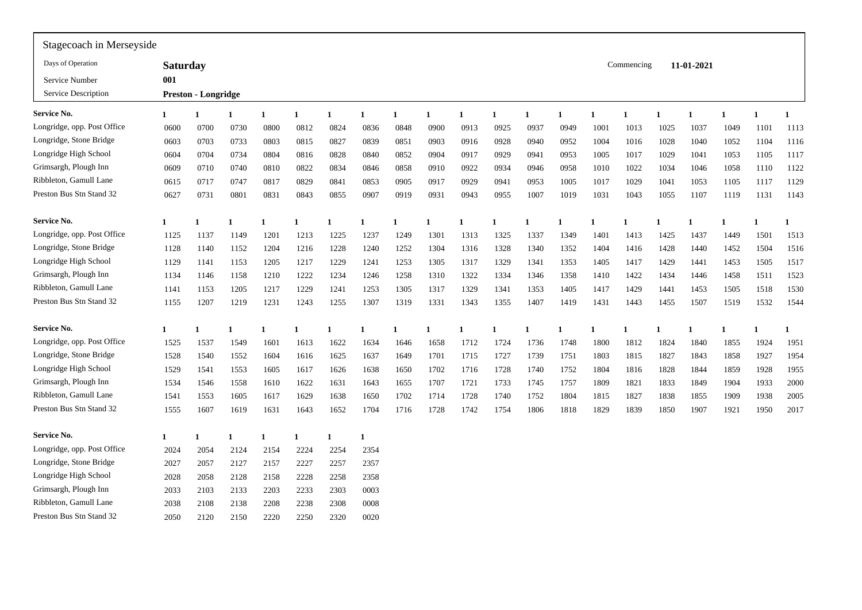| Stagecoach in Merseyside    |                 |                            |      |              |              |              |              |      |              |      |              |             |      |      |              |                |            |      |      |      |
|-----------------------------|-----------------|----------------------------|------|--------------|--------------|--------------|--------------|------|--------------|------|--------------|-------------|------|------|--------------|----------------|------------|------|------|------|
| Days of Operation           | <b>Saturday</b> |                            |      |              |              |              |              |      |              |      |              |             |      |      | Commencing   |                | 11-01-2021 |      |      |      |
| Service Number              | 001             |                            |      |              |              |              |              |      |              |      |              |             |      |      |              |                |            |      |      |      |
| Service Description         |                 | <b>Preston - Longridge</b> |      |              |              |              |              |      |              |      |              |             |      |      |              |                |            |      |      |      |
| <b>Service No.</b>          | $\mathbf{1}$    | 1                          |      | $\mathbf{1}$ | $\mathbf{1}$ | $\mathbf{1}$ | $\mathbf{1}$ | 1    |              | 1    | $\mathbf{1}$ | $\mathbf 1$ | 1    |      | $\mathbf{1}$ | $\blacksquare$ | 1          |      |      | 1    |
| Longridge, opp. Post Office | 0600            | 0700                       | 0730 | 0800         | 0812         | 0824         | 0836         | 0848 | 0900         | 0913 | 0925         | 0937        | 0949 | 1001 | 1013         | 1025           | 1037       | 1049 | 1101 | 1113 |
| Longridge, Stone Bridge     | 0603            | 0703                       | 0733 | 0803         | 0815         | 0827         | 0839         | 0851 | 0903         | 0916 | 0928         | 0940        | 0952 | 1004 | 1016         | 1028           | 1040       | 1052 | 1104 | 1116 |
| Longridge High School       | 0604            | 0704                       | 0734 | 0804         | 0816         | 0828         | 0840         | 0852 | 0904         | 0917 | 0929         | 0941        | 0953 | 1005 | 1017         | 1029           | 1041       | 1053 | 1105 | 1117 |
| Grimsargh, Plough Inn       | 0609            | 0710                       | 0740 | 0810         | 0822         | 0834         | 0846         | 0858 | 0910         | 0922 | 0934         | 0946        | 0958 | 1010 | 1022         | 1034           | 1046       | 1058 | 1110 | 1122 |
| Ribbleton, Gamull Lane      | 0615            | 0717                       | 0747 | 0817         | 0829         | 0841         | 0853         | 0905 | 0917         | 0929 | 0941         | 0953        | 1005 | 1017 | 1029         | 1041           | 1053       | 1105 | 1117 | 1129 |
| Preston Bus Stn Stand 32    | 0627            | 0731                       | 0801 | 0831         | 0843         | 0855         | 0907         | 0919 | 0931         | 0943 | 0955         | 1007        | 1019 | 1031 | 1043         | 1055           | 1107       | 1119 | 1131 | 1143 |
| Service No.                 | 1               |                            |      | 1            | 1            | $\mathbf{1}$ | $\mathbf{1}$ | 1    |              |      |              |             |      |      |              | $\mathbf{1}$   | 1          |      |      |      |
| Longridge, opp. Post Office | 1125            | 1137                       | 1149 | 1201         | 1213         | 1225         | 1237         | 1249 | 1301         | 1313 | 1325         | 1337        | 1349 | 1401 | 1413         | 1425           | 1437       | 1449 | 1501 | 1513 |
| Longridge, Stone Bridge     | 1128            | 1140                       | 1152 | 1204         | 1216         | 1228         | 1240         | 1252 | 1304         | 1316 | 1328         | 1340        | 1352 | 1404 | 1416         | 1428           | 1440       | 1452 | 1504 | 1516 |
| Longridge High School       | 1129            | 1141                       | 1153 | 1205         | 1217         | 1229         | 1241         | 1253 | 1305         | 1317 | 1329         | 1341        | 1353 | 1405 | 1417         | 1429           | 1441       | 1453 | 1505 | 1517 |
| Grimsargh, Plough Inn       | 1134            | 1146                       | 1158 | 1210         | 1222         | 1234         | 1246         | 1258 | 1310         | 1322 | 1334         | 1346        | 1358 | 1410 | 1422         | 1434           | 1446       | 1458 | 1511 | 1523 |
| Ribbleton, Gamull Lane      | 1141            | 1153                       | 1205 | 1217         | 1229         | 1241         | 1253         | 1305 | 1317         | 1329 | 1341         | 1353        | 1405 | 1417 | 1429         | 1441           | 1453       | 1505 | 1518 | 1530 |
| Preston Bus Stn Stand 32    | 1155            | 1207                       | 1219 | 1231         | 1243         | 1255         | 1307         | 1319 | 1331         | 1343 | 1355         | 1407        | 1419 | 1431 | 1443         | 1455           | 1507       | 1519 | 1532 | 1544 |
| Service No.                 | $\mathbf{1}$    | 1                          |      | 1            | -1           | $\mathbf{1}$ | $\mathbf{1}$ | 1    | $\mathbf{1}$ | 1    | 1            | -1          | 1    |      | 1            | -1             | 1          | -1   | 1    | 1    |
| Longridge, opp. Post Office | 1525            | 1537                       | 1549 | 1601         | 1613         | 1622         | 1634         | 1646 | 1658         | 1712 | 1724         | 1736        | 1748 | 1800 | 1812         | 1824           | 1840       | 1855 | 1924 | 1951 |
| Longridge, Stone Bridge     | 1528            | 1540                       | 1552 | 1604         | 1616         | 1625         | 1637         | 1649 | 1701         | 1715 | 1727         | 1739        | 1751 | 1803 | 1815         | 1827           | 1843       | 1858 | 1927 | 1954 |
| Longridge High School       | 1529            | 1541                       | 1553 | 1605         | 1617         | 1626         | 1638         | 1650 | 1702         | 1716 | 1728         | 1740        | 1752 | 1804 | 1816         | 1828           | 1844       | 1859 | 1928 | 1955 |
| Grimsargh, Plough Inn       | 1534            | 1546                       | 1558 | 1610         | 1622         | 1631         | 1643         | 1655 | 1707         | 1721 | 1733         | 1745        | 1757 | 1809 | 1821         | 1833           | 1849       | 1904 | 1933 | 2000 |
| Ribbleton, Gamull Lane      | 1541            | 1553                       | 1605 | 1617         | 1629         | 1638         | 1650         | 1702 | 1714         | 1728 | 1740         | 1752        | 1804 | 1815 | 1827         | 1838           | 1855       | 1909 | 1938 | 2005 |
| Preston Bus Stn Stand 32    | 1555            | 1607                       | 1619 | 1631         | 1643         | 1652         | 1704         | 1716 | 1728         | 1742 | 1754         | 1806        | 1818 | 1829 | 1839         | 1850           | 1907       | 1921 | 1950 | 2017 |
| <b>Service No.</b>          | $\mathbf{1}$    | 1                          |      | $\mathbf{1}$ | 1            | $\mathbf{1}$ | -1           |      |              |      |              |             |      |      |              |                |            |      |      |      |
| Longridge, opp. Post Office | 2024            | 2054                       | 2124 | 2154         | 2224         | 2254         | 2354         |      |              |      |              |             |      |      |              |                |            |      |      |      |
| Longridge, Stone Bridge     | 2027            | 2057                       | 2127 | 2157         | 2227         | 2257         | 2357         |      |              |      |              |             |      |      |              |                |            |      |      |      |
| Longridge High School       | 2028            | 2058                       | 2128 | 2158         | 2228         | 2258         | 2358         |      |              |      |              |             |      |      |              |                |            |      |      |      |
| Grimsargh, Plough Inn       | 2033            | 2103                       | 2133 | 2203         | 2233         | 2303         | 0003         |      |              |      |              |             |      |      |              |                |            |      |      |      |
| Ribbleton, Gamull Lane      | 2038            | 2108                       | 2138 | 2208         | 2238         | 2308         | 0008         |      |              |      |              |             |      |      |              |                |            |      |      |      |
| Preston Bus Stn Stand 32    | 2050            | 2120                       | 2150 | 2220         | 2250         | 2320         | 0020         |      |              |      |              |             |      |      |              |                |            |      |      |      |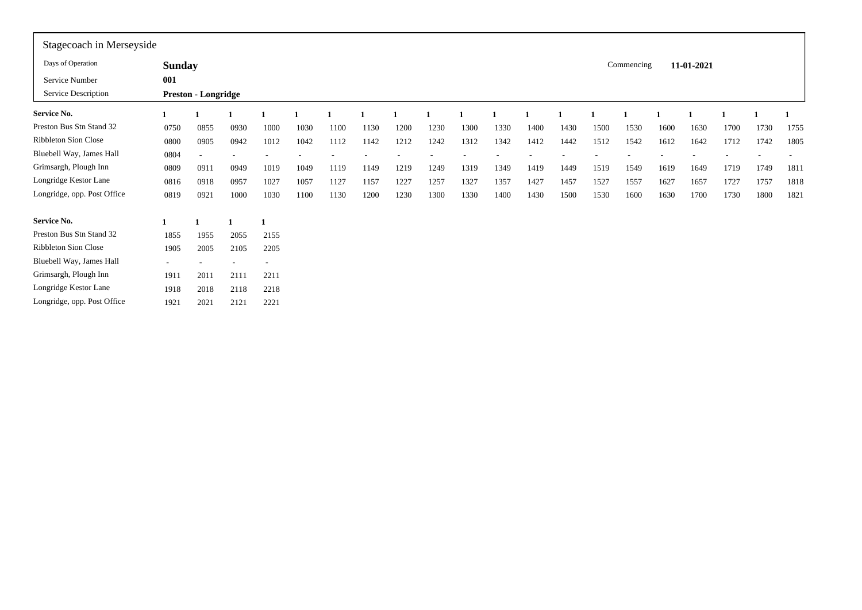| Stagecoach in Merseyside    |               |                            |      |        |      |      |      |      |      |      |      |      |      |      |            |      |            |      |      |                          |
|-----------------------------|---------------|----------------------------|------|--------|------|------|------|------|------|------|------|------|------|------|------------|------|------------|------|------|--------------------------|
| Days of Operation           | <b>Sunday</b> |                            |      |        |      |      |      |      |      |      |      |      |      |      | Commencing |      | 11-01-2021 |      |      |                          |
| Service Number              | 001           |                            |      |        |      |      |      |      |      |      |      |      |      |      |            |      |            |      |      |                          |
| Service Description         |               | <b>Preston - Longridge</b> |      |        |      |      |      |      |      |      |      |      |      |      |            |      |            |      |      |                          |
| <b>Service No.</b>          |               |                            |      |        |      |      |      |      |      |      |      |      |      |      |            |      |            |      |      |                          |
| Preston Bus Stn Stand 32    | 0750          | 0855                       | 0930 | 1000   | 1030 | 1100 | 1130 | 1200 | 1230 | 1300 | 1330 | 1400 | 1430 | 1500 | 1530       | 1600 | 1630       | 1700 | 1730 | 1755                     |
| Ribbleton Sion Close        | 0800          | 0905                       | 0942 | 1012   | 1042 | 1112 | 1142 | 1212 | 1242 | 1312 | 1342 | 1412 | 1442 | 1512 | 1542       | 1612 | 1642       | 1712 | 1742 | 1805                     |
| Bluebell Way, James Hall    | 0804          | $\overline{\phantom{a}}$   |      |        |      |      |      |      |      |      |      |      |      |      |            |      |            |      |      | $\overline{\phantom{a}}$ |
| Grimsargh, Plough Inn       | 0809          | 0911                       | 0949 | 1019   | 1049 | 1119 | 1149 | 1219 | 1249 | 1319 | 1349 | 1419 | 1449 | 1519 | 1549       | 1619 | 1649       | 1719 | 1749 | 1811                     |
| Longridge Kestor Lane       | 0816          | 0918                       | 0957 | 1027   | 1057 | 1127 | 1157 | 1227 | 1257 | 1327 | 1357 | 1427 | 1457 | 1527 | 1557       | 1627 | 1657       | 1727 | 1757 | 1818                     |
| Longridge, opp. Post Office | 0819          | 0921                       | 1000 | 1030   | 1100 | 1130 | 1200 | 1230 | 1300 | 1330 | 1400 | 1430 | 1500 | 1530 | 1600       | 1630 | 1700       | 1730 | 1800 | 1821                     |
| Service No.                 |               |                            |      | 1      |      |      |      |      |      |      |      |      |      |      |            |      |            |      |      |                          |
| Preston Bus Stn Stand 32    | 1855          | 1955                       | 2055 | 2155   |      |      |      |      |      |      |      |      |      |      |            |      |            |      |      |                          |
| Ribbleton Sion Close        | 1905          | 2005                       | 2105 | 2205   |      |      |      |      |      |      |      |      |      |      |            |      |            |      |      |                          |
| Bluebell Way, James Hall    | $\sim$        |                            | ٠    | $\sim$ |      |      |      |      |      |      |      |      |      |      |            |      |            |      |      |                          |
| Grimsargh, Plough Inn       | 1911          | 2011                       | 2111 | 2211   |      |      |      |      |      |      |      |      |      |      |            |      |            |      |      |                          |
| Longridge Kestor Lane       | 1918          | 2018                       | 2118 | 2218   |      |      |      |      |      |      |      |      |      |      |            |      |            |      |      |                          |
| Longridge, opp. Post Office | 1921          | 2021                       | 2121 | 2221   |      |      |      |      |      |      |      |      |      |      |            |      |            |      |      |                          |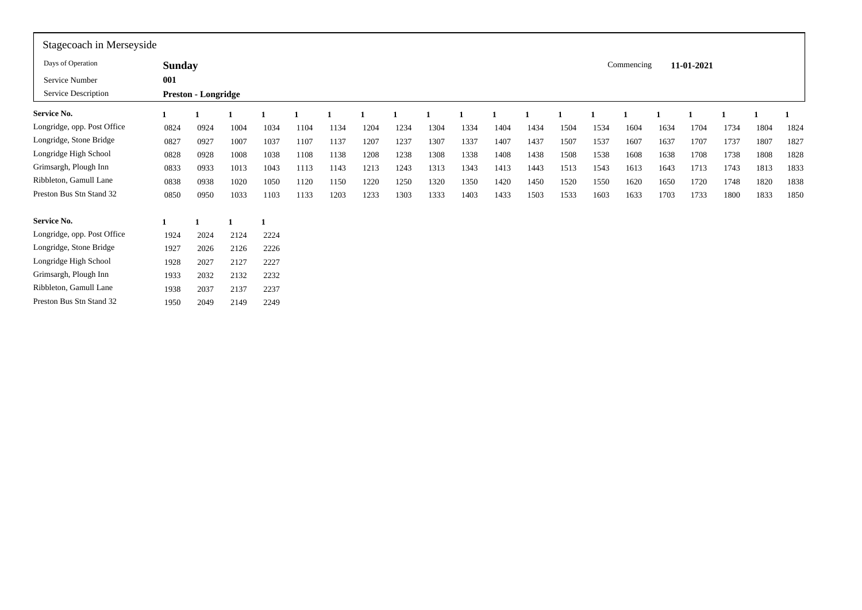| Stagecoach in Merseyside    |               |                            |      |      |      |      |      |      |      |      |      |      |      |      |            |      |            |      |      |      |
|-----------------------------|---------------|----------------------------|------|------|------|------|------|------|------|------|------|------|------|------|------------|------|------------|------|------|------|
| Days of Operation           | <b>Sunday</b> |                            |      |      |      |      |      |      |      |      |      |      |      |      | Commencing |      | 11-01-2021 |      |      |      |
| Service Number              | 001           |                            |      |      |      |      |      |      |      |      |      |      |      |      |            |      |            |      |      |      |
| Service Description         |               | <b>Preston - Longridge</b> |      |      |      |      |      |      |      |      |      |      |      |      |            |      |            |      |      |      |
| Service No.                 |               |                            |      |      |      |      |      |      |      |      |      |      |      |      |            |      |            |      |      |      |
| Longridge, opp. Post Office | 0824          | 0924                       | 1004 | 1034 | 1104 | 1134 | 1204 | 1234 | 1304 | 1334 | 1404 | 1434 | 1504 | 1534 | 1604       | 1634 | 1704       | 1734 | 1804 | 1824 |
| Longridge, Stone Bridge     | 0827          | 0927                       | 1007 | 1037 | 1107 | 1137 | 1207 | 1237 | 1307 | 1337 | 1407 | 1437 | 1507 | 1537 | 1607       | 1637 | 1707       | 1737 | 1807 | 1827 |
| Longridge High School       | 0828          | 0928                       | 1008 | 1038 | 1108 | 1138 | 1208 | 1238 | 1308 | 1338 | 1408 | 1438 | 1508 | 1538 | 1608       | 1638 | 1708       | 1738 | 1808 | 1828 |
| Grimsargh, Plough Inn       | 0833          | 0933                       | 1013 | 1043 | 1113 | 1143 | 1213 | 1243 | 1313 | 1343 | 1413 | 1443 | 1513 | 1543 | 1613       | 1643 | 1713       | 1743 | 1813 | 1833 |
| Ribbleton, Gamull Lane      | 0838          | 0938                       | 1020 | 1050 | 1120 | 1150 | 1220 | 1250 | 1320 | 1350 | 1420 | 1450 | 1520 | 1550 | 1620       | 1650 | 1720       | 1748 | 1820 | 1838 |
| Preston Bus Stn Stand 32    | 0850          | 0950                       | 1033 | 1103 | 1133 | 1203 | 1233 | 1303 | 1333 | 1403 | 1433 | 1503 | 1533 | 1603 | 1633       | 1703 | 1733       | 1800 | 1833 | 1850 |
| <b>Service No.</b>          | 1             |                            |      | -1   |      |      |      |      |      |      |      |      |      |      |            |      |            |      |      |      |
| Longridge, opp. Post Office | 1924          | 2024                       | 2124 | 2224 |      |      |      |      |      |      |      |      |      |      |            |      |            |      |      |      |
| Longridge, Stone Bridge     | 1927          | 2026                       | 2126 | 2226 |      |      |      |      |      |      |      |      |      |      |            |      |            |      |      |      |
| Longridge High School       | 1928          | 2027                       | 2127 | 2227 |      |      |      |      |      |      |      |      |      |      |            |      |            |      |      |      |
| Grimsargh, Plough Inn       | 1933          | 2032                       | 2132 | 2232 |      |      |      |      |      |      |      |      |      |      |            |      |            |      |      |      |
| Ribbleton, Gamull Lane      | 1938          | 2037                       | 2137 | 2237 |      |      |      |      |      |      |      |      |      |      |            |      |            |      |      |      |
| Preston Bus Stn Stand 32    | 1950          | 2049                       | 2149 | 2249 |      |      |      |      |      |      |      |      |      |      |            |      |            |      |      |      |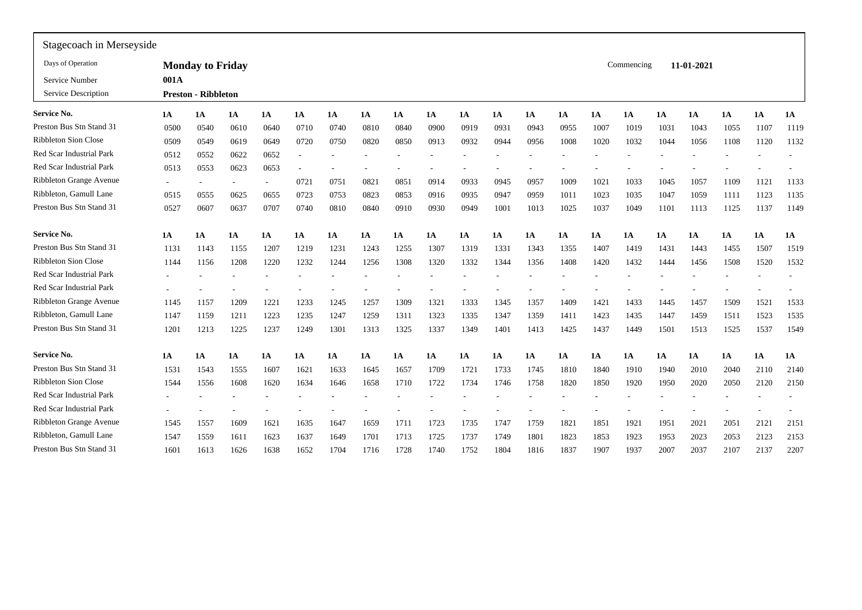| Stagecoach in Merseyside    |        |                            |      |                          |                          |      |      |      |           |      |      |      |      |      |            |           |            |           |           |           |
|-----------------------------|--------|----------------------------|------|--------------------------|--------------------------|------|------|------|-----------|------|------|------|------|------|------------|-----------|------------|-----------|-----------|-----------|
| Days of Operation           |        | <b>Monday to Friday</b>    |      |                          |                          |      |      |      |           |      |      |      |      |      | Commencing |           | 11-01-2021 |           |           |           |
| Service Number              | 001A   |                            |      |                          |                          |      |      |      |           |      |      |      |      |      |            |           |            |           |           |           |
| Service Description         |        | <b>Preston - Ribbleton</b> |      |                          |                          |      |      |      |           |      |      |      |      |      |            |           |            |           |           |           |
| <b>Service No.</b>          | 1A     | 1A                         | 1A   | 1A                       | 1A                       | 1A   | 1A   | 1A   | <b>1A</b> | 1A   | 1A   | 1A   | 1A   | 1A   | 1A         | <b>1A</b> | 1A         | <b>1A</b> | <b>1A</b> | 1A        |
| Preston Bus Stn Stand 31    | 0500   | 0540                       | 0610 | 0640                     | 0710                     | 0740 | 0810 | 0840 | 0900      | 0919 | 0931 | 0943 | 0955 | 1007 | 1019       | 1031      | 1043       | 1055      | 1107      | 1119      |
| <b>Ribbleton Sion Close</b> | 0509   | 0549                       | 0619 | 0649                     | 0720                     | 0750 | 0820 | 0850 | 0913      | 0932 | 0944 | 0956 | 1008 | 1020 | 1032       | 1044      | 1056       | 1108      | 1120      | 1132      |
| Red Scar Industrial Park    | 0512   | 0552                       | 0622 | 0652                     | $\overline{\phantom{a}}$ |      |      |      |           |      |      |      |      |      |            |           |            |           |           |           |
| Red Scar Industrial Park    | 0513   | 0553                       | 0623 | 0653                     |                          |      |      |      |           |      |      |      |      |      |            |           |            |           |           |           |
| Ribbleton Grange Avenue     | $\sim$ |                            |      | $\overline{\phantom{a}}$ | 0721                     | 0751 | 0821 | 0851 | 0914      | 0933 | 0945 | 0957 | 1009 | 1021 | 1033       | 1045      | 1057       | 1109      | 1121      | 1133      |
| Ribbleton, Gamull Lane      | 0515   | 0555                       | 0625 | 0655                     | 0723                     | 0753 | 0823 | 0853 | 0916      | 0935 | 0947 | 0959 | 1011 | 1023 | 1035       | 1047      | 1059       | 1111      | 1123      | 1135      |
| Preston Bus Stn Stand 31    | 0527   | 0607                       | 0637 | 0707                     | 0740                     | 0810 | 0840 | 0910 | 0930      | 0949 | 1001 | 1013 | 1025 | 1037 | 1049       | 1101      | 1113       | 1125      | 1137      | 1149      |
| <b>Service No.</b>          | 1A     | <b>1A</b>                  | 1A   | 1A                       | 1A                       | 1A   | 1A   | 1A   | <b>1A</b> | 1A   | 1A   | 1A   | 1A   | 1A   | 1A         | <b>1A</b> | <b>1A</b>  | 1A        | 1A        | <b>1A</b> |
| Preston Bus Stn Stand 31    | 1131   | 1143                       | 1155 | 1207                     | 1219                     | 1231 | 1243 | 1255 | 1307      | 1319 | 1331 | 1343 | 1355 | 1407 | 1419       | 1431      | 1443       | 1455      | 1507      | 1519      |
| <b>Ribbleton Sion Close</b> | 1144   | 1156                       | 1208 | 1220                     | 1232                     | 1244 | 1256 | 1308 | 1320      | 1332 | 1344 | 1356 | 1408 | 1420 | 1432       | 1444      | 1456       | 1508      | 1520      | 1532      |
| Red Scar Industrial Park    |        |                            |      |                          |                          |      |      |      |           |      |      |      |      |      |            |           |            |           |           |           |
| Red Scar Industrial Park    | ٠      |                            |      |                          |                          |      |      |      |           |      |      |      |      |      |            |           |            |           |           |           |
| Ribbleton Grange Avenue     | 1145   | 1157                       | 1209 | 1221                     | 1233                     | 1245 | 1257 | 1309 | 1321      | 1333 | 1345 | 1357 | 1409 | 1421 | 1433       | 1445      | 1457       | 1509      | 1521      | 1533      |
| Ribbleton, Gamull Lane      | 1147   | 1159                       | 1211 | 1223                     | 1235                     | 1247 | 1259 | 1311 | 1323      | 1335 | 1347 | 1359 | 1411 | 1423 | 1435       | 1447      | 1459       | 1511      | 1523      | 1535      |
| Preston Bus Stn Stand 31    | 1201   | 1213                       | 1225 | 1237                     | 1249                     | 1301 | 1313 | 1325 | 1337      | 1349 | 1401 | 1413 | 1425 | 1437 | 1449       | 1501      | 1513       | 1525      | 1537      | 1549      |
| <b>Service No.</b>          | 1A     | 1A                         | 1A   | 1A                       | 1A                       | 1A   | 1A   | 1A   | 1A        | 1A   | 1A   | 1A   | 1A   | 1A   | 1A         | 1A        | 1A         | 1A        | 1A        | 1A        |
| Preston Bus Stn Stand 31    | 1531   | 1543                       | 1555 | 1607                     | 1621                     | 1633 | 1645 | 1657 | 1709      | 1721 | 1733 | 1745 | 1810 | 1840 | 1910       | 1940      | 2010       | 2040      | 2110      | 2140      |
| <b>Ribbleton Sion Close</b> | 1544   | 1556                       | 1608 | 1620                     | 1634                     | 1646 | 1658 | 1710 | 1722      | 1734 | 1746 | 1758 | 1820 | 1850 | 1920       | 1950      | 2020       | 2050      | 2120      | 2150      |
| Red Scar Industrial Park    |        |                            |      |                          |                          |      |      |      |           |      |      |      |      |      |            |           |            |           |           |           |
| Red Scar Industrial Park    | ۰      |                            |      |                          |                          |      |      |      |           |      |      |      |      |      |            |           |            |           |           |           |
| Ribbleton Grange Avenue     | 1545   | 1557                       | 1609 | 1621                     | 1635                     | 1647 | 1659 | 1711 | 1723      | 1735 | 1747 | 1759 | 1821 | 1851 | 1921       | 1951      | 2021       | 2051      | 2121      | 2151      |
| Ribbleton, Gamull Lane      | 1547   | 1559                       | 1611 | 1623                     | 1637                     | 1649 | 1701 | 1713 | 1725      | 1737 | 1749 | 1801 | 1823 | 1853 | 1923       | 1953      | 2023       | 2053      | 2123      | 2153      |
| Preston Bus Stn Stand 31    | 1601   | 1613                       | 1626 | 1638                     | 1652                     | 1704 | 1716 | 1728 | 1740      | 1752 | 1804 | 1816 | 1837 | 1907 | 1937       | 2007      | 2037       | 2107      | 2137      | 2207      |
|                             |        |                            |      |                          |                          |      |      |      |           |      |      |      |      |      |            |           |            |           |           |           |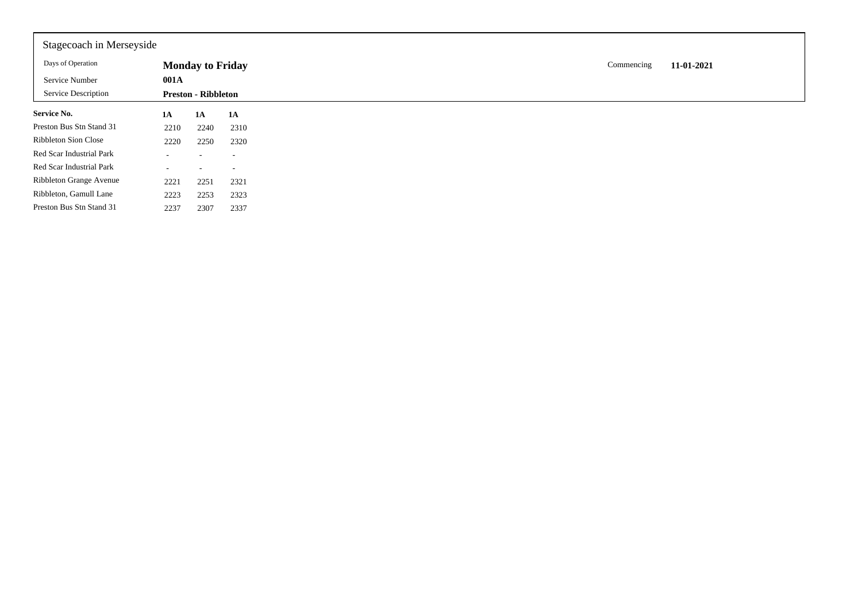| Stagecoach in Merseyside    |        |                            |                          |
|-----------------------------|--------|----------------------------|--------------------------|
| Days of Operation           |        | <b>Monday to Friday</b>    |                          |
| Service Number              | 001A   |                            |                          |
| Service Description         |        | <b>Preston - Ribbleton</b> |                          |
| <b>Service No.</b>          | 1A     | 1A                         | <b>1A</b>                |
| Preston Bus Stn Stand 31    | 2210   | 2240                       | 2310                     |
| <b>Ribbleton Sion Close</b> | 2220   | 2250                       | 2320                     |
| Red Scar Industrial Park    | $\sim$ |                            | $\overline{\phantom{a}}$ |
| Red Scar Industrial Park    | $\sim$ | -                          | $\overline{\phantom{a}}$ |
| Ribbleton Grange Avenue     | 2221   | 2251                       | 2321                     |
| Ribbleton, Gamull Lane      | 2223   | 2253                       | 2323                     |
| Preston Bus Stn Stand 31    | 2237   | 2307                       | 2337                     |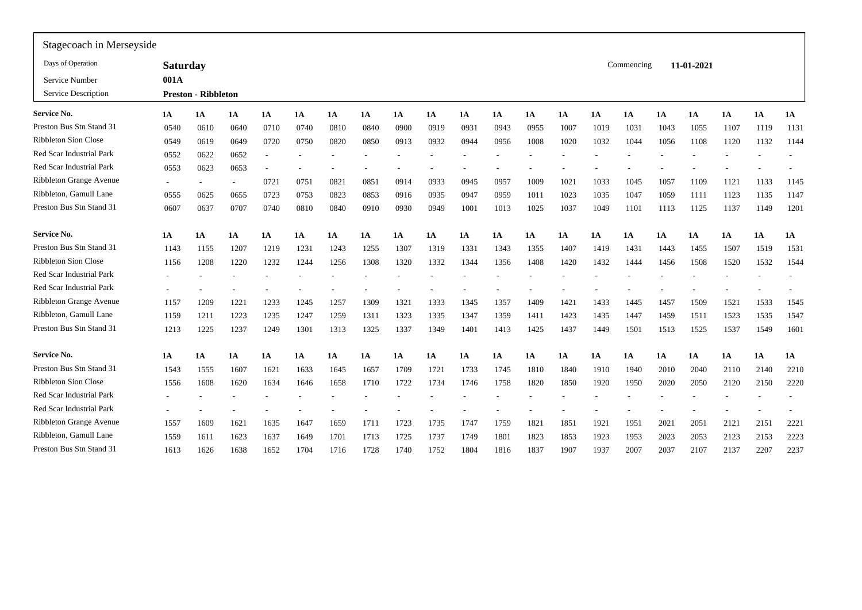| Stagecoach in Merseyside    |                          |                            |                          |           |           |           |           |      |      |      |      |      |      |      |            |      |            |      |      |           |
|-----------------------------|--------------------------|----------------------------|--------------------------|-----------|-----------|-----------|-----------|------|------|------|------|------|------|------|------------|------|------------|------|------|-----------|
| Days of Operation           | <b>Saturday</b>          |                            |                          |           |           |           |           |      |      |      |      |      |      |      | Commencing |      | 11-01-2021 |      |      |           |
| Service Number              | 001A                     |                            |                          |           |           |           |           |      |      |      |      |      |      |      |            |      |            |      |      |           |
| Service Description         |                          | <b>Preston - Ribbleton</b> |                          |           |           |           |           |      |      |      |      |      |      |      |            |      |            |      |      |           |
| <b>Service No.</b>          | 1A                       | 1A                         | 1A                       | <b>1A</b> | 1A        | 1A        | <b>1A</b> | 1A   | 1A   | 1A   | 1A   | 1A   | 1A   | 1A   | 1A         | 1A   | <b>1A</b>  | 1A   | 1A   | <b>1A</b> |
| Preston Bus Stn Stand 31    | 0540                     | 0610                       | 0640                     | 0710      | 0740      | 0810      | 0840      | 0900 | 0919 | 0931 | 0943 | 0955 | 1007 | 1019 | 103        | 1043 | 1055       | 1107 | 1119 | 1131      |
| Ribbleton Sion Close        | 0549                     | 0619                       | 0649                     | 0720      | 0750      | 0820      | 0850      | 0913 | 0932 | 0944 | 0956 | 1008 | 1020 | 1032 | 1044       | 1056 | 1108       | 1120 | 1132 | 1144      |
| Red Scar Industrial Park    | 0552                     | 0622                       | 0652                     | $\sim$    |           |           |           |      |      |      |      |      |      |      |            |      |            |      |      |           |
| Red Scar Industrial Park    | 0553                     | 0623                       | 0653                     |           |           |           |           |      |      |      |      |      |      |      |            |      |            |      |      |           |
| Ribbleton Grange Avenue     | $\sim$                   |                            | $\overline{\phantom{a}}$ | 0721      | 0751      | 082       | 0851      | 0914 | 0933 | 0945 | 0957 | 1009 | 1021 | 1033 | 1045       | 1057 | 1109       | 1121 | 1133 | 1145      |
| Ribbleton, Gamull Lane      | 0555                     | 0625                       | 0655                     | 0723      | 0753      | 0823      | 0853      | 0916 | 0935 | 0947 | 0959 | 1011 | 1023 | 1035 | 1047       | 1059 | 1111       | 1123 | 1135 | 1147      |
| Preston Bus Stn Stand 31    | 0607                     | 0637                       | 0707                     | 0740      | 0810      | 0840      | 0910      | 0930 | 0949 | 1001 | 1013 | 1025 | 1037 | 1049 | 1101       | 1113 | 1125       | 1137 | 1149 | 1201      |
| <b>Service No.</b>          | 1A                       | 1A                         | 1A                       | 1A        | <b>1A</b> | 1A        | 1A        | 1A   | 1A   | 1A   | 1A   | 1A   | 1A   | 1A   | 1A         | 1A   | 1A         | 1A   | 1A   | 1A        |
| Preston Bus Stn Stand 31    | 1143                     | 1155                       | 1207                     | 1219      | 1231      | 1243      | 1255      | 1307 | 1319 | 1331 | 1343 | 1355 | 1407 | 1419 | 143        | 1443 | 1455       | 1507 | 1519 | 1531      |
| <b>Ribbleton Sion Close</b> | 1156                     | 1208                       | 1220                     | 1232      | 1244      | 1256      | 1308      | 1320 | 1332 | 1344 | 1356 | 1408 | 1420 | 1432 | 1444       | 1456 | 1508       | 1520 | 1532 | 1544      |
| Red Scar Industrial Park    |                          |                            |                          |           |           |           |           |      |      |      |      |      |      |      |            |      |            |      |      |           |
| Red Scar Industrial Park    | $\overline{\phantom{a}}$ |                            |                          |           |           |           |           |      |      |      |      |      |      |      |            |      |            |      |      |           |
| Ribbleton Grange Avenue     | 1157                     | 1209                       | 1221                     | 1233      | 1245      | 1257      | 1309      | 1321 | 1333 | 1345 | 1357 | 1409 | 1421 | 1433 | 1445       | 1457 | 1509       | 1521 | 1533 | 1545      |
| Ribbleton, Gamull Lane      | 1159                     | 1211                       | 1223                     | 1235      | 1247      | 1259      | 1311      | 1323 | 1335 | 1347 | 1359 | 1411 | 1423 | 1435 | 1447       | 1459 | 1511       | 1523 | 1535 | 1547      |
| Preston Bus Stn Stand 31    | 1213                     | 1225                       | 1237                     | 1249      | 1301      | 1313      | 1325      | 1337 | 1349 | 1401 | 1413 | 1425 | 1437 | 1449 | 1501       | 1513 | 1525       | 1537 | 1549 | 1601      |
| <b>Service No.</b>          | 1A                       | 1A                         | 1A                       | 1A        | 1A        | <b>1A</b> | <b>1A</b> | 1A   | 1A   | 1A   | 1A   | 1A   | 1A   | 1A   | 1A         | 1A   | 1A         | 1A   | 1A   | 1A        |
| Preston Bus Stn Stand 31    | 1543                     | 1555                       | 1607                     | 1621      | 1633      | 1645      | 1657      | 1709 | 1721 | 1733 | 1745 | 1810 | 1840 | 1910 | 1940       | 2010 | 2040       | 2110 | 2140 | 2210      |
| Ribbleton Sion Close        | 1556                     | 1608                       | 1620                     | 1634      | 1646      | 1658      | 1710      | 1722 | 1734 | 1746 | 1758 | 1820 | 1850 | 1920 | 1950       | 2020 | 2050       | 2120 | 2150 | 2220      |
| Red Scar Industrial Park    |                          |                            |                          |           |           |           |           |      |      |      |      |      |      |      |            |      |            |      |      |           |
| Red Scar Industrial Park    |                          |                            |                          |           |           |           |           |      |      |      |      |      |      |      |            |      |            |      |      |           |
| Ribbleton Grange Avenue     | 1557                     | 1609                       | 1621                     | 1635      | 1647      | 1659      | 1711      | 1723 | 1735 | 1747 | 1759 | 1821 | 1851 | 1921 | 1951       | 2021 | 2051       | 2121 | 2151 | 2221      |
| Ribbleton, Gamull Lane      | 1559                     | 1611                       | 1623                     | 1637      | 1649      | 1701      | 1713      | 1725 | 1737 | 1749 | 1801 | 1823 | 1853 | 1923 | 1953       | 2023 | 2053       | 2123 | 2153 | 2223      |
| Preston Bus Stn Stand 31    | 1613                     | 1626                       | 1638                     | 1652      | 1704      | 1716      | 1728      | 1740 | 1752 | 1804 | 1816 | 1837 | 1907 | 1937 | 2007       | 2037 | 2107       | 2137 | 2207 | 2237      |
|                             |                          |                            |                          |           |           |           |           |      |      |      |      |      |      |      |            |      |            |      |      |           |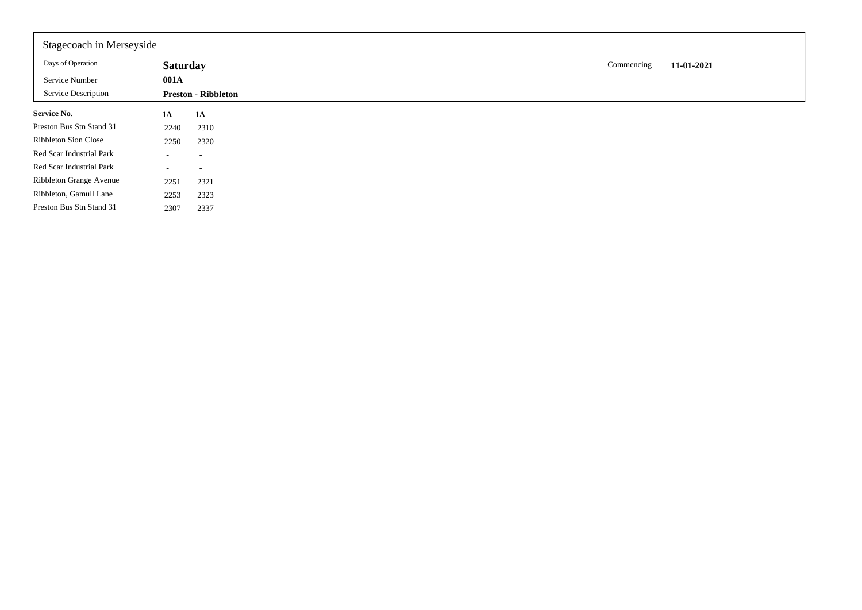| Stagecoach in Merseyside    |                          |                            |  |  |            |            |
|-----------------------------|--------------------------|----------------------------|--|--|------------|------------|
| Days of Operation           | <b>Saturday</b>          |                            |  |  | Commencing | 11-01-2021 |
| Service Number              | 001A                     |                            |  |  |            |            |
| Service Description         |                          | <b>Preston - Ribbleton</b> |  |  |            |            |
| Service No.                 | 1A                       | 1A                         |  |  |            |            |
| Preston Bus Stn Stand 31    | 2240                     | 2310                       |  |  |            |            |
| <b>Ribbleton Sion Close</b> | 2250                     | 2320                       |  |  |            |            |
| Red Scar Industrial Park    |                          | ۰.                         |  |  |            |            |
| Red Scar Industrial Park    | $\overline{\phantom{0}}$ |                            |  |  |            |            |
| Ribbleton Grange Avenue     | 2251                     | 2321                       |  |  |            |            |
| Ribbleton, Gamull Lane      | 2253                     | 2323                       |  |  |            |            |
| Preston Bus Stn Stand 31    | 2307                     | 2337                       |  |  |            |            |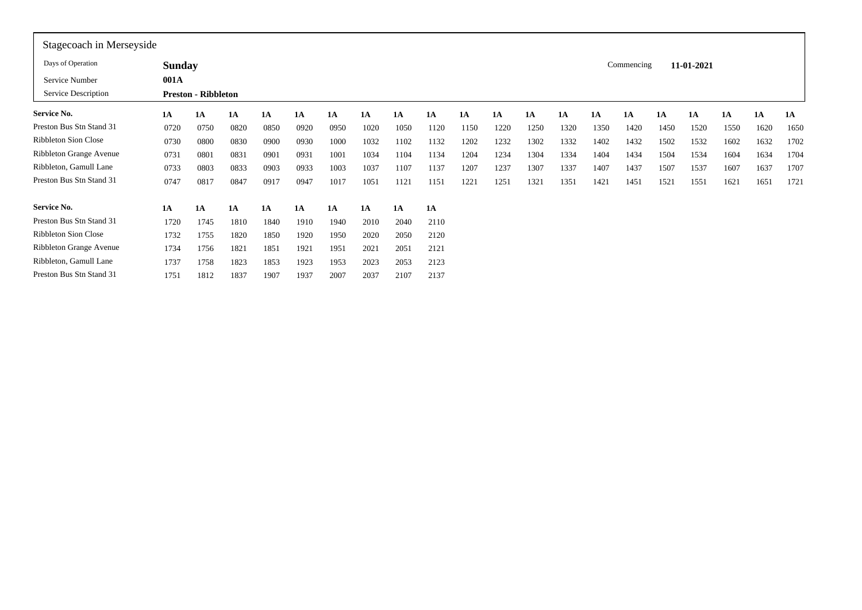| Stagecoach in Merseyside    |               |                            |           |      |      |      |      |      |      |      |      |      |      |      |            |           |            |      |      |      |
|-----------------------------|---------------|----------------------------|-----------|------|------|------|------|------|------|------|------|------|------|------|------------|-----------|------------|------|------|------|
| Days of Operation           | <b>Sunday</b> |                            |           |      |      |      |      |      |      |      |      |      |      |      | Commencing |           | 11-01-2021 |      |      |      |
| Service Number              | 001A          |                            |           |      |      |      |      |      |      |      |      |      |      |      |            |           |            |      |      |      |
| Service Description         |               | <b>Preston - Ribbleton</b> |           |      |      |      |      |      |      |      |      |      |      |      |            |           |            |      |      |      |
| <b>Service No.</b>          | 1A            | 1A                         | 1A        | 1A   | 1A   | 1A   | 1A   | 1A   | 1A   | 1A   | 1A   | 1A   | 1A   | 1A   | <b>1A</b>  | <b>1A</b> | <b>1A</b>  | 1A   | 1A   | 1A   |
| Preston Bus Stn Stand 31    | 0720          | 0750                       | 0820      | 0850 | 0920 | 0950 | 1020 | 1050 | 1120 | 1150 | 1220 | 1250 | 1320 | 1350 | 1420       | 1450      | 1520       | 1550 | 1620 | 1650 |
| <b>Ribbleton Sion Close</b> | 0730          | 0800                       | 0830      | 0900 | 0930 | 1000 | 1032 | 1102 | 1132 | 1202 | 1232 | 1302 | 1332 | 1402 | 1432       | 1502      | 1532       | 1602 | 1632 | 1702 |
| Ribbleton Grange Avenue     | 0731          | 0801                       | 0831      | 0901 | 0931 | 1001 | 1034 | 1104 | 1134 | 1204 | 1234 | 1304 | 1334 | 1404 | 1434       | 1504      | 1534       | 1604 | 1634 | 1704 |
| Ribbleton, Gamull Lane      | 0733          | 0803                       | 0833      | 0903 | 0933 | 1003 | 1037 | 1107 | 1137 | 1207 | 1237 | 1307 | 1337 | 1407 | 1437       | 1507      | 1537       | 1607 | 1637 | 1707 |
| Preston Bus Stn Stand 31    | 0747          | 0817                       | 0847      | 0917 | 0947 | 1017 | 1051 | 1121 | 1151 | 1221 | 1251 | 1321 | 1351 | 1421 | 1451       | 1521      | 1551       | 1621 | 1651 | 1721 |
| <b>Service No.</b>          | 1A            | 1A                         | <b>1A</b> | 1A   | 1A   | 1A   | 1A   | 1A   | 1A   |      |      |      |      |      |            |           |            |      |      |      |
| Preston Bus Stn Stand 31    | 1720          | 1745                       | 1810      | 1840 | 1910 | 1940 | 2010 | 2040 | 2110 |      |      |      |      |      |            |           |            |      |      |      |
| <b>Ribbleton Sion Close</b> | 1732          | 1755                       | 1820      | 1850 | 1920 | 1950 | 2020 | 2050 | 2120 |      |      |      |      |      |            |           |            |      |      |      |
| Ribbleton Grange Avenue     | 1734          | 1756                       | 1821      | 1851 | 1921 | 1951 | 2021 | 2051 | 2121 |      |      |      |      |      |            |           |            |      |      |      |
| Ribbleton, Gamull Lane      | 1737          | 1758                       | 1823      | 1853 | 1923 | 1953 | 2023 | 2053 | 2123 |      |      |      |      |      |            |           |            |      |      |      |
| Preston Bus Stn Stand 31    | 1751          | 1812                       | 1837      | 1907 | 1937 | 2007 | 2037 | 2107 | 2137 |      |      |      |      |      |            |           |            |      |      |      |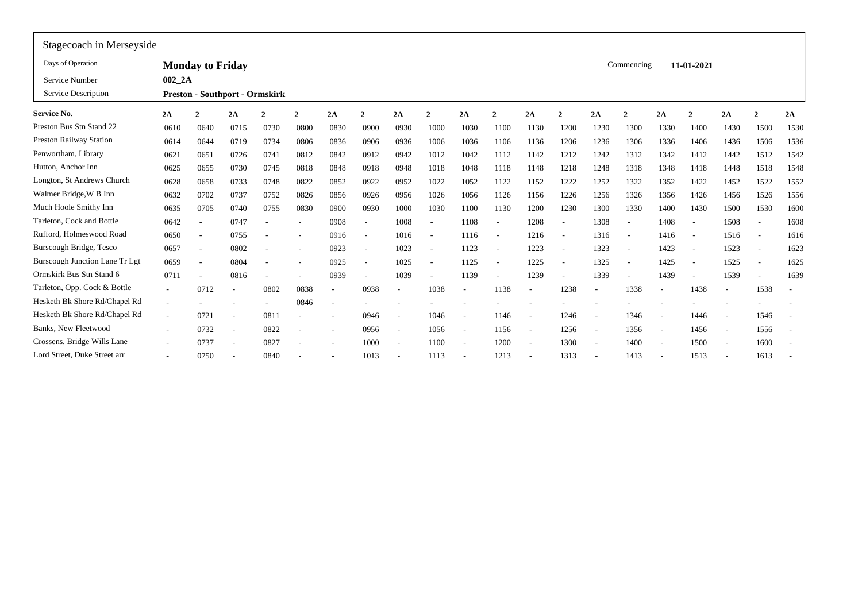| Stagecoach in Merseyside       |                          |                                       |                          |                |                |                          |              |                          |              |                          |                          |        |                          |                          |                          |                          |                          |                          |                          |                          |
|--------------------------------|--------------------------|---------------------------------------|--------------------------|----------------|----------------|--------------------------|--------------|--------------------------|--------------|--------------------------|--------------------------|--------|--------------------------|--------------------------|--------------------------|--------------------------|--------------------------|--------------------------|--------------------------|--------------------------|
| Days of Operation              |                          | <b>Monday to Friday</b>               |                          |                |                |                          |              |                          |              |                          |                          |        |                          |                          | Commencing               |                          | 11-01-2021               |                          |                          |                          |
| Service Number                 | 002 2A                   |                                       |                          |                |                |                          |              |                          |              |                          |                          |        |                          |                          |                          |                          |                          |                          |                          |                          |
| Service Description            |                          | <b>Preston - Southport - Ormskirk</b> |                          |                |                |                          |              |                          |              |                          |                          |        |                          |                          |                          |                          |                          |                          |                          |                          |
| Service No.                    | 2A                       | $\mathbf{2}$                          | 2A                       | $\overline{2}$ | $\overline{2}$ | 2A                       | $\mathbf{2}$ | 2A                       | $\mathbf{2}$ | 2A                       | $\overline{2}$           | 2A     | $\mathbf{2}$             | 2A                       | $\overline{2}$           | 2A                       | $\mathbf{2}$             | 2A                       | $\mathbf{\hat{z}}$       | 2A                       |
| Preston Bus Stn Stand 22       | 0610                     | 0640                                  | 0715                     | 0730           | 0800           | 0830                     | 0900         | 0930                     | 1000         | 1030                     | 1100                     | 1130   | 1200                     | 1230                     | 1300                     | 1330                     | 1400                     | 1430                     | 1500                     | 1530                     |
| <b>Preston Railway Station</b> | 0614                     | 0644                                  | 0719                     | 0734           | 0806           | 0836                     | 0906         | 0936                     | 1006         | 1036                     | 1106                     | 1136   | 1206                     | 1236                     | 1306                     | 1336                     | 1406                     | 1436                     | 1506                     | 1536                     |
| Penwortham, Library            | 0621                     | 0651                                  | 0726                     | 0741           | 0812           | 0842                     | 0912         | 0942                     | 1012         | 1042                     | 1112                     | 1142   | 1212                     | 1242                     | 1312                     | 1342                     | 1412                     | 1442                     | 1512                     | 1542                     |
| Hutton, Anchor Inn             | 0625                     | 0655                                  | 0730                     | 0745           | 0818           | 0848                     | 0918         | 0948                     | 1018         | 1048                     | 1118                     | 1148   | 1218                     | 1248                     | 1318                     | 1348                     | 1418                     | 1448                     | 1518                     | 1548                     |
| Longton, St Andrews Church     | 0628                     | 0658                                  | 0733                     | 0748           | 0822           | 0852                     | 0922         | 0952                     | 1022         | 1052                     | 1122                     | 1152   | 1222                     | 1252                     | 1322                     | 1352                     | 1422                     | 1452                     | 1522                     | 1552                     |
| Walmer Bridge, W B Inn         | 0632                     | 0702                                  | 0737                     | 0752           | 0826           | 0856                     | 0926         | 0956                     | 1026         | 1056                     | 1126                     | 1156   | 1226                     | 1256                     | 1326                     | 1356                     | 1426                     | 1456                     | 1526                     | 1556                     |
| Much Hoole Smithy Inn          | 0635                     | 0705                                  | 0740                     | 0755           | 0830           | 0900                     | 0930         | 1000                     | 1030         | 1100                     | 1130                     | 1200   | 1230                     | 1300                     | 1330                     | 1400                     | 1430                     | 1500                     | 1530                     | 1600                     |
| Tarleton, Cock and Bottle      | 0642                     | $\overline{\phantom{a}}$              | 0747                     |                |                | 0908                     |              | 1008                     |              | 1108                     | $\overline{\phantom{a}}$ | 1208   |                          | 1308                     | $\overline{\phantom{a}}$ | 1408                     | $\overline{a}$           | 1508                     | $\overline{\phantom{a}}$ | 1608                     |
| Rufford, Holmeswood Road       | 0650                     | $\overline{\phantom{a}}$              | 0755                     |                |                | 0916                     |              | 1016                     |              | 1116                     | $\overline{\phantom{a}}$ | 1216   | $\overline{\phantom{a}}$ | 1316                     | $\sim$                   | 1416                     | $\overline{a}$           | 1516                     | $\overline{\phantom{a}}$ | 1616                     |
| Burscough Bridge, Tesco        | 0657                     | $\overline{\phantom{a}}$              | 0802                     |                |                | 0923                     |              | 1023                     |              | 1123                     | $\overline{\phantom{a}}$ | 1223   |                          | 1323                     | $\sim$                   | 1423                     | $\overline{\phantom{a}}$ | 1523                     | $\overline{\phantom{a}}$ | 1623                     |
| Burscough Junction Lane Tr Lgt | 0659                     | $\overline{\phantom{a}}$              | 0804                     |                |                | 0925                     |              | 1025                     |              | 1125                     | $\overline{\phantom{a}}$ | 1225   |                          | 1325                     | $\overline{\phantom{a}}$ | 1425                     | $\overline{\phantom{a}}$ | 1525                     | $\overline{\phantom{a}}$ | 1625                     |
| Ormskirk Bus Stn Stand 6       | 0711                     | ٠                                     | 0816                     |                |                | 0939                     |              | 1039                     |              | 1139                     | ۰                        | 1239   |                          | 1339                     | $\overline{\phantom{a}}$ | 1439                     | $\overline{\phantom{a}}$ | 1539                     |                          | 1639                     |
| Tarleton, Opp. Cock & Bottle   | $\sim$                   | 0712                                  |                          | 0802           | 0838           | $\overline{\phantom{a}}$ | 0938         | $\overline{\phantom{a}}$ | 1038         | $\overline{\phantom{a}}$ | 1138                     |        | 1238                     | $\overline{\phantom{a}}$ | 1338                     | $\overline{a}$           | 1438                     | $\overline{\phantom{a}}$ | 1538                     | $\overline{\phantom{a}}$ |
| Hesketh Bk Shore Rd/Chapel Rd  | $\overline{\phantom{a}}$ |                                       |                          |                | 0846           |                          |              |                          |              |                          |                          |        |                          |                          |                          |                          |                          |                          |                          |                          |
| Hesketh Bk Shore Rd/Chapel Rd  | $\overline{\phantom{a}}$ | 0721                                  |                          | 081            |                |                          | 0946         | $\overline{a}$           | 1046         | $\overline{\phantom{a}}$ | 1146                     | $\sim$ | 1246                     | $\overline{\phantom{a}}$ | 1346                     | $\overline{a}$           | 1446                     |                          | 1546                     | $\overline{\phantom{a}}$ |
| <b>Banks, New Fleetwood</b>    | $\overline{\phantom{a}}$ | 0732                                  | $\overline{\phantom{a}}$ | 0822           |                |                          | 0956         | $\overline{\phantom{a}}$ | 1056         | $\sim$                   | 1156                     | $\sim$ | 1256                     | $\overline{\phantom{a}}$ | 1356                     | $\overline{\phantom{a}}$ | 1456                     | $\overline{\phantom{a}}$ | 1556                     | $\overline{\phantom{a}}$ |
| Crossens, Bridge Wills Lane    | $\sim$                   | 0737                                  | $\overline{\phantom{a}}$ | 0827           | $\overline{a}$ | $\sim$                   | 1000         | $\overline{\phantom{a}}$ | 1100         | $\sim$                   | 1200                     | $\sim$ | 1300                     | $\sim$                   | 1400                     | $\overline{\phantom{a}}$ | 1500                     | $\overline{\phantom{a}}$ | 1600                     | $\overline{\phantom{a}}$ |
| Lord Street, Duke Street arr   | $\sim$                   | 0750                                  | $\overline{\phantom{a}}$ | 0840           | ٠              |                          | 1013         | $\overline{\phantom{a}}$ | 1113         | $\overline{\phantom{a}}$ | 1213                     | $\sim$ | 1313                     | $\overline{\phantom{a}}$ | 1413                     | $\overline{\phantom{a}}$ | 1513                     | $\overline{\phantom{a}}$ | 1613                     | $\overline{\phantom{a}}$ |
|                                |                          |                                       |                          |                |                |                          |              |                          |              |                          |                          |        |                          |                          |                          |                          |                          |                          |                          |                          |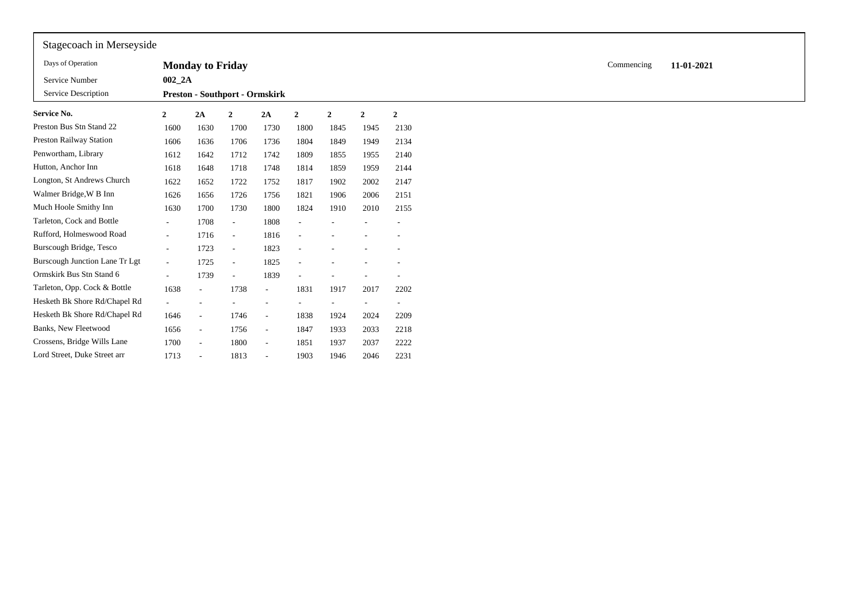| Stagecoach in Merseyside              |                          |                                       |                          |                          |                |                |                          |                  |
|---------------------------------------|--------------------------|---------------------------------------|--------------------------|--------------------------|----------------|----------------|--------------------------|------------------|
| Days of Operation                     |                          | <b>Monday to Friday</b>               |                          |                          |                |                |                          |                  |
| Service Number<br>Service Description | 002 2A                   |                                       |                          |                          |                |                |                          |                  |
|                                       |                          | <b>Preston - Southport - Ormskirk</b> |                          |                          |                |                |                          |                  |
| <b>Service No.</b>                    | 2                        | 2A                                    | $\mathbf{2}$             | 2A                       | $\overline{2}$ | $\overline{2}$ | $\mathbf{2}$             | $\boldsymbol{2}$ |
| Preston Bus Stn Stand 22              | 1600                     | 1630                                  | 1700                     | 1730                     | 1800           | 1845           | 1945                     | 2130             |
| <b>Preston Railway Station</b>        | 1606                     | 1636                                  | 1706                     | 1736                     | 1804           | 1849           | 1949                     | 2134             |
| Penwortham, Library                   | 1612                     | 1642                                  | 1712                     | 1742                     | 1809           | 1855           | 1955                     | 2140             |
| Hutton, Anchor Inn                    | 1618                     | 1648                                  | 1718                     | 1748                     | 1814           | 1859           | 1959                     | 2144             |
| Longton, St Andrews Church            | 1622                     | 1652                                  | 1722                     | 1752                     | 1817           | 1902           | 2002                     | 2147             |
| Walmer Bridge, W B Inn                | 1626                     | 1656                                  | 1726                     | 1756                     | 1821           | 1906           | 2006                     | 2151             |
| Much Hoole Smithy Inn                 | 1630                     | 1700                                  | 1730                     | 1800                     | 1824           | 1910           | 2010                     | 2155             |
| Tarleton, Cock and Bottle             | $\sim$                   | 1708                                  | $\overline{\phantom{a}}$ | 1808                     |                |                |                          |                  |
| Rufford, Holmeswood Road              | $\sim$                   | 1716                                  | $\sim$                   | 1816                     |                |                |                          |                  |
| Burscough Bridge, Tesco               | $\sim$                   | 1723                                  | $\overline{\phantom{a}}$ | 1823                     |                |                |                          |                  |
| <b>Burscough Junction Lane Tr Lgt</b> | $\sim$                   | 1725                                  | $\overline{\phantom{a}}$ | 1825                     |                |                |                          |                  |
| Ormskirk Bus Stn Stand 6              | $\overline{\phantom{a}}$ | 1739                                  | $\overline{\phantom{a}}$ | 1839                     |                |                | ٠                        |                  |
| Tarleton, Opp. Cock & Bottle          | 1638                     | $\sim$                                | 1738                     | $\overline{\phantom{a}}$ | 1831           | 1917           | 2017                     | 2202             |
| Hesketh Bk Shore Rd/Chapel Rd         |                          |                                       |                          |                          |                |                | $\overline{\phantom{a}}$ |                  |
| Hesketh Bk Shore Rd/Chapel Rd         | 1646                     | $\sim$                                | 1746                     | $\overline{\phantom{a}}$ | 1838           | 1924           | 2024                     | 2209             |
| Banks, New Fleetwood                  | 1656                     | $\sim$                                | 1756                     | $\overline{\phantom{a}}$ | 1847           | 1933           | 2033                     | 2218             |
| Crossens, Bridge Wills Lane           | 1700                     | $\sim$                                | 1800                     | $\sim$                   | 1851           | 1937           | 2037                     | 2222             |
| Lord Street, Duke Street arr          | 1713                     |                                       | 1813                     | $\overline{\phantom{a}}$ | 1903           | 1946           | 2046                     | 2231             |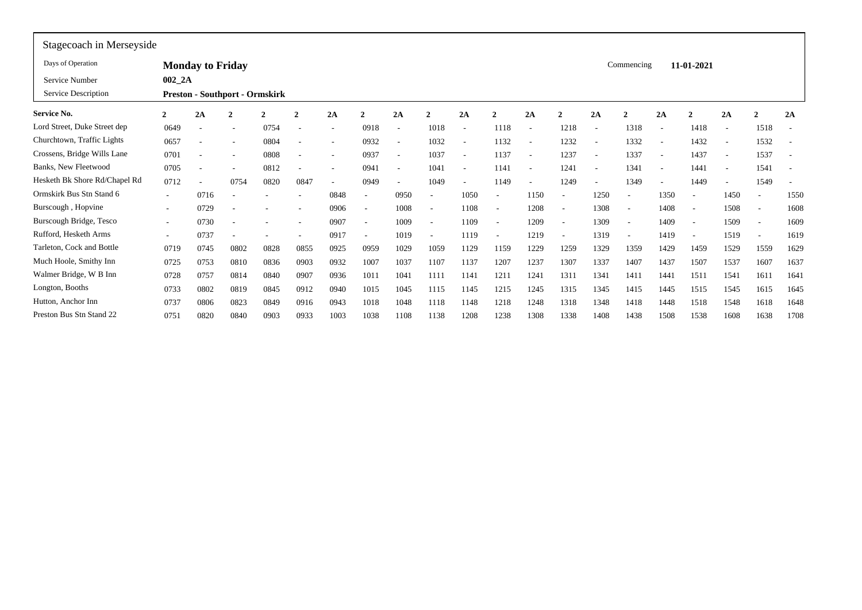| Stagecoach in Merseyside      |              |                         |                                       |              |                          |                          |                          |                          |                          |                          |                          |                          |                          |                          |                          |                          |                          |                          |                |                          |
|-------------------------------|--------------|-------------------------|---------------------------------------|--------------|--------------------------|--------------------------|--------------------------|--------------------------|--------------------------|--------------------------|--------------------------|--------------------------|--------------------------|--------------------------|--------------------------|--------------------------|--------------------------|--------------------------|----------------|--------------------------|
| Days of Operation             |              | <b>Monday to Friday</b> |                                       |              |                          |                          |                          |                          |                          |                          |                          |                          |                          |                          | Commencing               |                          | 11-01-2021               |                          |                |                          |
| Service Number                | $002$ $2A$   |                         |                                       |              |                          |                          |                          |                          |                          |                          |                          |                          |                          |                          |                          |                          |                          |                          |                |                          |
| Service Description           |              |                         | <b>Preston - Southport - Ormskirk</b> |              |                          |                          |                          |                          |                          |                          |                          |                          |                          |                          |                          |                          |                          |                          |                |                          |
| <b>Service No.</b>            | $\mathbf{2}$ | 2A                      | 2                                     | $\mathbf{2}$ | $\overline{\mathbf{c}}$  | 2A                       | $\mathbf{2}$             | 2A                       | $\mathbf{2}$             | 2A                       | $\mathbf{2}$             | 2A                       | 2                        | 2A                       | $\overline{2}$           | 2A                       |                          | 2A                       | $\overline{2}$ | 2A                       |
| Lord Street, Duke Street dep  | 0649         |                         |                                       | 0754         |                          | $\overline{\phantom{a}}$ | 0918                     | $\overline{\phantom{a}}$ | 1018                     | $\sim$                   | 1118                     | $\overline{\phantom{a}}$ | 1218                     | $\overline{\phantom{a}}$ | 1318                     | $\overline{\phantom{a}}$ | 1418                     | $\overline{\phantom{a}}$ | 1518           | $\sim$                   |
| Churchtown, Traffic Lights    | 0657         |                         |                                       | 0804         | $\overline{\phantom{a}}$ | ٠                        | 0932                     | $\overline{\phantom{a}}$ | 1032                     | $\sim$                   | 1132                     | $\overline{\phantom{a}}$ | 1232                     | $\overline{\phantom{a}}$ | 1332                     | $\overline{\phantom{a}}$ | 1432                     | ٠                        | 1532           | $\overline{\phantom{a}}$ |
| Crossens, Bridge Wills Lane   | 0701         |                         |                                       | 0808         | $\overline{\phantom{a}}$ | ۰                        | 0937                     | $\overline{\phantom{a}}$ | 1037                     | $\sim$                   | 1137                     | $\overline{\phantom{a}}$ | 1237                     | $\overline{\phantom{a}}$ | 1337                     | $\overline{\phantom{a}}$ | 1437                     | $\overline{\phantom{a}}$ | 1537           | $\overline{\phantom{a}}$ |
| Banks, New Fleetwood          | 0705         |                         | ٠                                     | 0812         | $\overline{\phantom{a}}$ |                          | 0941                     | $\overline{\phantom{a}}$ | 1041                     | $\overline{\phantom{a}}$ | 1141                     | $\overline{\phantom{a}}$ | 1241                     | $\overline{\phantom{a}}$ | 1341                     | $\overline{\phantom{a}}$ | 1441                     | ٠                        | 1541           | $\overline{\phantom{a}}$ |
| Hesketh Bk Shore Rd/Chapel Rd | 0712         |                         | 0754                                  | 0820         | 0847                     | $\overline{\phantom{a}}$ | 0949                     | $\overline{\phantom{a}}$ | 1049                     | $\sim$                   | 1149                     |                          | 1249                     | $\overline{\phantom{a}}$ | 1349                     | $\overline{\phantom{a}}$ | 1449                     | ٠                        | 1549           | $\overline{\phantom{a}}$ |
| Ormskirk Bus Stn Stand 6      | $\sim$       | 0716                    |                                       |              |                          | 0848                     |                          | 0950                     | $\overline{\phantom{a}}$ | 1050                     | $\overline{\phantom{a}}$ | 1150                     |                          | 1250                     |                          | 1350                     |                          | 1450                     |                | 1550                     |
| Burscough, Hopvine            | $\sim$       | 0729                    |                                       |              |                          | 0906                     | $\overline{\phantom{a}}$ | 1008                     | $\overline{\phantom{a}}$ | 1108                     | $\overline{\phantom{a}}$ | 1208                     | $\overline{\phantom{a}}$ | 1308                     | $\sim$                   | 1408                     | $\overline{\phantom{a}}$ | 1508                     | $\sim$         | 1608                     |
| Burscough Bridge, Tesco       | $\sim$       | 0730                    | ٠                                     |              | ٠                        | 0907                     |                          | 1009                     | $\overline{\phantom{a}}$ | 1109                     | ٠                        | 1209                     | $\overline{\phantom{a}}$ | 1309                     | $\sim$                   | 1409                     | $\overline{\phantom{a}}$ | 1509                     | $\sim$         | 1609                     |
| Rufford, Hesketh Arms         | $\sim$       | 0737                    | $\overline{\phantom{a}}$              |              |                          | 0917                     | $\overline{\phantom{a}}$ | 1019                     | $\overline{\phantom{a}}$ | 1119                     | $\overline{\phantom{a}}$ | 1219                     | $\overline{\phantom{a}}$ | 1319                     | $\overline{\phantom{a}}$ | 1419                     | $\overline{\phantom{a}}$ | 1519                     |                | 1619                     |
| Tarleton, Cock and Bottle     | 0719         | 0745                    | 0802                                  | 0828         | 0855                     | 0925                     | 0959                     | 1029                     | 1059                     | 1129                     | 1159                     | 1229                     | 1259                     | 1329                     | 1359                     | 1429                     | 1459                     | 1529                     | 1559           | 1629                     |
| Much Hoole, Smithy Inn        | 0725         | 0753                    | 0810                                  | 0836         | 0903                     | 0932                     | 1007                     | 1037                     | 1107                     | 1137                     | 1207                     | 1237                     | 1307                     | 1337                     | 1407                     | 1437                     | 1507                     | 1537                     | 1607           | 1637                     |
| Walmer Bridge, W B Inn        | 0728         | 0757                    | 0814                                  | 0840         | 0907                     | 0936                     | 1011                     | 1041                     | 1111                     | 1141                     | 1211                     | 1241                     | 1311                     | 1341                     | 1411                     | 1441                     | 1511                     | 1541                     | 161            | 1641                     |
| Longton, Booths               | 0733         | 0802                    | 0819                                  | 0845         | 0912                     | 0940                     | 1015                     | 1045                     | 1115                     | 1145                     | 1215                     | 1245                     | 1315                     | 1345                     | 1415                     | 1445                     | 1515                     | 1545                     | 1615           | 1645                     |
| Hutton, Anchor Inn            | 0737         | 0806                    | 0823                                  | 0849         | 0916                     | 0943                     | 1018                     | 1048                     | 1118                     | 1148                     | 1218                     | 1248                     | 1318                     | 1348                     | 1418                     | 1448                     | 1518                     | 1548                     | 1618           | 1648                     |
| Preston Bus Stn Stand 22      | 0751         | 0820                    | 0840                                  | 0903         | 0933                     | 1003                     | 1038                     | 1108                     | 1138                     | 1208                     | 1238                     | 1308                     | 1338                     | 1408                     | 1438                     | 1508                     | 1538                     | 1608                     | 1638           | 1708                     |
|                               |              |                         |                                       |              |                          |                          |                          |                          |                          |                          |                          |                          |                          |                          |                          |                          |                          |                          |                |                          |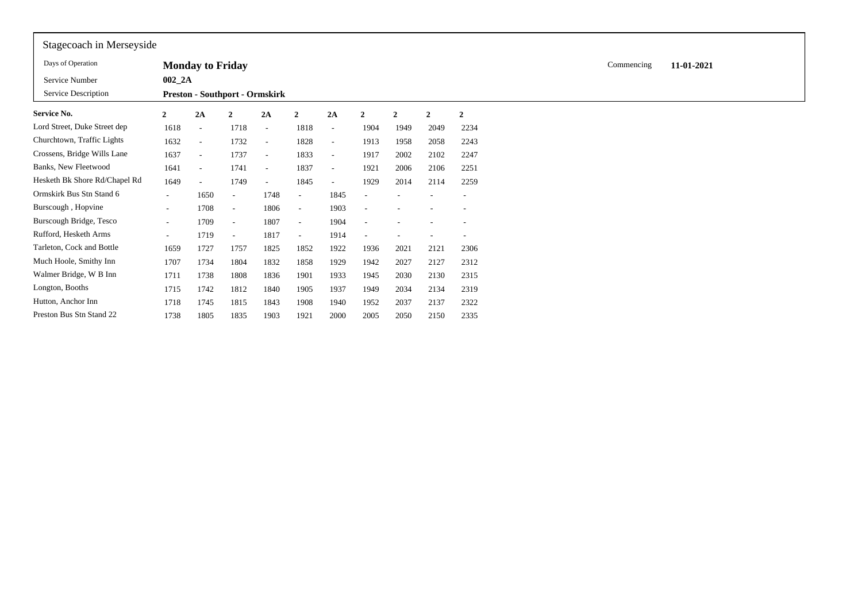| Stagecoach in Merseyside      |              |                          |                                       |        |                          |                          |              |                |                |                |
|-------------------------------|--------------|--------------------------|---------------------------------------|--------|--------------------------|--------------------------|--------------|----------------|----------------|----------------|
| Days of Operation             |              | <b>Monday to Friday</b>  |                                       |        |                          |                          |              |                |                |                |
| Service Number                | $002_2A$     |                          |                                       |        |                          |                          |              |                |                |                |
| Service Description           |              |                          | <b>Preston - Southport - Ormskirk</b> |        |                          |                          |              |                |                |                |
| Service No.                   | $\mathbf{2}$ | 2A                       | 2                                     | 2A     | $\overline{2}$           | 2A                       | $\mathbf{2}$ | $\overline{2}$ | $\overline{2}$ | $\overline{2}$ |
| Lord Street, Duke Street dep  | 1618         | $\sim$                   | 1718                                  | $\sim$ | 1818                     | $\sim$                   | 1904         | 1949           | 2049           | 2234           |
| Churchtown, Traffic Lights    | 1632         | $\sim$                   | 1732                                  | $\sim$ | 1828                     | $\sim$                   | 1913         | 1958           | 2058           | 2243           |
| Crossens, Bridge Wills Lane   | 1637         | $\sim$                   | 1737                                  | $\sim$ | 1833                     | $\sim$                   | 1917         | 2002           | 2102           | 2247           |
| Banks, New Fleetwood          | 1641         | $\overline{\phantom{a}}$ | 1741                                  | $\sim$ | 1837                     | $\sim$                   | 1921         | 2006           | 2106           | 2251           |
| Hesketh Bk Shore Rd/Chapel Rd | 1649         | $\sim$                   | 1749                                  | $\sim$ | 1845                     | $\overline{\phantom{a}}$ | 1929         | 2014           | 2114           | 2259           |
| Ormskirk Bus Stn Stand 6      | $\sim$       | 1650                     | $\qquad \qquad -$                     | 1748   |                          | 1845                     |              |                |                |                |
| Burscough, Hopvine            | $\sim$       | 1708                     | $\overline{\phantom{a}}$              | 1806   | $\sim$                   | 1903                     |              |                |                |                |
| Burscough Bridge, Tesco       | $\sim$       | 1709                     | $\overline{\phantom{a}}$              | 1807   | $\overline{\phantom{a}}$ | 1904                     |              |                |                |                |
| Rufford, Hesketh Arms         | $\sim$       | 1719                     | $\overline{\phantom{a}}$              | 1817   | $\sim$                   | 1914                     |              |                |                |                |
| Tarleton, Cock and Bottle     | 1659         | 1727                     | 1757                                  | 1825   | 1852                     | 1922                     | 1936         | 2021           | 2121           | 2306           |
| Much Hoole, Smithy Inn        | 1707         | 1734                     | 1804                                  | 1832   | 1858                     | 1929                     | 1942         | 2027           | 2127           | 2312           |
| Walmer Bridge, W B Inn        | 1711         | 1738                     | 1808                                  | 1836   | 1901                     | 1933                     | 1945         | 2030           | 2130           | 2315           |
| Longton, Booths               | 1715         | 1742                     | 1812                                  | 1840   | 1905                     | 1937                     | 1949         | 2034           | 2134           | 2319           |
| Hutton, Anchor Inn            | 1718         | 1745                     | 1815                                  | 1843   | 1908                     | 1940                     | 1952         | 2037           | 2137           | 2322           |
| Preston Bus Stn Stand 22      | 1738         | 1805                     | 1835                                  | 1903   | 1921                     | 2000                     | 2005         | 2050           | 2150           | 2335           |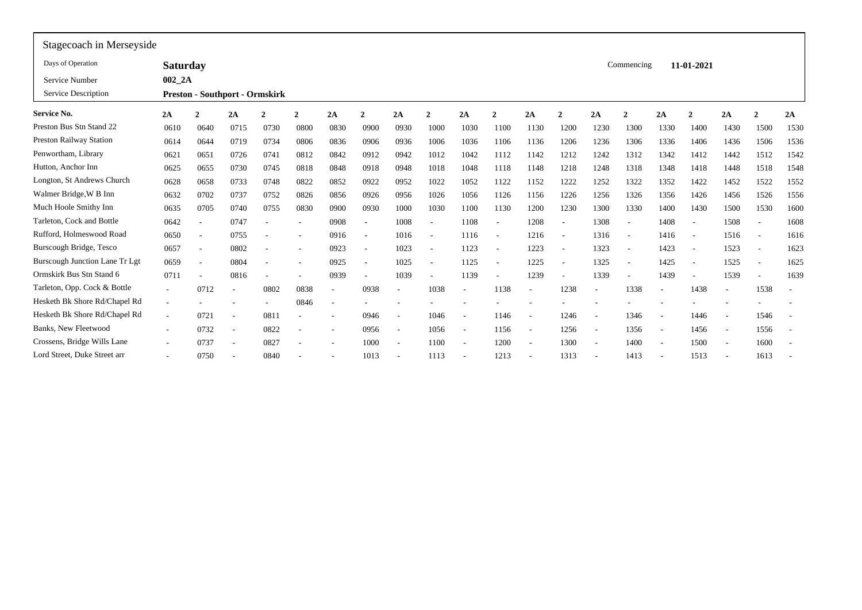| Stagecoach in Merseyside       |                          |                                       |                          |                          |                          |                          |                          |                              |                          |                          |                          |        |                          |                          |                          |                          |                          |                          |                          |                          |
|--------------------------------|--------------------------|---------------------------------------|--------------------------|--------------------------|--------------------------|--------------------------|--------------------------|------------------------------|--------------------------|--------------------------|--------------------------|--------|--------------------------|--------------------------|--------------------------|--------------------------|--------------------------|--------------------------|--------------------------|--------------------------|
| Days of Operation              | <b>Saturday</b>          |                                       |                          |                          |                          |                          |                          |                              |                          |                          |                          |        |                          |                          | Commencing               |                          | 11-01-2021               |                          |                          |                          |
| Service Number                 | $002_2A$                 |                                       |                          |                          |                          |                          |                          |                              |                          |                          |                          |        |                          |                          |                          |                          |                          |                          |                          |                          |
| Service Description            |                          | <b>Preston - Southport - Ormskirk</b> |                          |                          |                          |                          |                          |                              |                          |                          |                          |        |                          |                          |                          |                          |                          |                          |                          |                          |
| Service No.                    | 2A                       |                                       | 2A                       | $\overline{2}$           | $\overline{2}$           | 2A                       | 2                        | 2A                           | 2                        | 2A                       | $\mathcal{D}$            | 2A     |                          | 2A                       | ,                        | 2A                       | 2                        | 2A                       | 2                        | 2A                       |
| Preston Bus Stn Stand 22       | 0610                     | 0640                                  | 0715                     | 0730                     | 0800                     | 0830                     | 0900                     | 0930                         | 1000                     | 1030                     | 1100                     | 1130   | 1200                     | 1230                     | 1300                     | 1330                     | 1400                     | 1430                     | 1500                     | 1530                     |
| <b>Preston Railway Station</b> | 0614                     | 0644                                  | 0719                     | 0734                     | 0806                     | 0836                     | 0906                     | 0936                         | 1006                     | 1036                     | 1106                     | 1136   | 1206                     | 1236                     | 1306                     | 1336                     | 1406                     | 1436                     | 1506                     | 1536                     |
| Penwortham, Library            | 0621                     | 0651                                  | 0726                     | 0741                     | 0812                     | 0842                     | 0912                     | 0942                         | 1012                     | 1042                     | 1112                     | 1142   | 1212                     | 1242                     | 1312                     | 1342                     | 1412                     | 1442                     | 1512                     | 1542                     |
| Hutton, Anchor Inn             | 0625                     | 0655                                  | 0730                     | 0745                     | 0818                     | 0848                     | 0918                     | 0948                         | 1018                     | 1048                     | 1118                     | 1148   | 1218                     | 1248                     | 1318                     | 1348                     | 1418                     | 1448                     | 1518                     | 1548                     |
| Longton, St Andrews Church     | 0628                     | 0658                                  | 0733                     | 0748                     | 0822                     | 0852                     | 0922                     | 0952                         | 1022                     | 1052                     | 1122                     | 1152   | 1222                     | 1252                     | 1322                     | 1352                     | 1422                     | 1452                     | 1522                     | 1552                     |
| Walmer Bridge, W B Inn         | 0632                     | 0702                                  | 0737                     | 0752                     | 0826                     | 0856                     | 0926                     | 0956                         | 1026                     | 1056                     | 1126                     | 1156   | 1226                     | 1256                     | 1326                     | 1356                     | 1426                     | 1456                     | 1526                     | 1556                     |
| Much Hoole Smithy Inn          | 0635                     | 0705                                  | 0740                     | 0755                     | 0830                     | 0900                     | 0930                     | 1000                         | 1030                     | 1100                     | 1130                     | 1200   | 1230                     | 1300                     | 1330                     | 1400                     | 1430                     | 1500                     | 1530                     | 1600                     |
| Tarleton, Cock and Bottle      | 0642                     | $\overline{\phantom{a}}$              | 0747                     |                          | ٠                        | 0908                     | $\overline{\phantom{a}}$ | 1008                         | $\sim$                   | 1108                     | $\overline{\phantom{a}}$ | 1208   | $\overline{\phantom{a}}$ | 1308                     | $\overline{\phantom{a}}$ | 1408                     | $\overline{\phantom{a}}$ | 1508                     | $\overline{\phantom{a}}$ | 1608                     |
| Rufford, Holmeswood Road       | 0650                     | $\overline{\phantom{a}}$              | 0755                     |                          | ٠                        | 0916                     | $\overline{\phantom{a}}$ | 1016                         | $\overline{\phantom{a}}$ | 1116                     | $\overline{\phantom{a}}$ | 1216   | $\overline{\phantom{a}}$ | 1316                     | $\sim$                   | 1416                     | $\overline{\phantom{a}}$ | 1516                     | $\sim$                   | 1616                     |
| Burscough Bridge, Tesco        | 0657                     | $\overline{\phantom{a}}$              | 0802                     | ٠                        | ۰                        | 0923                     | $\overline{\phantom{a}}$ | 1023                         | $\sim$                   | 1123                     | $\overline{\phantom{a}}$ | 1223   | $\overline{\phantom{a}}$ | 1323                     | $\overline{\phantom{a}}$ | 1423                     | $\overline{\phantom{a}}$ | 1523                     | $\sim$                   | 1623                     |
| Burscough Junction Lane Tr Lgt | 0659                     | $\overline{\phantom{a}}$              | 0804                     |                          | ٠                        | 0925                     | $\overline{\phantom{a}}$ | 1025                         |                          | 1125                     |                          | 1225   |                          | 1325                     | $\overline{\phantom{a}}$ | 1425                     | $\overline{\phantom{a}}$ | 1525                     | $\overline{\phantom{a}}$ | 1625                     |
| Ormskirk Bus Stn Stand 6       | 0711                     | $\overline{\phantom{a}}$              | 0816                     | $\overline{\phantom{a}}$ |                          | 0939                     | $\overline{\phantom{a}}$ | 1039                         | $\sim$                   | 1139                     |                          | 1239   |                          | 1339                     | $\overline{\phantom{a}}$ | 1439                     | $\overline{\phantom{a}}$ | 1539                     |                          | 1639                     |
| Tarleton, Opp. Cock & Bottle   | $\sim$                   | 0712                                  |                          | 0802                     | 0838                     |                          | 0938                     | $\qquad \qquad \blacksquare$ | 1038                     |                          | 1138                     |        | 1238                     | $\overline{\phantom{a}}$ | 1338                     | $\overline{\phantom{a}}$ | 1438                     | $\overline{\phantom{a}}$ | 1538                     | $\overline{\phantom{a}}$ |
| Hesketh Bk Shore Rd/Chapel Rd  | $\overline{\phantom{a}}$ |                                       |                          |                          | 0846                     |                          |                          |                              |                          |                          |                          |        |                          |                          |                          |                          |                          |                          |                          | $\overline{\phantom{a}}$ |
| Hesketh Bk Shore Rd/Chapel Rd  | $\overline{\phantom{a}}$ | 0721                                  |                          | 081                      | ٠                        |                          | 0946                     | $\overline{\phantom{a}}$     | 1046                     | $\overline{\phantom{a}}$ | 1146                     | $\sim$ | 1246                     | $\overline{\phantom{a}}$ | 1346                     | $\overline{\phantom{a}}$ | 1446                     | $\overline{\phantom{a}}$ | 1546                     | $\sim$                   |
| Banks, New Fleetwood           | $\sim$                   | 0732                                  | $\overline{\phantom{a}}$ | 0822                     | $\overline{\phantom{a}}$ | $\sim$                   | 0956                     | $\overline{\phantom{a}}$     | 1056                     | $\sim$                   | 1156                     | $\sim$ | 1256                     | $\sim$                   | 1356                     | $\overline{\phantom{a}}$ | 1456                     | $\overline{\phantom{a}}$ | 1556                     | $\overline{\phantom{a}}$ |
| Crossens, Bridge Wills Lane    | $\sim$                   | 0737                                  | $\overline{\phantom{a}}$ | 0827                     | $\overline{\phantom{a}}$ | $\overline{\phantom{a}}$ | 1000                     | $\overline{\phantom{a}}$     | 1100                     | $\sim$                   | 1200                     | $\sim$ | 1300                     | $\sim$                   | 1400                     | $\overline{\phantom{a}}$ | 1500                     | $\overline{\phantom{a}}$ | 1600                     | $\overline{\phantom{a}}$ |
| Lord Street, Duke Street arr   | $\sim$                   | 0750                                  |                          | 0840                     |                          |                          | 1013                     | $\overline{\phantom{a}}$     | 1113                     | $\overline{\phantom{a}}$ | 1213                     | $\sim$ | 1313                     | $\sim$                   | 1413                     | $\overline{\phantom{a}}$ | 1513                     | $\overline{\phantom{a}}$ | 1613                     |                          |
|                                |                          |                                       |                          |                          |                          |                          |                          |                              |                          |                          |                          |        |                          |                          |                          |                          |                          |                          |                          |                          |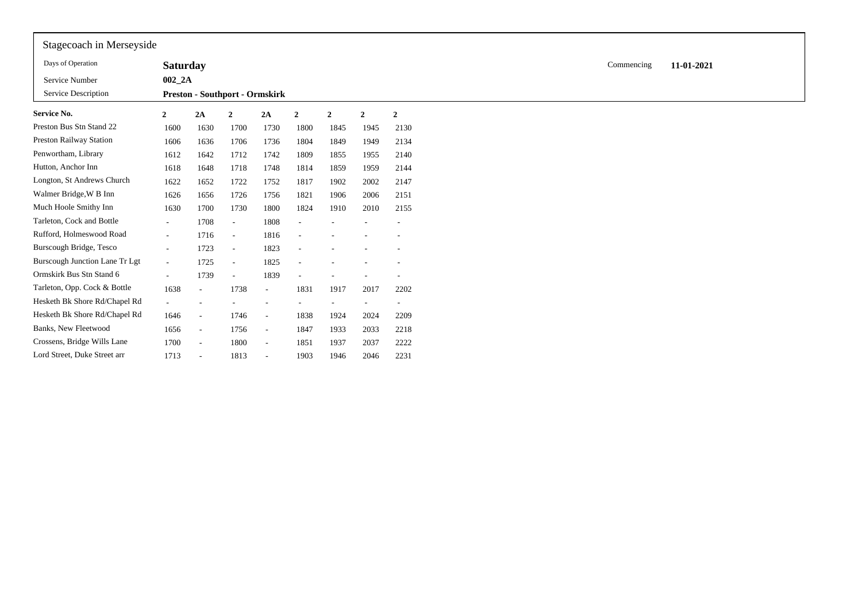| Stagecoach in Merseyside              |                          |                                       |                          |                          |                |                |                          |                          |
|---------------------------------------|--------------------------|---------------------------------------|--------------------------|--------------------------|----------------|----------------|--------------------------|--------------------------|
| Days of Operation                     | <b>Saturday</b>          |                                       |                          |                          |                |                |                          |                          |
| Service Number                        | $002_2A$                 |                                       |                          |                          |                |                |                          |                          |
| Service Description                   |                          | <b>Preston - Southport - Ormskirk</b> |                          |                          |                |                |                          |                          |
| <b>Service No.</b>                    | $\boldsymbol{2}$         | 2A                                    | $\mathbf{2}$             | 2A                       | $\overline{2}$ | $\overline{2}$ | $\mathbf{2}$             | $\overline{2}$           |
| Preston Bus Stn Stand 22              | 1600                     | 1630                                  | 1700                     | 1730                     | 1800           | 1845           | 1945                     | 2130                     |
| Preston Railway Station               | 1606                     | 1636                                  | 1706                     | 1736                     | 1804           | 1849           | 1949                     | 2134                     |
| Penwortham, Library                   | 1612                     | 1642                                  | 1712                     | 1742                     | 1809           | 1855           | 1955                     | 2140                     |
| Hutton, Anchor Inn                    | 1618                     | 1648                                  | 1718                     | 1748                     | 1814           | 1859           | 1959                     | 2144                     |
| Longton, St Andrews Church            | 1622                     | 1652                                  | 1722                     | 1752                     | 1817           | 1902           | 2002                     | 2147                     |
| Walmer Bridge, W B Inn                | 1626                     | 1656                                  | 1726                     | 1756                     | 1821           | 1906           | 2006                     | 2151                     |
| Much Hoole Smithy Inn                 | 1630                     | 1700                                  | 1730                     | 1800                     | 1824           | 1910           | 2010                     | 2155                     |
| Tarleton, Cock and Bottle             | $\sim$                   | 1708                                  | $\overline{\phantom{a}}$ | 1808                     |                |                |                          |                          |
| Rufford, Holmeswood Road              | $\sim$                   | 1716                                  | $\overline{\phantom{a}}$ | 1816                     |                |                |                          |                          |
| Burscough Bridge, Tesco               | $\sim$                   | 1723                                  | $\overline{\phantom{a}}$ | 1823                     |                |                |                          |                          |
| <b>Burscough Junction Lane Tr Lgt</b> | $\sim$                   | 1725                                  | $\overline{\phantom{a}}$ | 1825                     |                |                |                          |                          |
| Ormskirk Bus Stn Stand 6              | $\overline{\phantom{a}}$ | 1739                                  | $\sim$                   | 1839                     |                |                |                          |                          |
| Tarleton, Opp. Cock & Bottle          | 1638                     | $\sim$                                | 1738                     | $\overline{\phantom{a}}$ | 1831           | 1917           | 2017                     | 2202                     |
| Hesketh Bk Shore Rd/Chapel Rd         |                          |                                       |                          |                          |                | ۰.             | $\overline{\phantom{a}}$ | $\overline{\phantom{a}}$ |
| Hesketh Bk Shore Rd/Chapel Rd         | 1646                     | $\sim$                                | 1746                     | $\overline{\phantom{a}}$ | 1838           | 1924           | 2024                     | 2209                     |
| Banks, New Fleetwood                  | 1656                     | $\overline{\phantom{a}}$              | 1756                     | $\overline{\phantom{a}}$ | 1847           | 1933           | 2033                     | 2218                     |
| Crossens, Bridge Wills Lane           | 1700                     | $\sim$                                | 1800                     | $\sim$                   | 1851           | 1937           | 2037                     | 2222                     |
| Lord Street, Duke Street arr          | 1713                     |                                       | 1813                     | $\overline{\phantom{a}}$ | 1903           | 1946           | 2046                     | 2231                     |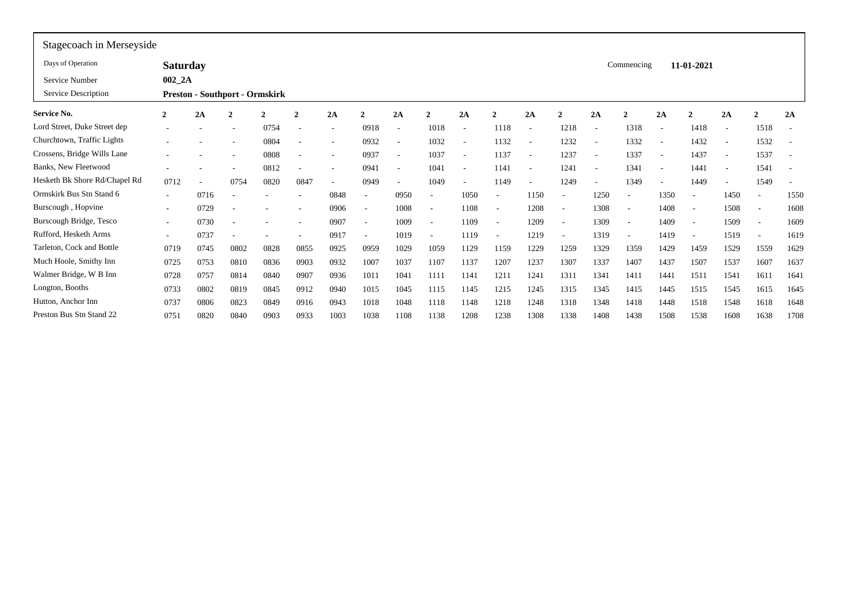| Stagecoach in Merseyside                                                                                                                                                            |                                  |                          |                          |                          |                          |                          |
|-------------------------------------------------------------------------------------------------------------------------------------------------------------------------------------|----------------------------------|--------------------------|--------------------------|--------------------------|--------------------------|--------------------------|
| Days of Operation<br><b>Saturday</b>                                                                                                                                                | Commencing                       |                          | 11-01-2021               |                          |                          |                          |
| $002_2A$<br>Service Number                                                                                                                                                          |                                  |                          |                          |                          |                          |                          |
| Service Description<br><b>Preston - Southport - Ormskirk</b>                                                                                                                        |                                  |                          |                          |                          |                          |                          |
| Service No.<br>2A<br>2A<br>$\mathbf{2}$<br>2A<br>2A<br>2A<br>$\overline{2}$<br>$\overline{2}$<br>$\overline{2}$<br>$\mathbf{2}$<br>$\mathbf{2}$<br>$\mathbf{2}$<br>$\mathbf{2}$     | 2A<br>$\mathbf{2}$               | 2A                       | $\mathbf{2}$             | 2A                       | $\mathbf{\hat{z}}$       | 2A                       |
| Lord Street, Duke Street dep<br>0754<br>0918<br>1018<br>1118<br>1218<br>$\overline{\phantom{a}}$<br>$\overline{\phantom{a}}$                                                        | 1318                             | $\overline{\phantom{a}}$ | 1418                     | $\overline{\phantom{a}}$ | 1518                     | $\overline{\phantom{a}}$ |
| Churchtown, Traffic Lights<br>0804<br>0932<br>1032<br>1132<br>1232<br>$\overline{\phantom{a}}$<br>$\overline{\phantom{a}}$<br>٠                                                     | 1332                             | $\overline{\phantom{a}}$ | 1432                     | ۰                        | 1532                     | $\overline{\phantom{a}}$ |
| Crossens, Bridge Wills Lane<br>0808<br>0937<br>1037<br>1137<br>1237<br>$\overline{\phantom{a}}$<br>$\overline{\phantom{a}}$<br>$\overline{\phantom{a}}$<br>$\overline{\phantom{a}}$ | 1337<br>$\overline{\phantom{a}}$ | $\overline{\phantom{a}}$ | 1437                     | $\overline{\phantom{a}}$ | 1537                     | $\overline{\phantom{a}}$ |
| Banks, New Fleetwood<br>0812<br>0941<br>1041<br>1141<br>1241<br>۰<br>$\overline{\phantom{a}}$<br>$\overline{\phantom{a}}$                                                           | 1341                             | $\overline{\phantom{a}}$ | 1441                     | $\overline{\phantom{a}}$ | 1541                     | $\overline{\phantom{a}}$ |
| Hesketh Bk Shore Rd/Chapel Rd<br>0712<br>0820<br>0847<br>0949<br>1049<br>1149<br>1249<br>0754<br>$\overline{\phantom{a}}$<br>$\overline{\phantom{a}}$                               | 1349                             | $\overline{\phantom{a}}$ | 1449                     | $\overline{\phantom{a}}$ | 1549                     | $\overline{\phantom{0}}$ |
| Ormskirk Bus Stn Stand 6<br>0848<br>0950<br>1050<br>1150<br>0716<br>$\sim$<br>$\overline{\phantom{a}}$                                                                              | 1250                             | 1350                     |                          | 1450                     |                          | 1550                     |
| Burscough, Hopvine<br>0906<br>0729<br>1008<br>1108<br>1208<br>$\overline{\phantom{a}}$<br><b>1</b>                                                                                  | 1308<br>$\overline{a}$           | 1408                     | $\overline{\phantom{a}}$ | 1508                     | $\overline{\phantom{a}}$ | 1608                     |
| Burscough Bridge, Tesco<br>0907<br>0730<br>1009<br>1109<br>1209<br>$\sim$<br><b>1</b>                                                                                               | 1309<br>$\overline{\phantom{a}}$ | 1409                     | $\overline{\phantom{a}}$ | 1509                     | $\overline{\phantom{a}}$ | 1609                     |
| Rufford, Hesketh Arms<br>0917<br>0737<br>1019<br>1219<br>1119<br>$\overline{\phantom{a}}$<br>$\overline{\phantom{a}}$<br>$\overline{\phantom{a}}$<br>$\overline{\phantom{a}}$       | 1319<br>$\overline{\phantom{a}}$ | 1419                     | $\overline{\phantom{a}}$ | 1519                     | $\overline{\phantom{a}}$ | 1619                     |
| Tarleton, Cock and Bottle<br>0925<br>1029<br>1129<br>0719<br>0745<br>0802<br>0828<br>0855<br>0959<br>1059<br>1159<br>1229<br>1259                                                   | 1329<br>1359                     | 1429                     | 1459                     | 1529                     | 1559                     | 1629                     |
| Much Hoole, Smithy Inn<br>0932<br>0725<br>0753<br>0836<br>0903<br>1007<br>1037<br>1107<br>1137<br>1207<br>1237<br>1307<br>0810                                                      | 1337<br>1407                     | 1437                     | 1507                     | 1537                     | 1607                     | 1637                     |
| Walmer Bridge, W B Inn<br>0936<br>1041<br>0728<br>0814<br>0840<br>0907<br>1011<br>1141<br>1211<br>1241<br>1311<br>0757<br>1111                                                      | 1341<br>1411                     | 1441                     | 1511                     | 1541                     | 1611                     | 1641                     |
| Longton, Booths<br>0733<br>0802<br>0819<br>0845<br>0912<br>0940<br>1015<br>1045<br>1115<br>1145<br>1215<br>1245<br>1315                                                             | 1345<br>1415                     | 1445                     | 1515                     | 1545                     | 1615                     | 1645                     |
| Hutton, Anchor Inn<br>0737<br>0806<br>0823<br>0849<br>0916<br>0943<br>1018<br>1048<br>1118<br>1148<br>1218<br>1248<br>1318                                                          | 1348<br>1418                     | 1448                     | 1518                     | 1548                     | 1618                     | 1648                     |
| Preston Bus Stn Stand 22<br>0751<br>1038<br>1208<br>1238<br>1308<br>1338<br>0820<br>0840<br>0903<br>0933<br>1003<br>1108<br>1138                                                    | 1408<br>1438                     | 1508                     | 1538                     | 1608                     | 1638                     | 1708                     |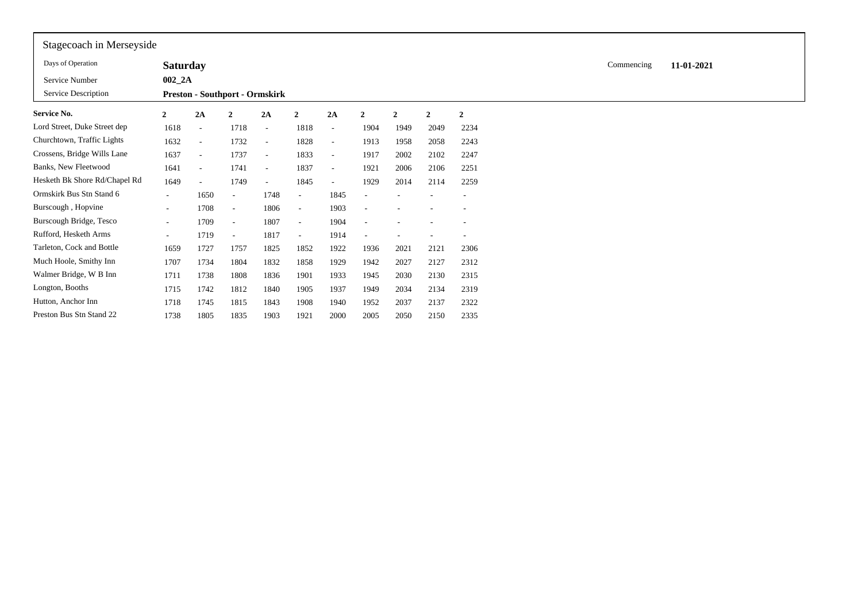| Stagecoach in Merseyside      |                 |                                       |                          |        |                          |                          |                          |                |                |                |            |            |
|-------------------------------|-----------------|---------------------------------------|--------------------------|--------|--------------------------|--------------------------|--------------------------|----------------|----------------|----------------|------------|------------|
| Days of Operation             | <b>Saturday</b> |                                       |                          |        |                          |                          |                          |                |                |                | Commencing | 11-01-2021 |
| Service Number                | $002_2A$        |                                       |                          |        |                          |                          |                          |                |                |                |            |            |
| Service Description           |                 | <b>Preston - Southport - Ormskirk</b> |                          |        |                          |                          |                          |                |                |                |            |            |
| <b>Service No.</b>            | $\mathbf{2}$    | 2A                                    | $\mathbf{2}$             | 2A     | $\mathbf{2}$             | 2A                       | $\mathbf{2}$             | $\overline{2}$ | $\overline{2}$ | $\overline{2}$ |            |            |
| Lord Street, Duke Street dep  | 1618            | $\sim$                                | 1718                     | $\sim$ | 1818                     | $\overline{\phantom{a}}$ | 1904                     | 1949           | 2049           | 2234           |            |            |
| Churchtown, Traffic Lights    | 1632            | $\overline{\phantom{a}}$              | 1732                     | $\sim$ | 1828                     | $\overline{\phantom{0}}$ | 1913                     | 1958           | 2058           | 2243           |            |            |
| Crossens, Bridge Wills Lane   | 1637            | $\overline{\phantom{a}}$              | 1737                     | $\sim$ | 1833                     | $\overline{\phantom{a}}$ | 1917                     | 2002           | 2102           | 2247           |            |            |
| Banks, New Fleetwood          | 1641            | $\overline{\phantom{a}}$              | 1741                     | $\sim$ | 1837                     | $\overline{\phantom{a}}$ | 1921                     | 2006           | 2106           | 2251           |            |            |
| Hesketh Bk Shore Rd/Chapel Rd | 1649            | $\overline{\phantom{a}}$              | 1749                     | $\sim$ | 1845                     | $\overline{\phantom{a}}$ | 1929                     | 2014           | 2114           | 2259           |            |            |
| Ormskirk Bus Stn Stand 6      | $\sim$          | 1650                                  | $\overline{\phantom{a}}$ | 1748   | $\overline{\phantom{a}}$ | 1845                     |                          |                |                |                |            |            |
| Burscough, Hopvine            | $\sim$          | 1708                                  | $\overline{\phantom{a}}$ | 1806   | $\sim$                   | 1903                     |                          |                |                |                |            |            |
| Burscough Bridge, Tesco       | $\sim$          | 1709                                  | $\overline{\phantom{a}}$ | 1807   | $\sim$                   | 1904                     | $\overline{\phantom{a}}$ |                | ۰              |                |            |            |
| Rufford, Hesketh Arms         | $\sim$          | 1719                                  | $\overline{\phantom{a}}$ | 1817   | $\sim$                   | 1914                     |                          |                |                |                |            |            |
| Tarleton, Cock and Bottle     | 1659            | 1727                                  | 1757                     | 1825   | 1852                     | 1922                     | 1936                     | 2021           | 2121           | 2306           |            |            |
| Much Hoole, Smithy Inn        | 1707            | 1734                                  | 1804                     | 1832   | 1858                     | 1929                     | 1942                     | 2027           | 2127           | 2312           |            |            |
| Walmer Bridge, W B Inn        | 1711            | 1738                                  | 1808                     | 1836   | 1901                     | 1933                     | 1945                     | 2030           | 2130           | 2315           |            |            |
| Longton, Booths               | 1715            | 1742                                  | 1812                     | 1840   | 1905                     | 1937                     | 1949                     | 2034           | 2134           | 2319           |            |            |
| Hutton, Anchor Inn            | 1718            | 1745                                  | 1815                     | 1843   | 1908                     | 1940                     | 1952                     | 2037           | 2137           | 2322           |            |            |
| Preston Bus Stn Stand 22      | 1738            | 1805                                  | 1835                     | 1903   | 1921                     | 2000                     | 2005                     | 2050           | 2150           | 2335           |            |            |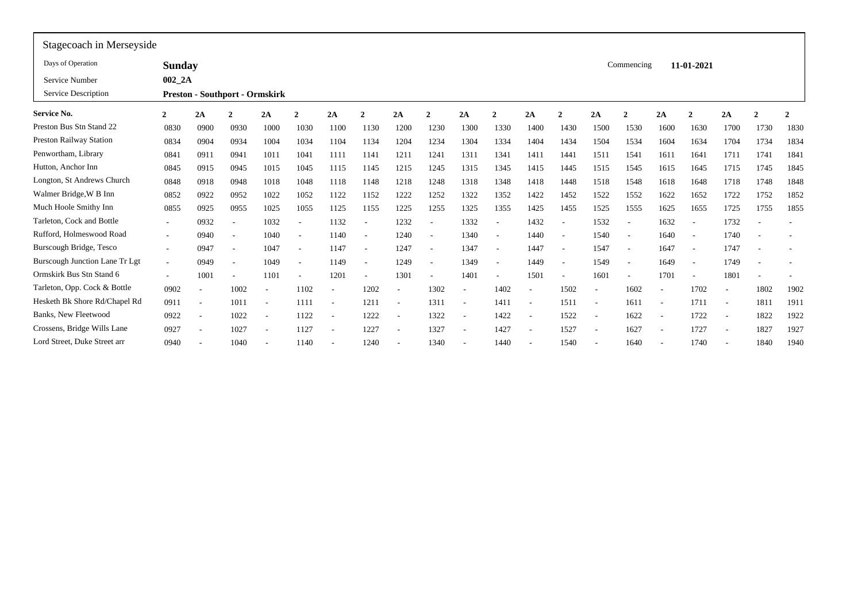| Stagecoach in Merseyside              |                          |                                       |                          |                          |                          |        |                          |                          |                          |                          |                          |        |                          |                          |                          |                          |                          |                          |                |                          |
|---------------------------------------|--------------------------|---------------------------------------|--------------------------|--------------------------|--------------------------|--------|--------------------------|--------------------------|--------------------------|--------------------------|--------------------------|--------|--------------------------|--------------------------|--------------------------|--------------------------|--------------------------|--------------------------|----------------|--------------------------|
| Days of Operation                     | <b>Sunday</b>            |                                       |                          |                          |                          |        |                          |                          |                          |                          |                          |        |                          |                          | Commencing               |                          | 11-01-2021               |                          |                |                          |
| Service Number                        | $002$ $2A$               |                                       |                          |                          |                          |        |                          |                          |                          |                          |                          |        |                          |                          |                          |                          |                          |                          |                |                          |
| Service Description                   |                          | <b>Preston - Southport - Ormskirk</b> |                          |                          |                          |        |                          |                          |                          |                          |                          |        |                          |                          |                          |                          |                          |                          |                |                          |
| <b>Service No.</b>                    | $\overline{2}$           | 2A                                    | ി                        | 2A                       | $\mathbf{2}$             | 2A     | $\overline{2}$           | 2A                       | $\mathbf{2}$             | 2A                       | $\mathbf{2}$             | 2A     | $\mathbf{2}$             | 2A                       | $\mathbf{2}$             | 2A                       | $\overline{2}$           | 2A                       | $\overline{2}$ | $\overline{\mathbf{2}}$  |
| Preston Bus Stn Stand 22              | 0830                     | 0900                                  | 0930                     | 1000                     | 1030                     | 1100   | 1130                     | 1200                     | 1230                     | 1300                     | 1330                     | 1400   | 1430                     | 1500                     | 1530                     | 1600                     | 1630                     | 1700                     | 1730           | 1830                     |
| <b>Preston Railway Station</b>        | 0834                     | 0904                                  | 0934                     | 1004                     | 1034                     | 1104   | 1134                     | 1204                     | 1234                     | 1304                     | 1334                     | 1404   | 1434                     | 1504                     | 1534                     | 1604                     | 1634                     | 1704                     | 1734           | 1834                     |
| Penwortham, Library                   | 0841                     | 0911                                  | 0941                     | 1011                     | 1041                     | 1111   | 1141                     | 1211                     | 1241                     | 1311                     | 1341                     | 1411   | 1441                     | 1511                     | 1541                     | 1611                     | 1641                     | 1711                     | 1741           | 1841                     |
| Hutton, Anchor Inn                    | 0845                     | 0915                                  | 0945                     | 1015                     | 1045                     | 1115   | 1145                     | 1215                     | 1245                     | 1315                     | 1345                     | 1415   | 1445                     | 1515                     | 1545                     | 1615                     | 1645                     | 1715                     | 1745           | 1845                     |
| Longton, St Andrews Church            | 0848                     | 0918                                  | 0948                     | 1018                     | 1048                     | 1118   | 1148                     | 1218                     | 1248                     | 1318                     | 1348                     | 1418   | 1448                     | 1518                     | 1548                     | 1618                     | 1648                     | 1718                     | 1748           | 1848                     |
| Walmer Bridge, W B Inn                | 0852                     | 0922                                  | 0952                     | 1022                     | 1052                     | 1122   | 1152                     | 1222                     | 1252                     | 1322                     | 1352                     | 1422   | 1452                     | 1522                     | 1552                     | 1622                     | 1652                     | 1722                     | 1752           | 1852                     |
| Much Hoole Smithy Inn                 | 0855                     | 0925                                  | 0955                     | 1025                     | 1055                     | 1125   | 1155                     | 1225                     | 1255                     | 1325                     | 1355                     | 1425   | 1455                     | 1525                     | 1555                     | 1625                     | 1655                     | 1725                     | 1755           | 1855                     |
| Tarleton, Cock and Bottle             | $\overline{\phantom{a}}$ | 0932                                  | $\overline{\phantom{a}}$ | 1032                     | $\overline{\phantom{a}}$ | 1132   | $\overline{\phantom{a}}$ | 1232                     |                          | 1332                     | $\overline{\phantom{a}}$ | 1432   | $\overline{\phantom{a}}$ | 1532                     | $\overline{\phantom{a}}$ | 1632                     | $\overline{\phantom{a}}$ | 1732                     |                | $\overline{\phantom{a}}$ |
| Rufford, Holmeswood Road              | $\overline{\phantom{a}}$ | 0940                                  | $\overline{\phantom{a}}$ | 1040                     | $\overline{\phantom{a}}$ | 1140   |                          | 1240                     |                          | 1340                     |                          | 1440   |                          | 1540                     | $\overline{\phantom{a}}$ | 1640                     | $\overline{\phantom{a}}$ | 1740                     |                | $\overline{\phantom{a}}$ |
| Burscough Bridge, Tesco               | $\sim$                   | 0947                                  | $\overline{\phantom{a}}$ | 1047                     | $\overline{\phantom{a}}$ | 1147   | $\overline{\phantom{a}}$ | 1247                     |                          | 1347                     | $\overline{\phantom{a}}$ | 1447   | $\overline{\phantom{a}}$ | 1547                     | $\overline{\phantom{a}}$ | 1647                     | $\overline{\phantom{a}}$ | 1747                     |                |                          |
| <b>Burscough Junction Lane Tr Lgt</b> | $\tilde{\phantom{a}}$    | 0949                                  | $\overline{\phantom{a}}$ | 1049                     | $\overline{\phantom{a}}$ | 1149   |                          | 1249                     |                          | 1349                     | $\overline{\phantom{a}}$ | 1449   | $\overline{\phantom{a}}$ | 1549                     | $\overline{\phantom{a}}$ | 1649                     | $\sim$                   | 1749                     |                | $\overline{\phantom{a}}$ |
| Ormskirk Bus Stn Stand 6              | $\overline{\phantom{a}}$ | 1001                                  | $\overline{\phantom{a}}$ | 1101                     | $\overline{\phantom{a}}$ | 1201   | $\overline{\phantom{a}}$ | 1301                     | $\overline{\phantom{a}}$ | 1401                     |                          | 1501   | $\overline{\phantom{a}}$ | 1601                     | $\overline{\phantom{a}}$ | 1701                     | $\overline{\phantom{a}}$ | 1801                     |                |                          |
| Tarleton, Opp. Cock & Bottle          | 0902                     |                                       | 1002                     | $\overline{\phantom{a}}$ | 1102                     | $\sim$ | 1202                     | $\overline{\phantom{0}}$ | 1302                     | $\overline{\phantom{a}}$ | 1402                     |        | 1502                     |                          | 1602                     | $\overline{\phantom{a}}$ | 1702                     | $\sim$                   | 1802           | 1902                     |
| Hesketh Bk Shore Rd/Chapel Rd         | 0911                     | $\overline{\phantom{a}}$              | 1011                     | $\overline{\phantom{a}}$ | 1111                     |        | 1211                     | $\overline{\phantom{a}}$ | 1311                     | $\overline{\phantom{a}}$ | 1411                     | $\sim$ | 1511                     |                          | 1611                     | $\overline{\phantom{a}}$ | 1711                     | $\overline{\phantom{a}}$ | 1811           | 1911                     |
| <b>Banks, New Fleetwood</b>           | 0922                     | $\sim$                                | 1022                     | $\sim$                   | 1122                     | $\sim$ | 1222                     | $\overline{\phantom{a}}$ | 1322                     | $\sim$                   | 1422                     | $\sim$ | 1522                     | $\sim$                   | 1622                     | $\overline{\phantom{a}}$ | 1722                     | $\overline{\phantom{a}}$ | 1822           | 1922                     |
| Crossens, Bridge Wills Lane           | 0927                     | $\sim$                                | 1027                     | $\sim$                   | 1127                     | $\sim$ | 1227                     | $\sim$                   | 1327                     | $\sim$                   | 1427                     | $\sim$ | 1527                     | $\overline{\phantom{a}}$ | 1627                     | $\overline{a}$           | 1727                     | $\overline{\phantom{a}}$ | 1827           | 1927                     |
| Lord Street, Duke Street arr          | 0940                     |                                       | 1040                     | $\overline{\phantom{a}}$ | 1140                     |        | 1240                     |                          | 1340                     |                          | 1440                     |        | 1540                     |                          | 1640                     | $\overline{\phantom{a}}$ | 1740                     |                          | 1840           | 1940                     |
|                                       |                          |                                       |                          |                          |                          |        |                          |                          |                          |                          |                          |        |                          |                          |                          |                          |                          |                          |                |                          |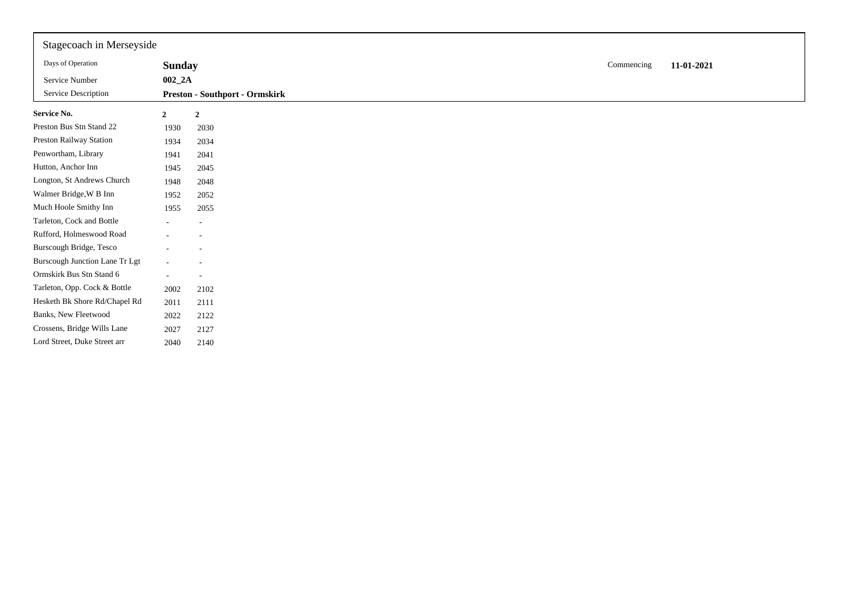| Stagecoach in Merseyside       |                |                                       |            |            |
|--------------------------------|----------------|---------------------------------------|------------|------------|
| Days of Operation              | <b>Sunday</b>  |                                       | Commencing | 11-01-2021 |
| Service Number                 | $002_2A$       |                                       |            |            |
| Service Description            |                | <b>Preston - Southport - Ormskirk</b> |            |            |
| <b>Service No.</b>             | $\overline{2}$ | $\overline{2}$                        |            |            |
| Preston Bus Stn Stand 22       | 1930           | 2030                                  |            |            |
| Preston Railway Station        | 1934           | 2034                                  |            |            |
| Penwortham, Library            | 1941           | 2041                                  |            |            |
| Hutton, Anchor Inn             | 1945           | 2045                                  |            |            |
| Longton, St Andrews Church     | 1948           | 2048                                  |            |            |
| Walmer Bridge, W B Inn         | 1952           | 2052                                  |            |            |
| Much Hoole Smithy Inn          | 1955           | 2055                                  |            |            |
| Tarleton, Cock and Bottle      | Ξ.             | $\overline{\phantom{a}}$              |            |            |
| Rufford, Holmeswood Road       |                | $\overline{\phantom{a}}$              |            |            |
| Burscough Bridge, Tesco        |                |                                       |            |            |
| Burscough Junction Lane Tr Lgt |                |                                       |            |            |
| Ormskirk Bus Stn Stand 6       | ۰              | $\overline{\phantom{a}}$              |            |            |
| Tarleton, Opp. Cock & Bottle   | 2002           | 2102                                  |            |            |
| Hesketh Bk Shore Rd/Chapel Rd  | 2011           | 2111                                  |            |            |
| Banks, New Fleetwood           | 2022           | 2122                                  |            |            |
| Crossens, Bridge Wills Lane    | 2027           | 2127                                  |            |            |
| Lord Street, Duke Street arr   | 2040           | 2140                                  |            |            |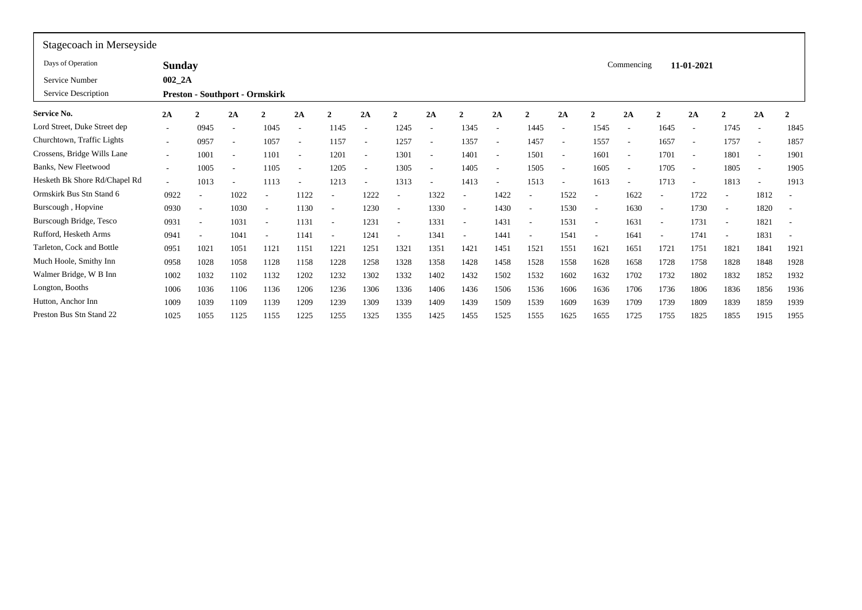| Stagecoach in Merseyside      |                          |                          |                                       |                          |                          |                          |                          |                          |      |                          |        |                          |                          |              |                          |                          |                          |                          |                          |                          |
|-------------------------------|--------------------------|--------------------------|---------------------------------------|--------------------------|--------------------------|--------------------------|--------------------------|--------------------------|------|--------------------------|--------|--------------------------|--------------------------|--------------|--------------------------|--------------------------|--------------------------|--------------------------|--------------------------|--------------------------|
| Days of Operation             | <b>Sunday</b>            |                          |                                       |                          |                          |                          |                          |                          |      |                          |        |                          |                          |              | Commencing               |                          | 11-01-2021               |                          |                          |                          |
| Service Number                | $002_2A$                 |                          |                                       |                          |                          |                          |                          |                          |      |                          |        |                          |                          |              |                          |                          |                          |                          |                          |                          |
| Service Description           |                          |                          | <b>Preston - Southport - Ormskirk</b> |                          |                          |                          |                          |                          |      |                          |        |                          |                          |              |                          |                          |                          |                          |                          |                          |
| <b>Service No.</b>            | 2A                       | ຳ                        | 2A                                    | $\overline{2}$           | 2A                       | $\mathbf{2}$             | 2A                       |                          | 2A   | $\mathbf{2}$             | 2A     | $\mathbf{2}$             | 2A                       | <sup>-</sup> | 2A                       | $\mathcal{D}$            | 2A                       | $\mathcal{D}$            | 2A                       | $\overline{\mathbf{2}}$  |
| Lord Street, Duke Street dep  | ۰.                       | 0945                     | $\overline{\phantom{a}}$              | 1045                     | $\overline{\phantom{a}}$ | 1145                     | $\overline{\phantom{a}}$ | 1245                     |      | 1345                     | $\sim$ | 1445                     |                          | 1545         | $\overline{\phantom{a}}$ | 1645                     | $\overline{\phantom{a}}$ | 1745                     | $\sim$                   | 1845                     |
| Churchtown, Traffic Lights    | $\sim$                   | 0957                     |                                       | 1057                     | $\overline{\phantom{a}}$ | 1157                     |                          | 1257                     |      | 1357                     |        | 1457                     |                          | 1557         | $\overline{\phantom{a}}$ | 1657                     | $\overline{\phantom{a}}$ | 1757                     | $\overline{\phantom{a}}$ | 1857                     |
| Crossens, Bridge Wills Lane   | $\overline{\phantom{a}}$ | 1001                     | $\overline{\phantom{a}}$              | 1101                     | $\overline{\phantom{a}}$ | 1201                     | $\overline{\phantom{a}}$ | 1301                     |      | 1401                     | $\sim$ | 1501                     | <b>1</b>                 | 1601         | $\overline{a}$           | 1701                     | $\overline{\phantom{a}}$ | 1801                     | $\sim$                   | 1901                     |
| Banks, New Fleetwood          | $\overline{\phantom{a}}$ | 1005                     | $\overline{\phantom{a}}$              | 1105                     | $\overline{\phantom{a}}$ | 1205                     | $\overline{\phantom{a}}$ | 1305                     |      | 1405                     |        | 1505                     | $\overline{\phantom{a}}$ | 1605         | $\overline{\phantom{a}}$ | 1705                     | $\overline{\phantom{a}}$ | 1805                     | $\overline{\phantom{a}}$ | 1905                     |
| Hesketh Bk Shore Rd/Chapel Rd | $\overline{\phantom{a}}$ | 1013                     | $\overline{\phantom{a}}$              | 1113                     | $\overline{\phantom{a}}$ | 1213                     | $\overline{\phantom{a}}$ | 1313                     |      | 1413                     |        | 1513                     |                          | 1613         | $\overline{\phantom{a}}$ | 1713                     | $\overline{\phantom{a}}$ | 1813                     |                          | 1913                     |
| Ormskirk Bus Stn Stand 6      | 0922                     |                          | 1022                                  |                          | 1122                     |                          | 1222                     | $\overline{\phantom{a}}$ | 1322 |                          | 1422   |                          | 1522                     |              | 1622                     | $\overline{\phantom{a}}$ | 1722                     | $\overline{\phantom{a}}$ | 1812                     | $\sim$                   |
| Burscough, Hopvine            | 0930                     | <b>.</b>                 | 1030                                  | $\overline{\phantom{a}}$ | 1130                     | $\overline{\phantom{a}}$ | 1230                     | $\overline{\phantom{a}}$ | 1330 | $\overline{\phantom{a}}$ | 1430   | $\overline{\phantom{a}}$ | 1530                     |              | 1630                     | $\overline{\phantom{a}}$ | 1730                     | $\overline{\phantom{a}}$ | 1820                     | $\overline{\phantom{a}}$ |
| Burscough Bridge, Tesco       | 0931                     | $\sim$                   | 1031                                  | $\sim$                   | 1131                     | $\sim$                   | 1231                     | $\overline{\phantom{a}}$ | 1331 | $\overline{\phantom{a}}$ | 1431   | $\overline{\phantom{a}}$ | 1531                     |              | 1631                     | $\overline{\phantom{a}}$ | 1731                     | $\overline{\phantom{a}}$ | 1821                     | $\sim$                   |
| Rufford, Hesketh Arms         | 0941                     | $\overline{\phantom{a}}$ | 1041                                  | $\overline{\phantom{a}}$ | 1141                     | $\overline{\phantom{a}}$ | 1241                     | $\overline{\phantom{a}}$ | 1341 | $\overline{\phantom{a}}$ | 1441   |                          | 1541                     |              | 1641                     | $\overline{\phantom{a}}$ | 1741                     | $\overline{\phantom{a}}$ | 1831                     | $\overline{\phantom{a}}$ |
| Tarleton, Cock and Bottle     | 0951                     | 1021                     | 1051                                  | 1121                     | 1151                     | 1221                     | 1251                     | 1321                     | 1351 | 1421                     | 1451   | 1521                     | 1551                     | 1621         | 1651                     | 1721                     | 1751                     | 1821                     | 1841                     | 1921                     |
| Much Hoole, Smithy Inn        | 0958                     | 1028                     | 1058                                  | 1128                     | 1158                     | 1228                     | 1258                     | 1328                     | 1358 | 1428                     | 1458   | 1528                     | 1558                     | 1628         | 1658                     | 1728                     | 1758                     | 1828                     | 1848                     | 1928                     |
| Walmer Bridge, W B Inn        | 1002                     | 1032                     | 1102                                  | 1132                     | 1202                     | 1232                     | 1302                     | 1332                     | 1402 | 1432                     | 1502   | 1532                     | 1602                     | 1632         | 1702                     | 1732                     | 1802                     | 1832                     | 1852                     | 1932                     |
| Longton, Booths               | 1006                     | 1036                     | 1106                                  | 1136                     | 1206                     | 1236                     | 1306                     | 1336                     | 1406 | 1436                     | 1506   | 1536                     | 1606                     | 1636         | 1706                     | 1736                     | 1806                     | 1836                     | 1856                     | 1936                     |
| Hutton, Anchor Inn            | 1009                     | 1039                     | 1109                                  | 1139                     | 1209                     | 1239                     | 1309                     | 1339                     | 1409 | 1439                     | 1509   | 1539                     | 1609                     | 1639         | 1709                     | 1739                     | 1809                     | 1839                     | 1859                     | 1939                     |
| Preston Bus Stn Stand 22      | 1025                     | 1055                     | 1125                                  | 1155                     | 1225                     | 1255                     | 1325                     | 1355                     | 1425 | 1455                     | 1525   | 1555                     | 1625                     | 1655         | 1725                     | 1755                     | 1825                     | 1855                     | 1915                     | 1955                     |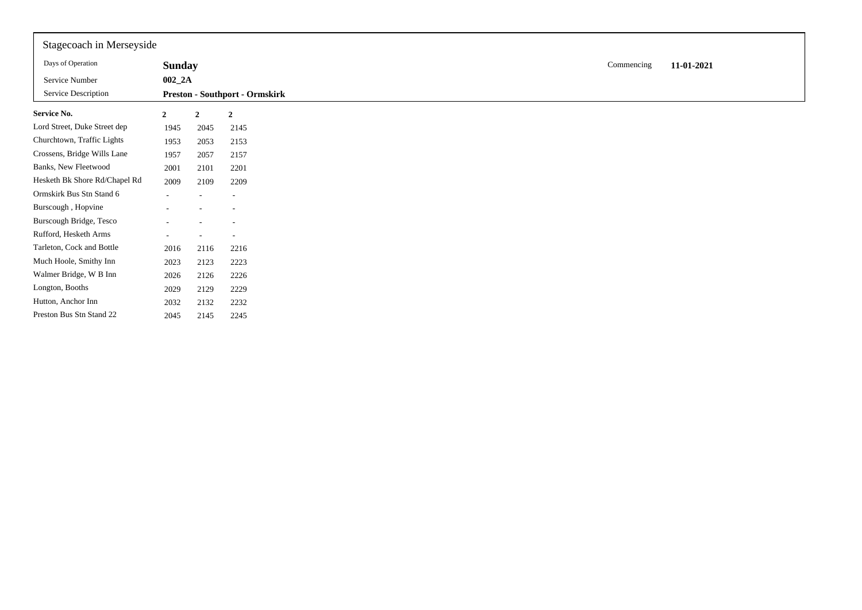| Stagecoach in Merseyside      |                |                          |                                       |            |            |
|-------------------------------|----------------|--------------------------|---------------------------------------|------------|------------|
| Days of Operation             | <b>Sunday</b>  |                          |                                       | Commencing | 11-01-2021 |
| Service Number                | $002_2A$       |                          |                                       |            |            |
| Service Description           |                |                          | <b>Preston - Southport - Ormskirk</b> |            |            |
| Service No.                   | $\overline{2}$ | $\mathbf{2}$             | $\overline{2}$                        |            |            |
| Lord Street, Duke Street dep  | 1945           | 2045                     | 2145                                  |            |            |
| Churchtown, Traffic Lights    | 1953           | 2053                     | 2153                                  |            |            |
| Crossens, Bridge Wills Lane   | 1957           | 2057                     | 2157                                  |            |            |
| Banks, New Fleetwood          | 2001           | 2101                     | 2201                                  |            |            |
| Hesketh Bk Shore Rd/Chapel Rd | 2009           | 2109                     | 2209                                  |            |            |
| Ormskirk Bus Stn Stand 6      | $\sim$         | $\overline{\phantom{a}}$ | $\overline{\phantom{a}}$              |            |            |
| Burscough, Hopvine            |                |                          | $\overline{a}$                        |            |            |
| Burscough Bridge, Tesco       |                |                          | $\overline{\phantom{a}}$              |            |            |
| Rufford, Hesketh Arms         |                |                          |                                       |            |            |
| Tarleton, Cock and Bottle     | 2016           | 2116                     | 2216                                  |            |            |
| Much Hoole, Smithy Inn        | 2023           | 2123                     | 2223                                  |            |            |
| Walmer Bridge, W B Inn        | 2026           | 2126                     | 2226                                  |            |            |
| Longton, Booths               | 2029           | 2129                     | 2229                                  |            |            |
| Hutton, Anchor Inn            | 2032           | 2132                     | 2232                                  |            |            |
| Preston Bus Stn Stand 22      | 2045           | 2145                     | 2245                                  |            |            |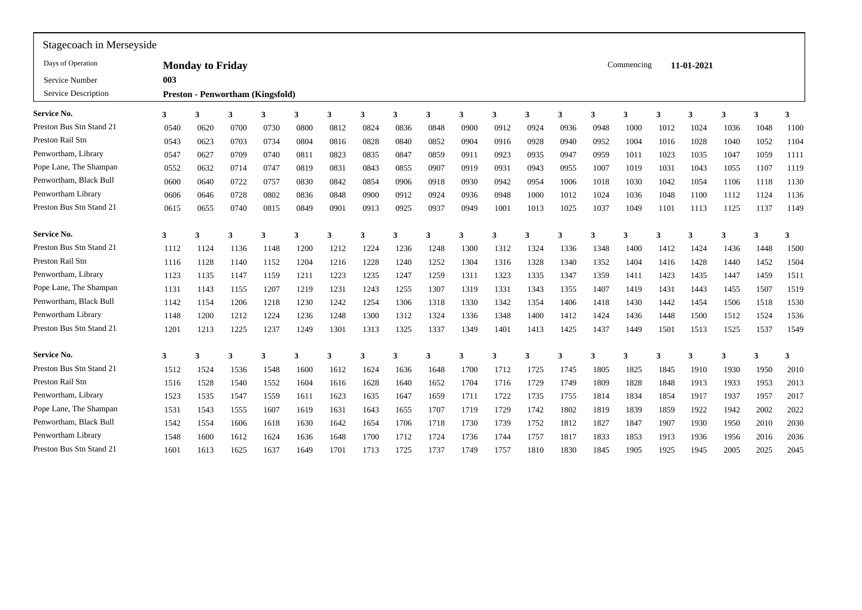| Stagecoach in Merseyside |      |                         |                                         |      |      |      |      |      |      |      |                         |      |      |              |            |      |            |      |      |      |
|--------------------------|------|-------------------------|-----------------------------------------|------|------|------|------|------|------|------|-------------------------|------|------|--------------|------------|------|------------|------|------|------|
| Days of Operation        |      | <b>Monday to Friday</b> |                                         |      |      |      |      |      |      |      |                         |      |      |              | Commencing |      | 11-01-2021 |      |      |      |
| Service Number           | 003  |                         |                                         |      |      |      |      |      |      |      |                         |      |      |              |            |      |            |      |      |      |
| Service Description      |      |                         | <b>Preston - Penwortham (Kingsfold)</b> |      |      |      |      |      |      |      |                         |      |      |              |            |      |            |      |      |      |
| <b>Service No.</b>       | 3    | 3                       | 3                                       | 3    | 3    | 3    | 3    | 3    | 3    | 3    | $\overline{\mathbf{3}}$ | 3    | 3    |              | 3          | 3    | 3          | 3    | 3    | 3    |
| Preston Bus Stn Stand 21 | 0540 | 0620                    | 0700                                    | 0730 | 0800 | 0812 | 0824 | 0836 | 0848 | 0900 | 0912                    | 0924 | 0936 | 0948         | 1000       | 1012 | 1024       | 1036 | 1048 | 1100 |
| Preston Rail Stn         | 0543 | 0623                    | 0703                                    | 0734 | 0804 | 0816 | 0828 | 0840 | 0852 | 0904 | 0916                    | 0928 | 0940 | 0952         | 1004       | 1016 | 1028       | 1040 | 1052 | 1104 |
| Penwortham, Library      | 0547 | 0627                    | 0709                                    | 0740 | 0811 | 0823 | 0835 | 0847 | 0859 | 0911 | 0923                    | 0935 | 0947 | 0959         | 1011       | 1023 | 1035       | 1047 | 1059 | 1111 |
| Pope Lane, The Shampan   | 0552 | 0632                    | 0714                                    | 0747 | 0819 | 0831 | 0843 | 0855 | 0907 | 0919 | 0931                    | 0943 | 0955 | 1007         | 1019       | 1031 | 1043       | 1055 | 1107 | 1119 |
| Penwortham, Black Bull   | 0600 | 0640                    | 0722                                    | 0757 | 0830 | 0842 | 0854 | 0906 | 0918 | 0930 | 0942                    | 0954 | 1006 | 1018         | 1030       | 1042 | 1054       | 1106 | 1118 | 1130 |
| Penwortham Library       | 0606 | 0646                    | 0728                                    | 0802 | 0836 | 0848 | 0900 | 0912 | 0924 | 0936 | 0948                    | 1000 | 1012 | 1024         | 1036       | 1048 | 1100       | 1112 | 1124 | 1136 |
| Preston Bus Stn Stand 21 | 0615 | 0655                    | 0740                                    | 0815 | 0849 | 0901 | 0913 | 0925 | 0937 | 0949 | 1001                    | 1013 | 1025 | 1037         | 1049       | 1101 | 1113       | 1125 | 1137 | 1149 |
| <b>Service No.</b>       | 3    | $\mathbf 3$             | 3                                       | 3    | 3    | 3    | 3    | 3    | 3    | 3    | 3                       | 3    | 3    | $\mathbf{a}$ | 3          | 3    | 3          | 3    | 3    | 3    |
| Preston Bus Stn Stand 21 | 1112 | 1124                    | 1136                                    | 1148 | 1200 | 1212 | 1224 | 1236 | 1248 | 1300 | 1312                    | 1324 | 1336 | 1348         | 1400       | 1412 | 1424       | 1436 | 1448 | 1500 |
| Preston Rail Stn         | 1116 | 1128                    | 1140                                    | 1152 | 1204 | 1216 | 1228 | 1240 | 1252 | 1304 | 1316                    | 1328 | 1340 | 1352         | 1404       | 1416 | 1428       | 1440 | 1452 | 1504 |
| Penwortham, Library      | 1123 | 1135                    | 1147                                    | 1159 | 1211 | 1223 | 1235 | 1247 | 1259 | 1311 | 1323                    | 1335 | 1347 | 1359         | 1411       | 1423 | 1435       | 1447 | 1459 | 1511 |
| Pope Lane, The Shampan   | 1131 | 1143                    | 1155                                    | 1207 | 1219 | 1231 | 1243 | 1255 | 1307 | 1319 | 1331                    | 1343 | 1355 | 1407         | 1419       | 1431 | 1443       | 1455 | 1507 | 1519 |
| Penwortham, Black Bull   | 1142 | 1154                    | 1206                                    | 1218 | 1230 | 1242 | 1254 | 1306 | 1318 | 1330 | 1342                    | 1354 | 1406 | 1418         | 1430       | 1442 | 1454       | 1506 | 1518 | 1530 |
| Penwortham Library       | 1148 | 1200                    | 1212                                    | 1224 | 1236 | 1248 | 1300 | 1312 | 1324 | 1336 | 1348                    | 1400 | 1412 | 1424         | 1436       | 1448 | 1500       | 1512 | 1524 | 1536 |
| Preston Bus Stn Stand 21 | 1201 | 1213                    | 1225                                    | 1237 | 1249 | 1301 | 1313 | 1325 | 1337 | 1349 | 1401                    | 1413 | 1425 | 1437         | 1449       | 1501 | 1513       | 1525 | 1537 | 1549 |
| <b>Service No.</b>       | 3    | 3                       | $\mathbf{3}$                            | 3    | 3    | 3    | 3    | 3    | 3    | 3    | 3                       | 3    | 3    | 3            | 3          | 3    | 3          | 3    | 3    | 3    |
| Preston Bus Stn Stand 21 | 1512 | 1524                    | 1536                                    | 1548 | 1600 | 1612 | 1624 | 1636 | 1648 | 1700 | 1712                    | 1725 | 1745 | 1805         | 1825       | 1845 | 1910       | 1930 | 1950 | 2010 |
| Preston Rail Stn         | 1516 | 1528                    | 1540                                    | 1552 | 1604 | 1616 | 1628 | 1640 | 1652 | 1704 | 1716                    | 1729 | 1749 | 1809         | 1828       | 1848 | 1913       | 1933 | 1953 | 2013 |
| Penwortham, Library      | 1523 | 1535                    | 1547                                    | 1559 | 1611 | 1623 | 1635 | 1647 | 1659 | 1711 | 1722                    | 1735 | 1755 | 1814         | 1834       | 1854 | 1917       | 1937 | 1957 | 2017 |
| Pope Lane, The Shampan   | 1531 | 1543                    | 1555                                    | 1607 | 1619 | 1631 | 1643 | 1655 | 1707 | 1719 | 1729                    | 1742 | 1802 | 1819         | 1839       | 1859 | 1922       | 1942 | 2002 | 2022 |
| Penwortham, Black Bull   | 1542 | 1554                    | 1606                                    | 1618 | 1630 | 1642 | 1654 | 1706 | 1718 | 1730 | 1739                    | 1752 | 1812 | 1827         | 1847       | 1907 | 1930       | 1950 | 2010 | 2030 |
| Penwortham Library       | 1548 | 1600                    | 1612                                    | 1624 | 1636 | 1648 | 1700 | 1712 | 1724 | 1736 | 1744                    | 1757 | 1817 | 1833         | 1853       | 1913 | 1936       | 1956 | 2016 | 2036 |
| Preston Bus Stn Stand 21 | 1601 | 1613                    | 1625                                    | 1637 | 1649 | 1701 | 1713 | 1725 | 1737 | 1749 | 1757                    | 1810 | 1830 | 1845         | 1905       | 1925 | 1945       | 2005 | 2025 | 2045 |
|                          |      |                         |                                         |      |      |      |      |      |      |      |                         |      |      |              |            |      |            |      |      |      |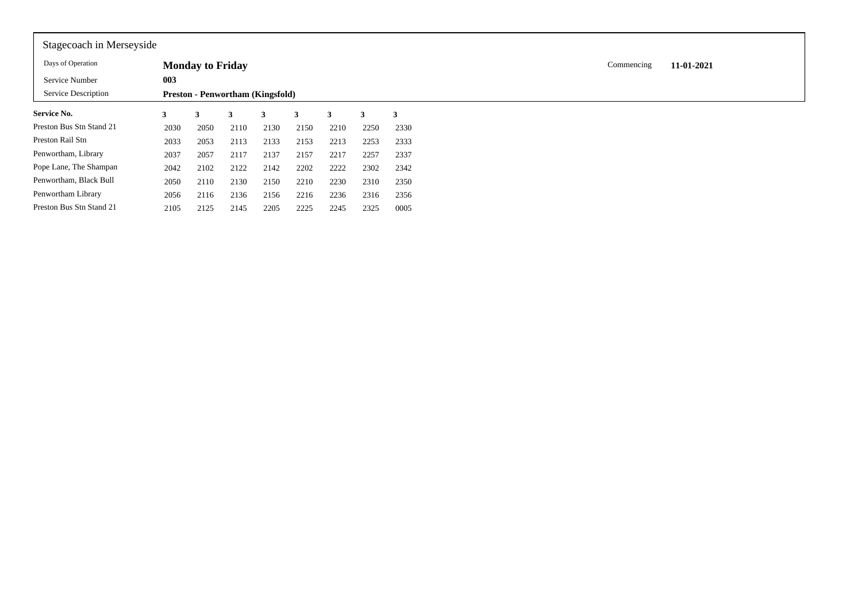| Stagecoach in Merseyside   |      |                         |                                         |      |      |      |      |      |
|----------------------------|------|-------------------------|-----------------------------------------|------|------|------|------|------|
| Days of Operation          |      | <b>Monday to Friday</b> |                                         |      |      |      |      |      |
| Service Number             | 003  |                         |                                         |      |      |      |      |      |
| <b>Service Description</b> |      |                         | <b>Preston - Penwortham (Kingsfold)</b> |      |      |      |      |      |
| <b>Service No.</b>         | 3    | 3                       | 3                                       | 3    | 3    | 3    | 3    | 3    |
| Preston Bus Stn Stand 21   | 2030 | 2050                    | 2110                                    | 2130 | 2150 | 2210 | 2250 | 2330 |
| Preston Rail Stn           | 2033 | 2053                    | 2113                                    | 2133 | 2153 | 2213 | 2253 | 2333 |
| Penwortham, Library        | 2037 | 2057                    | 2117                                    | 2137 | 2157 | 2217 | 2257 | 2337 |
| Pope Lane, The Shampan     | 2042 | 2102                    | 2122                                    | 2142 | 2202 | 2222 | 2302 | 2342 |
| Penwortham, Black Bull     | 2050 | 2110                    | 2130                                    | 2150 | 2210 | 2230 | 2310 | 2350 |
| Penwortham Library         | 2056 | 2116                    | 2136                                    | 2156 | 2216 | 2236 | 2316 | 2356 |
| Preston Bus Stn Stand 21   | 2105 | 2125                    | 2145                                    | 2205 | 2225 | 2245 | 2325 | 0005 |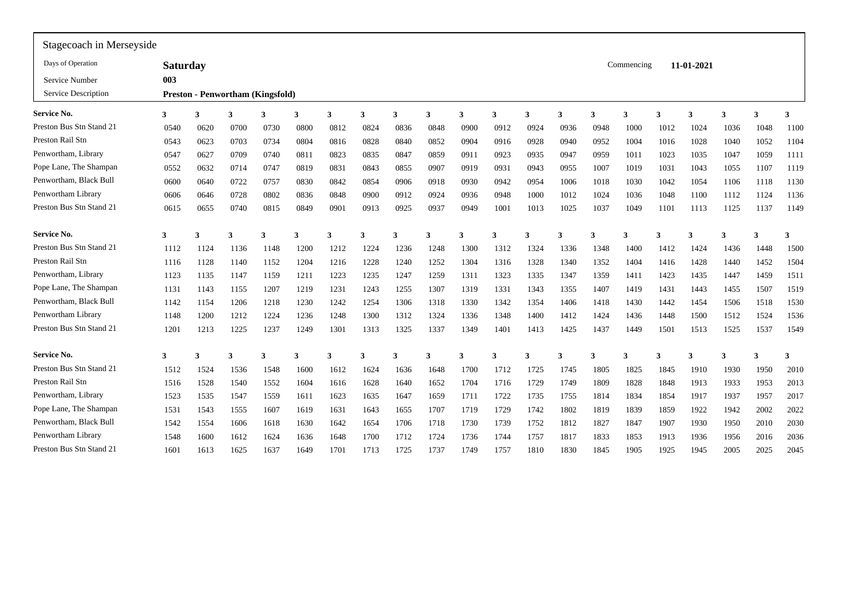| Stagecoach in Merseyside |                 |             |                                         |      |      |      |      |      |      |      |                         |      |      |              |            |      |            |      |      |      |
|--------------------------|-----------------|-------------|-----------------------------------------|------|------|------|------|------|------|------|-------------------------|------|------|--------------|------------|------|------------|------|------|------|
| Days of Operation        | <b>Saturday</b> |             |                                         |      |      |      |      |      |      |      |                         |      |      |              | Commencing |      | 11-01-2021 |      |      |      |
| Service Number           | 003             |             |                                         |      |      |      |      |      |      |      |                         |      |      |              |            |      |            |      |      |      |
| Service Description      |                 |             | <b>Preston - Penwortham (Kingsfold)</b> |      |      |      |      |      |      |      |                         |      |      |              |            |      |            |      |      |      |
| <b>Service No.</b>       | 3               | 3           | 3                                       | 3    | 3    | 3    | 3    | 3    | 3    | 3    | $\overline{\mathbf{3}}$ | 3    | 3    | $\mathbf{a}$ | 3          | 3    | 3          | 3    | 3    | 3    |
| Preston Bus Stn Stand 21 | 0540            | 0620        | 0700                                    | 0730 | 0800 | 0812 | 0824 | 0836 | 0848 | 0900 | 0912                    | 0924 | 0936 | 0948         | 1000       | 1012 | 1024       | 1036 | 1048 | 1100 |
| Preston Rail Stn         | 0543            | 0623        | 0703                                    | 0734 | 0804 | 0816 | 0828 | 0840 | 0852 | 0904 | 0916                    | 0928 | 0940 | 0952         | 1004       | 1016 | 1028       | 1040 | 1052 | 1104 |
| Penwortham, Library      | 0547            | 0627        | 0709                                    | 0740 | 0811 | 0823 | 0835 | 0847 | 0859 | 0911 | 0923                    | 0935 | 0947 | 0959         | 1011       | 1023 | 1035       | 1047 | 1059 | 1111 |
| Pope Lane, The Shampan   | 0552            | 0632        | 0714                                    | 0747 | 0819 | 0831 | 0843 | 0855 | 0907 | 0919 | 0931                    | 0943 | 0955 | 1007         | 1019       | 1031 | 1043       | 1055 | 1107 | 1119 |
| Penwortham, Black Bull   | 0600            | 0640        | 0722                                    | 0757 | 0830 | 0842 | 0854 | 0906 | 0918 | 0930 | 0942                    | 0954 | 1006 | 1018         | 1030       | 1042 | 1054       | 1106 | 1118 | 1130 |
| Penwortham Library       | 0606            | 0646        | 0728                                    | 0802 | 0836 | 0848 | 0900 | 0912 | 0924 | 0936 | 0948                    | 1000 | 1012 | 1024         | 1036       | 1048 | 1100       | 1112 | 1124 | 1136 |
| Preston Bus Stn Stand 21 | 0615            | 0655        | 0740                                    | 0815 | 0849 | 0901 | 0913 | 0925 | 0937 | 0949 | 1001                    | 1013 | 1025 | 1037         | 1049       | 1101 | 1113       | 1125 | 1137 | 1149 |
| <b>Service No.</b>       | 3               | $\mathbf 3$ |                                         | 3    | 3    | 3    | 3    | 3    | 3    | 3    | 3                       | 3    | 3    |              | 3          | 3    | 3          | 3    | 3    | 3    |
| Preston Bus Stn Stand 21 | 1112            | 1124        | 1136                                    | 1148 | 1200 | 1212 | 1224 | 1236 | 1248 | 1300 | 1312                    | 1324 | 1336 | 1348         | 1400       | 1412 | 1424       | 1436 | 1448 | 1500 |
| Preston Rail Stn         | 1116            | 1128        | 1140                                    | 1152 | 1204 | 1216 | 1228 | 1240 | 1252 | 1304 | 1316                    | 1328 | 1340 | 1352         | 1404       | 1416 | 1428       | 1440 | 1452 | 1504 |
| Penwortham, Library      | 1123            | 1135        | 1147                                    | 1159 | 1211 | 1223 | 1235 | 1247 | 1259 | 1311 | 1323                    | 1335 | 1347 | 1359         | 1411       | 1423 | 1435       | 1447 | 1459 | 1511 |
| Pope Lane, The Shampan   | 1131            | 1143        | 1155                                    | 1207 | 1219 | 1231 | 1243 | 1255 | 1307 | 1319 | 1331                    | 1343 | 1355 | 1407         | 1419       | 1431 | 1443       | 1455 | 1507 | 1519 |
| Penwortham, Black Bull   | 1142            | 1154        | 1206                                    | 1218 | 1230 | 1242 | 1254 | 1306 | 1318 | 1330 | 1342                    | 1354 | 1406 | 1418         | 1430       | 1442 | 1454       | 1506 | 1518 | 1530 |
| Penwortham Library       | 1148            | 1200        | 1212                                    | 1224 | 1236 | 1248 | 1300 | 1312 | 1324 | 1336 | 1348                    | 1400 | 1412 | 1424         | 1436       | 1448 | 1500       | 1512 | 1524 | 1536 |
| Preston Bus Stn Stand 21 | 1201            | 1213        | 1225                                    | 1237 | 1249 | 1301 | 1313 | 1325 | 1337 | 1349 | 1401                    | 1413 | 1425 | 1437         | 1449       | 1501 | 1513       | 1525 | 1537 | 1549 |
| <b>Service No.</b>       | 3               | 3           | $\mathbf{3}$                            | 3    | 3    | 3    | 3    | 3    | 3    | 3    | $\overline{\mathbf{3}}$ | 3    | 3    | 3            | 3          | 3    | 3          | 3    | 3    | 3    |
| Preston Bus Stn Stand 21 | 1512            | 1524        | 1536                                    | 1548 | 1600 | 1612 | 1624 | 1636 | 1648 | 1700 | 1712                    | 1725 | 1745 | 1805         | 1825       | 1845 | 1910       | 1930 | 1950 | 2010 |
| Preston Rail Stn         | 1516            | 1528        | 1540                                    | 1552 | 1604 | 1616 | 1628 | 1640 | 1652 | 1704 | 1716                    | 1729 | 1749 | 1809         | 1828       | 1848 | 1913       | 1933 | 1953 | 2013 |
| Penwortham, Library      | 1523            | 1535        | 1547                                    | 1559 | 1611 | 1623 | 1635 | 1647 | 1659 | 1711 | 1722                    | 1735 | 1755 | 1814         | 1834       | 1854 | 1917       | 1937 | 1957 | 2017 |
| Pope Lane, The Shampan   | 1531            | 1543        | 1555                                    | 1607 | 1619 | 1631 | 1643 | 1655 | 1707 | 1719 | 1729                    | 1742 | 1802 | 1819         | 1839       | 1859 | 1922       | 1942 | 2002 | 2022 |
| Penwortham, Black Bull   | 1542            | 1554        | 1606                                    | 1618 | 1630 | 1642 | 1654 | 1706 | 1718 | 1730 | 1739                    | 1752 | 1812 | 1827         | 1847       | 1907 | 1930       | 1950 | 2010 | 2030 |
| Penwortham Library       | 1548            | 1600        | 1612                                    | 1624 | 1636 | 1648 | 1700 | 1712 | 1724 | 1736 | 1744                    | 1757 | 1817 | 1833         | 1853       | 1913 | 1936       | 1956 | 2016 | 2036 |
| Preston Bus Stn Stand 21 | 1601            | 1613        | 1625                                    | 1637 | 1649 | 1701 | 1713 | 1725 | 1737 | 1749 | 1757                    | 1810 | 1830 | 1845         | 1905       | 1925 | 1945       | 2005 | 2025 | 2045 |
|                          |                 |             |                                         |      |      |      |      |      |      |      |                         |      |      |              |            |      |            |      |      |      |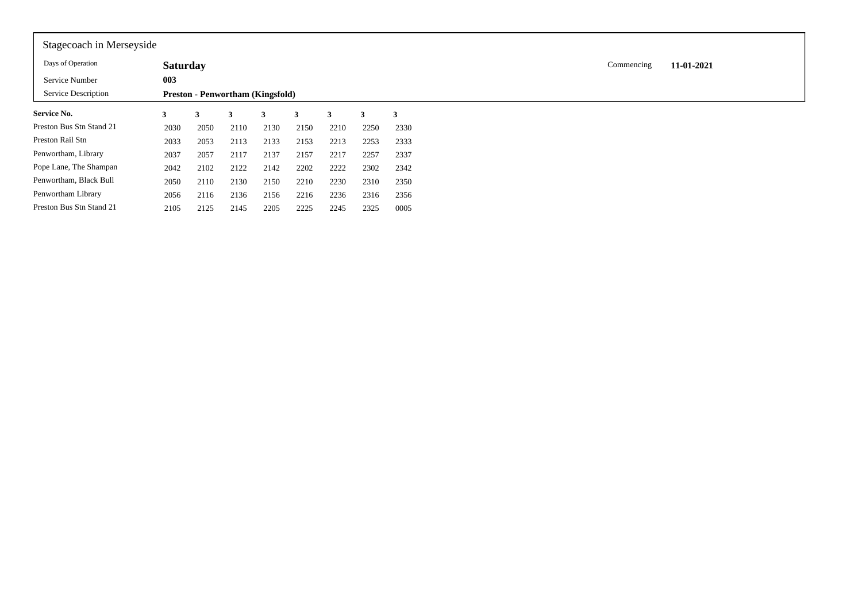| Stagecoach in Merseyside |                 |      |      |                                         |      |      |      |      |
|--------------------------|-----------------|------|------|-----------------------------------------|------|------|------|------|
| Days of Operation        | <b>Saturday</b> |      |      |                                         |      |      |      |      |
| Service Number           | 003             |      |      |                                         |      |      |      |      |
| Service Description      |                 |      |      | <b>Preston - Penwortham (Kingsfold)</b> |      |      |      |      |
| Service No.              | 3               | 3    | 3    | 3                                       | 3    | 3    | 3    | 3    |
| Preston Bus Stn Stand 21 | 2030            | 2050 | 2110 | 2130                                    | 2150 | 2210 | 2250 | 2330 |
| Preston Rail Stn         | 2033            | 2053 | 2113 | 2133                                    | 2153 | 2213 | 2253 | 2333 |
| Penwortham, Library      | 2037            | 2057 | 2117 | 2137                                    | 2157 | 2217 | 2257 | 2337 |
| Pope Lane, The Shampan   | 2042            | 2102 | 2122 | 2142                                    | 2202 | 2222 | 2302 | 2342 |
| Penwortham, Black Bull   | 2050            | 2110 | 2130 | 2150                                    | 2210 | 2230 | 2310 | 2350 |
| Penwortham Library       | 2056            | 2116 | 2136 | 2156                                    | 2216 | 2236 | 2316 | 2356 |
| Preston Bus Stn Stand 21 | 2105            | 2125 | 2145 | 2205                                    | 2225 | 2245 | 2325 | 0005 |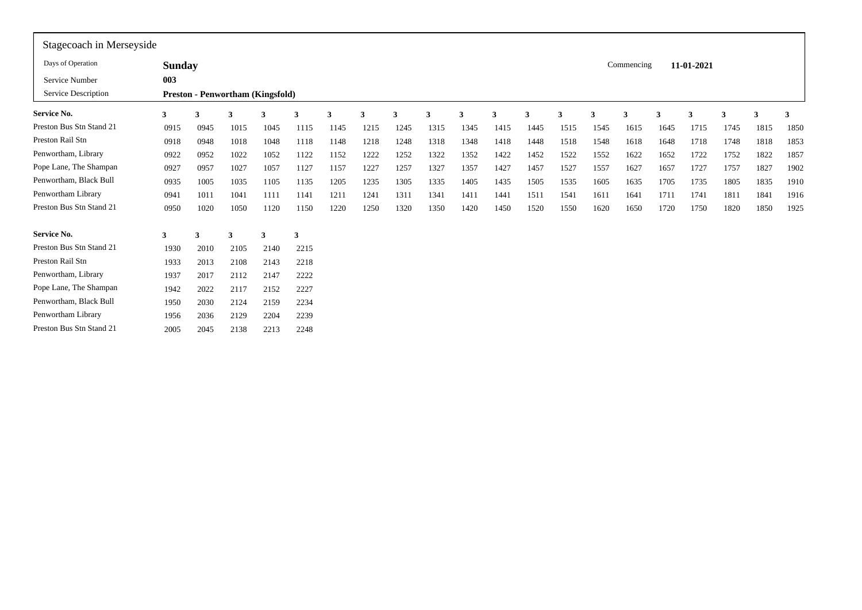| Stagecoach in Merseyside |               |      |      |                                         |      |      |      |      |      |      |      |      |      |      |            |      |            |      |      |      |
|--------------------------|---------------|------|------|-----------------------------------------|------|------|------|------|------|------|------|------|------|------|------------|------|------------|------|------|------|
| Days of Operation        | <b>Sunday</b> |      |      |                                         |      |      |      |      |      |      |      |      |      |      | Commencing |      | 11-01-2021 |      |      |      |
| Service Number           | 003           |      |      |                                         |      |      |      |      |      |      |      |      |      |      |            |      |            |      |      |      |
| Service Description      |               |      |      | <b>Preston - Penwortham (Kingsfold)</b> |      |      |      |      |      |      |      |      |      |      |            |      |            |      |      |      |
| <b>Service No.</b>       | 3             | 3    |      | 3                                       | 3    | 3    | 3    | 3    | 3    | 3    | 3    | 3    | 3    |      | 3          | 3    | 3          | 3    | 3    | 3    |
| Preston Bus Stn Stand 21 | 0915          | 0945 | 1015 | 1045                                    | 1115 | 1145 | 1215 | 1245 | 1315 | 1345 | 1415 | 1445 | 1515 | 1545 | 1615       | 1645 | 1715       | 1745 | 1815 | 1850 |
| Preston Rail Stn         | 0918          | 0948 | 1018 | 1048                                    | 1118 | 1148 | 1218 | 1248 | 1318 | 1348 | 1418 | 1448 | 1518 | 1548 | 1618       | 1648 | 1718       | 1748 | 1818 | 1853 |
| Penwortham, Library      | 0922          | 0952 | 1022 | 1052                                    | 1122 | 1152 | 1222 | 1252 | 1322 | 1352 | 1422 | 1452 | 1522 | 1552 | 1622       | 1652 | 1722       | 1752 | 1822 | 1857 |
| Pope Lane, The Shampan   | 0927          | 0957 | 1027 | 1057                                    | 1127 | 1157 | 1227 | 1257 | 1327 | 1357 | 1427 | 1457 | 1527 | 1557 | 1627       | 1657 | 1727       | 1757 | 1827 | 1902 |
| Penwortham, Black Bull   | 0935          | 1005 | 1035 | 1105                                    | 1135 | 1205 | 1235 | 1305 | 1335 | 1405 | 1435 | 1505 | 1535 | 1605 | 1635       | 1705 | 1735       | 1805 | 1835 | 1910 |
| Penwortham Library       | 0941          | 1011 | 1041 | 1111                                    | 1141 | 1211 | 1241 | 1311 | 1341 | 1411 | 1441 | 1511 | 1541 | 1611 | 1641       | 1711 | 1741       | 1811 | 1841 | 1916 |
| Preston Bus Stn Stand 21 | 0950          | 1020 | 1050 | 1120                                    | 1150 | 1220 | 1250 | 1320 | 1350 | 1420 | 1450 | 1520 | 1550 | 1620 | 1650       | 1720 | 1750       | 1820 | 1850 | 1925 |
| <b>Service No.</b>       | 3             | 3    | 3    | $\mathbf{3}$                            | 3    |      |      |      |      |      |      |      |      |      |            |      |            |      |      |      |
| Preston Bus Stn Stand 21 | 1930          | 2010 | 2105 | 2140                                    | 2215 |      |      |      |      |      |      |      |      |      |            |      |            |      |      |      |
| Preston Rail Stn         | 1933          | 2013 | 2108 | 2143                                    | 2218 |      |      |      |      |      |      |      |      |      |            |      |            |      |      |      |
| Penwortham, Library      | 1937          | 2017 | 2112 | 2147                                    | 2222 |      |      |      |      |      |      |      |      |      |            |      |            |      |      |      |
| Pope Lane, The Shampan   | 1942          | 2022 | 2117 | 2152                                    | 2227 |      |      |      |      |      |      |      |      |      |            |      |            |      |      |      |
| Penwortham, Black Bull   | 1950          | 2030 | 2124 | 2159                                    | 2234 |      |      |      |      |      |      |      |      |      |            |      |            |      |      |      |
| Penwortham Library       | 1956          | 2036 | 2129 | 2204                                    | 2239 |      |      |      |      |      |      |      |      |      |            |      |            |      |      |      |
| Preston Bus Stn Stand 21 | 2005          | 2045 | 2138 | 2213                                    | 2248 |      |      |      |      |      |      |      |      |      |            |      |            |      |      |      |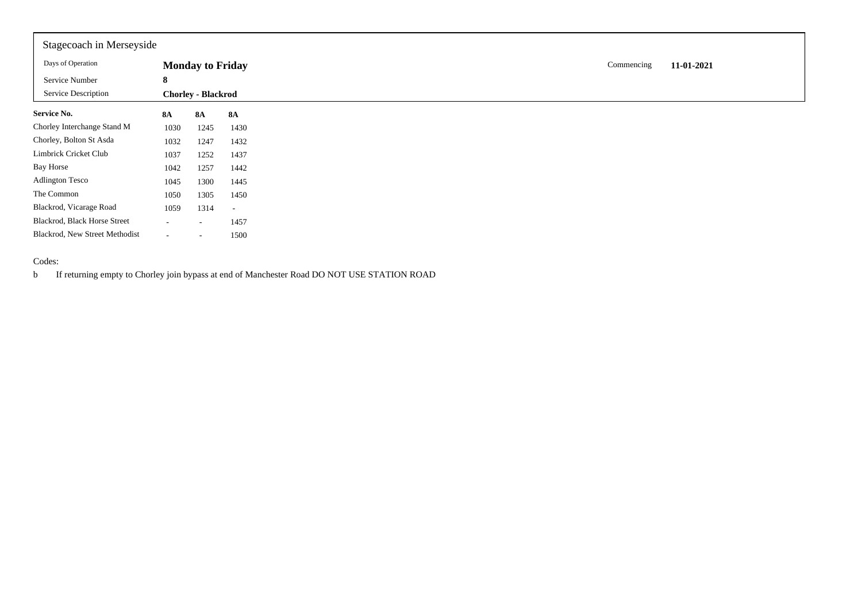| Stagecoach in Merseyside       |           |                           |                          |
|--------------------------------|-----------|---------------------------|--------------------------|
| Days of Operation              |           | <b>Monday to Friday</b>   |                          |
| Service Number                 | 8         |                           |                          |
| Service Description            |           | <b>Chorley - Blackrod</b> |                          |
| <b>Service No.</b>             | <b>8A</b> | <b>8A</b>                 | <b>8A</b>                |
| Chorley Interchange Stand M    | 1030      | 1245                      | 1430                     |
| Chorley, Bolton St Asda        | 1032      | 1247                      | 1432                     |
| Limbrick Cricket Club          | 1037      | 1252                      | 1437                     |
| Bay Horse                      | 1042      | 1257                      | 1442                     |
| <b>Adlington Tesco</b>         | 1045      | 1300                      | 1445                     |
| The Common                     | 1050      | 1305                      | 1450                     |
| Blackrod, Vicarage Road        | 1059      | 1314                      | $\overline{\phantom{a}}$ |
| Blackrod, Black Horse Street   | $\sim$    | $\sim$                    | 1457                     |
| Blackrod, New Street Methodist | $\sim$    | $\sim$                    | 1500                     |

## Codes:

b If returning empty to Chorley join bypass at end of Manchester Road DO NOT USE STATION ROAD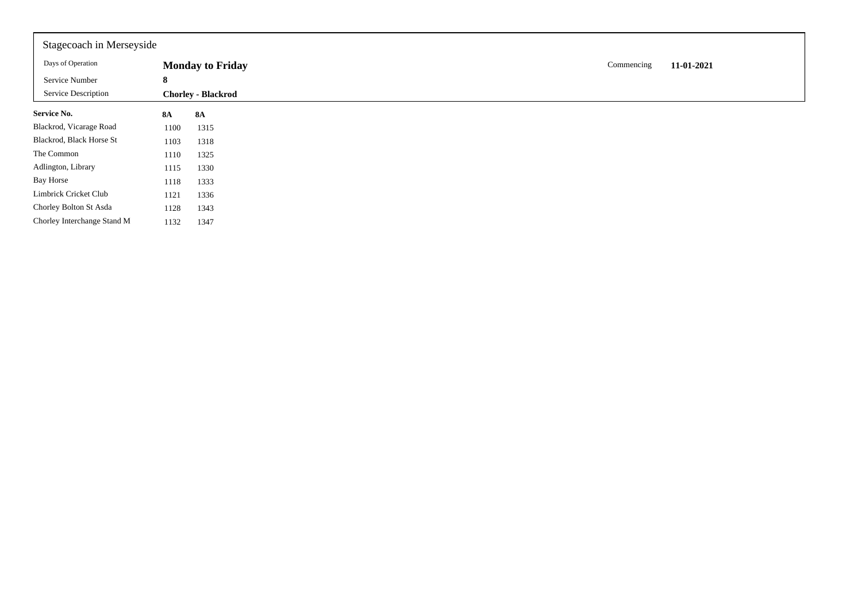| Stagecoach in Merseyside    |           |                           |  |            |            |
|-----------------------------|-----------|---------------------------|--|------------|------------|
| Days of Operation           |           | <b>Monday to Friday</b>   |  | Commencing | 11-01-2021 |
| Service Number              | 8         |                           |  |            |            |
| <b>Service Description</b>  |           | <b>Chorley - Blackrod</b> |  |            |            |
| <b>Service No.</b>          | <b>8A</b> | <b>8A</b>                 |  |            |            |
| Blackrod, Vicarage Road     | 1100      | 1315                      |  |            |            |
| Blackrod, Black Horse St    | 1103      | 1318                      |  |            |            |
| The Common                  | 1110      | 1325                      |  |            |            |
| Adlington, Library          | 1115      | 1330                      |  |            |            |
| <b>Bay Horse</b>            | 1118      | 1333                      |  |            |            |
| Limbrick Cricket Club       | 1121      | 1336                      |  |            |            |
| Chorley Bolton St Asda      | 1128      | 1343                      |  |            |            |
| Chorley Interchange Stand M | 1132      | 1347                      |  |            |            |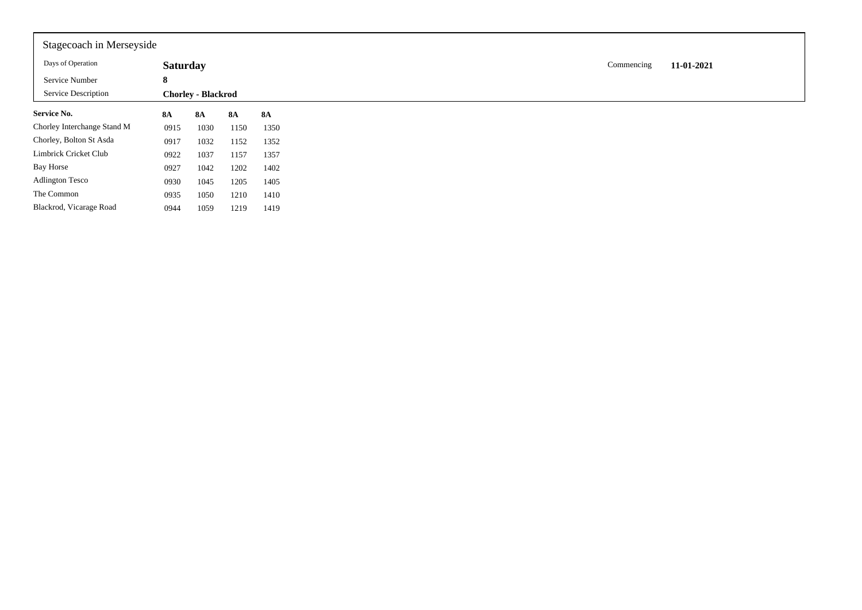| Stagecoach in Merseyside    |                 |                           |           |           |
|-----------------------------|-----------------|---------------------------|-----------|-----------|
| Days of Operation           | <b>Saturday</b> |                           |           |           |
| Service Number              | 8               |                           |           |           |
| Service Description         |                 | <b>Chorley - Blackrod</b> |           |           |
| <b>Service No.</b>          | <b>8A</b>       | <b>8A</b>                 | <b>8A</b> | <b>8A</b> |
| Chorley Interchange Stand M | 0915            | 1030                      | 1150      | 1350      |
| Chorley, Bolton St Asda     | 0917            | 1032                      | 1152      | 1352      |
| Limbrick Cricket Club       | 0922            | 1037                      | 1157      | 1357      |
| Bay Horse                   | 0927            | 1042                      | 1202      | 1402      |
| <b>Adlington Tesco</b>      | 0930            | 1045                      | 1205      | 1405      |
| The Common                  | 0935            | 1050                      | 1210      | 1410      |
| Blackrod, Vicarage Road     | 0944            | 1059                      | 1219      | 1419      |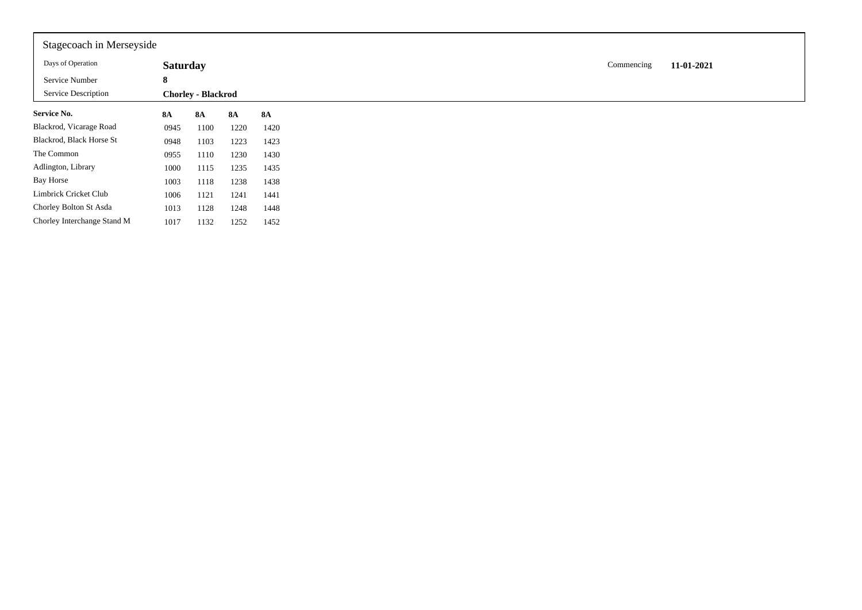| Stagecoach in Merseyside    |                 |                           |           |           |
|-----------------------------|-----------------|---------------------------|-----------|-----------|
| Days of Operation           | <b>Saturday</b> |                           |           |           |
| Service Number              | 8               |                           |           |           |
| Service Description         |                 | <b>Chorley - Blackrod</b> |           |           |
| <b>Service No.</b>          | <b>8A</b>       | <b>8A</b>                 | <b>8A</b> | <b>8A</b> |
| Blackrod, Vicarage Road     | 0945            | 1100                      | 1220      | 1420      |
| Blackrod, Black Horse St    | 0948            | 1103                      | 1223      | 1423      |
| The Common                  | 0955            | 1110                      | 1230      | 1430      |
| Adlington, Library          | 1000            | 1115                      | 1235      | 1435      |
| Bay Horse                   | 1003            | 1118                      | 1238      | 1438      |
| Limbrick Cricket Club       | 1006            | 1121                      | 1241      | 1441      |
| Chorley Bolton St Asda      | 1013            | 1128                      | 1248      | 1448      |
| Chorley Interchange Stand M | 1017            | 1132                      | 1252      | 1452      |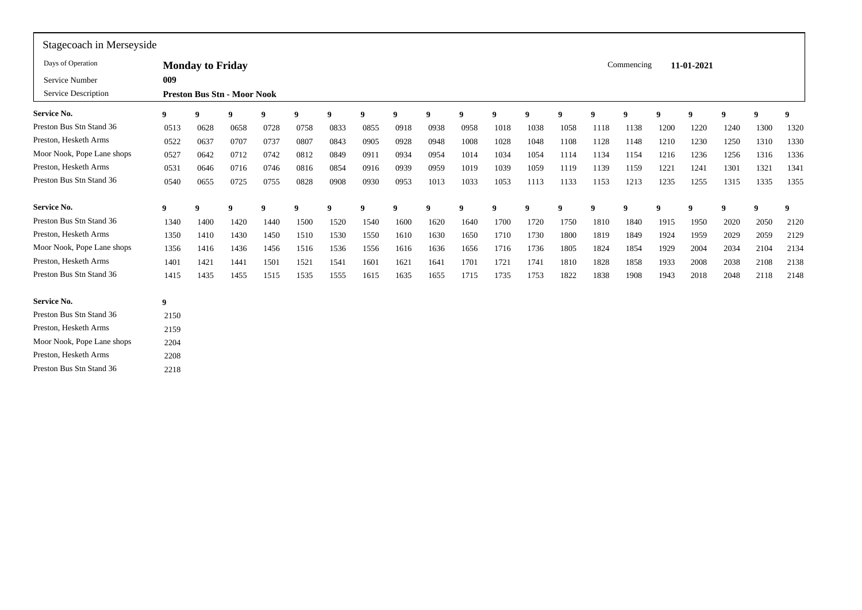| Stagecoach in Merseyside   |      |                         |                                    |      |      |      |          |      |             |      |      |      |                  |             |            |      |            |          |      |                  |
|----------------------------|------|-------------------------|------------------------------------|------|------|------|----------|------|-------------|------|------|------|------------------|-------------|------------|------|------------|----------|------|------------------|
| Days of Operation          |      | <b>Monday to Friday</b> |                                    |      |      |      |          |      |             |      |      |      |                  |             | Commencing |      | 11-01-2021 |          |      |                  |
| Service Number             | 009  |                         |                                    |      |      |      |          |      |             |      |      |      |                  |             |            |      |            |          |      |                  |
| Service Description        |      |                         | <b>Preston Bus Stn - Moor Nook</b> |      |      |      |          |      |             |      |      |      |                  |             |            |      |            |          |      |                  |
| <b>Service No.</b>         | 9    | 9                       | 9                                  | 9    | 9    | 9    | $\bf{Q}$ | 9    | $\bf{o}$    | 9    | 9    | - 9  | $\boldsymbol{9}$ | $\Omega$    | 9          | -9   | 9          | $\bf{Q}$ | 9    | $\boldsymbol{9}$ |
| Preston Bus Stn Stand 36   | 0513 | 0628                    | 0658                               | 0728 | 0758 | 0833 | 0855     | 0918 | 0938        | 0958 | 1018 | 1038 | 1058             | 1118        | 1138       | 1200 | 1220       | 1240     | 1300 | 1320             |
| Preston, Hesketh Arms      | 0522 | 0637                    | 0707                               | 0737 | 0807 | 0843 | 0905     | 0928 | 0948        | 1008 | 1028 | 1048 | 1108             | 1128        | 1148       | 1210 | 1230       | 1250     | 1310 | 1330             |
| Moor Nook, Pope Lane shops | 0527 | 0642                    | 0712                               | 0742 | 0812 | 0849 | 0911     | 0934 | 0954        | 1014 | 1034 | 1054 | 1114             | 1134        | 1154       | 1216 | 1236       | 1256     | 1316 | 1336             |
| Preston, Hesketh Arms      | 0531 | 0646                    | 0716                               | 0746 | 0816 | 0854 | 0916     | 0939 | 0959        | 1019 | 1039 | 1059 | 1119             | 1139        | 1159       | 1221 | 1241       | 1301     | 1321 | 1341             |
| Preston Bus Stn Stand 36   | 0540 | 0655                    | 0725                               | 0755 | 0828 | 0908 | 0930     | 0953 | 1013        | 1033 | 1053 | 1113 | 1133             | 1153        | 1213       | 1235 | 1255       | 1315     | 1335 | 1355             |
| <b>Service No.</b>         | 9    | 9                       | 9                                  | 9    | 9    | 9    | 9        | 9    | $\mathbf Q$ | 9    | -9   | 9    | 9                | $\mathbf Q$ | 9          | 9    | 9          | -9       | 9    | 9                |
| Preston Bus Stn Stand 36   | 1340 | 1400                    | 1420                               | 1440 | 1500 | 1520 | 1540     | 1600 | 1620        | 1640 | 1700 | 1720 | 1750             | 1810        | 1840       | 1915 | 1950       | 2020     | 2050 | 2120             |
| Preston, Hesketh Arms      | 1350 | 1410                    | 1430                               | 1450 | 1510 | 1530 | 1550     | 1610 | 1630        | 1650 | 1710 | 1730 | 1800             | 1819        | 1849       | 1924 | 1959       | 2029     | 2059 | 2129             |
| Moor Nook, Pope Lane shops | 1356 | 1416                    | 1436                               | 1456 | 1516 | 1536 | 1556     | 1616 | 1636        | 1656 | 1716 | 1736 | 1805             | 1824        | 1854       | 1929 | 2004       | 2034     | 2104 | 2134             |
| Preston, Hesketh Arms      | 1401 | 1421                    | 1441                               | 1501 | 1521 | 1541 | 1601     | 1621 | 1641        | 1701 | 1721 | 1741 | 1810             | 1828        | 1858       | 1933 | 2008       | 2038     | 2108 | 2138             |
| Preston Bus Stn Stand 36   | 1415 | 1435                    | 1455                               | 1515 | 1535 | 1555 | 1615     | 1635 | 1655        | 1715 | 1735 | 1753 | 1822             | 1838        | 1908       | 1943 | 2018       | 2048     | 2118 | 2148             |
| <b>Service No.</b>         | 9    |                         |                                    |      |      |      |          |      |             |      |      |      |                  |             |            |      |            |          |      |                  |
| Preston Bus Stn Stand 36   | 2150 |                         |                                    |      |      |      |          |      |             |      |      |      |                  |             |            |      |            |          |      |                  |
| Preston, Hesketh Arms      | 2159 |                         |                                    |      |      |      |          |      |             |      |      |      |                  |             |            |      |            |          |      |                  |
| Moor Nook, Pope Lane shops | 2204 |                         |                                    |      |      |      |          |      |             |      |      |      |                  |             |            |      |            |          |      |                  |
| Preston, Hesketh Arms      | 2208 |                         |                                    |      |      |      |          |      |             |      |      |      |                  |             |            |      |            |          |      |                  |
| Preston Bus Stn Stand 36   | 2218 |                         |                                    |      |      |      |          |      |             |      |      |      |                  |             |            |      |            |          |      |                  |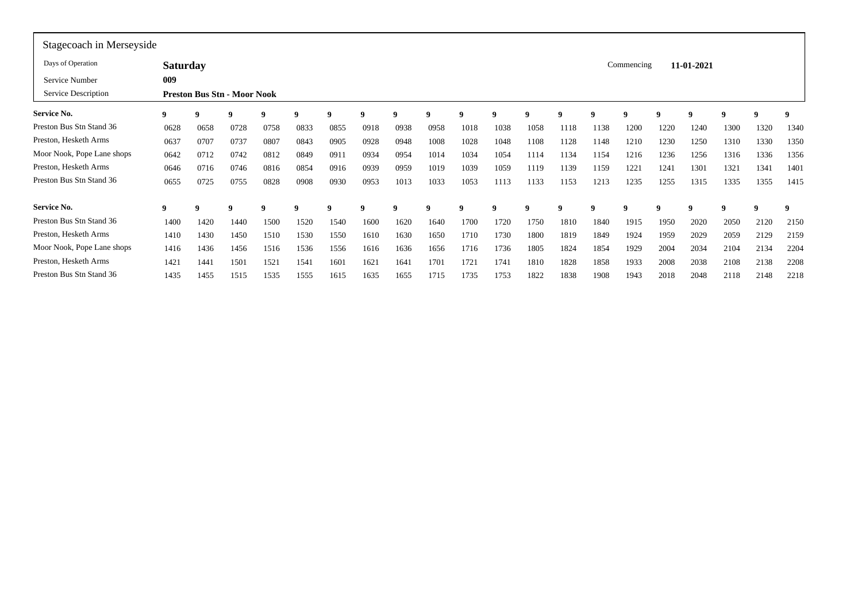| Stagecoach in Merseyside   |                 |      |                                    |      |      |      |      |      |      |             |      |      |      |      |            |      |            |             |      |      |
|----------------------------|-----------------|------|------------------------------------|------|------|------|------|------|------|-------------|------|------|------|------|------------|------|------------|-------------|------|------|
| Days of Operation          | <b>Saturday</b> |      |                                    |      |      |      |      |      |      |             |      |      |      |      | Commencing |      | 11-01-2021 |             |      |      |
| Service Number             | 009             |      |                                    |      |      |      |      |      |      |             |      |      |      |      |            |      |            |             |      |      |
| Service Description        |                 |      | <b>Preston Bus Stn - Moor Nook</b> |      |      |      |      |      |      |             |      |      |      |      |            |      |            |             |      |      |
| Service No.                | 9               | -9   | 9                                  | 9    | - 9  | 9    | 9    |      | 9    | Q           | 9    | 9    | 9    |      | 9          | -9   |            | $\mathbf 0$ | 9    | 9    |
| Preston Bus Stn Stand 36   | 0628            | 0658 | 0728                               | 0758 | 0833 | 0855 | 0918 | 0938 | 0958 | 1018        | 1038 | 1058 | 1118 | 1138 | 1200       | 1220 | 1240       | 1300        | 1320 | 1340 |
| Preston, Hesketh Arms      | 0637            | 0707 | 0737                               | 0807 | 0843 | 0905 | 0928 | 0948 | 1008 | 1028        | 1048 | 1108 | 1128 | 1148 | 1210       | 1230 | 1250       | 1310        | 1330 | 1350 |
| Moor Nook, Pope Lane shops | 0642            | 0712 | 0742                               | 0812 | 0849 | 0911 | 0934 | 0954 | 1014 | 1034        | 1054 | 1114 | 1134 | 1154 | 1216       | 1236 | 1256       | 1316        | 1336 | 1356 |
| Preston, Hesketh Arms      | 0646            | 0716 | 0746                               | 0816 | 0854 | 0916 | 0939 | 0959 | 1019 | 1039        | 1059 | 1119 | 1139 | 1159 | 1221       | 1241 | 1301       | 1321        | 1341 | 1401 |
| Preston Bus Stn Stand 36   | 0655            | 0725 | 0755                               | 0828 | 0908 | 0930 | 0953 | 1013 | 1033 | 1053        | 1113 | 1133 | 1153 | 1213 | 1235       | 1255 | 1315       | 1335        | 1355 | 1415 |
| Service No.                | 9               | -9   |                                    | 9    | - 9  | 9    | 9    | - 9  | 9    | $\mathbf q$ | -9   | 9    | -9   | -9   | -9         | 9    |            | 9           | 9    | 9    |
| Preston Bus Stn Stand 36   | 1400            | 1420 | 1440                               | 1500 | 1520 | 1540 | 1600 | 1620 | 1640 | 1700        | 1720 | 1750 | 1810 | 1840 | 1915       | 1950 | 2020       | 2050        | 2120 | 2150 |
| Preston, Hesketh Arms      | 1410            | 1430 | 1450                               | 1510 | 1530 | 1550 | 1610 | 1630 | 1650 | 1710        | 1730 | 1800 | 1819 | 1849 | 1924       | 1959 | 2029       | 2059        | 2129 | 2159 |
| Moor Nook, Pope Lane shops | 1416            | 1436 | 1456                               | 1516 | 1536 | 1556 | 1616 | 1636 | 1656 | 1716        | 1736 | 1805 | 1824 | 1854 | 1929       | 2004 | 2034       | 2104        | 2134 | 2204 |
| Preston, Hesketh Arms      | 1421            | 1441 | 1501                               | 1521 | 1541 | 1601 | 1621 | 1641 | 1701 | 1721        | 1741 | 1810 | 1828 | 1858 | 1933       | 2008 | 2038       | 2108        | 2138 | 2208 |
| Preston Bus Stn Stand 36   | 1435            | 1455 | 1515                               | 1535 | 1555 | 1615 | 1635 | 1655 | 1715 | 1735        | 1753 | 1822 | 1838 | 1908 | 1943       | 2018 | 2048       | 2118        | 2148 | 2218 |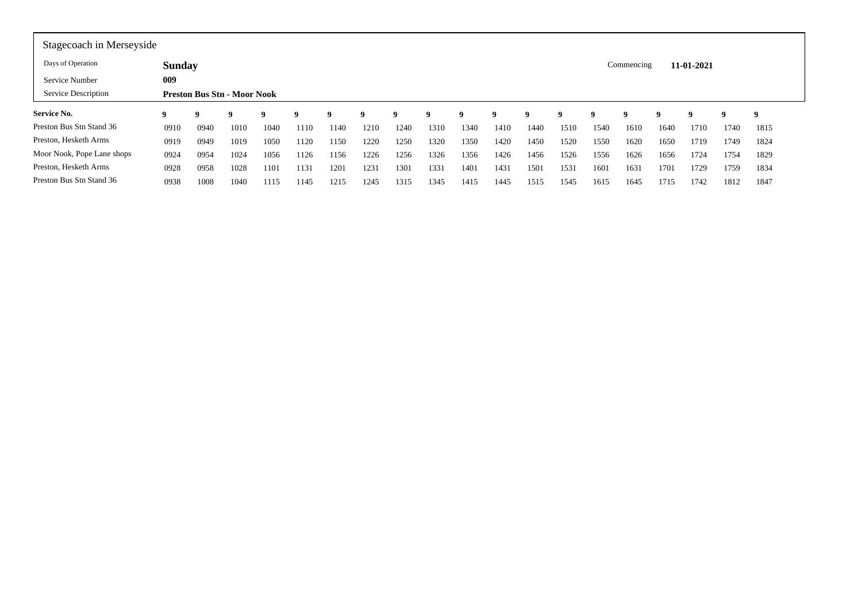| Stagecoach in Merseyside   |               |                                    |      |      |      |      |         |         |                          |      |          |         |      |      |      |      |          |          |      |
|----------------------------|---------------|------------------------------------|------|------|------|------|---------|---------|--------------------------|------|----------|---------|------|------|------|------|----------|----------|------|
| Days of Operation          | <b>Sunday</b> |                                    |      |      |      |      |         |         | 11-01-2021<br>Commencing |      |          |         |      |      |      |      |          |          |      |
| Service Number             | 009           | <b>Preston Bus Stn - Moor Nook</b> |      |      |      |      |         |         |                          |      |          |         |      |      |      |      |          |          |      |
| Service Description        |               |                                    |      |      |      |      |         |         |                          |      |          |         |      |      |      |      |          |          |      |
| <b>Service No.</b>         |               | $\bf{o}$                           |      |      | q    | 9    | $\bf o$ | $\bf o$ |                          |      | $\bf{Q}$ | $\bf o$ | o    |      | o    |      | $\bf{Q}$ | $\bf{o}$ | - 9  |
| Preston Bus Stn Stand 36   | 0910          | 0940                               | 1010 | 1040 | 1110 | 1140 | 1210    | 1240    | 1310                     | 1340 | 1410     | 1440    | 1510 | 1540 | 1610 | 1640 | 1710     | 1740     | 1815 |
| Preston, Hesketh Arms      | 0919          | 0949                               | 1019 | 1050 | 1120 | 1150 | 1220    | 1250    | 1320                     | 1350 | 1420     | 1450    | 1520 | 1550 | 1620 | 1650 | 1719     | 1749     | 1824 |
| Moor Nook, Pope Lane shops | 0924          | 0954                               | 1024 | 1056 | 1126 | 1156 | 1226    | 1256    | 1326                     | 1356 | 1426     | 1456    | 1526 | 1556 | 1626 | 1656 | 1724     | 1754     | 1829 |
| Preston, Hesketh Arms      | 0928          | 0958                               | 1028 | 1101 | 1131 | 1201 | 1231    | 1301    | 1331                     | 1401 | 1431     | 1501    | 1531 | 1601 | 1631 | 1701 | 1729     | 1759     | 1834 |
| Preston Bus Stn Stand 36   | 0938          | 1008                               | 1040 | 1115 | 1145 | 1215 | 1245    | 1315    | 1345                     | 1415 | 1445     | 1515    | 1545 | 1615 | 1645 | 1715 | 1742     | 1812     | 1847 |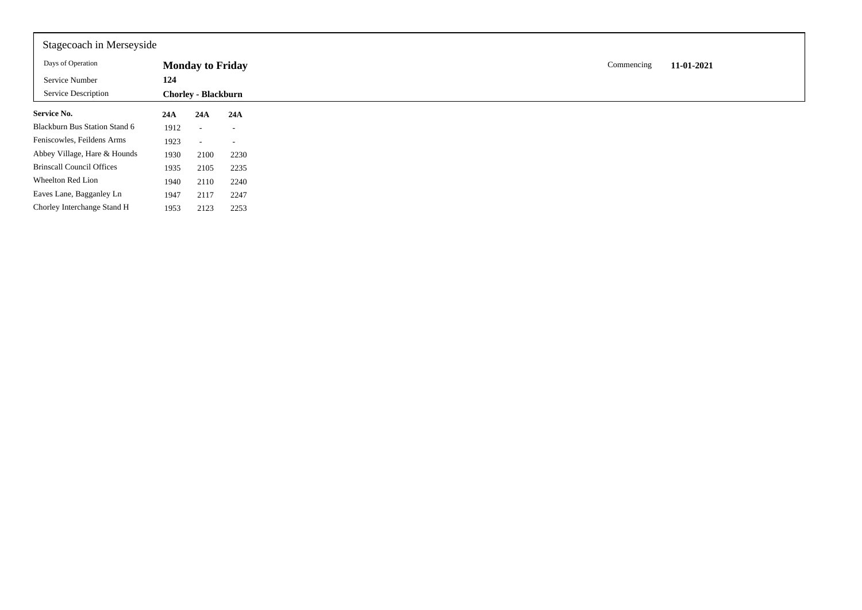| Stagecoach in Merseyside         |      |                            |                          |
|----------------------------------|------|----------------------------|--------------------------|
| Days of Operation                |      | <b>Monday to Friday</b>    |                          |
| Service Number                   | 124  |                            |                          |
| Service Description              |      | <b>Chorley - Blackburn</b> |                          |
| <b>Service No.</b>               | 24A  | 24A                        | 24A                      |
| Blackburn Bus Station Stand 6    | 1912 | $\sim$                     | $\overline{\phantom{a}}$ |
| Feniscowles, Feildens Arms       | 1923 | $\overline{\phantom{a}}$   | $\overline{\phantom{a}}$ |
| Abbey Village, Hare & Hounds     | 1930 | 2100                       | 2230                     |
| <b>Brinscall Council Offices</b> | 1935 | 2105                       | 2235                     |
| Wheelton Red Lion                | 1940 | 2110                       | 2240                     |
| Eaves Lane, Bagganley Ln         | 1947 | 2117                       | 2247                     |
| Chorley Interchange Stand H      | 1953 | 2123                       | 2253                     |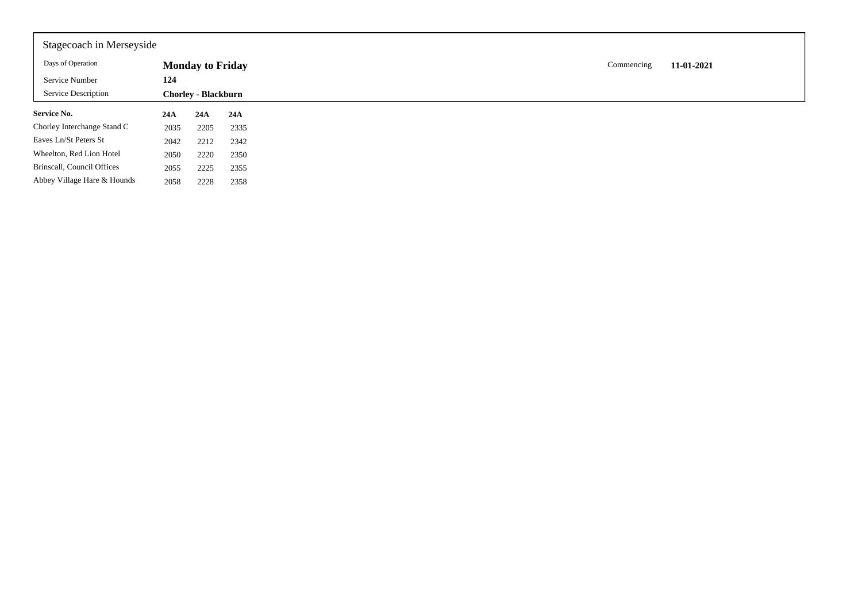| Stagecoach in Merseyside    |      |                            |      |
|-----------------------------|------|----------------------------|------|
| Days of Operation           |      | <b>Monday to Friday</b>    |      |
| Service Number              | 124  |                            |      |
| <b>Service Description</b>  |      | <b>Chorley - Blackburn</b> |      |
| <b>Service No.</b>          | 24A  | 24A                        | 24A  |
| Chorley Interchange Stand C | 2035 | 2205                       | 2335 |
|                             | 2042 | 2212                       | 2342 |
| Eaves Ln/St Peters St       |      |                            |      |
| Wheelton, Red Lion Hotel    | 2050 | 2220                       | 2350 |
| Brinscall, Council Offices  | 2055 | 2225                       | 2355 |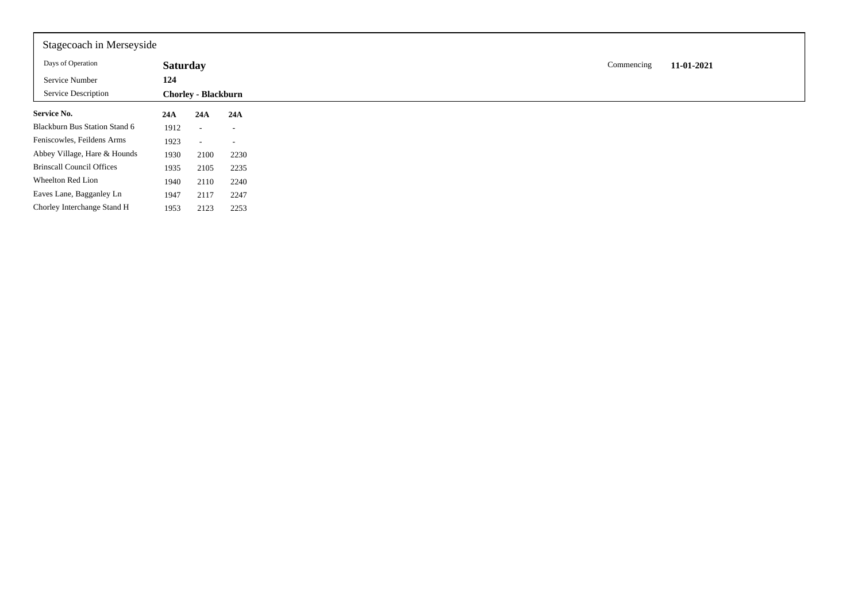| Stagecoach in Merseyside         |                 |                            |                          |
|----------------------------------|-----------------|----------------------------|--------------------------|
| Days of Operation                | <b>Saturday</b> |                            |                          |
| Service Number                   | 124             |                            |                          |
| <b>Service Description</b>       |                 | <b>Chorley - Blackburn</b> |                          |
| <b>Service No.</b>               | 24A             | 24A                        | 24A                      |
| Blackburn Bus Station Stand 6    | 1912            | $\sim$                     | $\overline{\phantom{a}}$ |
| Feniscowles, Feildens Arms       | 1923            | $\sim$                     | $\overline{\phantom{a}}$ |
| Abbey Village, Hare & Hounds     | 1930            | 2100                       | 2230                     |
| <b>Brinscall Council Offices</b> | 1935            | 2105                       | 2235                     |
| Wheelton Red Lion                | 1940            | 2110                       | 2240                     |
| Eaves Lane, Bagganley Ln         | 1947            | 2117                       | 2247                     |
| Chorley Interchange Stand H      | 1953            | 2123                       | 2253                     |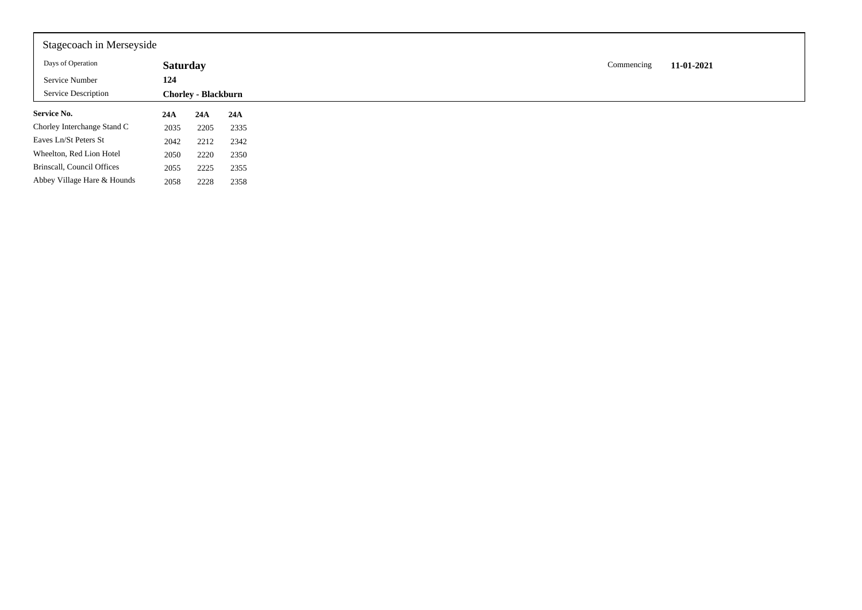| Stagecoach in Merseyside    |                 |                            |      |
|-----------------------------|-----------------|----------------------------|------|
| Days of Operation           | <b>Saturday</b> |                            |      |
| Service Number              | 124             |                            |      |
| <b>Service Description</b>  |                 | <b>Chorley - Blackburn</b> |      |
| <b>Service No.</b>          | 24A             | 24A                        | 24A  |
| Chorley Interchange Stand C | 2035            | 2205                       | 2335 |
| Eaves Ln/St Peters St       | 2042            | 2212                       | 2342 |
| Wheelton, Red Lion Hotel    | 2050            | 2220                       | 2350 |
| Brinscall, Council Offices  | 2055            | 2225                       | 2355 |
|                             |                 |                            |      |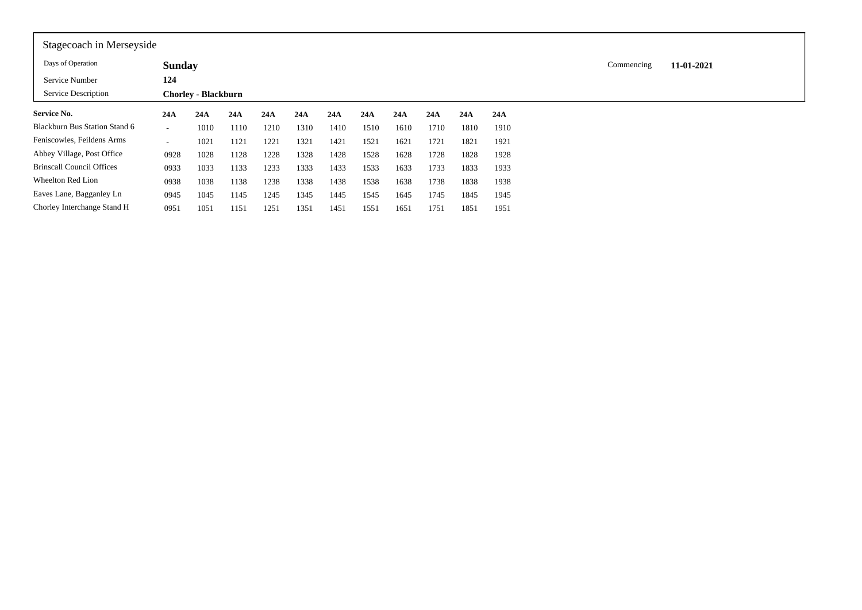| Stagecoach in Merseyside         |                          |                            |      |      |      |      |      |      |      |      |      |            |            |  |
|----------------------------------|--------------------------|----------------------------|------|------|------|------|------|------|------|------|------|------------|------------|--|
| Days of Operation                | <b>Sunday</b>            |                            |      |      |      |      |      |      |      |      |      | Commencing | 11-01-2021 |  |
| Service Number                   | 124                      |                            |      |      |      |      |      |      |      |      |      |            |            |  |
| Service Description              |                          | <b>Chorley - Blackburn</b> |      |      |      |      |      |      |      |      |      |            |            |  |
| <b>Service No.</b>               | 24A                      | 24A                        | 24A  | 24A  | 24A  | 24A  | 24A  | 24A  | 24A  | 24A  | 24A  |            |            |  |
| Blackburn Bus Station Stand 6    | $\sim$                   | 1010                       | 1110 | 1210 | 1310 | 1410 | 1510 | 1610 | 1710 | 1810 | 1910 |            |            |  |
| Feniscowles, Feildens Arms       | $\overline{\phantom{a}}$ | 1021                       | 1121 | 1221 | 1321 | 1421 | 1521 | 1621 | 1721 | 1821 | 1921 |            |            |  |
| Abbey Village, Post Office       | 0928                     | 1028                       | 1128 | 1228 | 1328 | 1428 | 1528 | 1628 | 1728 | 1828 | 1928 |            |            |  |
| <b>Brinscall Council Offices</b> | 0933                     | 1033                       | 1133 | 1233 | 1333 | 1433 | 1533 | 1633 | 1733 | 1833 | 1933 |            |            |  |
| Wheelton Red Lion                | 0938                     | 1038                       | 1138 | 1238 | 1338 | 1438 | 1538 | 1638 | 1738 | 1838 | 1938 |            |            |  |
| Eaves Lane, Bagganley Ln         | 0945                     | 1045                       | 1145 | 1245 | 1345 | 1445 | 1545 | 1645 | 1745 | 1845 | 1945 |            |            |  |
| Chorley Interchange Stand H      | 0951                     | 1051                       | 1151 | 1251 | 1351 | 1451 | 1551 | 1651 | 1751 | 1851 | 1951 |            |            |  |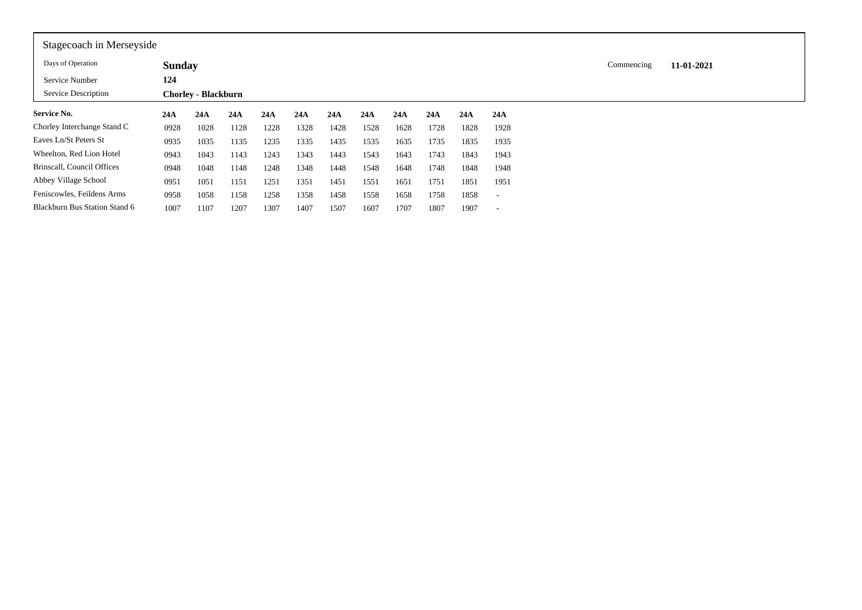| Stagecoach in Merseyside      |               |                            |      |      |      |      |      |      |      |      |      |            |            |  |
|-------------------------------|---------------|----------------------------|------|------|------|------|------|------|------|------|------|------------|------------|--|
| Days of Operation             | <b>Sunday</b> |                            |      |      |      |      |      |      |      |      |      | Commencing | 11-01-2021 |  |
| Service Number                | 124           |                            |      |      |      |      |      |      |      |      |      |            |            |  |
| Service Description           |               | <b>Chorley - Blackburn</b> |      |      |      |      |      |      |      |      |      |            |            |  |
| Service No.                   | 24A           | 24A                        | 24A  | 24A  | 24A  | 24A  | 24A  | 24A  | 24A  | 24A  | 24A  |            |            |  |
| Chorley Interchange Stand C   | 0928          | 1028                       | 1128 | 1228 | 1328 | 1428 | 1528 | 1628 | 1728 | 1828 | 1928 |            |            |  |
| Eaves Ln/St Peters St         | 0935          | 1035                       | 1135 | 1235 | 1335 | 1435 | 1535 | 1635 | 1735 | 1835 | 1935 |            |            |  |
| Wheelton, Red Lion Hotel      | 0943          | 1043                       | 1143 | 1243 | 1343 | 1443 | 1543 | 1643 | 1743 | 1843 | 1943 |            |            |  |
| Brinscall, Council Offices    | 0948          | 1048                       | 1148 | 1248 | 1348 | 1448 | 1548 | 1648 | 1748 | 1848 | 1948 |            |            |  |
| Abbey Village School          | 0951          | 1051                       | 1151 | 1251 | 1351 | 1451 | 1551 | 1651 | 1751 | 1851 | 1951 |            |            |  |
| Feniscowles, Feildens Arms    | 0958          | 1058                       | 1158 | 1258 | 1358 | 1458 | 1558 | 1658 | 1758 | 1858 |      |            |            |  |
| Blackburn Bus Station Stand 6 | 1007          | 1107                       | 1207 | 1307 | 1407 | 1507 | 1607 | 1707 | 1807 | 1907 |      |            |            |  |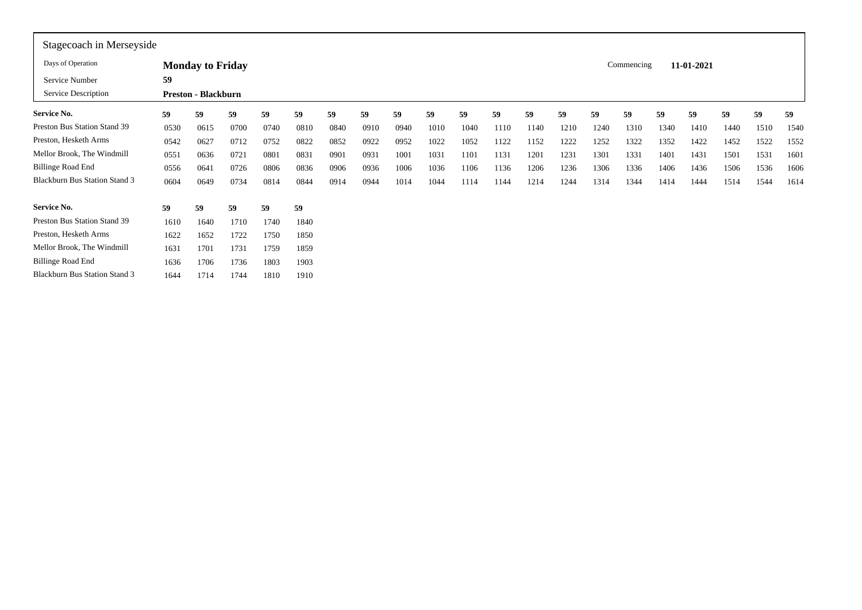| Stagecoach in Merseyside             |      |                            |      |      |      |      |      |      |      |      |      |      |      |      |            |      |            |      |      |      |
|--------------------------------------|------|----------------------------|------|------|------|------|------|------|------|------|------|------|------|------|------------|------|------------|------|------|------|
| Days of Operation                    |      | <b>Monday to Friday</b>    |      |      |      |      |      |      |      |      |      |      |      |      | Commencing |      | 11-01-2021 |      |      |      |
| Service Number                       | 59   |                            |      |      |      |      |      |      |      |      |      |      |      |      |            |      |            |      |      |      |
| Service Description                  |      | <b>Preston - Blackburn</b> |      |      |      |      |      |      |      |      |      |      |      |      |            |      |            |      |      |      |
| Service No.                          | 59   | 59                         | 59   | 59   | 59   | 59   | 59   | 59   | 59   | 59   | 59   | 59   | 59   | 59   | 59         | 59   | 59         | 59   | 59   | 59   |
| Preston Bus Station Stand 39         | 0530 | 0615                       | 0700 | 0740 | 0810 | 0840 | 0910 | 0940 | 1010 | 1040 | 1110 | 1140 | 1210 | 1240 | 1310       | 1340 | 1410       | 1440 | 1510 | 1540 |
| Preston, Hesketh Arms                | 0542 | 0627                       | 0712 | 0752 | 0822 | 0852 | 0922 | 0952 | 1022 | 1052 | 1122 | 1152 | 1222 | 1252 | 1322       | 1352 | 1422       | 1452 | 1522 | 1552 |
| Mellor Brook, The Windmill           | 0551 | 0636                       | 0721 | 0801 | 0831 | 0901 | 0931 | 1001 | 1031 | 1101 | 1131 | 1201 | 1231 | 1301 | 1331       | 1401 | 1431       | 1501 | 1531 | 1601 |
| <b>Billinge Road End</b>             | 0556 | 0641                       | 0726 | 0806 | 0836 | 0906 | 0936 | 1006 | 1036 | 1106 | 1136 | 1206 | 1236 | 1306 | 1336       | 1406 | 1436       | 1506 | 1536 | 1606 |
| <b>Blackburn Bus Station Stand 3</b> | 0604 | 0649                       | 0734 | 0814 | 0844 | 0914 | 0944 | 1014 | 1044 | 1114 | 1144 | 1214 | 1244 | 1314 | 1344       | 1414 | 1444       | 1514 | 1544 | 1614 |
| Service No.                          | 59   | 59                         | 59   | 59   | 59   |      |      |      |      |      |      |      |      |      |            |      |            |      |      |      |
| Preston Bus Station Stand 39         | 1610 | 1640                       | 1710 | 1740 | 1840 |      |      |      |      |      |      |      |      |      |            |      |            |      |      |      |
| Preston, Hesketh Arms                | 1622 | 1652                       | 1722 | 1750 | 1850 |      |      |      |      |      |      |      |      |      |            |      |            |      |      |      |
| Mellor Brook, The Windmill           | 1631 | 1701                       | 1731 | 1759 | 1859 |      |      |      |      |      |      |      |      |      |            |      |            |      |      |      |
| <b>Billinge Road End</b>             | 1636 | 1706                       | 1736 | 1803 | 1903 |      |      |      |      |      |      |      |      |      |            |      |            |      |      |      |
| <b>Blackburn Bus Station Stand 3</b> | 1644 | 1714                       | 1744 | 1810 | 1910 |      |      |      |      |      |      |      |      |      |            |      |            |      |      |      |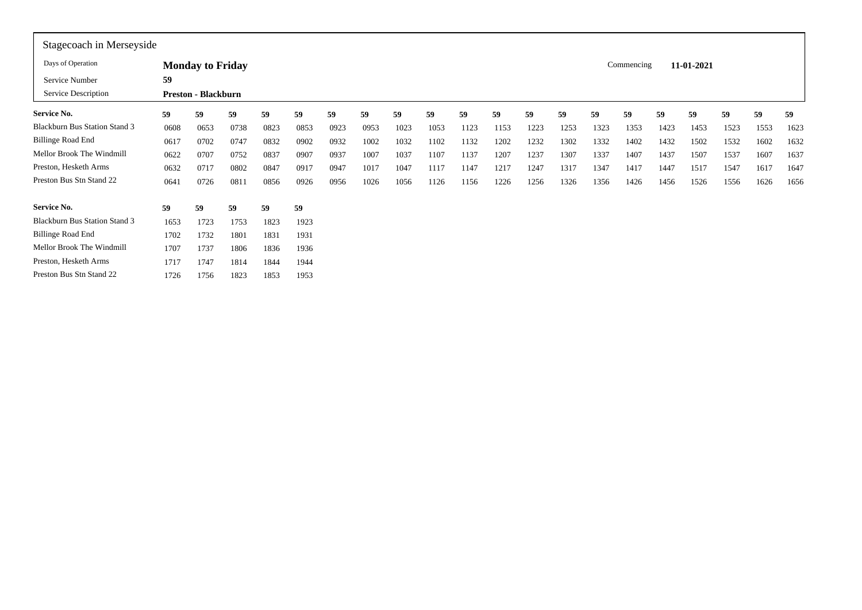| Stagecoach in Merseyside             |      |                            |      |      |      |      |      |      |      |      |      |      |      |      |            |      |            |      |      |      |
|--------------------------------------|------|----------------------------|------|------|------|------|------|------|------|------|------|------|------|------|------------|------|------------|------|------|------|
| Days of Operation                    |      | <b>Monday to Friday</b>    |      |      |      |      |      |      |      |      |      |      |      |      | Commencing |      | 11-01-2021 |      |      |      |
| Service Number                       | 59   |                            |      |      |      |      |      |      |      |      |      |      |      |      |            |      |            |      |      |      |
| Service Description                  |      | <b>Preston - Blackburn</b> |      |      |      |      |      |      |      |      |      |      |      |      |            |      |            |      |      |      |
| Service No.                          | 59   | 59                         | 59   | 59   | 59   | 59   | 59   | 59   | 59   | 59   | 59   | 59   | 59   | 59   | 59         | 59   | 59         | 59   | 59   | 59   |
| <b>Blackburn Bus Station Stand 3</b> | 0608 | 0653                       | 0738 | 0823 | 0853 | 0923 | 0953 | 1023 | 1053 | 1123 | 1153 | 1223 | 1253 | 1323 | 1353       | 1423 | 1453       | 1523 | 1553 | 1623 |
| <b>Billinge Road End</b>             | 0617 | 0702                       | 0747 | 0832 | 0902 | 0932 | 1002 | 1032 | 1102 | 1132 | 1202 | 1232 | 1302 | 1332 | 1402       | 1432 | 1502       | 1532 | 1602 | 1632 |
| Mellor Brook The Windmill            | 0622 | 0707                       | 0752 | 0837 | 0907 | 0937 | 1007 | 1037 | 1107 | 1137 | 1207 | 1237 | 1307 | 1337 | 1407       | 1437 | 1507       | 1537 | 1607 | 1637 |
| Preston, Hesketh Arms                | 0632 | 0717                       | 0802 | 0847 | 0917 | 0947 | 1017 | 1047 | 1117 | 1147 | 1217 | 1247 | 1317 | 1347 | 1417       | 1447 | 1517       | 1547 | 1617 | 1647 |
| Preston Bus Stn Stand 22             | 0641 | 0726                       | 0811 | 0856 | 0926 | 0956 | 1026 | 1056 | 1126 | 1156 | 1226 | 1256 | 1326 | 1356 | 1426       | 1456 | 1526       | 1556 | 1626 | 1656 |
| <b>Service No.</b>                   | 59   | 59                         | 59   | 59   | 59   |      |      |      |      |      |      |      |      |      |            |      |            |      |      |      |
| <b>Blackburn Bus Station Stand 3</b> | 1653 | 1723                       | 1753 | 1823 | 1923 |      |      |      |      |      |      |      |      |      |            |      |            |      |      |      |
| <b>Billinge Road End</b>             | 1702 | 1732                       | 1801 | 1831 | 1931 |      |      |      |      |      |      |      |      |      |            |      |            |      |      |      |
| Mellor Brook The Windmill            | 1707 | 1737                       | 1806 | 1836 | 1936 |      |      |      |      |      |      |      |      |      |            |      |            |      |      |      |
| Preston, Hesketh Arms                | 1717 | 1747                       | 1814 | 1844 | 1944 |      |      |      |      |      |      |      |      |      |            |      |            |      |      |      |
| Preston Bus Stn Stand 22             | 1726 | 1756                       | 1823 | 1853 | 1953 |      |      |      |      |      |      |      |      |      |            |      |            |      |      |      |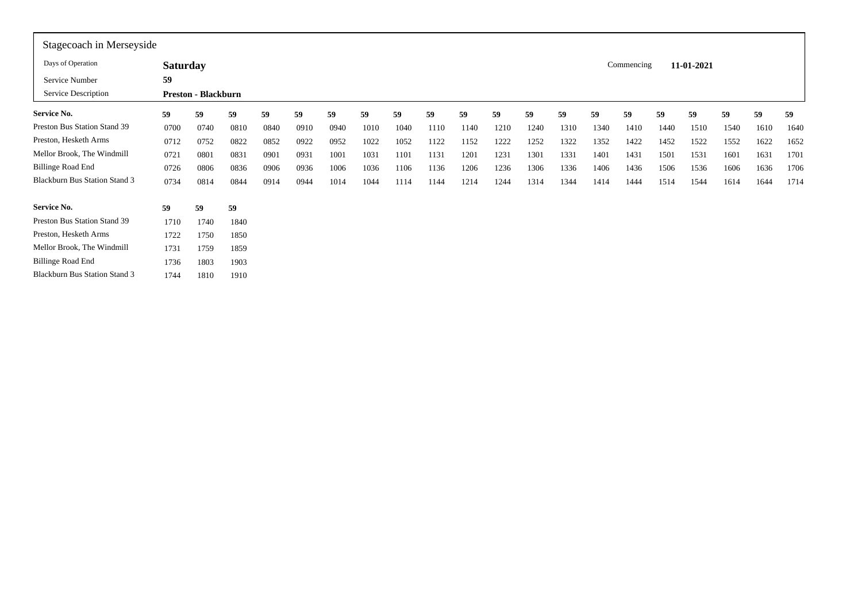| Stagecoach in Merseyside             |                 |                            |      |      |      |      |      |      |      |      |      |      |      |      |            |      |            |      |      |      |
|--------------------------------------|-----------------|----------------------------|------|------|------|------|------|------|------|------|------|------|------|------|------------|------|------------|------|------|------|
| Days of Operation                    | <b>Saturday</b> |                            |      |      |      |      |      |      |      |      |      |      |      |      | Commencing |      | 11-01-2021 |      |      |      |
| Service Number                       | 59              |                            |      |      |      |      |      |      |      |      |      |      |      |      |            |      |            |      |      |      |
| Service Description                  |                 | <b>Preston - Blackburn</b> |      |      |      |      |      |      |      |      |      |      |      |      |            |      |            |      |      |      |
| <b>Service No.</b>                   | 59              | 59                         | 59   | 59   | 59   | 59   | 59   | 59   | 59   | 59   | 59   | 59   | 59   | 59   | 59         | 59   | 59         | 59   | 59   | 59   |
| Preston Bus Station Stand 39         | 0700            | 0740                       | 0810 | 0840 | 0910 | 0940 | 1010 | 1040 | 1110 | 1140 | 1210 | 1240 | 1310 | 1340 | 1410       | 1440 | 1510       | 1540 | 1610 | 1640 |
| Preston, Hesketh Arms                | 0712            | 0752                       | 0822 | 0852 | 0922 | 0952 | 1022 | 1052 | 1122 | 1152 | 1222 | 1252 | 1322 | 1352 | 1422       | 1452 | 1522       | 1552 | 1622 | 1652 |
| Mellor Brook, The Windmill           | 0721            | 0801                       | 0831 | 0901 | 0931 | 1001 | 1031 | 1101 | 1131 | 1201 | 1231 | 1301 | 1331 | 1401 | 1431       | 1501 | 1531       | 1601 | 1631 | 1701 |
| <b>Billinge Road End</b>             | 0726            | 0806                       | 0836 | 0906 | 0936 | 1006 | 1036 | 1106 | 1136 | 1206 | 1236 | 1306 | 1336 | 1406 | 1436       | 1506 | 1536       | 1606 | 1636 | 1706 |
| <b>Blackburn Bus Station Stand 3</b> | 0734            | 0814                       | 0844 | 0914 | 0944 | 1014 | 1044 | 1114 | 1144 | 1214 | 1244 | 1314 | 1344 | 1414 | 1444       | 1514 | 1544       | 1614 | 1644 | 1714 |
| <b>Service No.</b>                   | 59              | 59                         | 59   |      |      |      |      |      |      |      |      |      |      |      |            |      |            |      |      |      |
| Preston Bus Station Stand 39         | 1710            | 1740                       | 1840 |      |      |      |      |      |      |      |      |      |      |      |            |      |            |      |      |      |
| Preston, Hesketh Arms                | 1722            | 1750                       | 1850 |      |      |      |      |      |      |      |      |      |      |      |            |      |            |      |      |      |
| Mellor Brook, The Windmill           | 1731            | 1759                       | 1859 |      |      |      |      |      |      |      |      |      |      |      |            |      |            |      |      |      |
| <b>Billinge Road End</b>             | 1736            | 1803                       | 1903 |      |      |      |      |      |      |      |      |      |      |      |            |      |            |      |      |      |
| <b>Blackburn Bus Station Stand 3</b> | 1744            | 1810                       | 1910 |      |      |      |      |      |      |      |      |      |      |      |            |      |            |      |      |      |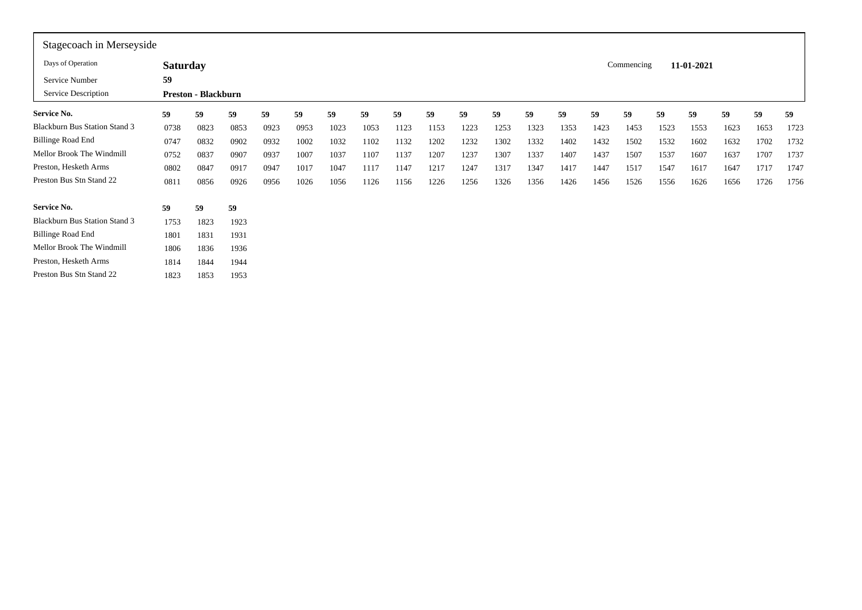| Stagecoach in Merseyside             |                 |                            |      |      |      |      |      |      |      |      |      |      |      |      |            |      |            |      |      |      |
|--------------------------------------|-----------------|----------------------------|------|------|------|------|------|------|------|------|------|------|------|------|------------|------|------------|------|------|------|
| Days of Operation                    | <b>Saturday</b> |                            |      |      |      |      |      |      |      |      |      |      |      |      | Commencing |      | 11-01-2021 |      |      |      |
| Service Number                       | 59              |                            |      |      |      |      |      |      |      |      |      |      |      |      |            |      |            |      |      |      |
| Service Description                  |                 | <b>Preston - Blackburn</b> |      |      |      |      |      |      |      |      |      |      |      |      |            |      |            |      |      |      |
| <b>Service No.</b>                   | 59              | 59                         | 59   | 59   | 59   | 59   | 59   | 59   | 59   | 59   | 59   | 59   | 59   | 59   | 59         | 59   | 59         | 59   | 59   | 59   |
| <b>Blackburn Bus Station Stand 3</b> | 0738            | 0823                       | 0853 | 0923 | 0953 | 1023 | 1053 | 1123 | 1153 | 1223 | 1253 | 1323 | 1353 | 1423 | 1453       | 1523 | 1553       | 1623 | 1653 | 1723 |
| <b>Billinge Road End</b>             | 0747            | 0832                       | 0902 | 0932 | 1002 | 1032 | 1102 | 1132 | 1202 | 1232 | 1302 | 1332 | 1402 | 1432 | 1502       | 1532 | 1602       | 1632 | 1702 | 1732 |
| Mellor Brook The Windmill            | 0752            | 0837                       | 0907 | 0937 | 1007 | 1037 | 1107 | 1137 | 1207 | 1237 | 1307 | 1337 | 1407 | 1437 | 1507       | 1537 | 1607       | 1637 | 1707 | 1737 |
| Preston, Hesketh Arms                | 0802            | 0847                       | 0917 | 0947 | 1017 | 1047 | 1117 | 1147 | 1217 | 1247 | 1317 | 1347 | 1417 | 1447 | 1517       | 1547 | 1617       | 1647 | 1717 | 1747 |
| Preston Bus Stn Stand 22             | 0811            | 0856                       | 0926 | 0956 | 1026 | 1056 | 1126 | 1156 | 1226 | 1256 | 1326 | 1356 | 1426 | 1456 | 1526       | 1556 | 1626       | 1656 | 1726 | 1756 |
| <b>Service No.</b>                   | 59              | 59                         | 59   |      |      |      |      |      |      |      |      |      |      |      |            |      |            |      |      |      |
| <b>Blackburn Bus Station Stand 3</b> | 1753            | 1823                       | 1923 |      |      |      |      |      |      |      |      |      |      |      |            |      |            |      |      |      |
| <b>Billinge Road End</b>             | 1801            | 1831                       | 1931 |      |      |      |      |      |      |      |      |      |      |      |            |      |            |      |      |      |
| Mellor Brook The Windmill            | 1806            | 1836                       | 1936 |      |      |      |      |      |      |      |      |      |      |      |            |      |            |      |      |      |
| Preston, Hesketh Arms                | 1814            | 1844                       | 1944 |      |      |      |      |      |      |      |      |      |      |      |            |      |            |      |      |      |
| Preston Bus Stn Stand 22             | 1823            | 1853                       | 1953 |      |      |      |      |      |      |      |      |      |      |      |            |      |            |      |      |      |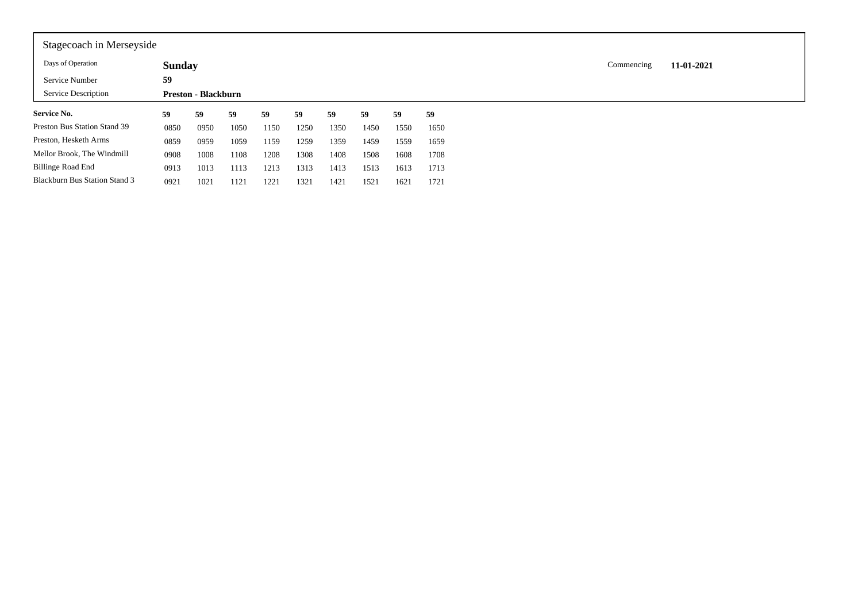| Stagecoach in Merseyside             |               |                            |      |      |      |      |      |      |      |  |            |            |
|--------------------------------------|---------------|----------------------------|------|------|------|------|------|------|------|--|------------|------------|
| Days of Operation                    | <b>Sunday</b> |                            |      |      |      |      |      |      |      |  | Commencing | 11-01-2021 |
| Service Number                       | 59            |                            |      |      |      |      |      |      |      |  |            |            |
| Service Description                  |               | <b>Preston - Blackburn</b> |      |      |      |      |      |      |      |  |            |            |
| <b>Service No.</b>                   | 59            | 59                         | 59   | 59   | 59   | 59   | 59   | 59   | 59   |  |            |            |
| Preston Bus Station Stand 39         | 0850          | 0950                       | 1050 | 1150 | 1250 | 1350 | 1450 | 1550 | 1650 |  |            |            |
| Preston, Hesketh Arms                | 0859          | 0959                       | 1059 | 1159 | 1259 | 1359 | 1459 | 1559 | 1659 |  |            |            |
| Mellor Brook, The Windmill           | 0908          | 1008                       | 1108 | 1208 | 1308 | 1408 | 1508 | 1608 | 1708 |  |            |            |
| Billinge Road End                    | 0913          | 1013                       | 1113 | 1213 | 1313 | 1413 | 1513 | 1613 | 1713 |  |            |            |
| <b>Blackburn Bus Station Stand 3</b> | 0921          | 1021                       | 1121 | 1221 | 1321 | 1421 | 1521 | 1621 | 1721 |  |            |            |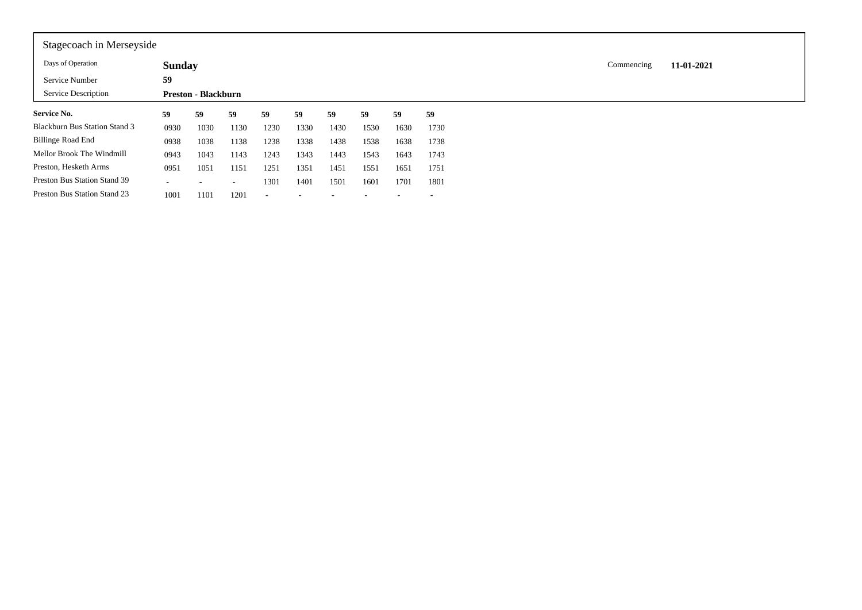| Stagecoach in Merseyside             |               |                            |                          |                          |      |      |      |      |                          |  |            |            |
|--------------------------------------|---------------|----------------------------|--------------------------|--------------------------|------|------|------|------|--------------------------|--|------------|------------|
| Days of Operation                    | <b>Sunday</b> |                            |                          |                          |      |      |      |      |                          |  | Commencing | 11-01-2021 |
| Service Number                       | 59            |                            |                          |                          |      |      |      |      |                          |  |            |            |
| Service Description                  |               | <b>Preston - Blackburn</b> |                          |                          |      |      |      |      |                          |  |            |            |
| <b>Service No.</b>                   | 59            | 59                         | 59                       | 59                       | 59   | 59   | 59   | 59   | 59                       |  |            |            |
| <b>Blackburn Bus Station Stand 3</b> | 0930          | 1030                       | 1130                     | 1230                     | 1330 | 1430 | 1530 | 1630 | 1730                     |  |            |            |
| Billinge Road End                    | 0938          | 1038                       | 1138                     | 1238                     | 1338 | 1438 | 1538 | 1638 | 1738                     |  |            |            |
| Mellor Brook The Windmill            | 0943          | 1043                       | 1143                     | 1243                     | 1343 | 1443 | 1543 | 1643 | 1743                     |  |            |            |
| Preston, Hesketh Arms                | 0951          | 1051                       | 1151                     | 1251                     | 1351 | 1451 | 1551 | 1651 | 1751                     |  |            |            |
| Preston Bus Station Stand 39         | ۰             | -                          | $\overline{\phantom{a}}$ | 1301                     | 1401 | 1501 | 1601 | 1701 | 1801                     |  |            |            |
| Preston Bus Station Stand 23         | 1001          | 1101                       | 1201                     | $\overline{\phantom{a}}$ |      |      |      |      | $\overline{\phantom{a}}$ |  |            |            |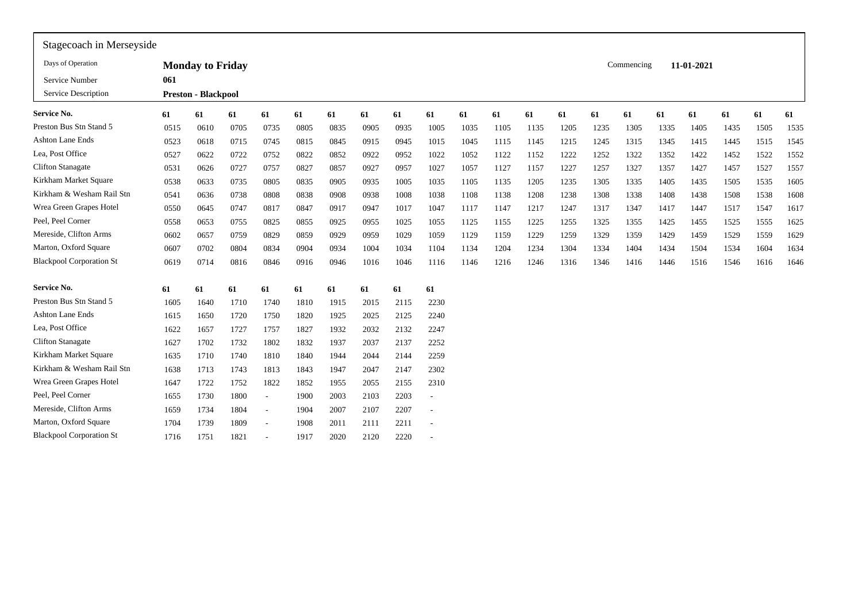| Stagecoach in Merseyside        |      |                            |      |        |      |      |      |      |      |      |      |      |      |      |            |      |            |      |      |      |
|---------------------------------|------|----------------------------|------|--------|------|------|------|------|------|------|------|------|------|------|------------|------|------------|------|------|------|
| Days of Operation               |      | <b>Monday to Friday</b>    |      |        |      |      |      |      |      |      |      |      |      |      | Commencing |      | 11-01-2021 |      |      |      |
| Service Number                  | 061  |                            |      |        |      |      |      |      |      |      |      |      |      |      |            |      |            |      |      |      |
| Service Description             |      | <b>Preston - Blackpool</b> |      |        |      |      |      |      |      |      |      |      |      |      |            |      |            |      |      |      |
| <b>Service No.</b>              | 61   | 61                         | 61   | 61     | 61   | 61   | 61   | 61   | 61   | 61   | 61   | 61   | 61   | 61   | 61         | 61   | 61         | 61   | 61   | 61   |
| Preston Bus Stn Stand 5         | 0515 | 0610                       | 0705 | 0735   | 0805 | 0835 | 0905 | 0935 | 1005 | 1035 | 1105 | 1135 | 1205 | 1235 | 1305       | 1335 | 1405       | 1435 | 1505 | 1535 |
| <b>Ashton Lane Ends</b>         | 0523 | 0618                       | 0715 | 0745   | 0815 | 0845 | 0915 | 0945 | 1015 | 1045 | 1115 | 1145 | 1215 | 1245 | 1315       | 1345 | 1415       | 1445 | 1515 | 1545 |
| Lea, Post Office                | 0527 | 0622                       | 0722 | 0752   | 0822 | 0852 | 0922 | 0952 | 1022 | 1052 | 1122 | 1152 | 1222 | 1252 | 1322       | 1352 | 1422       | 1452 | 1522 | 1552 |
| <b>Clifton Stanagate</b>        | 0531 | 0626                       | 0727 | 0757   | 0827 | 0857 | 0927 | 0957 | 1027 | 1057 | 1127 | 1157 | 1227 | 1257 | 1327       | 1357 | 1427       | 1457 | 1527 | 1557 |
| Kirkham Market Square           | 0538 | 0633                       | 0735 | 0805   | 0835 | 0905 | 0935 | 1005 | 1035 | 1105 | 1135 | 1205 | 1235 | 1305 | 1335       | 1405 | 1435       | 1505 | 1535 | 1605 |
| Kirkham & Wesham Rail Stn       | 0541 | 0636                       | 0738 | 0808   | 0838 | 0908 | 0938 | 1008 | 1038 | 1108 | 1138 | 1208 | 1238 | 1308 | 1338       | 1408 | 1438       | 1508 | 1538 | 1608 |
| Wrea Green Grapes Hotel         | 0550 | 0645                       | 0747 | 0817   | 0847 | 0917 | 0947 | 1017 | 1047 | 1117 | 1147 | 1217 | 1247 | 1317 | 1347       | 1417 | 1447       | 1517 | 1547 | 1617 |
| Peel, Peel Corner               | 0558 | 0653                       | 0755 | 0825   | 0855 | 0925 | 0955 | 1025 | 1055 | 1125 | 1155 | 1225 | 1255 | 1325 | 1355       | 1425 | 1455       | 1525 | 1555 | 1625 |
| Mereside, Clifton Arms          | 0602 | 0657                       | 0759 | 0829   | 0859 | 0929 | 0959 | 1029 | 1059 | 1129 | 1159 | 1229 | 1259 | 1329 | 1359       | 1429 | 1459       | 1529 | 1559 | 1629 |
| Marton, Oxford Square           | 0607 | 0702                       | 0804 | 0834   | 0904 | 0934 | 1004 | 1034 | 1104 | 1134 | 1204 | 1234 | 1304 | 1334 | 1404       | 1434 | 1504       | 1534 | 1604 | 1634 |
| <b>Blackpool Corporation St</b> | 0619 | 0714                       | 0816 | 0846   | 0916 | 0946 | 1016 | 1046 | 1116 | 1146 | 1216 | 1246 | 1316 | 1346 | 1416       | 1446 | 1516       | 1546 | 1616 | 1646 |
| <b>Service No.</b>              | 61   | 61                         | 61   | 61     | 61   | 61   | 61   | 61   | 61   |      |      |      |      |      |            |      |            |      |      |      |
| Preston Bus Stn Stand 5         | 1605 | 1640                       | 1710 | 1740   | 1810 | 1915 | 2015 | 2115 | 2230 |      |      |      |      |      |            |      |            |      |      |      |
| <b>Ashton Lane Ends</b>         | 1615 | 1650                       | 1720 | 1750   | 1820 | 1925 | 2025 | 2125 | 2240 |      |      |      |      |      |            |      |            |      |      |      |
| Lea, Post Office                | 1622 | 1657                       | 1727 | 1757   | 1827 | 1932 | 2032 | 2132 | 2247 |      |      |      |      |      |            |      |            |      |      |      |
| <b>Clifton Stanagate</b>        | 1627 | 1702                       | 1732 | 1802   | 1832 | 1937 | 2037 | 2137 | 2252 |      |      |      |      |      |            |      |            |      |      |      |
| Kirkham Market Square           | 1635 | 1710                       | 1740 | 1810   | 1840 | 1944 | 2044 | 2144 | 2259 |      |      |      |      |      |            |      |            |      |      |      |
| Kirkham & Wesham Rail Stn       | 1638 | 1713                       | 1743 | 1813   | 1843 | 1947 | 2047 | 2147 | 2302 |      |      |      |      |      |            |      |            |      |      |      |
| Wrea Green Grapes Hotel         | 1647 | 1722                       | 1752 | 1822   | 1852 | 1955 | 2055 | 2155 | 2310 |      |      |      |      |      |            |      |            |      |      |      |
| Peel, Peel Corner               | 1655 | 1730                       | 1800 | $\sim$ | 1900 | 2003 | 2103 | 2203 | ٠    |      |      |      |      |      |            |      |            |      |      |      |
| Mereside, Clifton Arms          | 1659 | 1734                       | 1804 | $\sim$ | 1904 | 2007 | 2107 | 2207 |      |      |      |      |      |      |            |      |            |      |      |      |
| Marton, Oxford Square           | 1704 | 1739                       | 1809 | $\sim$ | 1908 | 2011 | 2111 | 2211 |      |      |      |      |      |      |            |      |            |      |      |      |
| <b>Blackpool Corporation St</b> | 1716 | 1751                       | 1821 |        | 1917 | 2020 | 2120 | 2220 |      |      |      |      |      |      |            |      |            |      |      |      |
|                                 |      |                            |      |        |      |      |      |      |      |      |      |      |      |      |            |      |            |      |      |      |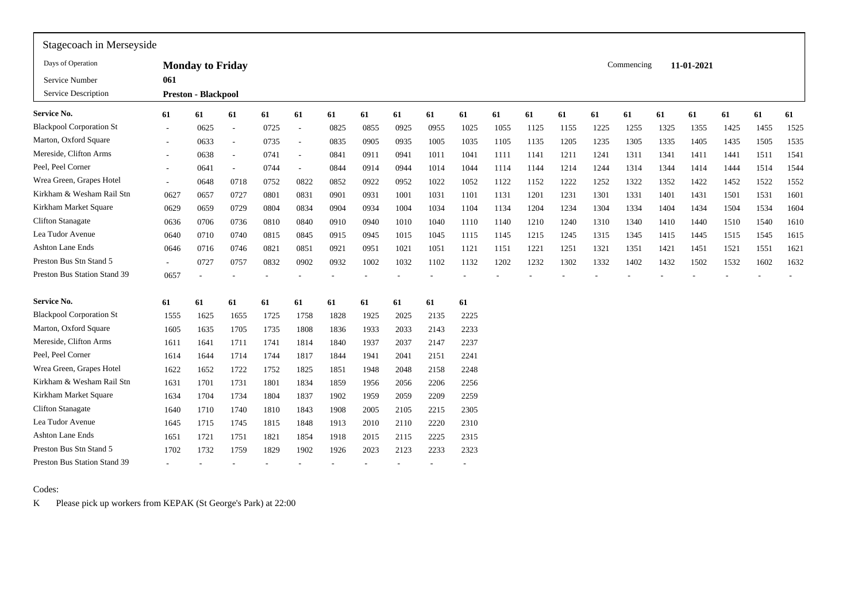| Stagecoach in Merseyside        |        |                            |                          |      |                          |      |      |      |      |      |      |      |      |      |            |      |            |      |      |      |
|---------------------------------|--------|----------------------------|--------------------------|------|--------------------------|------|------|------|------|------|------|------|------|------|------------|------|------------|------|------|------|
| Days of Operation               |        | <b>Monday to Friday</b>    |                          |      |                          |      |      |      |      |      |      |      |      |      | Commencing |      | 11-01-2021 |      |      |      |
| Service Number                  | 061    |                            |                          |      |                          |      |      |      |      |      |      |      |      |      |            |      |            |      |      |      |
| Service Description             |        | <b>Preston - Blackpool</b> |                          |      |                          |      |      |      |      |      |      |      |      |      |            |      |            |      |      |      |
| Service No.                     | 61     | 61                         | 61                       | 61   | 61                       | 61   | 61   | 61   | 61   | 61   | 61   | 61   | 61   | 61   | 61         | 61   | 61         | 61   | 61   | 61   |
| <b>Blackpool Corporation St</b> |        | 0625                       | $\overline{\phantom{a}}$ | 0725 | $\sim$                   | 0825 | 0855 | 0925 | 0955 | 1025 | 1055 | 1125 | 1155 | 1225 | 1255       | 1325 | 1355       | 1425 | 1455 | 1525 |
| Marton, Oxford Square           |        | 0633                       | $\overline{\phantom{a}}$ | 0735 | $\overline{\phantom{a}}$ | 0835 | 0905 | 0935 | 1005 | 1035 | 1105 | 1135 | 1205 | 1235 | 1305       | 1335 | 1405       | 1435 | 1505 | 1535 |
| Mereside, Clifton Arms          |        | 0638                       | $\overline{\phantom{a}}$ | 0741 | $\overline{\phantom{a}}$ | 0841 | 0911 | 0941 | 1011 | 1041 | 1111 | 1141 | 1211 | 1241 | 1311       | 1341 | 1411       | 1441 | 1511 | 1541 |
| Peel, Peel Corner               |        | 0641                       | $\overline{\phantom{a}}$ | 0744 | $\sim$                   | 0844 | 0914 | 0944 | 1014 | 1044 | 1114 | 1144 | 1214 | 1244 | 1314       | 1344 | 1414       | 1444 | 1514 | 1544 |
| Wrea Green, Grapes Hotel        | $\sim$ | 0648                       | 0718                     | 0752 | 0822                     | 0852 | 0922 | 0952 | 1022 | 1052 | 1122 | 1152 | 1222 | 1252 | 1322       | 1352 | 1422       | 1452 | 1522 | 1552 |
| Kirkham & Wesham Rail Stn       | 0627   | 0657                       | 0727                     | 0801 | 0831                     | 0901 | 0931 | 1001 | 1031 | 1101 | 1131 | 1201 | 1231 | 1301 | 1331       | 1401 | 1431       | 1501 | 1531 | 1601 |
| Kirkham Market Square           | 0629   | 0659                       | 0729                     | 0804 | 0834                     | 0904 | 0934 | 1004 | 1034 | 1104 | 1134 | 1204 | 1234 | 1304 | 1334       | 1404 | 1434       | 1504 | 1534 | 1604 |
| <b>Clifton Stanagate</b>        | 0636   | 0706                       | 0736                     | 0810 | 0840                     | 0910 | 0940 | 1010 | 1040 | 1110 | 1140 | 1210 | 1240 | 1310 | 1340       | 1410 | 1440       | 1510 | 1540 | 1610 |
| Lea Tudor Avenue                | 0640   | 0710                       | 0740                     | 0815 | 0845                     | 0915 | 0945 | 1015 | 1045 | 1115 | 1145 | 1215 | 1245 | 1315 | 1345       | 1415 | 1445       | 1515 | 1545 | 1615 |
| Ashton Lane Ends                | 0646   | 0716                       | 0746                     | 0821 | 0851                     | 0921 | 0951 | 1021 | 1051 | 1121 | 1151 | 1221 | 1251 | 1321 | 1351       | 1421 | 1451       | 1521 | 1551 | 1621 |
| Preston Bus Stn Stand 5         |        | 0727                       | 0757                     | 0832 | 0902                     | 0932 | 1002 | 1032 | 1102 | 1132 | 1202 | 1232 | 1302 | 1332 | 1402       | 1432 | 1502       | 1532 | 1602 | 1632 |
| Preston Bus Station Stand 39    | 0657   |                            |                          |      |                          |      |      |      |      |      |      |      |      |      |            |      |            |      |      |      |
| Service No.                     | 61     | 61                         | 61                       | 61   | 61                       | 61   | 61   | 61   | 61   | 61   |      |      |      |      |            |      |            |      |      |      |
| <b>Blackpool Corporation St</b> | 1555   | 1625                       | 1655                     | 1725 | 1758                     | 1828 | 1925 | 2025 | 2135 | 2225 |      |      |      |      |            |      |            |      |      |      |
| Marton, Oxford Square           | 1605   | 1635                       | 1705                     | 1735 | 1808                     | 1836 | 1933 | 2033 | 2143 | 2233 |      |      |      |      |            |      |            |      |      |      |
| Mereside, Clifton Arms          | 1611   | 1641                       | 1711                     | 1741 | 1814                     | 1840 | 1937 | 2037 | 2147 | 2237 |      |      |      |      |            |      |            |      |      |      |
| Peel, Peel Corner               | 1614   | 1644                       | 1714                     | 1744 | 1817                     | 1844 | 1941 | 2041 | 2151 | 2241 |      |      |      |      |            |      |            |      |      |      |
| Wrea Green, Grapes Hotel        | 1622   | 1652                       | 1722                     | 1752 | 1825                     | 1851 | 1948 | 2048 | 2158 | 2248 |      |      |      |      |            |      |            |      |      |      |
| Kirkham & Wesham Rail Stn       | 1631   | 1701                       | 1731                     | 1801 | 1834                     | 1859 | 1956 | 2056 | 2206 | 2256 |      |      |      |      |            |      |            |      |      |      |
| Kirkham Market Square           | 1634   | 1704                       | 1734                     | 1804 | 1837                     | 1902 | 1959 | 2059 | 2209 | 2259 |      |      |      |      |            |      |            |      |      |      |
| <b>Clifton Stanagate</b>        | 1640   | 1710                       | 1740                     | 1810 | 1843                     | 1908 | 2005 | 2105 | 2215 | 2305 |      |      |      |      |            |      |            |      |      |      |
| Lea Tudor Avenue                | 1645   | 1715                       | 1745                     | 1815 | 1848                     | 1913 | 2010 | 2110 | 2220 | 2310 |      |      |      |      |            |      |            |      |      |      |
| Ashton Lane Ends                | 1651   | 1721                       | 1751                     | 1821 | 1854                     | 1918 | 2015 | 2115 | 2225 | 2315 |      |      |      |      |            |      |            |      |      |      |
| Preston Bus Stn Stand 5         | 1702   | 1732                       | 1759                     | 1829 | 1902                     | 1926 | 2023 | 2123 | 2233 | 2323 |      |      |      |      |            |      |            |      |      |      |
| Preston Bus Station Stand 39    |        |                            |                          |      |                          |      |      |      |      |      |      |      |      |      |            |      |            |      |      |      |

Codes:

K Please pick up workers from KEPAK (St George's Park) at 22:00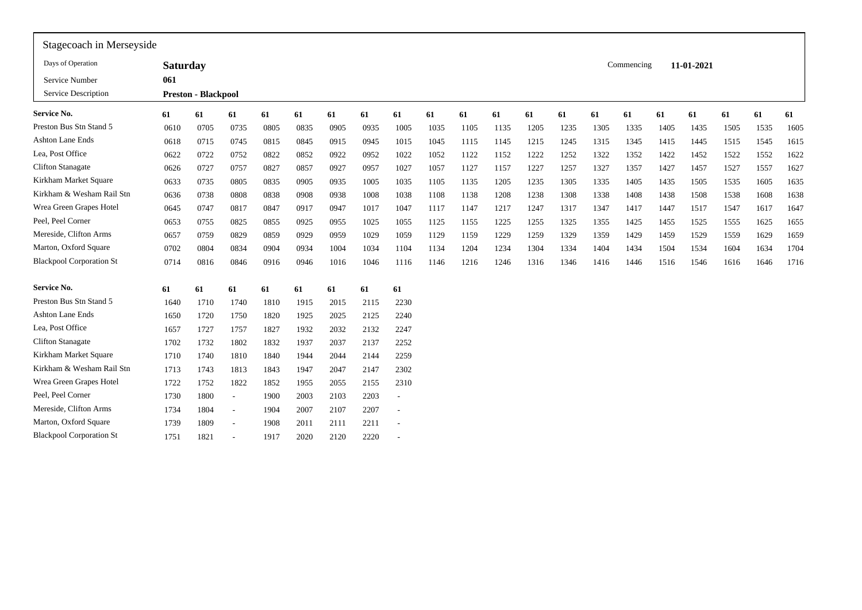| Stagecoach in Merseyside        |                 |                            |                          |      |      |      |      |                          |      |      |      |      |      |      |            |      |            |      |      |      |
|---------------------------------|-----------------|----------------------------|--------------------------|------|------|------|------|--------------------------|------|------|------|------|------|------|------------|------|------------|------|------|------|
| Days of Operation               | <b>Saturday</b> |                            |                          |      |      |      |      |                          |      |      |      |      |      |      | Commencing |      | 11-01-2021 |      |      |      |
| Service Number                  | 061             |                            |                          |      |      |      |      |                          |      |      |      |      |      |      |            |      |            |      |      |      |
| Service Description             |                 | <b>Preston - Blackpool</b> |                          |      |      |      |      |                          |      |      |      |      |      |      |            |      |            |      |      |      |
| <b>Service No.</b>              | 61              | 61                         | 61                       | 61   | 61   | 61   | 61   | 61                       | 61   | 61   | 61   | 61   | 61   | 61   | 61         | 61   | 61         | 61   | 61   | 61   |
| Preston Bus Stn Stand 5         | 0610            | 0705                       | 0735                     | 0805 | 0835 | 0905 | 0935 | 1005                     | 1035 | 1105 | 1135 | 1205 | 1235 | 1305 | 1335       | 1405 | 1435       | 1505 | 1535 | 1605 |
| <b>Ashton Lane Ends</b>         | 0618            | 0715                       | 0745                     | 0815 | 0845 | 0915 | 0945 | 1015                     | 1045 | 1115 | 1145 | 1215 | 1245 | 1315 | 1345       | 1415 | 1445       | 1515 | 1545 | 1615 |
| Lea, Post Office                | 0622            | 0722                       | 0752                     | 0822 | 0852 | 0922 | 0952 | 1022                     | 1052 | 1122 | 1152 | 1222 | 1252 | 1322 | 1352       | 1422 | 1452       | 1522 | 1552 | 1622 |
| <b>Clifton Stanagate</b>        | 0626            | 0727                       | 0757                     | 0827 | 0857 | 0927 | 0957 | 1027                     | 1057 | 1127 | 1157 | 1227 | 1257 | 1327 | 1357       | 1427 | 1457       | 1527 | 1557 | 1627 |
| Kirkham Market Square           | 0633            | 0735                       | 0805                     | 0835 | 0905 | 0935 | 1005 | 1035                     | 1105 | 1135 | 1205 | 1235 | 1305 | 1335 | 1405       | 1435 | 1505       | 1535 | 1605 | 1635 |
| Kirkham & Wesham Rail Stn       | 0636            | 0738                       | 0808                     | 0838 | 0908 | 0938 | 1008 | 1038                     | 1108 | 1138 | 1208 | 1238 | 1308 | 1338 | 1408       | 1438 | 1508       | 1538 | 1608 | 1638 |
| Wrea Green Grapes Hotel         | 0645            | 0747                       | 0817                     | 0847 | 0917 | 0947 | 1017 | 1047                     | 1117 | 1147 | 1217 | 1247 | 1317 | 1347 | 1417       | 1447 | 1517       | 1547 | 1617 | 1647 |
| Peel, Peel Corner               | 0653            | 0755                       | 0825                     | 0855 | 0925 | 0955 | 1025 | 1055                     | 1125 | 1155 | 1225 | 1255 | 1325 | 1355 | 1425       | 1455 | 1525       | 1555 | 1625 | 1655 |
| Mereside, Clifton Arms          | 0657            | 0759                       | 0829                     | 0859 | 0929 | 0959 | 1029 | 1059                     | 1129 | 1159 | 1229 | 1259 | 1329 | 1359 | 1429       | 1459 | 1529       | 1559 | 1629 | 1659 |
| Marton, Oxford Square           | 0702            | 0804                       | 0834                     | 0904 | 0934 | 1004 | 1034 | 1104                     | 1134 | 1204 | 1234 | 1304 | 1334 | 1404 | 1434       | 1504 | 1534       | 1604 | 1634 | 1704 |
| <b>Blackpool Corporation St</b> | 0714            | 0816                       | 0846                     | 0916 | 0946 | 1016 | 1046 | 1116                     | 1146 | 1216 | 1246 | 1316 | 1346 | 1416 | 1446       | 1516 | 1546       | 1616 | 1646 | 1716 |
| <b>Service No.</b>              | 61              | 61                         | 61                       | 61   | 61   | 61   | 61   | 61                       |      |      |      |      |      |      |            |      |            |      |      |      |
| Preston Bus Stn Stand 5         | 1640            | 1710                       | 1740                     | 1810 | 1915 | 2015 | 2115 | 2230                     |      |      |      |      |      |      |            |      |            |      |      |      |
| <b>Ashton Lane Ends</b>         | 1650            | 1720                       | 1750                     | 1820 | 1925 | 2025 | 2125 | 2240                     |      |      |      |      |      |      |            |      |            |      |      |      |
| Lea, Post Office                | 1657            | 1727                       | 1757                     | 1827 | 1932 | 2032 | 2132 | 2247                     |      |      |      |      |      |      |            |      |            |      |      |      |
| <b>Clifton Stanagate</b>        | 1702            | 1732                       | 1802                     | 1832 | 1937 | 2037 | 2137 | 2252                     |      |      |      |      |      |      |            |      |            |      |      |      |
| Kirkham Market Square           | 1710            | 1740                       | 1810                     | 1840 | 1944 | 2044 | 2144 | 2259                     |      |      |      |      |      |      |            |      |            |      |      |      |
| Kirkham & Wesham Rail Stn       | 1713            | 1743                       | 1813                     | 1843 | 1947 | 2047 | 2147 | 2302                     |      |      |      |      |      |      |            |      |            |      |      |      |
| Wrea Green Grapes Hotel         | 1722            | 1752                       | 1822                     | 1852 | 1955 | 2055 | 2155 | 2310                     |      |      |      |      |      |      |            |      |            |      |      |      |
| Peel, Peel Corner               | 1730            | 1800                       | $\sim$                   | 1900 | 2003 | 2103 | 2203 | $\overline{\phantom{a}}$ |      |      |      |      |      |      |            |      |            |      |      |      |
| Mereside, Clifton Arms          | 1734            | 1804                       | $\sim$                   | 1904 | 2007 | 2107 | 2207 | $\overline{\phantom{a}}$ |      |      |      |      |      |      |            |      |            |      |      |      |
| Marton, Oxford Square           | 1739            | 1809                       | $\overline{\phantom{a}}$ | 1908 | 2011 | 2111 | 2211 |                          |      |      |      |      |      |      |            |      |            |      |      |      |
| <b>Blackpool Corporation St</b> | 1751            | 1821                       | $\overline{\phantom{a}}$ | 1917 | 2020 | 2120 | 2220 |                          |      |      |      |      |      |      |            |      |            |      |      |      |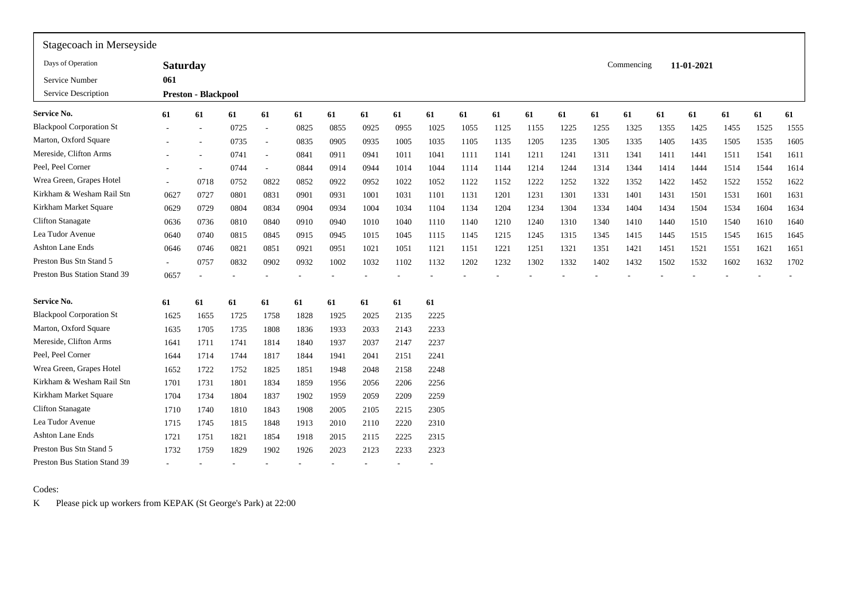| Stagecoach in Merseyside        |                 |                            |      |        |      |      |      |      |      |      |      |      |      |      |            |      |            |      |      |      |
|---------------------------------|-----------------|----------------------------|------|--------|------|------|------|------|------|------|------|------|------|------|------------|------|------------|------|------|------|
| Days of Operation               | <b>Saturday</b> |                            |      |        |      |      |      |      |      |      |      |      |      |      | Commencing |      | 11-01-2021 |      |      |      |
| Service Number                  | 061             |                            |      |        |      |      |      |      |      |      |      |      |      |      |            |      |            |      |      |      |
| Service Description             |                 | <b>Preston - Blackpool</b> |      |        |      |      |      |      |      |      |      |      |      |      |            |      |            |      |      |      |
| <b>Service No.</b>              | 61              | 61                         | 61   | 61     | 61   | 61   | 61   | 61   | 61   | 61   | 61   | 61   | 61   | 61   | 61         | 61   | 61         | 61   | 61   | 61   |
| <b>Blackpool Corporation St</b> |                 | $\overline{\phantom{a}}$   | 0725 | $\sim$ | 0825 | 0855 | 0925 | 0955 | 1025 | 1055 | 1125 | 1155 | 1225 | 1255 | 1325       | 1355 | 1425       | 1455 | 1525 | 1555 |
| Marton, Oxford Square           |                 |                            | 0735 | $\sim$ | 0835 | 0905 | 0935 | 1005 | 1035 | 1105 | 1135 | 1205 | 1235 | 1305 | 1335       | 1405 | 1435       | 1505 | 1535 | 1605 |
| Mereside, Clifton Arms          |                 | $\overline{\phantom{a}}$   | 0741 | $\sim$ | 0841 | 0911 | 0941 | 1011 | 1041 | 1111 | 1141 | 1211 | 1241 | 1311 | 1341       | 1411 | 1441       | 1511 | 1541 | 1611 |
| Peel, Peel Corner               |                 | $\overline{\phantom{a}}$   | 0744 | $\sim$ | 0844 | 0914 | 0944 | 1014 | 1044 | 1114 | 1144 | 1214 | 1244 | 1314 | 1344       | 1414 | 1444       | 1514 | 1544 | 1614 |
| Wrea Green, Grapes Hotel        |                 | 0718                       | 0752 | 0822   | 0852 | 0922 | 0952 | 1022 | 1052 | 1122 | 1152 | 1222 | 1252 | 1322 | 1352       | 1422 | 1452       | 1522 | 1552 | 1622 |
| Kirkham & Wesham Rail Stn       | 0627            | 0727                       | 0801 | 0831   | 0901 | 0931 | 1001 | 1031 | 1101 | 1131 | 1201 | 1231 | 1301 | 1331 | 1401       | 1431 | 1501       | 1531 | 1601 | 1631 |
| Kirkham Market Square           | 0629            | 0729                       | 0804 | 0834   | 0904 | 0934 | 1004 | 1034 | 1104 | 1134 | 1204 | 1234 | 1304 | 1334 | 1404       | 1434 | 1504       | 1534 | 1604 | 1634 |
| <b>Clifton Stanagate</b>        | 0636            | 0736                       | 0810 | 0840   | 0910 | 0940 | 1010 | 1040 | 1110 | 1140 | 1210 | 1240 | 1310 | 1340 | 1410       | 1440 | 1510       | 1540 | 1610 | 1640 |
| Lea Tudor Avenue                | 0640            | 0740                       | 0815 | 0845   | 0915 | 0945 | 1015 | 1045 | 1115 | 1145 | 1215 | 1245 | 1315 | 1345 | 1415       | 1445 | 1515       | 1545 | 1615 | 1645 |
| Ashton Lane Ends                | 0646            | 0746                       | 0821 | 0851   | 0921 | 0951 | 1021 | 1051 | 1121 | 1151 | 1221 | 1251 | 1321 | 1351 | 1421       | 1451 | 1521       | 1551 | 1621 | 1651 |
| Preston Bus Stn Stand 5         | $\sim$          | 0757                       | 0832 | 0902   | 0932 | 1002 | 1032 | 1102 | 1132 | 1202 | 1232 | 1302 | 1332 | 1402 | 1432       | 1502 | 1532       | 1602 | 1632 | 1702 |
| Preston Bus Station Stand 39    | 0657            |                            |      |        |      |      |      |      |      |      |      |      |      |      |            |      |            |      |      |      |
| <b>Service No.</b>              | 61              | 61                         | 61   | 61     | 61   | 61   | 61   | 61   | 61   |      |      |      |      |      |            |      |            |      |      |      |
| <b>Blackpool Corporation St</b> | 1625            | 1655                       | 1725 | 1758   | 1828 | 1925 | 2025 | 2135 | 2225 |      |      |      |      |      |            |      |            |      |      |      |
| Marton, Oxford Square           | 1635            | 1705                       | 1735 | 1808   | 1836 | 1933 | 2033 | 2143 | 2233 |      |      |      |      |      |            |      |            |      |      |      |
| Mereside, Clifton Arms          | 1641            | 1711                       | 1741 | 1814   | 1840 | 1937 | 2037 | 2147 | 2237 |      |      |      |      |      |            |      |            |      |      |      |
| Peel, Peel Corner               | 1644            | 1714                       | 1744 | 1817   | 1844 | 1941 | 2041 | 2151 | 2241 |      |      |      |      |      |            |      |            |      |      |      |
| Wrea Green, Grapes Hotel        | 1652            | 1722                       | 1752 | 1825   | 1851 | 1948 | 2048 | 2158 | 2248 |      |      |      |      |      |            |      |            |      |      |      |
| Kirkham & Wesham Rail Stn       | 1701            | 1731                       | 1801 | 1834   | 1859 | 1956 | 2056 | 2206 | 2256 |      |      |      |      |      |            |      |            |      |      |      |
| Kirkham Market Square           | 1704            | 1734                       | 1804 | 1837   | 1902 | 1959 | 2059 | 2209 | 2259 |      |      |      |      |      |            |      |            |      |      |      |
| <b>Clifton Stanagate</b>        | 1710            | 1740                       | 1810 | 1843   | 1908 | 2005 | 2105 | 2215 | 2305 |      |      |      |      |      |            |      |            |      |      |      |
| Lea Tudor Avenue                | 1715            | 1745                       | 1815 | 1848   | 1913 | 2010 | 2110 | 2220 | 2310 |      |      |      |      |      |            |      |            |      |      |      |
| Ashton Lane Ends                | 1721            | 1751                       | 1821 | 1854   | 1918 | 2015 | 2115 | 2225 | 2315 |      |      |      |      |      |            |      |            |      |      |      |
| Preston Bus Stn Stand 5         | 1732            | 1759                       | 1829 | 1902   | 1926 | 2023 | 2123 | 2233 | 2323 |      |      |      |      |      |            |      |            |      |      |      |
| Preston Bus Station Stand 39    |                 |                            |      |        |      |      |      |      |      |      |      |      |      |      |            |      |            |      |      |      |

## Codes:

K Please pick up workers from KEPAK (St George's Park) at 22:00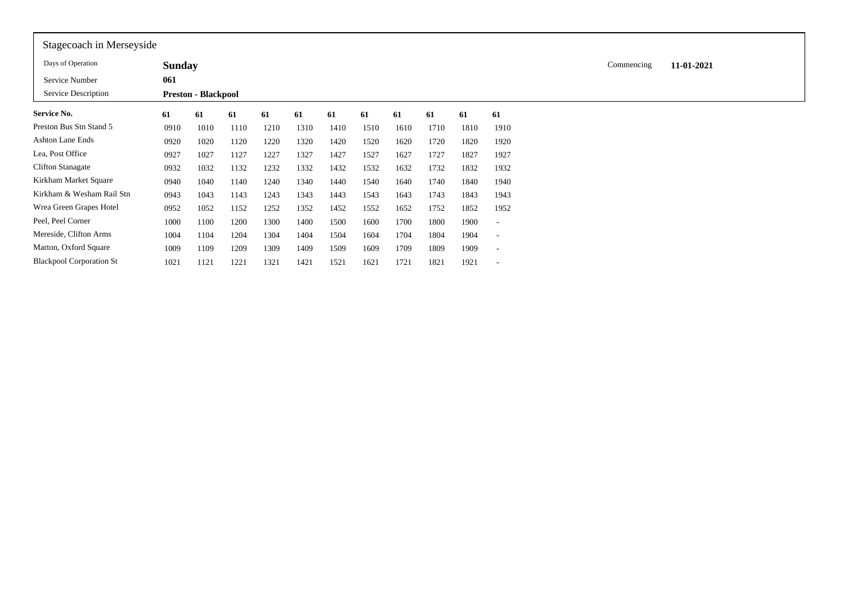| Stagecoach in Merseyside        |               |                            |      |      |      |      |      |      |      |      |                          |            |            |
|---------------------------------|---------------|----------------------------|------|------|------|------|------|------|------|------|--------------------------|------------|------------|
| Days of Operation               | <b>Sunday</b> |                            |      |      |      |      |      |      |      |      |                          | Commencing | 11-01-2021 |
| Service Number                  | 061           |                            |      |      |      |      |      |      |      |      |                          |            |            |
| Service Description             |               | <b>Preston - Blackpool</b> |      |      |      |      |      |      |      |      |                          |            |            |
| <b>Service No.</b>              | 61            | 61                         | 61   | 61   | 61   | 61   | 61   | 61   | 61   | 61   | 61                       |            |            |
| Preston Bus Stn Stand 5         | 0910          | 1010                       | 1110 | 1210 | 1310 | 1410 | 1510 | 1610 | 1710 | 1810 | 1910                     |            |            |
| Ashton Lane Ends                | 0920          | 1020                       | 1120 | 1220 | 1320 | 1420 | 1520 | 1620 | 1720 | 1820 | 1920                     |            |            |
| Lea, Post Office                | 0927          | 1027                       | 1127 | 1227 | 1327 | 1427 | 1527 | 1627 | 1727 | 1827 | 1927                     |            |            |
| <b>Clifton Stanagate</b>        | 0932          | 1032                       | 1132 | 1232 | 1332 | 1432 | 1532 | 1632 | 1732 | 1832 | 1932                     |            |            |
| Kirkham Market Square           | 0940          | 1040                       | 1140 | 1240 | 1340 | 1440 | 1540 | 1640 | 1740 | 1840 | 1940                     |            |            |
| Kirkham & Wesham Rail Stn       | 0943          | 1043                       | 1143 | 1243 | 1343 | 1443 | 1543 | 1643 | 1743 | 1843 | 1943                     |            |            |
| Wrea Green Grapes Hotel         | 0952          | 1052                       | 1152 | 1252 | 1352 | 1452 | 1552 | 1652 | 1752 | 1852 | 1952                     |            |            |
| Peel, Peel Corner               | 1000          | 1100                       | 1200 | 1300 | 1400 | 1500 | 1600 | 1700 | 1800 | 1900 | $\overline{\phantom{a}}$ |            |            |
| Mereside, Clifton Arms          | 1004          | 1104                       | 1204 | 1304 | 1404 | 1504 | 1604 | 1704 | 1804 | 1904 | $\overline{\phantom{a}}$ |            |            |
| Marton, Oxford Square           | 1009          | 1109                       | 1209 | 1309 | 1409 | 1509 | 1609 | 1709 | 1809 | 1909 | $\overline{\phantom{a}}$ |            |            |
| <b>Blackpool Corporation St</b> | 1021          | 1121                       | 1221 | 1321 | 1421 | 1521 | 1621 | 1721 | 1821 | 1921 |                          |            |            |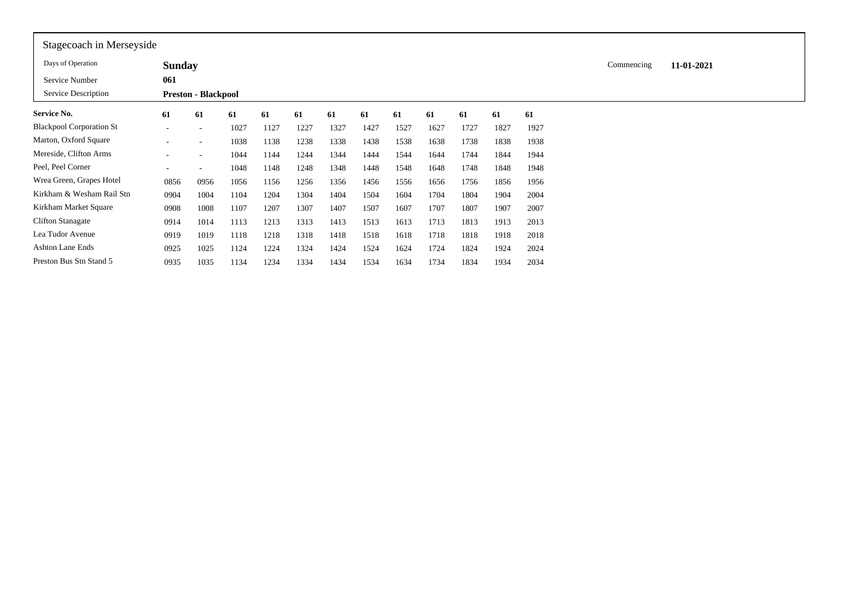| Stagecoach in Merseyside        |               |                            |      |      |      |      |      |      |      |      |      |      |            |            |  |
|---------------------------------|---------------|----------------------------|------|------|------|------|------|------|------|------|------|------|------------|------------|--|
| Days of Operation               | <b>Sunday</b> |                            |      |      |      |      |      |      |      |      |      |      | Commencing | 11-01-2021 |  |
| Service Number                  | 061           |                            |      |      |      |      |      |      |      |      |      |      |            |            |  |
| Service Description             |               | <b>Preston - Blackpool</b> |      |      |      |      |      |      |      |      |      |      |            |            |  |
| <b>Service No.</b>              | 61            | 61                         | 61   | 61   | 61   | 61   | 61   | 61   | 61   | 61   | 61   | 61   |            |            |  |
| <b>Blackpool Corporation St</b> |               | $\sim$                     | 1027 | 1127 | 1227 | 1327 | 1427 | 1527 | 1627 | 1727 | 1827 | 1927 |            |            |  |
| Marton, Oxford Square           |               | $\overline{\phantom{0}}$   | 1038 | 1138 | 1238 | 1338 | 1438 | 1538 | 1638 | 1738 | 1838 | 1938 |            |            |  |
| Mereside, Clifton Arms          |               | $\overline{\phantom{0}}$   | 1044 | 1144 | 1244 | 1344 | 1444 | 1544 | 1644 | 1744 | 1844 | 1944 |            |            |  |
| Peel, Peel Corner               |               |                            | 1048 | 1148 | 1248 | 1348 | 1448 | 1548 | 1648 | 1748 | 1848 | 1948 |            |            |  |
| Wrea Green, Grapes Hotel        | 0856          | 0956                       | 1056 | 1156 | 1256 | 1356 | 1456 | 1556 | 1656 | 1756 | 1856 | 1956 |            |            |  |
| Kirkham & Wesham Rail Stn       | 0904          | 1004                       | 1104 | 1204 | 1304 | 1404 | 1504 | 1604 | 1704 | 1804 | 1904 | 2004 |            |            |  |
| Kirkham Market Square           | 0908          | 1008                       | 1107 | 1207 | 1307 | 1407 | 1507 | 1607 | 1707 | 1807 | 1907 | 2007 |            |            |  |
| <b>Clifton Stanagate</b>        | 0914          | 1014                       | 1113 | 1213 | 1313 | 1413 | 1513 | 1613 | 1713 | 1813 | 1913 | 2013 |            |            |  |
| Lea Tudor Avenue                | 0919          | 1019                       | 1118 | 1218 | 1318 | 1418 | 1518 | 1618 | 1718 | 1818 | 1918 | 2018 |            |            |  |
| Ashton Lane Ends                | 0925          | 1025                       | 1124 | 1224 | 1324 | 1424 | 1524 | 1624 | 1724 | 1824 | 1924 | 2024 |            |            |  |
| Preston Bus Stn Stand 5         | 0935          | 1035                       | 1134 | 1234 | 1334 | 1434 | 1534 | 1634 | 1734 | 1834 | 1934 | 2034 |            |            |  |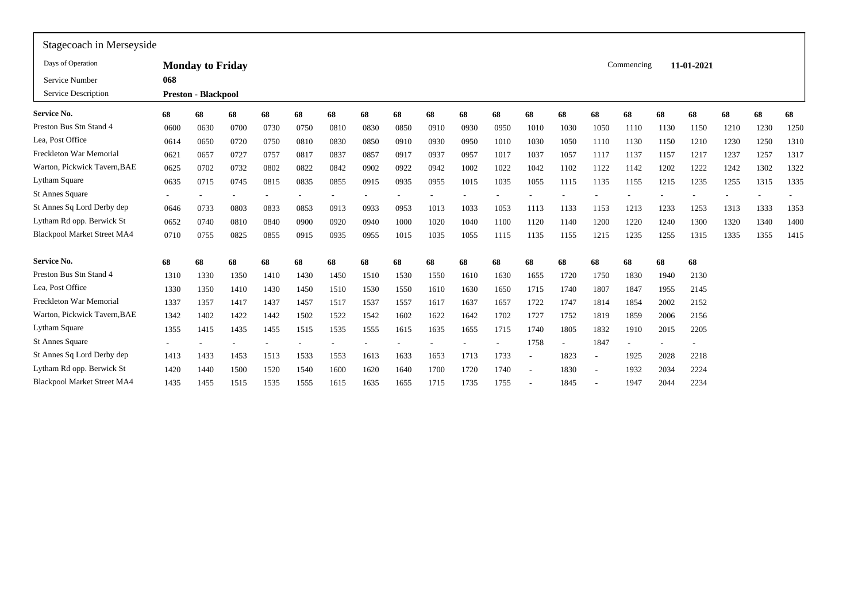| Stagecoach in Merseyside           |        |                            |      |      |      |      |      |      |      |      |                          |                          |      |                          |            |      |            |      |      |      |
|------------------------------------|--------|----------------------------|------|------|------|------|------|------|------|------|--------------------------|--------------------------|------|--------------------------|------------|------|------------|------|------|------|
| Days of Operation                  |        | <b>Monday to Friday</b>    |      |      |      |      |      |      |      |      |                          |                          |      |                          | Commencing |      | 11-01-2021 |      |      |      |
| Service Number                     | 068    |                            |      |      |      |      |      |      |      |      |                          |                          |      |                          |            |      |            |      |      |      |
| Service Description                |        | <b>Preston - Blackpool</b> |      |      |      |      |      |      |      |      |                          |                          |      |                          |            |      |            |      |      |      |
| <b>Service No.</b>                 | 68     | 68                         | 68   | 68   | 68   | 68   | 68   | 68   | 68   | 68   | 68                       | 68                       | 68   | 68                       | 68         | 68   | 68         | 68   | 68   | 68   |
| Preston Bus Stn Stand 4            | 0600   | 0630                       | 0700 | 0730 | 0750 | 0810 | 0830 | 0850 | 0910 | 0930 | 0950                     | 1010                     | 1030 | 1050                     | 1110       | 1130 | 1150       | 1210 | 1230 | 1250 |
| Lea, Post Office                   | 0614   | 0650                       | 0720 | 0750 | 0810 | 0830 | 0850 | 0910 | 0930 | 0950 | 1010                     | 1030                     | 1050 | 1110                     | 1130       | 1150 | 1210       | 1230 | 1250 | 1310 |
| Freckleton War Memorial            | 0621   | 0657                       | 0727 | 0757 | 0817 | 0837 | 0857 | 0917 | 0937 | 0957 | 1017                     | 1037                     | 1057 | 1117                     | 1137       | 1157 | 1217       | 1237 | 1257 | 1317 |
| Warton, Pickwick Tavern, BAE       | 0625   | 0702                       | 0732 | 0802 | 0822 | 0842 | 0902 | 0922 | 0942 | 1002 | 1022                     | 1042                     | 1102 | 1122                     | 1142       | 1202 | 1222       | 1242 | 1302 | 1322 |
| Lytham Square                      | 0635   | 0715                       | 0745 | 0815 | 0835 | 0855 | 0915 | 0935 | 0955 | 1015 | 1035                     | 1055                     | 1115 | 1135                     | 1155       | 1215 | 1235       | 1255 | 1315 | 1335 |
| <b>St Annes Square</b>             | $\sim$ |                            |      |      |      |      |      |      |      |      |                          |                          |      |                          |            |      |            |      |      |      |
| St Annes Sq Lord Derby dep         | 0646   | 0733                       | 0803 | 0833 | 0853 | 0913 | 0933 | 0953 | 1013 | 1033 | 1053                     | 1113                     | 1133 | 1153                     | 1213       | 1233 | 1253       | 1313 | 1333 | 1353 |
| Lytham Rd opp. Berwick St          | 0652   | 0740                       | 0810 | 0840 | 0900 | 0920 | 0940 | 1000 | 1020 | 1040 | 1100                     | 1120                     | 1140 | 1200                     | 1220       | 1240 | 1300       | 1320 | 1340 | 1400 |
| Blackpool Market Street MA4        | 0710   | 0755                       | 0825 | 0855 | 0915 | 0935 | 0955 | 1015 | 1035 | 1055 | 1115                     | 1135                     | 1155 | 1215                     | 1235       | 1255 | 1315       | 1335 | 1355 | 1415 |
| <b>Service No.</b>                 | 68     | 68                         | 68   | 68   | 68   | 68   | 68   | 68   | 68   | 68   | 68                       | 68                       | 68   | 68                       | 68         | 68   | 68         |      |      |      |
| Preston Bus Stn Stand 4            | 1310   | 1330                       | 1350 | 1410 | 1430 | 1450 | 1510 | 1530 | 1550 | 1610 | 1630                     | 1655                     | 1720 | 1750                     | 1830       | 1940 | 2130       |      |      |      |
| Lea. Post Office                   | 1330   | 1350                       | 1410 | 1430 | 1450 | 1510 | 1530 | 1550 | 1610 | 1630 | 1650                     | 1715                     | 1740 | 1807                     | 1847       | 1955 | 2145       |      |      |      |
| Freckleton War Memorial            | 1337   | 1357                       | 1417 | 1437 | 1457 | 1517 | 1537 | 1557 | 1617 | 1637 | 1657                     | 1722                     | 1747 | 1814                     | 1854       | 2002 | 2152       |      |      |      |
| Warton, Pickwick Tavern, BAE       | 1342   | 1402                       | 1422 | 1442 | 1502 | 1522 | 1542 | 1602 | 1622 | 1642 | 1702                     | 1727                     | 1752 | 1819                     | 1859       | 2006 | 2156       |      |      |      |
| Lytham Square                      | 1355   | 1415                       | 1435 | 1455 | 1515 | 1535 | 1555 | 1615 | 1635 | 1655 | 1715                     | 1740                     | 1805 | 1832                     | 1910       | 2015 | 2205       |      |      |      |
| St Annes Square                    |        |                            |      |      |      |      |      |      |      |      | $\overline{\phantom{a}}$ | 1758                     |      | 1847                     |            |      |            |      |      |      |
| St Annes Sq Lord Derby dep         | 1413   | 1433                       | 1453 | 1513 | 1533 | 1553 | 1613 | 1633 | 1653 | 1713 | 1733                     | $\overline{\phantom{a}}$ | 1823 | $\overline{\phantom{a}}$ | 1925       | 2028 | 2218       |      |      |      |
| Lytham Rd opp. Berwick St          | 1420   | 1440                       | 1500 | 1520 | 1540 | 1600 | 1620 | 1640 | 1700 | 1720 | 1740                     |                          | 1830 | $\overline{\phantom{a}}$ | 1932       | 2034 | 2224       |      |      |      |
| <b>Blackpool Market Street MA4</b> | 1435   | 1455                       | 1515 | 1535 | 1555 | 1615 | 1635 | 1655 | 1715 | 1735 | 1755                     |                          | 1845 | $\overline{\phantom{a}}$ | 1947       | 2044 | 2234       |      |      |      |
|                                    |        |                            |      |      |      |      |      |      |      |      |                          |                          |      |                          |            |      |            |      |      |      |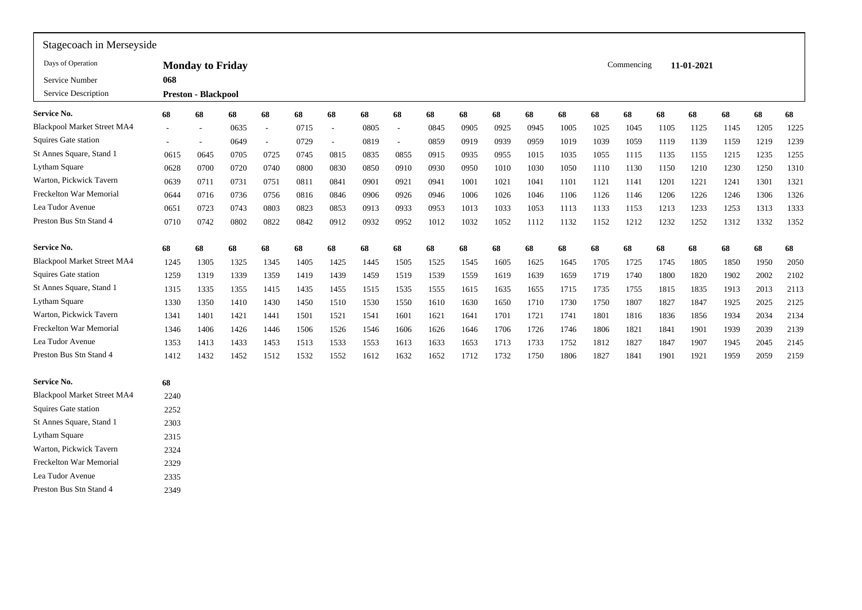| Stagecoach in Merseyside           |      |                            |      |                          |      |                          |      |                             |      |      |      |      |      |      |            |      |            |      |      |      |
|------------------------------------|------|----------------------------|------|--------------------------|------|--------------------------|------|-----------------------------|------|------|------|------|------|------|------------|------|------------|------|------|------|
| Days of Operation                  |      | <b>Monday to Friday</b>    |      |                          |      |                          |      |                             |      |      |      |      |      |      | Commencing |      | 11-01-2021 |      |      |      |
| Service Number                     | 068  |                            |      |                          |      |                          |      |                             |      |      |      |      |      |      |            |      |            |      |      |      |
| Service Description                |      | <b>Preston - Blackpool</b> |      |                          |      |                          |      |                             |      |      |      |      |      |      |            |      |            |      |      |      |
| Service No.                        | 68   | 68                         | 68   | 68                       | 68   | 68                       | 68   | 68                          | 68   | 68   | 68   | 68   | 68   | 68   | 68         | 68   | 68         | 68   | 68   | 68   |
| <b>Blackpool Market Street MA4</b> |      | $\overline{\phantom{a}}$   | 0635 | $\overline{\phantom{a}}$ | 0715 | $\overline{\phantom{a}}$ | 0805 | $\overline{\phantom{a}}$    | 0845 | 0905 | 0925 | 0945 | 1005 | 1025 | 1045       | 1105 | 1125       | 1145 | 1205 | 1225 |
| Squires Gate station               |      |                            | 0649 | $\sim$                   | 0729 | $\overline{\phantom{a}}$ | 0819 | $\mathcal{L}_{\mathcal{A}}$ | 0859 | 0919 | 0939 | 0959 | 1019 | 1039 | 1059       | 1119 | 1139       | 1159 | 1219 | 1239 |
| St Annes Square, Stand 1           | 0615 | 0645                       | 0705 | 0725                     | 0745 | 0815                     | 0835 | 0855                        | 0915 | 0935 | 0955 | 1015 | 1035 | 1055 | 1115       | 1135 | 1155       | 1215 | 1235 | 1255 |
| Lytham Square                      | 0628 | 0700                       | 0720 | 0740                     | 0800 | 0830                     | 0850 | 0910                        | 0930 | 0950 | 1010 | 1030 | 1050 | 1110 | 1130       | 1150 | 1210       | 1230 | 1250 | 1310 |
| Warton, Pickwick Tavern            | 0639 | 0711                       | 0731 | 0751                     | 0811 | 0841                     | 0901 | 0921                        | 0941 | 1001 | 1021 | 1041 | 1101 | 1121 | 1141       | 1201 | 1221       | 1241 | 1301 | 1321 |
| Freckelton War Memorial            | 0644 | 0716                       | 0736 | 0756                     | 0816 | 0846                     | 0906 | 0926                        | 0946 | 1006 | 1026 | 1046 | 1106 | 1126 | 1146       | 1206 | 1226       | 1246 | 1306 | 1326 |
| Lea Tudor Avenue                   | 0651 | 0723                       | 0743 | 0803                     | 0823 | 0853                     | 0913 | 0933                        | 0953 | 1013 | 1033 | 1053 | 1113 | 1133 | 1153       | 1213 | 1233       | 1253 | 1313 | 1333 |
| Preston Bus Stn Stand 4            | 0710 | 0742                       | 0802 | 0822                     | 0842 | 0912                     | 0932 | 0952                        | 1012 | 1032 | 1052 | 1112 | 1132 | 1152 | 1212       | 1232 | 1252       | 1312 | 1332 | 1352 |
| <b>Service No.</b>                 | 68   | 68                         | 68   | 68                       | 68   | 68                       | 68   | 68                          | 68   | 68   | 68   | 68   | 68   | 68   | 68         | 68   | 68         | 68   | 68   | 68   |
| <b>Blackpool Market Street MA4</b> | 1245 | 1305                       | 1325 | 1345                     | 1405 | 1425                     | 1445 | 1505                        | 1525 | 1545 | 1605 | 1625 | 1645 | 1705 | 1725       | 1745 | 1805       | 1850 | 1950 | 2050 |
| Squires Gate station               | 1259 | 1319                       | 1339 | 1359                     | 1419 | 1439                     | 1459 | 1519                        | 1539 | 1559 | 1619 | 1639 | 1659 | 1719 | 1740       | 1800 | 1820       | 1902 | 2002 | 2102 |
| St Annes Square, Stand 1           | 1315 | 1335                       | 1355 | 1415                     | 1435 | 1455                     | 1515 | 1535                        | 1555 | 1615 | 1635 | 1655 | 1715 | 1735 | 1755       | 1815 | 1835       | 1913 | 2013 | 2113 |
| Lytham Square                      | 1330 | 1350                       | 1410 | 1430                     | 1450 | 1510                     | 1530 | 1550                        | 1610 | 1630 | 1650 | 1710 | 1730 | 1750 | 1807       | 1827 | 1847       | 1925 | 2025 | 2125 |
| Warton, Pickwick Tavern            | 1341 | 1401                       | 1421 | 1441                     | 1501 | 1521                     | 1541 | 1601                        | 1621 | 1641 | 1701 | 1721 | 1741 | 1801 | 1816       | 1836 | 1856       | 1934 | 2034 | 2134 |
| Freckelton War Memorial            | 1346 | 1406                       | 1426 | 1446                     | 1506 | 1526                     | 1546 | 1606                        | 1626 | 1646 | 1706 | 1726 | 1746 | 1806 | 1821       | 1841 | 1901       | 1939 | 2039 | 2139 |
| Lea Tudor Avenue                   | 1353 | 1413                       | 1433 | 1453                     | 1513 | 1533                     | 1553 | 1613                        | 1633 | 1653 | 1713 | 1733 | 1752 | 1812 | 1827       | 1847 | 1907       | 1945 | 2045 | 2145 |
| Preston Bus Stn Stand 4            | 1412 | 1432                       | 1452 | 1512                     | 1532 | 1552                     | 1612 | 1632                        | 1652 | 1712 | 1732 | 1750 | 1806 | 1827 | 1841       | 1901 | 1921       | 1959 | 2059 | 2159 |
| <b>Service No.</b>                 | 68   |                            |      |                          |      |                          |      |                             |      |      |      |      |      |      |            |      |            |      |      |      |
| <b>Blackpool Market Street MA4</b> | 2240 |                            |      |                          |      |                          |      |                             |      |      |      |      |      |      |            |      |            |      |      |      |
| Squires Gate station               | 2252 |                            |      |                          |      |                          |      |                             |      |      |      |      |      |      |            |      |            |      |      |      |
| St Annes Square, Stand 1           | 2303 |                            |      |                          |      |                          |      |                             |      |      |      |      |      |      |            |      |            |      |      |      |
| Lytham Square                      | 2315 |                            |      |                          |      |                          |      |                             |      |      |      |      |      |      |            |      |            |      |      |      |
| Warton, Pickwick Tavern            | 2324 |                            |      |                          |      |                          |      |                             |      |      |      |      |      |      |            |      |            |      |      |      |
| Freckelton War Memorial            | 2329 |                            |      |                          |      |                          |      |                             |      |      |      |      |      |      |            |      |            |      |      |      |
| Lea Tudor Avenue                   | 2335 |                            |      |                          |      |                          |      |                             |      |      |      |      |      |      |            |      |            |      |      |      |
| Preston Bus Stn Stand 4            | 2349 |                            |      |                          |      |                          |      |                             |      |      |      |      |      |      |            |      |            |      |      |      |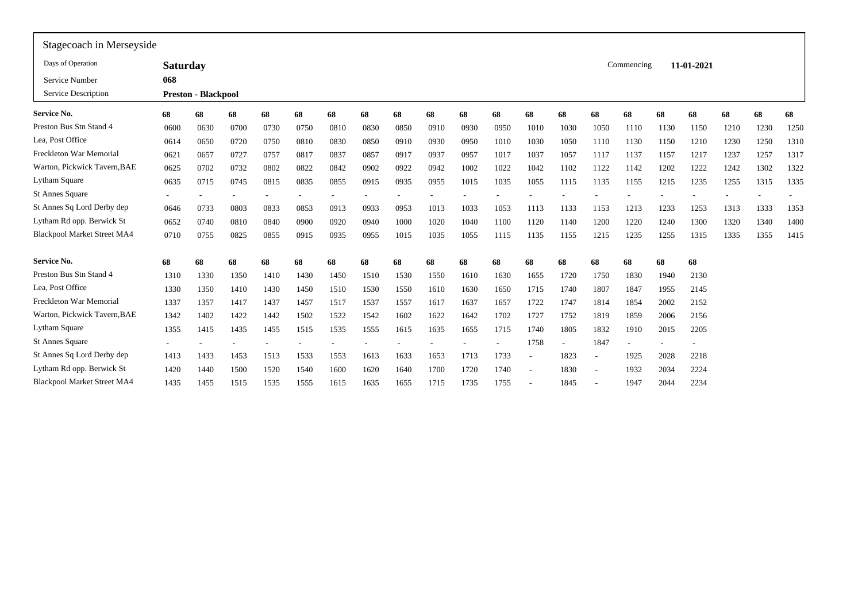| Stagecoach in Merseyside           |                 |                            |      |      |      |      |      |      |      |      |      |        |      |                          |            |      |            |      |      |      |
|------------------------------------|-----------------|----------------------------|------|------|------|------|------|------|------|------|------|--------|------|--------------------------|------------|------|------------|------|------|------|
| Days of Operation                  | <b>Saturday</b> |                            |      |      |      |      |      |      |      |      |      |        |      |                          | Commencing |      | 11-01-2021 |      |      |      |
| Service Number                     | 068             |                            |      |      |      |      |      |      |      |      |      |        |      |                          |            |      |            |      |      |      |
| Service Description                |                 | <b>Preston - Blackpool</b> |      |      |      |      |      |      |      |      |      |        |      |                          |            |      |            |      |      |      |
| Service No.                        | 68              | 68                         | 68   | 68   | 68   | 68   | 68   | 68   | 68   | 68   | 68   | 68     | 68   | 68                       | 68         | 68   | 68         | 68   | 68   | 68   |
| Preston Bus Stn Stand 4            | 0600            | 0630                       | 0700 | 0730 | 0750 | 0810 | 0830 | 0850 | 0910 | 0930 | 0950 | 1010   | 1030 | 1050                     | 1110       | 1130 | 1150       | 1210 | 1230 | 1250 |
| Lea, Post Office                   | 0614            | 0650                       | 0720 | 0750 | 0810 | 0830 | 0850 | 0910 | 0930 | 0950 | 1010 | 1030   | 1050 | 1110                     | 1130       | 1150 | 1210       | 1230 | 1250 | 1310 |
| Freckleton War Memorial            | 0621            | 0657                       | 0727 | 0757 | 0817 | 0837 | 0857 | 0917 | 0937 | 0957 | 1017 | 1037   | 1057 | 1117                     | 1137       | 1157 | 1217       | 1237 | 1257 | 1317 |
| Warton, Pickwick Tavern, BAE       | 0625            | 0702                       | 0732 | 0802 | 0822 | 0842 | 0902 | 0922 | 0942 | 1002 | 1022 | 1042   | 1102 | 1122                     | 1142       | 1202 | 1222       | 1242 | 1302 | 1322 |
| Lytham Square                      | 0635            | 0715                       | 0745 | 0815 | 0835 | 0855 | 0915 | 0935 | 0955 | 1015 | 1035 | 1055   | 1115 | 1135                     | 1155       | 1215 | 1235       | 1255 | 1315 | 1335 |
| <b>St Annes Square</b>             | $\sim$          |                            |      |      |      |      |      |      |      |      |      |        |      |                          |            |      |            |      |      |      |
| St Annes Sq Lord Derby dep         | 0646            | 0733                       | 0803 | 0833 | 0853 | 0913 | 0933 | 0953 | 1013 | 1033 | 1053 | 1113   | 1133 | 1153                     | 1213       | 1233 | 1253       | 1313 | 1333 | 1353 |
| Lytham Rd opp. Berwick St          | 0652            | 0740                       | 0810 | 0840 | 0900 | 0920 | 0940 | 1000 | 1020 | 1040 | 1100 | 1120   | 1140 | 1200                     | 1220       | 1240 | 1300       | 1320 | 1340 | 1400 |
| <b>Blackpool Market Street MA4</b> | 0710            | 0755                       | 0825 | 0855 | 0915 | 0935 | 0955 | 1015 | 1035 | 1055 | 1115 | 1135   | 1155 | 1215                     | 1235       | 1255 | 1315       | 1335 | 1355 | 1415 |
| <b>Service No.</b>                 | 68              | 68                         | 68   | 68   | 68   | 68   | 68   | 68   | 68   | 68   | 68   | 68     | 68   | 68                       | 68         | 68   | 68         |      |      |      |
| Preston Bus Stn Stand 4            | 1310            | 1330                       | 1350 | 1410 | 1430 | 1450 | 1510 | 1530 | 1550 | 1610 | 1630 | 1655   | 1720 | 1750                     | 1830       | 1940 | 2130       |      |      |      |
| Lea, Post Office                   | 1330            | 1350                       | 1410 | 1430 | 1450 | 1510 | 1530 | 1550 | 1610 | 1630 | 1650 | 1715   | 1740 | 1807                     | 1847       | 1955 | 2145       |      |      |      |
| Freckleton War Memorial            | 1337            | 1357                       | 1417 | 1437 | 1457 | 1517 | 1537 | 1557 | 1617 | 1637 | 1657 | 1722   | 1747 | 1814                     | 1854       | 2002 | 2152       |      |      |      |
| Warton, Pickwick Tavern, BAE       | 1342            | 1402                       | 1422 | 1442 | 1502 | 1522 | 1542 | 1602 | 1622 | 1642 | 1702 | 1727   | 1752 | 1819                     | 1859       | 2006 | 2156       |      |      |      |
| Lytham Square                      | 1355            | 1415                       | 1435 | 1455 | 1515 | 1535 | 1555 | 1615 | 1635 | 1655 | 1715 | 1740   | 1805 | 1832                     | 1910       | 2015 | 2205       |      |      |      |
| <b>St Annes Square</b>             |                 |                            |      |      |      |      |      |      |      |      |      | 1758   |      | 1847                     |            |      |            |      |      |      |
| St Annes Sq Lord Derby dep         | 1413            | 1433                       | 1453 | 1513 | 1533 | 1553 | 1613 | 1633 | 1653 | 1713 | 1733 | $\sim$ | 1823 | $\overline{\phantom{a}}$ | 1925       | 2028 | 2218       |      |      |      |
| Lytham Rd opp. Berwick St          | 1420            | 1440                       | 1500 | 1520 | 1540 | 1600 | 1620 | 1640 | 1700 | 1720 | 1740 |        | 1830 | $\overline{\phantom{a}}$ | 1932       | 2034 | 2224       |      |      |      |
| <b>Blackpool Market Street MA4</b> | 1435            | 1455                       | 1515 | 1535 | 1555 | 1615 | 1635 | 1655 | 1715 | 1735 | 1755 |        | 1845 |                          | 1947       | 2044 | 2234       |      |      |      |
|                                    |                 |                            |      |      |      |      |      |      |      |      |      |        |      |                          |            |      |            |      |      |      |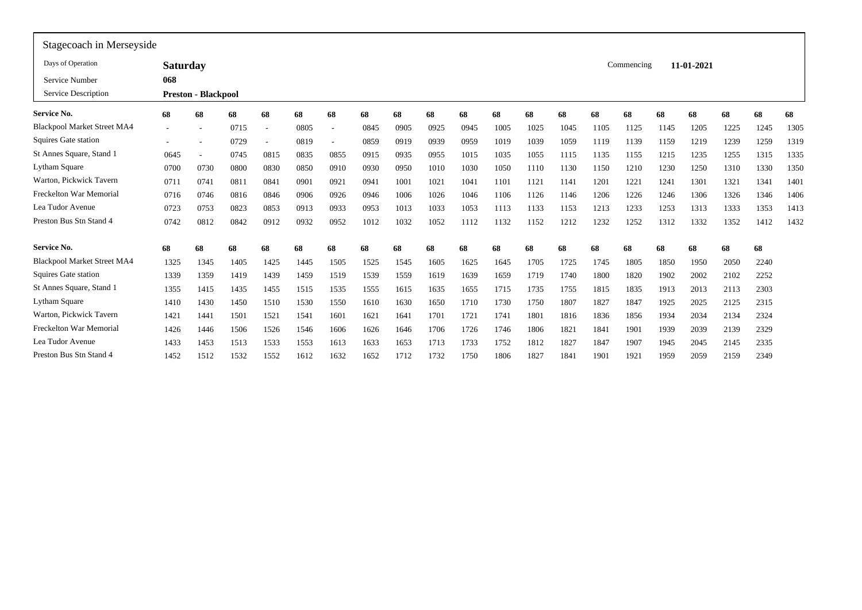| Stagecoach in Merseyside           |                 |                            |      |        |      |                          |      |      |      |      |      |      |      |      |            |      |            |      |      |      |
|------------------------------------|-----------------|----------------------------|------|--------|------|--------------------------|------|------|------|------|------|------|------|------|------------|------|------------|------|------|------|
| Days of Operation                  | <b>Saturday</b> |                            |      |        |      |                          |      |      |      |      |      |      |      |      | Commencing |      | 11-01-2021 |      |      |      |
| Service Number                     | 068             |                            |      |        |      |                          |      |      |      |      |      |      |      |      |            |      |            |      |      |      |
| Service Description                |                 | <b>Preston - Blackpool</b> |      |        |      |                          |      |      |      |      |      |      |      |      |            |      |            |      |      |      |
| <b>Service No.</b>                 | 68              | 68                         | 68   | 68     | 68   | 68                       | 68   | 68   | 68   | 68   | 68   | 68   | 68   | 68   | 68         | 68   | 68         | 68   | 68   | 68   |
| <b>Blackpool Market Street MA4</b> |                 |                            | 0715 | $\sim$ | 0805 | $\overline{\phantom{a}}$ | 0845 | 0905 | 0925 | 0945 | 1005 | 1025 | 1045 | 1105 | 1125       | 1145 | 1205       | 1225 | 1245 | 1305 |
| Squires Gate station               |                 |                            | 0729 |        | 0819 | $\overline{\phantom{a}}$ | 0859 | 0919 | 0939 | 0959 | 1019 | 1039 | 1059 | 1119 | 1139       | 1159 | 1219       | 1239 | 1259 | 1319 |
| St Annes Square, Stand 1           | 0645            |                            | 0745 | 0815   | 0835 | 0855                     | 0915 | 0935 | 0955 | 1015 | 1035 | 1055 | 1115 | 1135 | 1155       | 1215 | 1235       | 1255 | 1315 | 1335 |
| <b>Lytham Square</b>               | 0700            | 0730                       | 0800 | 0830   | 0850 | 0910                     | 0930 | 0950 | 1010 | 1030 | 1050 | 1110 | 1130 | 1150 | 1210       | 1230 | 1250       | 1310 | 1330 | 1350 |
| Warton, Pickwick Tavern            | 0711            | 0741                       | 0811 | 0841   | 0901 | 0921                     | 0941 | 1001 | 1021 | 1041 | 1101 | 1121 | 1141 | 1201 | 1221       | 1241 | 1301       | 1321 | 1341 | 1401 |
| Freckelton War Memorial            | 0716            | 0746                       | 0816 | 0846   | 0906 | 0926                     | 0946 | 1006 | 1026 | 1046 | 1106 | 1126 | 1146 | 1206 | 1226       | 1246 | 1306       | 1326 | 1346 | 1406 |
| Lea Tudor Avenue                   | 0723            | 0753                       | 0823 | 0853   | 0913 | 0933                     | 0953 | 1013 | 1033 | 1053 | 1113 | 1133 | 1153 | 1213 | 1233       | 1253 | 1313       | 1333 | 1353 | 1413 |
| Preston Bus Stn Stand 4            | 0742            | 0812                       | 0842 | 0912   | 0932 | 0952                     | 1012 | 1032 | 1052 | 1112 | 1132 | 1152 | 1212 | 1232 | 1252       | 1312 | 1332       | 1352 | 1412 | 1432 |
| <b>Service No.</b>                 | 68              | 68                         | 68   | 68     | 68   | 68                       | 68   | 68   | 68   | 68   | 68   | 68   | 68   | 68   | 68         | 68   | 68         | 68   | 68   |      |
| <b>Blackpool Market Street MA4</b> | 1325            | 1345                       | 1405 | 1425   | 1445 | 1505                     | 1525 | 1545 | 1605 | 1625 | 1645 | 1705 | 1725 | 1745 | 1805       | 1850 | 1950       | 2050 | 2240 |      |
| Squires Gate station               | 1339            | 1359                       | 1419 | 1439   | 1459 | 1519                     | 1539 | 1559 | 1619 | 1639 | 1659 | 1719 | 1740 | 1800 | 1820       | 1902 | 2002       | 2102 | 2252 |      |
| St Annes Square, Stand 1           | 1355            | 1415                       | 1435 | 1455   | 1515 | 1535                     | 1555 | 1615 | 1635 | 1655 | 1715 | 1735 | 1755 | 1815 | 1835       | 1913 | 2013       | 2113 | 2303 |      |
| <b>Lytham Square</b>               | 1410            | 1430                       | 1450 | 1510   | 1530 | 1550                     | 1610 | 1630 | 1650 | 1710 | 1730 | 1750 | 1807 | 1827 | 1847       | 1925 | 2025       | 2125 | 2315 |      |
| Warton, Pickwick Tavern            | 1421            | 1441                       | 1501 | 1521   | 1541 | 1601                     | 1621 | 1641 | 1701 | 1721 | 1741 | 1801 | 1816 | 1836 | 1856       | 1934 | 2034       | 2134 | 2324 |      |
| Freckelton War Memorial            | 1426            | 1446                       | 1506 | 1526   | 1546 | 1606                     | 1626 | 1646 | 1706 | 1726 | 1746 | 1806 | 1821 | 1841 | 1901       | 1939 | 2039       | 2139 | 2329 |      |
| Lea Tudor Avenue                   | 1433            | 1453                       | 1513 | 1533   | 1553 | 1613                     | 1633 | 1653 | 1713 | 1733 | 1752 | 1812 | 1827 | 1847 | 1907       | 1945 | 2045       | 2145 | 2335 |      |
| Preston Bus Stn Stand 4            | 1452            | 1512                       | 1532 | 1552   | 1612 | 1632                     | 1652 | 1712 | 1732 | 1750 | 1806 | 1827 | 1841 | 1901 | 1921       | 1959 | 2059       | 2159 | 2349 |      |
|                                    |                 |                            |      |        |      |                          |      |      |      |      |      |      |      |      |            |      |            |      |      |      |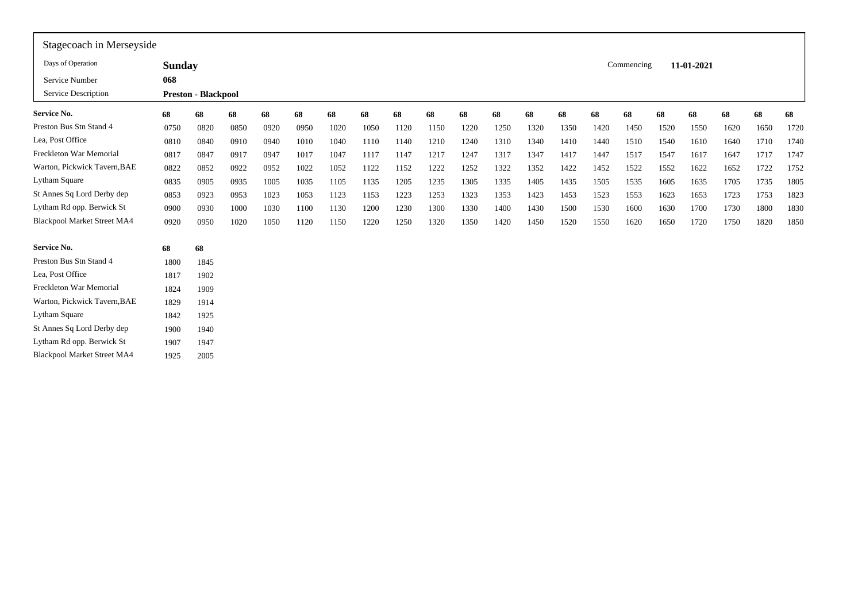| Stagecoach in Merseyside           |               |                            |      |      |      |      |      |      |      |      |      |      |      |      |            |      |            |      |      |      |
|------------------------------------|---------------|----------------------------|------|------|------|------|------|------|------|------|------|------|------|------|------------|------|------------|------|------|------|
| Days of Operation                  | <b>Sunday</b> |                            |      |      |      |      |      |      |      |      |      |      |      |      | Commencing |      | 11-01-2021 |      |      |      |
| Service Number                     | 068           |                            |      |      |      |      |      |      |      |      |      |      |      |      |            |      |            |      |      |      |
| Service Description                |               | <b>Preston - Blackpool</b> |      |      |      |      |      |      |      |      |      |      |      |      |            |      |            |      |      |      |
| <b>Service No.</b>                 | 68            | 68                         | 68   | 68   | 68   | 68   | 68   | 68   | 68   | 68   | 68   | 68   | 68   | 68   | 68         | 68   | 68         | 68   | 68   | 68   |
| Preston Bus Stn Stand 4            | 0750          | 0820                       | 0850 | 0920 | 0950 | 1020 | 1050 | 1120 | 1150 | 1220 | 1250 | 1320 | 1350 | 1420 | 1450       | 1520 | 1550       | 1620 | 1650 | 1720 |
| Lea, Post Office                   | 0810          | 0840                       | 0910 | 0940 | 1010 | 1040 | 1110 | 1140 | 1210 | 1240 | 1310 | 1340 | 1410 | 1440 | 1510       | 1540 | 1610       | 1640 | 1710 | 1740 |
| Freckleton War Memorial            | 0817          | 0847                       | 0917 | 0947 | 1017 | 1047 | 1117 | 1147 | 1217 | 1247 | 1317 | 1347 | 1417 | 1447 | 1517       | 1547 | 1617       | 1647 | 1717 | 1747 |
| Warton, Pickwick Tavern, BAE       | 0822          | 0852                       | 0922 | 0952 | 1022 | 1052 | 1122 | 1152 | 1222 | 1252 | 1322 | 1352 | 1422 | 1452 | 1522       | 1552 | 1622       | 1652 | 1722 | 1752 |
| Lytham Square                      | 0835          | 0905                       | 0935 | 1005 | 1035 | 1105 | 1135 | 1205 | 1235 | 1305 | 1335 | 1405 | 1435 | 1505 | 1535       | 1605 | 1635       | 1705 | 1735 | 1805 |
| St Annes Sq Lord Derby dep         | 0853          | 0923                       | 0953 | 1023 | 1053 | 1123 | 1153 | 1223 | 1253 | 1323 | 1353 | 1423 | 1453 | 1523 | 1553       | 1623 | 1653       | 1723 | 1753 | 1823 |
| Lytham Rd opp. Berwick St          | 0900          | 0930                       | 1000 | 1030 | 1100 | 1130 | 1200 | 1230 | 1300 | 1330 | 1400 | 1430 | 1500 | 1530 | 1600       | 1630 | 1700       | 1730 | 1800 | 1830 |
| <b>Blackpool Market Street MA4</b> | 0920          | 0950                       | 1020 | 1050 | 1120 | 1150 | 1220 | 1250 | 1320 | 1350 | 1420 | 1450 | 1520 | 1550 | 1620       | 1650 | 1720       | 1750 | 1820 | 1850 |
| <b>Service No.</b>                 | 68            | 68                         |      |      |      |      |      |      |      |      |      |      |      |      |            |      |            |      |      |      |
| Preston Bus Stn Stand 4            | 1800          | 1845                       |      |      |      |      |      |      |      |      |      |      |      |      |            |      |            |      |      |      |
| Lea, Post Office                   | 1817          | 1902                       |      |      |      |      |      |      |      |      |      |      |      |      |            |      |            |      |      |      |
| Freckleton War Memorial            | 1824          | 1909                       |      |      |      |      |      |      |      |      |      |      |      |      |            |      |            |      |      |      |
| Warton, Pickwick Tavern, BAE       | 1829          | 1914                       |      |      |      |      |      |      |      |      |      |      |      |      |            |      |            |      |      |      |
| Lytham Square                      | 1842          | 1925                       |      |      |      |      |      |      |      |      |      |      |      |      |            |      |            |      |      |      |
| St Annes Sq Lord Derby dep         | 1900          | 1940                       |      |      |      |      |      |      |      |      |      |      |      |      |            |      |            |      |      |      |
| Lytham Rd opp. Berwick St          | 1907          | 1947                       |      |      |      |      |      |      |      |      |      |      |      |      |            |      |            |      |      |      |
| <b>Blackpool Market Street MA4</b> | 1925          | 2005                       |      |      |      |      |      |      |      |      |      |      |      |      |            |      |            |      |      |      |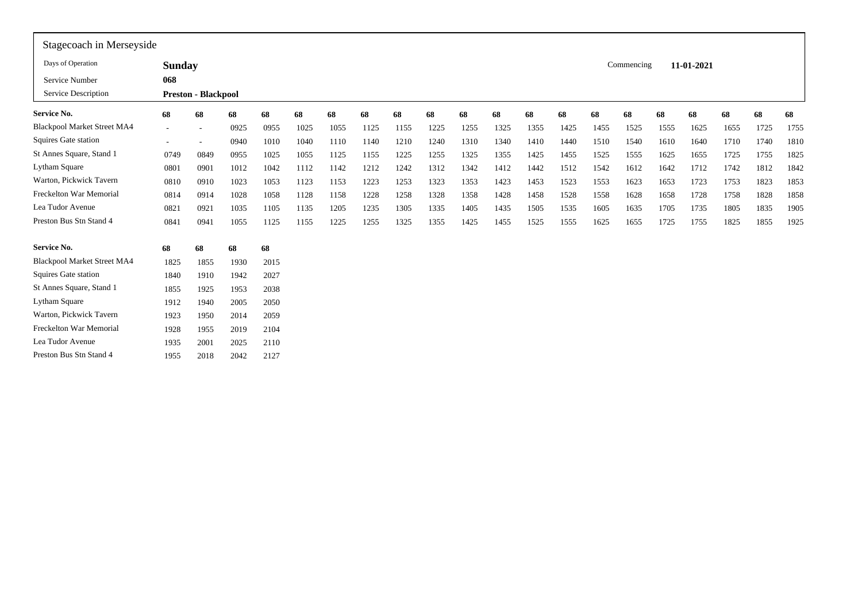| Stagecoach in Merseyside           |               |                            |      |      |      |      |      |      |      |      |      |      |      |      |            |      |            |      |      |      |
|------------------------------------|---------------|----------------------------|------|------|------|------|------|------|------|------|------|------|------|------|------------|------|------------|------|------|------|
| Days of Operation                  | <b>Sunday</b> |                            |      |      |      |      |      |      |      |      |      |      |      |      | Commencing |      | 11-01-2021 |      |      |      |
| Service Number                     | 068           |                            |      |      |      |      |      |      |      |      |      |      |      |      |            |      |            |      |      |      |
| Service Description                |               | <b>Preston - Blackpool</b> |      |      |      |      |      |      |      |      |      |      |      |      |            |      |            |      |      |      |
| Service No.                        | 68            | 68                         | 68   | 68   | 68   | 68   | 68   | 68   | 68   | 68   | 68   | 68   | 68   | 68   | 68         | 68   | 68         | 68   | 68   | 68   |
| <b>Blackpool Market Street MA4</b> |               |                            | 0925 | 0955 | 1025 | 1055 | 1125 | 1155 | 1225 | 1255 | 1325 | 1355 | 1425 | 1455 | 1525       | 1555 | 1625       | 1655 | 1725 | 1755 |
| Squires Gate station               |               |                            | 0940 | 1010 | 1040 | 1110 | 1140 | 1210 | 1240 | 1310 | 1340 | 1410 | 1440 | 1510 | 1540       | 1610 | 1640       | 1710 | 1740 | 1810 |
| St Annes Square, Stand 1           | 0749          | 0849                       | 0955 | 1025 | 1055 | 1125 | 1155 | 1225 | 1255 | 1325 | 1355 | 1425 | 1455 | 1525 | 1555       | 1625 | 1655       | 1725 | 1755 | 1825 |
| Lytham Square                      | 0801          | 0901                       | 1012 | 1042 | 1112 | 1142 | 1212 | 1242 | 1312 | 1342 | 1412 | 1442 | 1512 | 1542 | 1612       | 1642 | 1712       | 1742 | 1812 | 1842 |
| Warton, Pickwick Tavern            | 0810          | 0910                       | 1023 | 1053 | 1123 | 1153 | 1223 | 1253 | 1323 | 1353 | 1423 | 1453 | 1523 | 1553 | 1623       | 1653 | 1723       | 1753 | 1823 | 1853 |
| Freckelton War Memorial            | 0814          | 0914                       | 1028 | 1058 | 1128 | 1158 | 1228 | 1258 | 1328 | 1358 | 1428 | 1458 | 1528 | 1558 | 1628       | 1658 | 1728       | 1758 | 1828 | 1858 |
| Lea Tudor Avenue                   | 0821          | 0921                       | 1035 | 1105 | 1135 | 1205 | 1235 | 1305 | 1335 | 1405 | 1435 | 1505 | 1535 | 1605 | 1635       | 1705 | 1735       | 1805 | 1835 | 1905 |
| Preston Bus Stn Stand 4            | 0841          | 0941                       | 1055 | 1125 | 1155 | 1225 | 1255 | 1325 | 1355 | 1425 | 1455 | 1525 | 1555 | 1625 | 1655       | 1725 | 1755       | 1825 | 1855 | 1925 |
| <b>Service No.</b>                 | 68            | 68                         | 68   | 68   |      |      |      |      |      |      |      |      |      |      |            |      |            |      |      |      |
| <b>Blackpool Market Street MA4</b> | 1825          | 1855                       | 1930 | 2015 |      |      |      |      |      |      |      |      |      |      |            |      |            |      |      |      |
| Squires Gate station               | 1840          | 1910                       | 1942 | 2027 |      |      |      |      |      |      |      |      |      |      |            |      |            |      |      |      |
| St Annes Square, Stand 1           | 1855          | 1925                       | 1953 | 2038 |      |      |      |      |      |      |      |      |      |      |            |      |            |      |      |      |
| <b>Lytham Square</b>               | 1912          | 1940                       | 2005 | 2050 |      |      |      |      |      |      |      |      |      |      |            |      |            |      |      |      |
| Warton, Pickwick Tavern            | 1923          | 1950                       | 2014 | 2059 |      |      |      |      |      |      |      |      |      |      |            |      |            |      |      |      |
| Freckelton War Memorial            | 1928          | 1955                       | 2019 | 2104 |      |      |      |      |      |      |      |      |      |      |            |      |            |      |      |      |
| Lea Tudor Avenue                   | 1935          | 2001                       | 2025 | 2110 |      |      |      |      |      |      |      |      |      |      |            |      |            |      |      |      |
| Preston Bus Stn Stand 4            | 1955          | 2018                       | 2042 | 2127 |      |      |      |      |      |      |      |      |      |      |            |      |            |      |      |      |
|                                    |               |                            |      |      |      |      |      |      |      |      |      |      |      |      |            |      |            |      |      |      |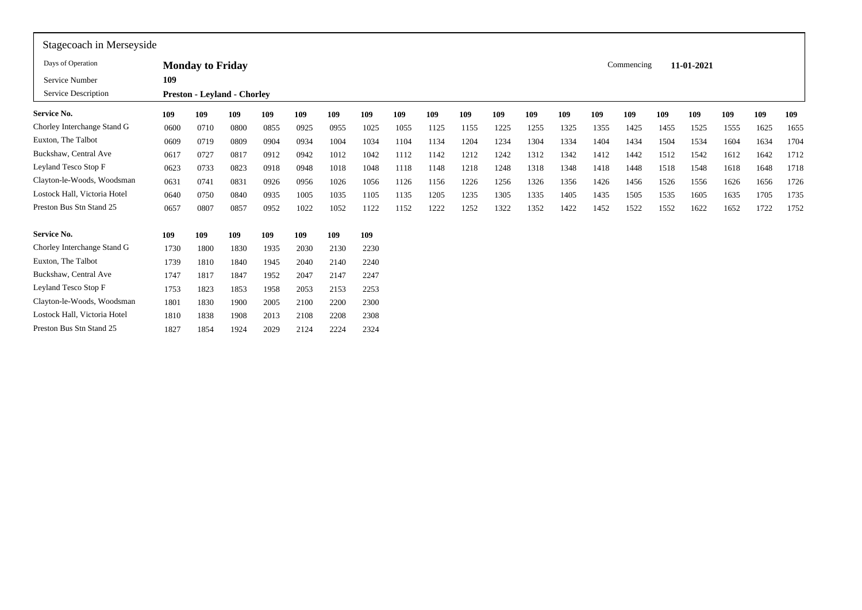| Stagecoach in Merseyside     |      |                                    |      |      |      |      |      |      |      |      |      |      |      |      |            |      |            |      |      |      |
|------------------------------|------|------------------------------------|------|------|------|------|------|------|------|------|------|------|------|------|------------|------|------------|------|------|------|
| Days of Operation            |      | <b>Monday to Friday</b>            |      |      |      |      |      |      |      |      |      |      |      |      | Commencing |      | 11-01-2021 |      |      |      |
| Service Number               | 109  |                                    |      |      |      |      |      |      |      |      |      |      |      |      |            |      |            |      |      |      |
| Service Description          |      | <b>Preston - Leyland - Chorley</b> |      |      |      |      |      |      |      |      |      |      |      |      |            |      |            |      |      |      |
| Service No.                  | 109  | 109                                | 109  | 109  | 109  | 109  | 109  | 109  | 109  | 109  | 109  | 109  | 109  | 109  | 109        | 109  | 109        | 109  | 109  | 109  |
| Chorley Interchange Stand G  | 0600 | 0710                               | 0800 | 0855 | 0925 | 0955 | 1025 | 1055 | 1125 | 1155 | 1225 | 1255 | 1325 | 1355 | 1425       | 1455 | 1525       | 1555 | 1625 | 1655 |
| Euxton, The Talbot           | 0609 | 0719                               | 0809 | 0904 | 0934 | 1004 | 1034 | 1104 | 1134 | 1204 | 1234 | 1304 | 1334 | 1404 | 1434       | 1504 | 1534       | 1604 | 1634 | 1704 |
| Buckshaw, Central Ave        | 0617 | 0727                               | 0817 | 0912 | 0942 | 1012 | 1042 | 1112 | 1142 | 1212 | 1242 | 1312 | 1342 | 1412 | 1442       | 1512 | 1542       | 1612 | 1642 | 1712 |
| Leyland Tesco Stop F         | 0623 | 0733                               | 0823 | 0918 | 0948 | 1018 | 1048 | 1118 | 1148 | 1218 | 1248 | 1318 | 1348 | 1418 | 1448       | 1518 | 1548       | 1618 | 1648 | 1718 |
| Clayton-le-Woods, Woodsman   | 0631 | 0741                               | 0831 | 0926 | 0956 | 1026 | 1056 | 1126 | 1156 | 1226 | 1256 | 1326 | 1356 | 1426 | 1456       | 1526 | 1556       | 1626 | 1656 | 1726 |
| Lostock Hall, Victoria Hotel | 0640 | 0750                               | 0840 | 0935 | 1005 | 1035 | 1105 | 1135 | 1205 | 1235 | 1305 | 1335 | 1405 | 1435 | 1505       | 1535 | 1605       | 1635 | 1705 | 1735 |
| Preston Bus Stn Stand 25     | 0657 | 0807                               | 0857 | 0952 | 1022 | 1052 | 1122 | 1152 | 1222 | 1252 | 1322 | 1352 | 1422 | 1452 | 1522       | 1552 | 1622       | 1652 | 1722 | 1752 |
| Service No.                  | 109  | 109                                | 109  | 109  | 109  | 109  | 109  |      |      |      |      |      |      |      |            |      |            |      |      |      |
| Chorley Interchange Stand G  | 1730 | 1800                               | 1830 | 1935 | 2030 | 2130 | 2230 |      |      |      |      |      |      |      |            |      |            |      |      |      |
| Euxton, The Talbot           | 1739 | 1810                               | 1840 | 1945 | 2040 | 2140 | 2240 |      |      |      |      |      |      |      |            |      |            |      |      |      |
| Buckshaw, Central Ave        | 1747 | 1817                               | 1847 | 1952 | 2047 | 2147 | 2247 |      |      |      |      |      |      |      |            |      |            |      |      |      |
| Leyland Tesco Stop F         | 1753 | 1823                               | 1853 | 1958 | 2053 | 2153 | 2253 |      |      |      |      |      |      |      |            |      |            |      |      |      |
| Clayton-le-Woods, Woodsman   | 1801 | 1830                               | 1900 | 2005 | 2100 | 2200 | 2300 |      |      |      |      |      |      |      |            |      |            |      |      |      |
| Lostock Hall, Victoria Hotel | 1810 | 1838                               | 1908 | 2013 | 2108 | 2208 | 2308 |      |      |      |      |      |      |      |            |      |            |      |      |      |
| Preston Bus Stn Stand 25     | 1827 | 1854                               | 1924 | 2029 | 2124 | 2224 | 2324 |      |      |      |      |      |      |      |            |      |            |      |      |      |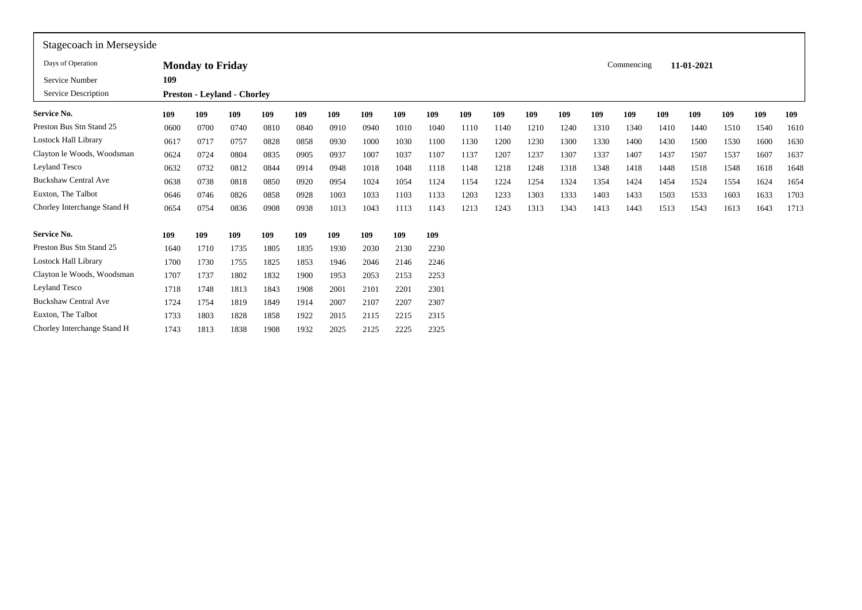| Stagecoach in Merseyside    |      |                         |                                    |      |      |      |      |      |      |      |      |      |      |      |            |      |            |      |      |      |
|-----------------------------|------|-------------------------|------------------------------------|------|------|------|------|------|------|------|------|------|------|------|------------|------|------------|------|------|------|
| Days of Operation           |      | <b>Monday to Friday</b> |                                    |      |      |      |      |      |      |      |      |      |      |      | Commencing |      | 11-01-2021 |      |      |      |
| Service Number              | 109  |                         |                                    |      |      |      |      |      |      |      |      |      |      |      |            |      |            |      |      |      |
| Service Description         |      |                         | <b>Preston - Leyland - Chorley</b> |      |      |      |      |      |      |      |      |      |      |      |            |      |            |      |      |      |
| <b>Service No.</b>          | 109  | 109                     | 109                                | 109  | 109  | 109  | 109  | 109  | 109  | 109  | 109  | 109  | 109  | 109  | 109        | 109  | 109        | 109  | 109  | 109  |
| Preston Bus Stn Stand 25    | 0600 | 0700                    | 0740                               | 0810 | 0840 | 0910 | 0940 | 1010 | 1040 | 1110 | 1140 | 1210 | 1240 | 1310 | 1340       | 1410 | 1440       | 1510 | 1540 | 1610 |
| <b>Lostock Hall Library</b> | 0617 | 0717                    | 0757                               | 0828 | 0858 | 0930 | 1000 | 1030 | 1100 | 1130 | 1200 | 1230 | 1300 | 1330 | 1400       | 1430 | 1500       | 1530 | 1600 | 1630 |
| Clayton le Woods, Woodsman  | 0624 | 0724                    | 0804                               | 0835 | 0905 | 0937 | 1007 | 1037 | 1107 | 1137 | 1207 | 1237 | 1307 | 1337 | 1407       | 1437 | 1507       | 1537 | 1607 | 1637 |
| Leyland Tesco               | 0632 | 0732                    | 0812                               | 0844 | 0914 | 0948 | 1018 | 1048 | 1118 | 1148 | 1218 | 1248 | 1318 | 1348 | 1418       | 1448 | 1518       | 1548 | 1618 | 1648 |
| <b>Buckshaw Central Ave</b> | 0638 | 0738                    | 0818                               | 0850 | 0920 | 0954 | 1024 | 1054 | 1124 | 1154 | 1224 | 1254 | 1324 | 1354 | 1424       | 1454 | 1524       | 1554 | 1624 | 1654 |
| Euxton, The Talbot          | 0646 | 0746                    | 0826                               | 0858 | 0928 | 1003 | 1033 | 1103 | 1133 | 1203 | 1233 | 1303 | 1333 | 1403 | 1433       | 1503 | 1533       | 1603 | 1633 | 1703 |
| Chorley Interchange Stand H | 0654 | 0754                    | 0836                               | 0908 | 0938 | 1013 | 1043 | 1113 | 1143 | 1213 | 1243 | 1313 | 1343 | 1413 | 1443       | 1513 | 1543       | 1613 | 1643 | 1713 |
| <b>Service No.</b>          | 109  | 109                     | 109                                | 109  | 109  | 109  | 109  | 109  | 109  |      |      |      |      |      |            |      |            |      |      |      |
| Preston Bus Stn Stand 25    | 1640 | 1710                    | 1735                               | 1805 | 1835 | 1930 | 2030 | 2130 | 2230 |      |      |      |      |      |            |      |            |      |      |      |
| <b>Lostock Hall Library</b> | 1700 | 1730                    | 1755                               | 1825 | 1853 | 1946 | 2046 | 2146 | 2246 |      |      |      |      |      |            |      |            |      |      |      |
| Clayton le Woods, Woodsman  | 1707 | 1737                    | 1802                               | 1832 | 1900 | 1953 | 2053 | 2153 | 2253 |      |      |      |      |      |            |      |            |      |      |      |
| Leyland Tesco               | 1718 | 1748                    | 1813                               | 1843 | 1908 | 2001 | 2101 | 2201 | 2301 |      |      |      |      |      |            |      |            |      |      |      |
| <b>Buckshaw Central Ave</b> | 1724 | 1754                    | 1819                               | 1849 | 1914 | 2007 | 2107 | 2207 | 2307 |      |      |      |      |      |            |      |            |      |      |      |
| Euxton, The Talbot          | 1733 | 1803                    | 1828                               | 1858 | 1922 | 2015 | 2115 | 2215 | 2315 |      |      |      |      |      |            |      |            |      |      |      |
| Chorley Interchange Stand H | 1743 | 1813                    | 1838                               | 1908 | 1932 | 2025 | 2125 | 2225 | 2325 |      |      |      |      |      |            |      |            |      |      |      |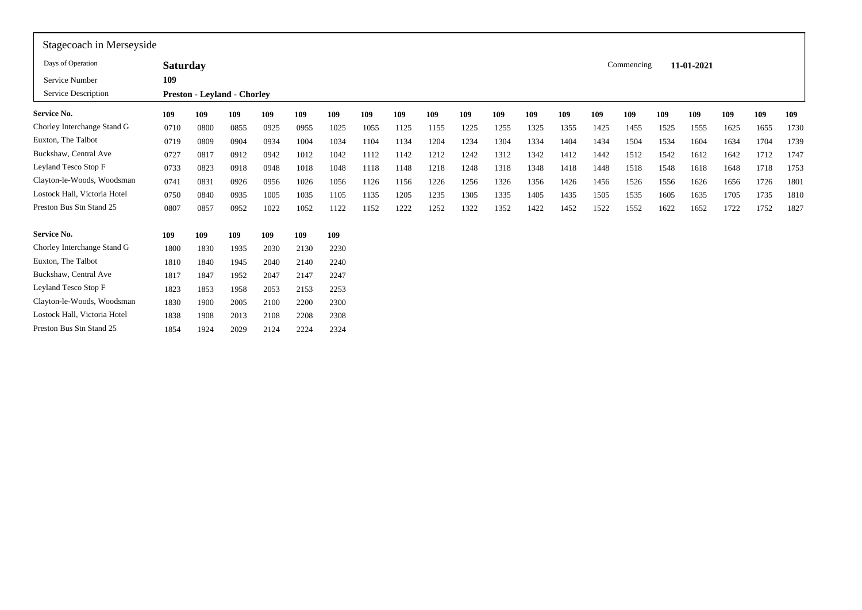| Stagecoach in Merseyside     |                 |      |                                    |      |      |      |      |      |      |      |      |      |      |      |            |      |            |      |      |      |
|------------------------------|-----------------|------|------------------------------------|------|------|------|------|------|------|------|------|------|------|------|------------|------|------------|------|------|------|
| Days of Operation            | <b>Saturday</b> |      |                                    |      |      |      |      |      |      |      |      |      |      |      | Commencing |      | 11-01-2021 |      |      |      |
| Service Number               | 109             |      |                                    |      |      |      |      |      |      |      |      |      |      |      |            |      |            |      |      |      |
| Service Description          |                 |      | <b>Preston - Leyland - Chorley</b> |      |      |      |      |      |      |      |      |      |      |      |            |      |            |      |      |      |
| Service No.                  | 109             | 109  | 109                                | 109  | 109  | 109  | 109  | 109  | 109  | 109  | 109  | 109  | 109  | 109  | 109        | 109  | 109        | 109  | 109  | 109  |
| Chorley Interchange Stand G  | 0710            | 0800 | 0855                               | 0925 | 0955 | 1025 | 1055 | 1125 | 1155 | 1225 | 1255 | 1325 | 1355 | 1425 | 1455       | 1525 | 1555       | 1625 | 1655 | 1730 |
| Euxton, The Talbot           | 0719            | 0809 | 0904                               | 0934 | 1004 | 1034 | 1104 | 1134 | 1204 | 1234 | 1304 | 1334 | 1404 | 1434 | 1504       | 1534 | 1604       | 1634 | 1704 | 1739 |
| Buckshaw, Central Ave        | 0727            | 0817 | 0912                               | 0942 | 1012 | 1042 | 1112 | 1142 | 1212 | 1242 | 1312 | 1342 | 1412 | 1442 | 1512       | 1542 | 1612       | 1642 | 1712 | 1747 |
| Leyland Tesco Stop F         | 0733            | 0823 | 0918                               | 0948 | 1018 | 1048 | 1118 | 1148 | 1218 | 1248 | 1318 | 1348 | 1418 | 1448 | 1518       | 1548 | 1618       | 1648 | 1718 | 1753 |
| Clayton-le-Woods, Woodsman   | 0741            | 0831 | 0926                               | 0956 | 1026 | 1056 | 1126 | 1156 | 1226 | 1256 | 1326 | 1356 | 1426 | 1456 | 1526       | 1556 | 1626       | 1656 | 1726 | 1801 |
| Lostock Hall, Victoria Hotel | 0750            | 0840 | 0935                               | 1005 | 1035 | 1105 | 1135 | 1205 | 1235 | 1305 | 1335 | 1405 | 1435 | 1505 | 1535       | 1605 | 1635       | 1705 | 1735 | 1810 |
| Preston Bus Stn Stand 25     | 0807            | 0857 | 0952                               | 1022 | 1052 | 1122 | 1152 | 1222 | 1252 | 1322 | 1352 | 1422 | 1452 | 1522 | 1552       | 1622 | 1652       | 1722 | 1752 | 1827 |
| <b>Service No.</b>           | 109             | 109  | 109                                | 109  | 109  | 109  |      |      |      |      |      |      |      |      |            |      |            |      |      |      |
| Chorley Interchange Stand G  | 1800            | 1830 | 1935                               | 2030 | 2130 | 2230 |      |      |      |      |      |      |      |      |            |      |            |      |      |      |
| Euxton, The Talbot           | 1810            | 1840 | 1945                               | 2040 | 2140 | 2240 |      |      |      |      |      |      |      |      |            |      |            |      |      |      |
| Buckshaw, Central Ave        | 1817            | 1847 | 1952                               | 2047 | 2147 | 2247 |      |      |      |      |      |      |      |      |            |      |            |      |      |      |
| Leyland Tesco Stop F         | 1823            | 1853 | 1958                               | 2053 | 2153 | 2253 |      |      |      |      |      |      |      |      |            |      |            |      |      |      |
| Clayton-le-Woods, Woodsman   | 1830            | 1900 | 2005                               | 2100 | 2200 | 2300 |      |      |      |      |      |      |      |      |            |      |            |      |      |      |
| Lostock Hall, Victoria Hotel | 1838            | 1908 | 2013                               | 2108 | 2208 | 2308 |      |      |      |      |      |      |      |      |            |      |            |      |      |      |
| Preston Bus Stn Stand 25     | 1854            | 1924 | 2029                               | 2124 | 2224 | 2324 |      |      |      |      |      |      |      |      |            |      |            |      |      |      |
|                              |                 |      |                                    |      |      |      |      |      |      |      |      |      |      |      |            |      |            |      |      |      |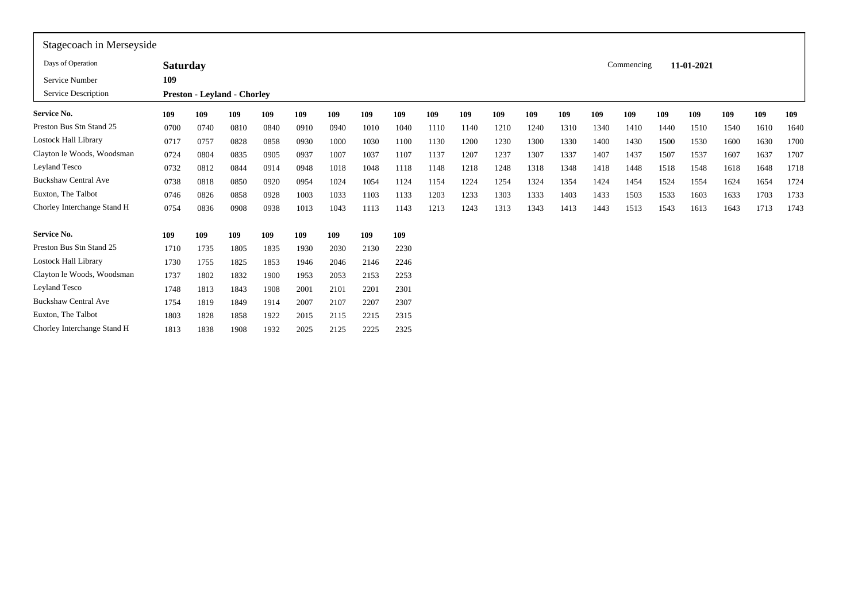| Commencing<br>11-01-2021<br><b>Saturday</b><br>109<br><b>Preston - Leyland - Chorley</b><br>109<br>109<br>109<br>109<br>109<br>109<br>109<br>109<br>109<br>109<br>109<br>109<br>109<br>109<br>109<br>109<br>109<br>109<br>109<br>0700<br>0740<br>0810<br>0910<br>0940<br>1010<br>1040<br>1210<br>1240<br>1340<br>1610<br>0840<br>1110<br>1140<br>1310<br>1510<br>1540<br>1410<br>1440<br>1230<br>1300<br>0717<br>0757<br>0828<br>0930<br>1030<br>1100<br>1130<br>1200<br>1330<br>1400<br>1430<br>1500<br>1600<br>1630<br>0858<br>1000<br>1530<br>0724<br>0804<br>0937<br>1037<br>1107<br>1137<br>1207<br>1237<br>1307<br>1337<br>1407<br>1507<br>1537<br>1607<br>1637<br>0835<br>0905<br>1007<br>1437<br>0732<br>0812<br>0844<br>0948<br>1018<br>1048<br>1118<br>1218<br>1248<br>1318<br>1348<br>1418<br>1448<br>1618<br>1648<br>0914<br>1148<br>1518<br>1548<br>0738<br>0954<br>1054<br>1124<br>1224<br>1324<br>1424<br>0818<br>0850<br>0920<br>1024<br>1154<br>1254<br>1354<br>1454<br>1524<br>1624<br>1654<br>1554<br>1333<br>0746<br>0826<br>1003<br>1133<br>1203<br>1233<br>1303<br>1433<br>1533<br>1633<br>1703<br>0858<br>0928<br>1033<br>1103<br>1403<br>1503<br>1603<br>0754<br>0836<br>0938<br>1013<br>1043<br>1213<br>1243<br>1313<br>1343<br>1413<br>1443<br>1713<br>0908<br>1113<br>1143<br>1513<br>1543<br>1613<br>1643<br>109<br>109<br>109<br>109<br>109<br>109<br>109<br>109<br>1735<br>1835<br>2030<br>2230<br>1710<br>1805<br>1930<br>2130<br>1730<br>1755<br>2246<br>1825<br>1853<br>1946<br>2046<br>2146<br>1737<br>1802<br>1832<br>1900<br>1953<br>2053<br>2153<br>2253<br>2301<br>1748<br>1813<br>1843<br>1908<br>2001<br>2201<br>2101<br>2307<br>1754<br>1819<br>1849<br>1914<br>2007<br>2207<br>2107<br>1803<br>1828<br>1858<br>1922<br>2015<br>2115<br>2215<br>2315<br>2325<br>1813<br>1838<br>1932<br>2025<br>2225<br>1908<br>2125 | Stagecoach in Merseyside    |  |  |  |  |  |  |  |  |  |      |
|---------------------------------------------------------------------------------------------------------------------------------------------------------------------------------------------------------------------------------------------------------------------------------------------------------------------------------------------------------------------------------------------------------------------------------------------------------------------------------------------------------------------------------------------------------------------------------------------------------------------------------------------------------------------------------------------------------------------------------------------------------------------------------------------------------------------------------------------------------------------------------------------------------------------------------------------------------------------------------------------------------------------------------------------------------------------------------------------------------------------------------------------------------------------------------------------------------------------------------------------------------------------------------------------------------------------------------------------------------------------------------------------------------------------------------------------------------------------------------------------------------------------------------------------------------------------------------------------------------------------------------------------------------------------------------------------------------------------------------------------------------------------------------------------------------------------------------------------------------------|-----------------------------|--|--|--|--|--|--|--|--|--|------|
|                                                                                                                                                                                                                                                                                                                                                                                                                                                                                                                                                                                                                                                                                                                                                                                                                                                                                                                                                                                                                                                                                                                                                                                                                                                                                                                                                                                                                                                                                                                                                                                                                                                                                                                                                                                                                                                               | Days of Operation           |  |  |  |  |  |  |  |  |  |      |
|                                                                                                                                                                                                                                                                                                                                                                                                                                                                                                                                                                                                                                                                                                                                                                                                                                                                                                                                                                                                                                                                                                                                                                                                                                                                                                                                                                                                                                                                                                                                                                                                                                                                                                                                                                                                                                                               | Service Number              |  |  |  |  |  |  |  |  |  |      |
|                                                                                                                                                                                                                                                                                                                                                                                                                                                                                                                                                                                                                                                                                                                                                                                                                                                                                                                                                                                                                                                                                                                                                                                                                                                                                                                                                                                                                                                                                                                                                                                                                                                                                                                                                                                                                                                               | Service Description         |  |  |  |  |  |  |  |  |  |      |
|                                                                                                                                                                                                                                                                                                                                                                                                                                                                                                                                                                                                                                                                                                                                                                                                                                                                                                                                                                                                                                                                                                                                                                                                                                                                                                                                                                                                                                                                                                                                                                                                                                                                                                                                                                                                                                                               | <b>Service No.</b>          |  |  |  |  |  |  |  |  |  | 109  |
|                                                                                                                                                                                                                                                                                                                                                                                                                                                                                                                                                                                                                                                                                                                                                                                                                                                                                                                                                                                                                                                                                                                                                                                                                                                                                                                                                                                                                                                                                                                                                                                                                                                                                                                                                                                                                                                               | Preston Bus Stn Stand 25    |  |  |  |  |  |  |  |  |  | 1640 |
|                                                                                                                                                                                                                                                                                                                                                                                                                                                                                                                                                                                                                                                                                                                                                                                                                                                                                                                                                                                                                                                                                                                                                                                                                                                                                                                                                                                                                                                                                                                                                                                                                                                                                                                                                                                                                                                               | Lostock Hall Library        |  |  |  |  |  |  |  |  |  | 1700 |
|                                                                                                                                                                                                                                                                                                                                                                                                                                                                                                                                                                                                                                                                                                                                                                                                                                                                                                                                                                                                                                                                                                                                                                                                                                                                                                                                                                                                                                                                                                                                                                                                                                                                                                                                                                                                                                                               | Clayton le Woods, Woodsman  |  |  |  |  |  |  |  |  |  | 1707 |
|                                                                                                                                                                                                                                                                                                                                                                                                                                                                                                                                                                                                                                                                                                                                                                                                                                                                                                                                                                                                                                                                                                                                                                                                                                                                                                                                                                                                                                                                                                                                                                                                                                                                                                                                                                                                                                                               | Leyland Tesco               |  |  |  |  |  |  |  |  |  | 1718 |
|                                                                                                                                                                                                                                                                                                                                                                                                                                                                                                                                                                                                                                                                                                                                                                                                                                                                                                                                                                                                                                                                                                                                                                                                                                                                                                                                                                                                                                                                                                                                                                                                                                                                                                                                                                                                                                                               | <b>Buckshaw Central Ave</b> |  |  |  |  |  |  |  |  |  | 1724 |
|                                                                                                                                                                                                                                                                                                                                                                                                                                                                                                                                                                                                                                                                                                                                                                                                                                                                                                                                                                                                                                                                                                                                                                                                                                                                                                                                                                                                                                                                                                                                                                                                                                                                                                                                                                                                                                                               | Euxton, The Talbot          |  |  |  |  |  |  |  |  |  | 1733 |
|                                                                                                                                                                                                                                                                                                                                                                                                                                                                                                                                                                                                                                                                                                                                                                                                                                                                                                                                                                                                                                                                                                                                                                                                                                                                                                                                                                                                                                                                                                                                                                                                                                                                                                                                                                                                                                                               | Chorley Interchange Stand H |  |  |  |  |  |  |  |  |  | 1743 |
|                                                                                                                                                                                                                                                                                                                                                                                                                                                                                                                                                                                                                                                                                                                                                                                                                                                                                                                                                                                                                                                                                                                                                                                                                                                                                                                                                                                                                                                                                                                                                                                                                                                                                                                                                                                                                                                               | <b>Service No.</b>          |  |  |  |  |  |  |  |  |  |      |
|                                                                                                                                                                                                                                                                                                                                                                                                                                                                                                                                                                                                                                                                                                                                                                                                                                                                                                                                                                                                                                                                                                                                                                                                                                                                                                                                                                                                                                                                                                                                                                                                                                                                                                                                                                                                                                                               | Preston Bus Stn Stand 25    |  |  |  |  |  |  |  |  |  |      |
|                                                                                                                                                                                                                                                                                                                                                                                                                                                                                                                                                                                                                                                                                                                                                                                                                                                                                                                                                                                                                                                                                                                                                                                                                                                                                                                                                                                                                                                                                                                                                                                                                                                                                                                                                                                                                                                               | Lostock Hall Library        |  |  |  |  |  |  |  |  |  |      |
|                                                                                                                                                                                                                                                                                                                                                                                                                                                                                                                                                                                                                                                                                                                                                                                                                                                                                                                                                                                                                                                                                                                                                                                                                                                                                                                                                                                                                                                                                                                                                                                                                                                                                                                                                                                                                                                               | Clayton le Woods, Woodsman  |  |  |  |  |  |  |  |  |  |      |
|                                                                                                                                                                                                                                                                                                                                                                                                                                                                                                                                                                                                                                                                                                                                                                                                                                                                                                                                                                                                                                                                                                                                                                                                                                                                                                                                                                                                                                                                                                                                                                                                                                                                                                                                                                                                                                                               | Leyland Tesco               |  |  |  |  |  |  |  |  |  |      |
|                                                                                                                                                                                                                                                                                                                                                                                                                                                                                                                                                                                                                                                                                                                                                                                                                                                                                                                                                                                                                                                                                                                                                                                                                                                                                                                                                                                                                                                                                                                                                                                                                                                                                                                                                                                                                                                               | <b>Buckshaw Central Ave</b> |  |  |  |  |  |  |  |  |  |      |
|                                                                                                                                                                                                                                                                                                                                                                                                                                                                                                                                                                                                                                                                                                                                                                                                                                                                                                                                                                                                                                                                                                                                                                                                                                                                                                                                                                                                                                                                                                                                                                                                                                                                                                                                                                                                                                                               | Euxton, The Talbot          |  |  |  |  |  |  |  |  |  |      |
|                                                                                                                                                                                                                                                                                                                                                                                                                                                                                                                                                                                                                                                                                                                                                                                                                                                                                                                                                                                                                                                                                                                                                                                                                                                                                                                                                                                                                                                                                                                                                                                                                                                                                                                                                                                                                                                               | Chorley Interchange Stand H |  |  |  |  |  |  |  |  |  |      |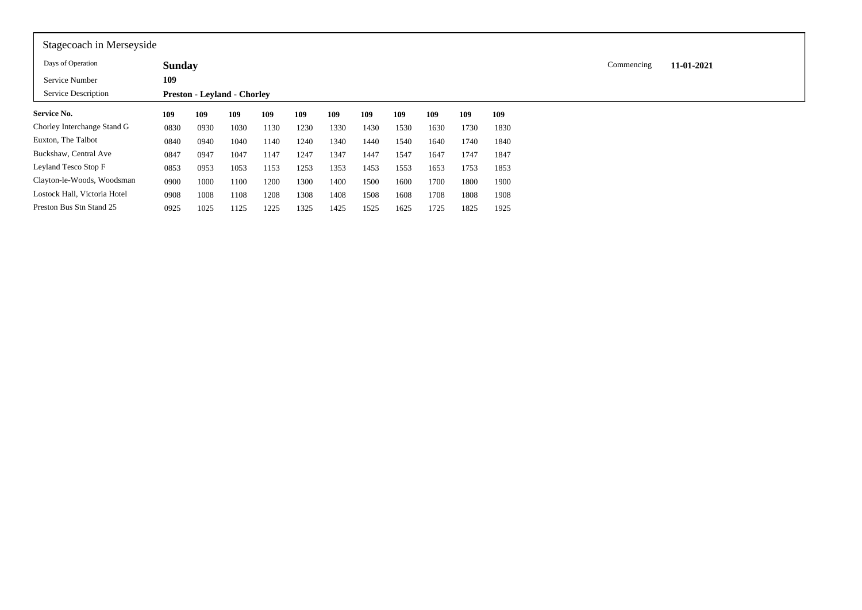| Stagecoach in Merseyside     |               |      |                                    |      |      |      |      |      |      |      |      |            |            |
|------------------------------|---------------|------|------------------------------------|------|------|------|------|------|------|------|------|------------|------------|
| Days of Operation            | <b>Sunday</b> |      |                                    |      |      |      |      |      |      |      |      | Commencing | 11-01-2021 |
| Service Number               | 109           |      |                                    |      |      |      |      |      |      |      |      |            |            |
| Service Description          |               |      | <b>Preston - Levland - Chorley</b> |      |      |      |      |      |      |      |      |            |            |
| Service No.                  | 109           | 109  | 109                                | 109  | 109  | 109  | 109  | 109  | 109  | 109  | 109  |            |            |
| Chorley Interchange Stand G  | 0830          | 0930 | 1030                               | 1130 | 1230 | 1330 | 1430 | 1530 | 1630 | 1730 | 1830 |            |            |
| Euxton, The Talbot           | 0840          | 0940 | 1040                               | 1140 | 1240 | 1340 | 1440 | 1540 | 1640 | 1740 | 1840 |            |            |
| Buckshaw, Central Ave        | 0847          | 0947 | 1047                               | 1147 | 1247 | 1347 | 1447 | 1547 | 1647 | 1747 | 1847 |            |            |
| Leyland Tesco Stop F         | 0853          | 0953 | 1053                               | 1153 | 1253 | 1353 | 1453 | 1553 | 1653 | 1753 | 1853 |            |            |
| Clayton-le-Woods, Woodsman   | 0900          | 1000 | 1100                               | 1200 | 1300 | 1400 | 1500 | 1600 | 1700 | 1800 | 1900 |            |            |
| Lostock Hall, Victoria Hotel | 0908          | 1008 | 1108                               | 1208 | 1308 | 1408 | 1508 | 1608 | 1708 | 1808 | 1908 |            |            |
| Preston Bus Stn Stand 25     | 0925          | 1025 | 1125                               | 1225 | 1325 | 1425 | 1525 | 1625 | 1725 | 1825 | 1925 |            |            |

IГ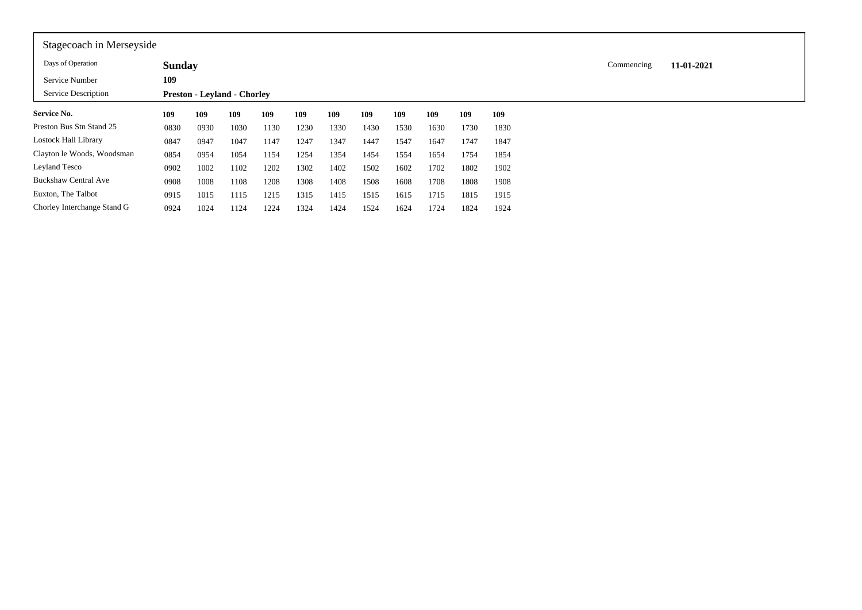| Stagecoach in Merseyside    |               |      |                                    |      |      |      |      |      |      |      |      |            |            |
|-----------------------------|---------------|------|------------------------------------|------|------|------|------|------|------|------|------|------------|------------|
| Days of Operation           | <b>Sunday</b> |      |                                    |      |      |      |      |      |      |      |      | Commencing | 11-01-2021 |
| Service Number              | 109           |      |                                    |      |      |      |      |      |      |      |      |            |            |
| Service Description         |               |      | <b>Preston - Levland - Chorley</b> |      |      |      |      |      |      |      |      |            |            |
| <b>Service No.</b>          | 109           | 109  | 109                                | 109  | 109  | 109  | 109  | 109  | 109  | 109  | 109  |            |            |
| Preston Bus Stn Stand 25    | 0830          | 0930 | 1030                               | 1130 | 1230 | 1330 | 1430 | 1530 | 1630 | 1730 | 1830 |            |            |
| Lostock Hall Library        | 0847          | 0947 | 1047                               | 1147 | 1247 | 1347 | 1447 | 1547 | 1647 | 1747 | 1847 |            |            |
| Clayton le Woods, Woodsman  | 0854          | 0954 | 1054                               | 1154 | 1254 | 1354 | 1454 | 1554 | 1654 | 1754 | 1854 |            |            |
| Leyland Tesco               | 0902          | 1002 | 1102                               | 1202 | 1302 | 1402 | 1502 | 1602 | 1702 | 1802 | 1902 |            |            |
| <b>Buckshaw Central Ave</b> | 0908          | 1008 | 1108                               | 1208 | 1308 | 1408 | 1508 | 1608 | 1708 | 1808 | 1908 |            |            |
| Euxton, The Talbot          | 0915          | 1015 | 1115                               | 1215 | 1315 | 1415 | 1515 | 1615 | 1715 | 1815 | 1915 |            |            |
| Chorley Interchange Stand G | 0924          | 1024 | 1124                               | 1224 | 1324 | 1424 | 1524 | 1624 | 1724 | 1824 | 1924 |            |            |

 $\mathsf{r}$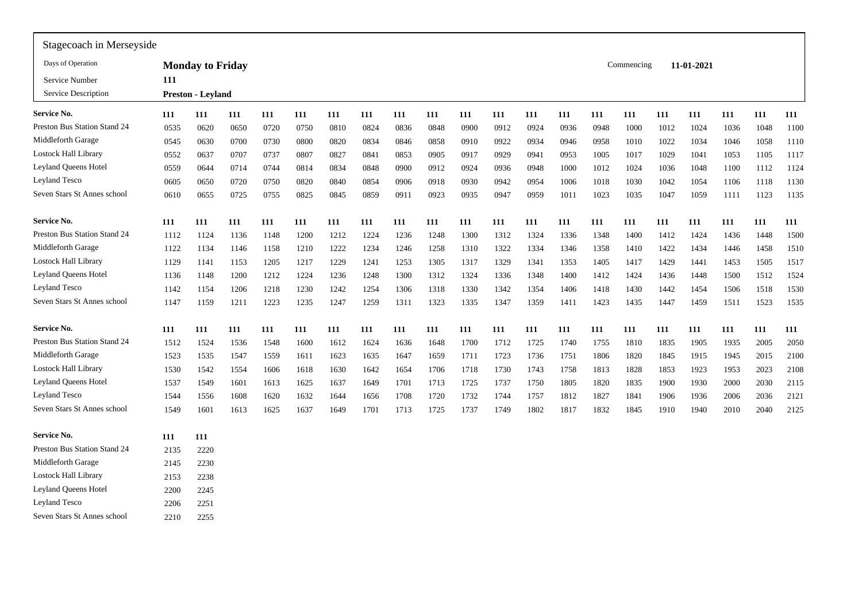| Stagecoach in Merseyside     |      |                         |      |      |      |      |      |      |      |      |      |      |      |      |            |      |            |      |      |      |
|------------------------------|------|-------------------------|------|------|------|------|------|------|------|------|------|------|------|------|------------|------|------------|------|------|------|
| Days of Operation            |      | <b>Monday to Friday</b> |      |      |      |      |      |      |      |      |      |      |      |      | Commencing |      | 11-01-2021 |      |      |      |
| Service Number               | 111  |                         |      |      |      |      |      |      |      |      |      |      |      |      |            |      |            |      |      |      |
| Service Description          |      | Preston - Leyland       |      |      |      |      |      |      |      |      |      |      |      |      |            |      |            |      |      |      |
| Service No.                  | 111  | 111                     | 111  | 111  | 111  | 111  | 111  | 111  | 111  | 111  | 111  | 111  | 111  | 111  | 111        | 111  | 111        | 111  | 111  | 111  |
| Preston Bus Station Stand 24 | 0535 | 0620                    | 0650 | 0720 | 0750 | 0810 | 0824 | 0836 | 0848 | 0900 | 0912 | 0924 | 0936 | 0948 | 1000       | 1012 | 1024       | 1036 | 1048 | 1100 |
| Middleforth Garage           | 0545 | 0630                    | 0700 | 0730 | 0800 | 0820 | 0834 | 0846 | 0858 | 0910 | 0922 | 0934 | 0946 | 0958 | 1010       | 1022 | 1034       | 1046 | 1058 | 1110 |
| <b>Lostock Hall Library</b>  | 0552 | 0637                    | 0707 | 0737 | 0807 | 0827 | 0841 | 0853 | 0905 | 0917 | 0929 | 0941 | 0953 | 1005 | 1017       | 1029 | 1041       | 1053 | 1105 | 1117 |
| Leyland Queens Hotel         | 0559 | 0644                    | 0714 | 0744 | 0814 | 0834 | 0848 | 0900 | 0912 | 0924 | 0936 | 0948 | 1000 | 1012 | 1024       | 1036 | 1048       | 1100 | 1112 | 1124 |
| Leyland Tesco                | 0605 | 0650                    | 0720 | 0750 | 0820 | 0840 | 0854 | 0906 | 0918 | 0930 | 0942 | 0954 | 1006 | 1018 | 1030       | 1042 | 1054       | 1106 | 1118 | 1130 |
| Seven Stars St Annes school  | 0610 | 0655                    | 0725 | 0755 | 0825 | 0845 | 0859 | 0911 | 0923 | 0935 | 0947 | 0959 | 1011 | 1023 | 1035       | 1047 | 1059       | 1111 | 1123 | 1135 |
| Service No.                  | 111  | 111                     | 111  | 111  | 111  | 111  | 111  | 111  | 111  | 111  | 111  | 111  | 111  | 111  | 111        | 111  | 111        | 111  | 111  | 111  |
| Preston Bus Station Stand 24 | 1112 | 1124                    | 1136 | 1148 | 1200 | 1212 | 1224 | 1236 | 1248 | 1300 | 1312 | 1324 | 1336 | 1348 | 1400       | 1412 | 1424       | 1436 | 1448 | 1500 |
| Middleforth Garage           | 1122 | 1134                    | 1146 | 1158 | 1210 | 1222 | 1234 | 1246 | 1258 | 1310 | 1322 | 1334 | 1346 | 1358 | 1410       | 1422 | 1434       | 1446 | 1458 | 1510 |
| <b>Lostock Hall Library</b>  | 1129 | 1141                    | 1153 | 1205 | 1217 | 1229 | 1241 | 1253 | 1305 | 1317 | 1329 | 1341 | 1353 | 1405 | 1417       | 1429 | 1441       | 1453 | 1505 | 1517 |
| Leyland Queens Hotel         | 1136 | 1148                    | 1200 | 1212 | 1224 | 1236 | 1248 | 1300 | 1312 | 1324 | 1336 | 1348 | 1400 | 1412 | 1424       | 1436 | 1448       | 1500 | 1512 | 1524 |
| <b>Leyland Tesco</b>         | 1142 | 1154                    | 1206 | 1218 | 1230 | 1242 | 1254 | 1306 | 1318 | 1330 | 1342 | 1354 | 1406 | 1418 | 1430       | 1442 | 1454       | 1506 | 1518 | 1530 |
| Seven Stars St Annes school  | 1147 | 1159                    | 1211 | 1223 | 1235 | 1247 | 1259 | 1311 | 1323 | 1335 | 1347 | 1359 | 1411 | 1423 | 1435       | 1447 | 1459       | 1511 | 1523 | 1535 |
| Service No.                  | 111  | 111                     | 111  | 111  | 111  | 111  | 111  | 111  | 111  | 111  | 111  | 111  | 111  | 111  | 111        | 111  | 111        | 111  | 111  | 111  |
| Preston Bus Station Stand 24 | 1512 | 1524                    | 1536 | 1548 | 1600 | 1612 | 1624 | 1636 | 1648 | 1700 | 1712 | 1725 | 1740 | 1755 | 1810       | 1835 | 1905       | 1935 | 2005 | 2050 |
| Middleforth Garage           | 1523 | 1535                    | 1547 | 1559 | 1611 | 1623 | 1635 | 1647 | 1659 | 1711 | 1723 | 1736 | 1751 | 1806 | 1820       | 1845 | 1915       | 1945 | 2015 | 2100 |
| Lostock Hall Library         | 1530 | 1542                    | 1554 | 1606 | 1618 | 1630 | 1642 | 1654 | 1706 | 1718 | 1730 | 1743 | 1758 | 1813 | 1828       | 1853 | 1923       | 1953 | 2023 | 2108 |
| <b>Leyland Queens Hotel</b>  | 1537 | 1549                    | 1601 | 1613 | 1625 | 1637 | 1649 | 1701 | 1713 | 1725 | 1737 | 1750 | 1805 | 1820 | 1835       | 1900 | 1930       | 2000 | 2030 | 2115 |
| Leyland Tesco                | 1544 | 1556                    | 1608 | 1620 | 1632 | 1644 | 1656 | 1708 | 1720 | 1732 | 1744 | 1757 | 1812 | 1827 | 1841       | 1906 | 1936       | 2006 | 2036 | 2121 |
| Seven Stars St Annes school  | 1549 | 1601                    | 1613 | 1625 | 1637 | 1649 | 1701 | 1713 | 1725 | 1737 | 1749 | 1802 | 1817 | 1832 | 1845       | 1910 | 1940       | 2010 | 2040 | 2125 |
| Service No.                  | 111  | 111                     |      |      |      |      |      |      |      |      |      |      |      |      |            |      |            |      |      |      |
| Preston Bus Station Stand 24 | 2135 | 2220                    |      |      |      |      |      |      |      |      |      |      |      |      |            |      |            |      |      |      |
| Middleforth Garage           | 2145 | 2230                    |      |      |      |      |      |      |      |      |      |      |      |      |            |      |            |      |      |      |
| <b>Lostock Hall Library</b>  | 2153 | 2238                    |      |      |      |      |      |      |      |      |      |      |      |      |            |      |            |      |      |      |
| Leyland Queens Hotel         | 2200 | 2245                    |      |      |      |      |      |      |      |      |      |      |      |      |            |      |            |      |      |      |
| <b>Leyland Tesco</b>         | 2206 | 2251                    |      |      |      |      |      |      |      |      |      |      |      |      |            |      |            |      |      |      |
| Seven Stars St Annes school  | 2210 | 2255                    |      |      |      |      |      |      |      |      |      |      |      |      |            |      |            |      |      |      |
|                              |      |                         |      |      |      |      |      |      |      |      |      |      |      |      |            |      |            |      |      |      |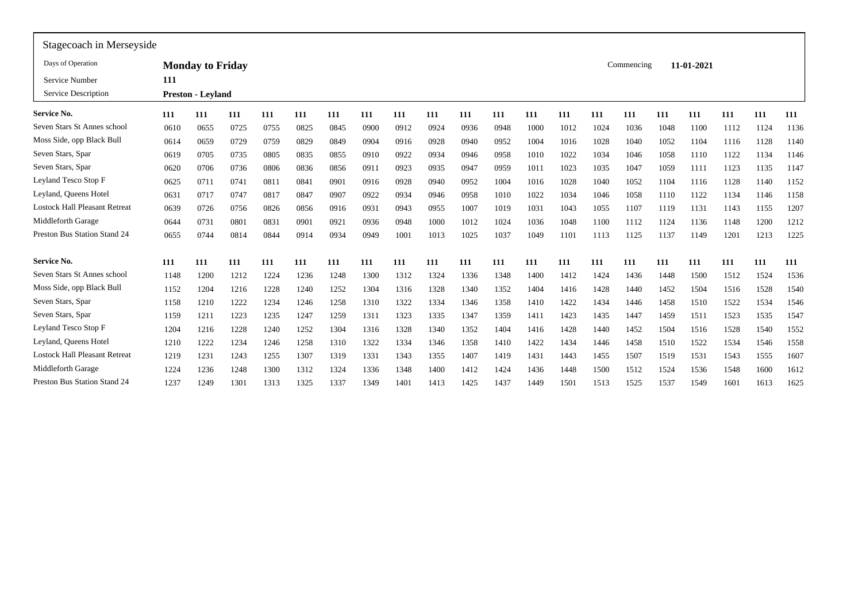| Stagecoach in Merseyside |      |      |                                                     |      |      |      |      |      |      |      |      |      |      |      |      |            |            |      |      |
|--------------------------|------|------|-----------------------------------------------------|------|------|------|------|------|------|------|------|------|------|------|------|------------|------------|------|------|
|                          |      |      |                                                     |      |      |      |      |      |      |      |      |      |      |      |      |            |            |      |      |
| 111                      |      |      |                                                     |      |      |      |      |      |      |      |      |      |      |      |      |            |            |      |      |
|                          |      |      |                                                     |      |      |      |      |      |      |      |      |      |      |      |      |            |            |      |      |
| 111                      | 111  | 111  | 111                                                 | 111  | 111  | 111  | 111  | 111  | 111  | 111  | 111  | 111  | 111  | 111  | 111  | 111        | 111        | 111  | 111  |
| 0610                     | 0655 | 0725 | 0755                                                | 0825 | 0845 | 0900 | 0912 | 0924 | 0936 | 0948 | 1000 | 1012 | 1024 | 1036 | 1048 | 1100       | 1112       | 1124 | 1136 |
| 0614                     | 0659 | 0729 | 0759                                                | 0829 | 0849 | 0904 | 0916 | 0928 | 0940 | 0952 | 1004 | 1016 | 1028 | 1040 | 1052 | 1104       | 1116       | 1128 | 1140 |
| 0619                     | 0705 | 0735 | 0805                                                | 0835 | 0855 | 0910 | 0922 | 0934 | 0946 | 0958 | 1010 | 1022 | 1034 | 1046 | 1058 | 1110       | 1122       | 1134 | 1146 |
| 0620                     | 0706 | 0736 | 0806                                                | 0836 | 0856 | 091  | 0923 | 0935 | 0947 | 0959 | 1011 | 1023 | 1035 | 1047 | 1059 | 1111       | 1123       | 1135 | 1147 |
| 0625                     | 0711 | 0741 | 0811                                                | 0841 | 0901 | 0916 | 0928 | 0940 | 0952 | 1004 | 1016 | 1028 | 1040 | 1052 | 1104 | 1116       | 1128       | 1140 | 1152 |
| 0631                     | 0717 | 0747 | 0817                                                | 0847 | 0907 | 0922 | 0934 | 0946 | 0958 | 1010 | 1022 | 1034 | 1046 | 1058 | 1110 | 1122       | 1134       | 1146 | 1158 |
| 0639                     | 0726 | 0756 | 0826                                                | 0856 | 0916 | 0931 | 0943 | 0955 | 1007 | 1019 | 1031 | 1043 | 1055 | 1107 | 1119 | 1131       | 1143       | 1155 | 1207 |
| 0644                     | 0731 | 0801 | 0831                                                | 0901 | 0921 | 0936 | 0948 | 1000 | 1012 | 1024 | 1036 | 1048 | 1100 | 1112 | 1124 | 1136       | 1148       | 1200 | 1212 |
| 0655                     | 0744 | 0814 | 0844                                                | 0914 | 0934 | 0949 | 1001 | 1013 | 1025 | 1037 | 1049 | 1101 | 1113 | 1125 | 1137 | 1149       | 1201       | 1213 | 1225 |
| 111                      | 111  | 111  | 111                                                 | 111  | 111  | 111  | 111  | 111  | 111  | 111  | 111  | 111  | 111  | 111  | 111  | 111        | 111        | 111  | 111  |
| 1148                     | 1200 | 1212 | 1224                                                | 1236 | 1248 | 1300 | 1312 | 1324 | 1336 | 1348 | 1400 | 1412 | 1424 | 1436 | 1448 | 1500       | 1512       | 1524 | 1536 |
| 1152                     | 1204 | 1216 | 1228                                                | 1240 | 1252 | 1304 | 1316 | 1328 | 1340 | 1352 | 1404 | 1416 | 1428 | 1440 | 1452 | 1504       | 1516       | 1528 | 1540 |
| 1158                     | 1210 | 1222 | 1234                                                | 1246 | 1258 | 1310 | 1322 | 1334 | 1346 | 1358 | 1410 | 1422 | 1434 | 1446 | 1458 | 1510       | 1522       | 1534 | 1546 |
| 1159                     | 1211 | 1223 | 1235                                                | 1247 | 1259 | 1311 | 1323 | 1335 | 1347 | 1359 | 1411 | 1423 | 1435 | 1447 | 1459 | 1511       | 1523       | 1535 | 1547 |
| 1204                     | 1216 | 1228 | 1240                                                | 1252 | 1304 | 1316 | 1328 | 1340 | 1352 | 1404 | 1416 | 1428 | 1440 | 1452 | 1504 | 1516       | 1528       | 1540 | 1552 |
| 1210                     | 1222 | 1234 | 1246                                                | 1258 | 1310 | 1322 | 1334 | 1346 | 1358 | 1410 | 1422 | 1434 | 1446 | 1458 | 1510 | 1522       | 1534       | 1546 | 1558 |
| 1219                     | 1231 | 1243 | 1255                                                | 1307 | 1319 | 1331 | 1343 | 1355 | 1407 | 1419 | 1431 | 1443 | 1455 | 1507 | 1519 | 1531       | 1543       | 1555 | 1607 |
| 1224                     | 1236 | 1248 | 1300                                                | 1312 | 1324 | 1336 | 1348 | 1400 | 1412 | 1424 | 1436 | 1448 | 1500 | 1512 | 1524 | 1536       | 1548       | 1600 | 1612 |
| 1237                     | 1249 | 1301 | 1313                                                | 1325 | 1337 | 1349 | 1401 | 1413 | 1425 | 1437 | 1449 | 1501 | 1513 | 1525 | 1537 | 1549       | 1601       | 1613 | 1625 |
|                          |      |      | <b>Monday to Friday</b><br><b>Preston - Leyland</b> |      |      |      |      |      |      |      |      |      |      |      |      | Commencing | 11-01-2021 |      |      |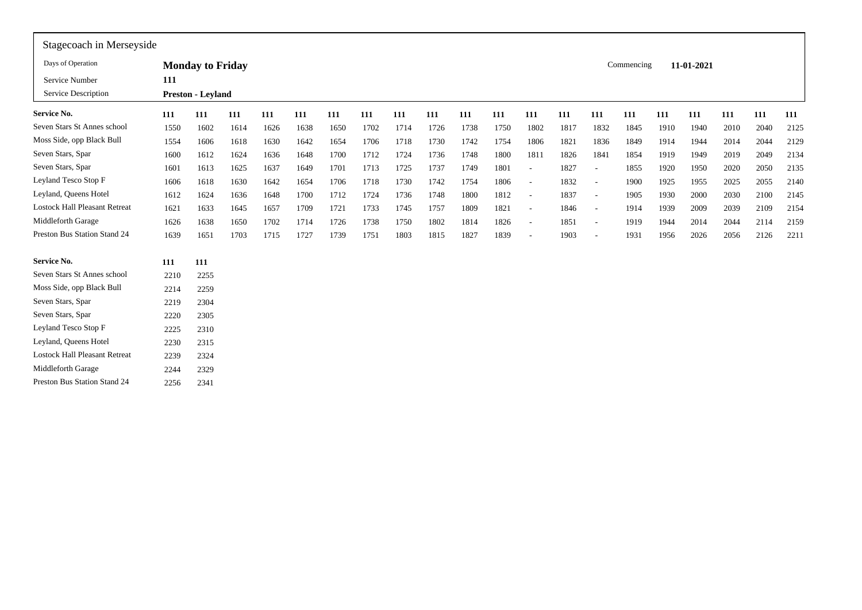| Stagecoach in Merseyside             |      |                          |      |      |      |      |      |      |      |      |      |                          |      |                          |            |      |            |      |      |      |
|--------------------------------------|------|--------------------------|------|------|------|------|------|------|------|------|------|--------------------------|------|--------------------------|------------|------|------------|------|------|------|
| Days of Operation                    |      | <b>Monday to Friday</b>  |      |      |      |      |      |      |      |      |      |                          |      |                          | Commencing |      | 11-01-2021 |      |      |      |
| Service Number                       | 111  |                          |      |      |      |      |      |      |      |      |      |                          |      |                          |            |      |            |      |      |      |
| Service Description                  |      | <b>Preston - Leyland</b> |      |      |      |      |      |      |      |      |      |                          |      |                          |            |      |            |      |      |      |
| <b>Service No.</b>                   | 111  | 111                      | 111  | 111  | 111  | 111  | 111  | 111  | 111  | 111  | 111  | 111                      | 111  | 111                      | 111        | 111  | 111        | 111  | 111  | 111  |
| Seven Stars St Annes school          | 1550 | 1602                     | 1614 | 1626 | 1638 | 1650 | 1702 | 1714 | 1726 | 1738 | 1750 | 1802                     | 1817 | 1832                     | 1845       | 1910 | 1940       | 2010 | 2040 | 2125 |
| Moss Side, opp Black Bull            | 1554 | 1606                     | 1618 | 1630 | 1642 | 1654 | 1706 | 1718 | 1730 | 1742 | 1754 | 1806                     | 1821 | 1836                     | 1849       | 1914 | 1944       | 2014 | 2044 | 2129 |
| Seven Stars, Spar                    | 1600 | 1612                     | 1624 | 1636 | 1648 | 1700 | 1712 | 1724 | 1736 | 1748 | 1800 | 1811                     | 1826 | 1841                     | 1854       | 1919 | 1949       | 2019 | 2049 | 2134 |
| Seven Stars, Spar                    | 1601 | 1613                     | 1625 | 1637 | 1649 | 1701 | 1713 | 1725 | 1737 | 1749 | 1801 | $\overline{\phantom{a}}$ | 1827 | $\overline{\phantom{a}}$ | 1855       | 1920 | 1950       | 2020 | 2050 | 2135 |
| Leyland Tesco Stop F                 | 1606 | 1618                     | 1630 | 1642 | 1654 | 1706 | 1718 | 1730 | 1742 | 1754 | 1806 | $\sim$                   | 1832 | $\overline{\phantom{a}}$ | 1900       | 1925 | 1955       | 2025 | 2055 | 2140 |
| Leyland, Queens Hotel                | 1612 | 1624                     | 1636 | 1648 | 1700 | 1712 | 1724 | 1736 | 1748 | 1800 | 1812 | $\sim$                   | 1837 | $\overline{\phantom{a}}$ | 1905       | 1930 | 2000       | 2030 | 2100 | 2145 |
| <b>Lostock Hall Pleasant Retreat</b> | 1621 | 1633                     | 1645 | 1657 | 1709 | 1721 | 1733 | 1745 | 1757 | 1809 | 1821 | $\overline{\phantom{a}}$ | 1846 | $\sim$                   | 1914       | 1939 | 2009       | 2039 | 2109 | 2154 |
| Middleforth Garage                   | 1626 | 1638                     | 1650 | 1702 | 1714 | 1726 | 1738 | 1750 | 1802 | 1814 | 1826 | $\sim$                   | 1851 | $\sim$                   | 1919       | 1944 | 2014       | 2044 | 2114 | 2159 |
| Preston Bus Station Stand 24         | 1639 | 1651                     | 1703 | 1715 | 1727 | 1739 | 1751 | 1803 | 1815 | 1827 | 1839 | $\overline{\phantom{a}}$ | 1903 | $\overline{\phantom{a}}$ | 1931       | 1956 | 2026       | 2056 | 2126 | 2211 |
| Service No.                          | 111  | 111                      |      |      |      |      |      |      |      |      |      |                          |      |                          |            |      |            |      |      |      |
| Seven Stars St Annes school          | 2210 | 2255                     |      |      |      |      |      |      |      |      |      |                          |      |                          |            |      |            |      |      |      |
| Moss Side, opp Black Bull            | 2214 | 2259                     |      |      |      |      |      |      |      |      |      |                          |      |                          |            |      |            |      |      |      |
| Seven Stars, Spar                    | 2219 | 2304                     |      |      |      |      |      |      |      |      |      |                          |      |                          |            |      |            |      |      |      |
| Seven Stars, Spar                    | 2220 | 2305                     |      |      |      |      |      |      |      |      |      |                          |      |                          |            |      |            |      |      |      |
| Leyland Tesco Stop F                 | 2225 | 2310                     |      |      |      |      |      |      |      |      |      |                          |      |                          |            |      |            |      |      |      |
| Leyland, Queens Hotel                | 2230 | 2315                     |      |      |      |      |      |      |      |      |      |                          |      |                          |            |      |            |      |      |      |
| <b>Lostock Hall Pleasant Retreat</b> | 2239 | 2324                     |      |      |      |      |      |      |      |      |      |                          |      |                          |            |      |            |      |      |      |
| Middleforth Garage                   | 2244 | 2329                     |      |      |      |      |      |      |      |      |      |                          |      |                          |            |      |            |      |      |      |
| Preston Bus Station Stand 24         | 2256 | 2341                     |      |      |      |      |      |      |      |      |      |                          |      |                          |            |      |            |      |      |      |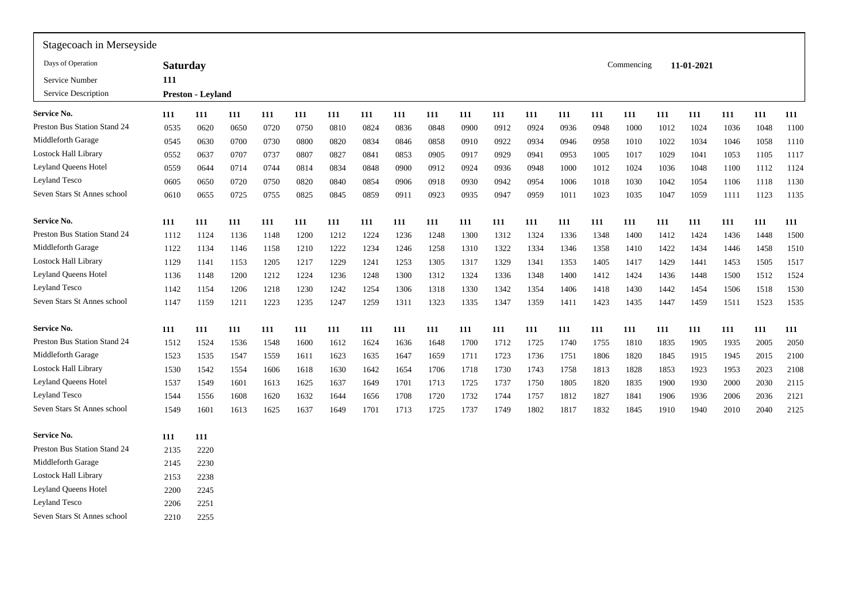| Stagecoach in Merseyside            |                 |                   |      |      |      |      |      |      |      |      |      |      |      |      |            |      |            |      |      |      |
|-------------------------------------|-----------------|-------------------|------|------|------|------|------|------|------|------|------|------|------|------|------------|------|------------|------|------|------|
| Days of Operation                   | <b>Saturday</b> |                   |      |      |      |      |      |      |      |      |      |      |      |      | Commencing |      | 11-01-2021 |      |      |      |
| Service Number                      | 111             |                   |      |      |      |      |      |      |      |      |      |      |      |      |            |      |            |      |      |      |
| Service Description                 |                 | Preston - Leyland |      |      |      |      |      |      |      |      |      |      |      |      |            |      |            |      |      |      |
| Service No.                         | 111             | 111               | 111  | 111  | 111  | 111  | 111  | 111  | 111  | 111  | 111  | 111  | 111  | 111  | 111        | 111  | 111        | 111  | 111  | 111  |
| Preston Bus Station Stand 24        | 0535            | 0620              | 0650 | 0720 | 0750 | 0810 | 0824 | 0836 | 0848 | 0900 | 0912 | 0924 | 0936 | 0948 | 1000       | 1012 | 1024       | 1036 | 1048 | 1100 |
| Middleforth Garage                  | 0545            | 0630              | 0700 | 0730 | 0800 | 0820 | 0834 | 0846 | 0858 | 0910 | 0922 | 0934 | 0946 | 0958 | 1010       | 1022 | 1034       | 1046 | 1058 | 1110 |
| Lostock Hall Library                | 0552            | 0637              | 0707 | 0737 | 0807 | 0827 | 0841 | 0853 | 0905 | 0917 | 0929 | 0941 | 0953 | 1005 | 1017       | 1029 | 1041       | 1053 | 1105 | 1117 |
| <b>Leyland Queens Hotel</b>         | 0559            | 0644              | 0714 | 0744 | 0814 | 0834 | 0848 | 0900 | 0912 | 0924 | 0936 | 0948 | 1000 | 1012 | 1024       | 1036 | 1048       | 1100 | 1112 | 1124 |
| <b>Leyland Tesco</b>                | 0605            | 0650              | 0720 | 0750 | 0820 | 0840 | 0854 | 0906 | 0918 | 0930 | 0942 | 0954 | 1006 | 1018 | 1030       | 1042 | 1054       | 1106 | 1118 | 1130 |
| Seven Stars St Annes school         | 0610            | 0655              | 0725 | 0755 | 0825 | 0845 | 0859 | 0911 | 0923 | 0935 | 0947 | 0959 | 1011 | 1023 | 1035       | 1047 | 1059       | 1111 | 1123 | 1135 |
| Service No.                         | 111             | 111               | 111  | 111  | 111  | 111  | 111  | 111  | 111  | 111  | 111  | 111  | 111  | 111  | 111        | 111  | 111        | 111  | 111  | 111  |
| Preston Bus Station Stand 24        | 1112            | 1124              | 1136 | 1148 | 1200 | 1212 | 1224 | 1236 | 1248 | 1300 | 1312 | 1324 | 1336 | 1348 | 1400       | 1412 | 1424       | 1436 | 1448 | 1500 |
| Middleforth Garage                  | 1122            | 1134              | 1146 | 1158 | 1210 | 1222 | 1234 | 1246 | 1258 | 1310 | 1322 | 1334 | 1346 | 1358 | 1410       | 1422 | 1434       | 1446 | 1458 | 1510 |
| Lostock Hall Library                | 1129            | 1141              | 1153 | 1205 | 1217 | 1229 | 1241 | 1253 | 1305 | 1317 | 1329 | 1341 | 1353 | 1405 | 1417       | 1429 | 1441       | 1453 | 1505 | 1517 |
| Leyland Queens Hotel                | 1136            | 1148              | 1200 | 1212 | 1224 | 1236 | 1248 | 1300 | 1312 | 1324 | 1336 | 1348 | 1400 | 1412 | 1424       | 1436 | 1448       | 1500 | 1512 | 1524 |
| Leyland Tesco                       | 1142            | 1154              | 1206 | 1218 | 1230 | 1242 | 1254 | 1306 | 1318 | 1330 | 1342 | 1354 | 1406 | 1418 | 1430       | 1442 | 1454       | 1506 | 1518 | 1530 |
| Seven Stars St Annes school         | 1147            | 1159              | 1211 | 1223 | 1235 | 1247 | 1259 | 1311 | 1323 | 1335 | 1347 | 1359 | 1411 | 1423 | 1435       | 1447 | 1459       | 1511 | 1523 | 1535 |
| <b>Service No.</b>                  | 111             | 111               | 111  | 111  | 111  | 111  | 111  | 111  | 111  | 111  | 111  | 111  | 111  | 111  | 111        | 111  | 111        | 111  | 111  | 111  |
| <b>Preston Bus Station Stand 24</b> | 1512            | 1524              | 1536 | 1548 | 1600 | 1612 | 1624 | 1636 | 1648 | 1700 | 1712 | 1725 | 1740 | 1755 | 1810       | 1835 | 1905       | 1935 | 2005 | 2050 |
| Middleforth Garage                  | 1523            | 1535              | 1547 | 1559 | 1611 | 1623 | 1635 | 1647 | 1659 | 1711 | 1723 | 1736 | 1751 | 1806 | 1820       | 1845 | 1915       | 1945 | 2015 | 2100 |
| Lostock Hall Library                | 1530            | 1542              | 1554 | 1606 | 1618 | 1630 | 1642 | 1654 | 1706 | 1718 | 1730 | 1743 | 1758 | 1813 | 1828       | 1853 | 1923       | 1953 | 2023 | 2108 |
| Leyland Queens Hotel                | 1537            | 1549              | 1601 | 1613 | 1625 | 1637 | 1649 | 1701 | 1713 | 1725 | 1737 | 1750 | 1805 | 1820 | 1835       | 1900 | 1930       | 2000 | 2030 | 2115 |
| Leyland Tesco                       | 1544            | 1556              | 1608 | 1620 | 1632 | 1644 | 1656 | 1708 | 1720 | 1732 | 1744 | 1757 | 1812 | 1827 | 1841       | 1906 | 1936       | 2006 | 2036 | 2121 |
| Seven Stars St Annes school         | 1549            | 1601              | 1613 | 1625 | 1637 | 1649 | 1701 | 1713 | 1725 | 1737 | 1749 | 1802 | 1817 | 1832 | 1845       | 1910 | 1940       | 2010 | 2040 | 2125 |
| <b>Service No.</b>                  | 111             | 111               |      |      |      |      |      |      |      |      |      |      |      |      |            |      |            |      |      |      |
| <b>Preston Bus Station Stand 24</b> | 2135            | 2220              |      |      |      |      |      |      |      |      |      |      |      |      |            |      |            |      |      |      |
| Middleforth Garage                  | 2145            | 2230              |      |      |      |      |      |      |      |      |      |      |      |      |            |      |            |      |      |      |
| <b>Lostock Hall Library</b>         | 2153            | 2238              |      |      |      |      |      |      |      |      |      |      |      |      |            |      |            |      |      |      |
| Leyland Queens Hotel                | 2200            | 2245              |      |      |      |      |      |      |      |      |      |      |      |      |            |      |            |      |      |      |
| <b>Leyland Tesco</b>                | 2206            | 2251              |      |      |      |      |      |      |      |      |      |      |      |      |            |      |            |      |      |      |
| Seven Stars St Annes school         | 2210            | 2255              |      |      |      |      |      |      |      |      |      |      |      |      |            |      |            |      |      |      |
|                                     |                 |                   |      |      |      |      |      |      |      |      |      |      |      |      |            |      |            |      |      |      |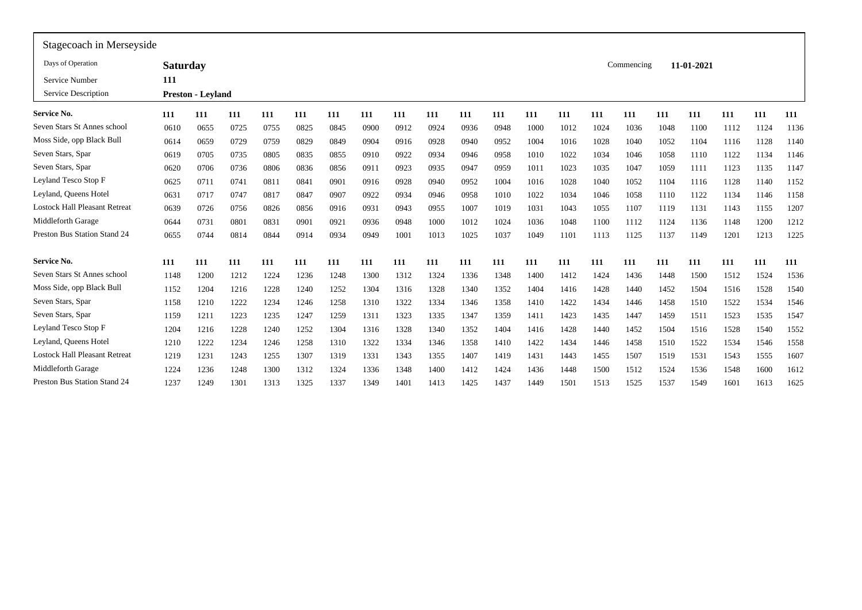| Stagecoach in Merseyside             |                 |                          |      |      |      |            |      |      |      |      |      |      |      |      |            |      |            |      |      |      |
|--------------------------------------|-----------------|--------------------------|------|------|------|------------|------|------|------|------|------|------|------|------|------------|------|------------|------|------|------|
| Days of Operation                    | <b>Saturday</b> |                          |      |      |      |            |      |      |      |      |      |      |      |      | Commencing |      | 11-01-2021 |      |      |      |
| Service Number                       | 111             |                          |      |      |      |            |      |      |      |      |      |      |      |      |            |      |            |      |      |      |
| Service Description                  |                 | <b>Preston - Leyland</b> |      |      |      |            |      |      |      |      |      |      |      |      |            |      |            |      |      |      |
| <b>Service No.</b>                   | 111             | 111                      | 111  | 111  | 111  | <b>111</b> | 111  | 111  | 111  | 111  | 111  | 111  | 111  | 111  | 111        | 111  | 111        | 111  | 111  | 111  |
| Seven Stars St Annes school          | 0610            | 0655                     | 0725 | 0755 | 0825 | 0845       | 0900 | 0912 | 0924 | 0936 | 0948 | 1000 | 1012 | 1024 | 1036       | 1048 | 1100       | 1112 | 1124 | 1136 |
| Moss Side, opp Black Bull            | 0614            | 0659                     | 0729 | 0759 | 0829 | 0849       | 0904 | 0916 | 0928 | 0940 | 0952 | 1004 | 1016 | 1028 | 1040       | 1052 | 1104       | 1116 | 1128 | 1140 |
| Seven Stars, Spar                    | 0619            | 0705                     | 0735 | 0805 | 0835 | 0855       | 0910 | 0922 | 0934 | 0946 | 0958 | 1010 | 1022 | 1034 | 1046       | 1058 | 1110       | 1122 | 1134 | 1146 |
| Seven Stars, Spar                    | 0620            | 0706                     | 0736 | 0806 | 0836 | 0856       | 091  | 0923 | 0935 | 0947 | 0959 | 1011 | 1023 | 1035 | 1047       | 1059 | 1111       | 1123 | 1135 | 1147 |
| Leyland Tesco Stop F                 | 0625            | 0711                     | 0741 | 081  | 0841 | 0901       | 0916 | 0928 | 0940 | 0952 | 1004 | 1016 | 1028 | 1040 | 1052       | 1104 | 1116       | 1128 | 1140 | 1152 |
| Leyland, Queens Hotel                | 0631            | 0717                     | 0747 | 0817 | 0847 | 0907       | 0922 | 0934 | 0946 | 0958 | 1010 | 1022 | 1034 | 1046 | 1058       | 1110 | 1122       | 1134 | 1146 | 1158 |
| <b>Lostock Hall Pleasant Retreat</b> | 0639            | 0726                     | 0756 | 0826 | 0856 | 0916       | 0931 | 0943 | 0955 | 1007 | 1019 | 1031 | 1043 | 1055 | 1107       | 1119 | 1131       | 1143 | 1155 | 1207 |
| Middleforth Garage                   | 0644            | 0731                     | 0801 | 0831 | 0901 | 0921       | 0936 | 0948 | 1000 | 1012 | 1024 | 1036 | 1048 | 1100 | 1112       | 1124 | 1136       | 1148 | 1200 | 1212 |
| Preston Bus Station Stand 24         | 0655            | 0744                     | 0814 | 0844 | 0914 | 0934       | 0949 | 1001 | 1013 | 1025 | 1037 | 1049 | 1101 | 1113 | 1125       | 1137 | 1149       | 1201 | 1213 | 1225 |
| <b>Service No.</b>                   | 111             | 111                      | 111  | 111  | 111  | 111        | 111  | 111  | 111  | 111  | 111  | 111  | 111  | 111  | 111        | 111  | 111        | 111  | 111  | 111  |
| Seven Stars St Annes school          | 1148            | 1200                     | 1212 | 1224 | 1236 | 1248       | 1300 | 1312 | 1324 | 1336 | 1348 | 1400 | 1412 | 1424 | 1436       | 1448 | 1500       | 1512 | 1524 | 1536 |
| Moss Side, opp Black Bull            | 1152            | 1204                     | 1216 | 1228 | 1240 | 1252       | 1304 | 1316 | 1328 | 1340 | 1352 | 1404 | 1416 | 1428 | 1440       | 1452 | 1504       | 1516 | 1528 | 1540 |
| Seven Stars, Spar                    | 1158            | 1210                     | 1222 | 1234 | 1246 | 1258       | 1310 | 1322 | 1334 | 1346 | 1358 | 1410 | 1422 | 1434 | 1446       | 1458 | 1510       | 1522 | 1534 | 1546 |
| Seven Stars, Spar                    | 1159            | 1211                     | 1223 | 1235 | 1247 | 1259       | 1311 | 1323 | 1335 | 1347 | 1359 | 1411 | 1423 | 1435 | 1447       | 1459 | 1511       | 1523 | 1535 | 1547 |
| Leyland Tesco Stop F                 | 1204            | 1216                     | 1228 | 1240 | 1252 | 1304       | 1316 | 1328 | 1340 | 1352 | 1404 | 1416 | 1428 | 1440 | 1452       | 1504 | 1516       | 1528 | 1540 | 1552 |
| Leyland, Queens Hotel                | 1210            | 1222                     | 1234 | 1246 | 1258 | 1310       | 1322 | 1334 | 1346 | 1358 | 1410 | 1422 | 1434 | 1446 | 1458       | 1510 | 1522       | 1534 | 1546 | 1558 |
| <b>Lostock Hall Pleasant Retreat</b> | 1219            | 1231                     | 1243 | 1255 | 1307 | 1319       | 1331 | 1343 | 1355 | 1407 | 1419 | 1431 | 1443 | 1455 | 1507       | 1519 | 1531       | 1543 | 1555 | 1607 |
| Middleforth Garage                   | 1224            | 1236                     | 1248 | 1300 | 1312 | 1324       | 1336 | 1348 | 1400 | 1412 | 1424 | 1436 | 1448 | 1500 | 1512       | 1524 | 1536       | 1548 | 1600 | 1612 |
| Preston Bus Station Stand 24         | 1237            | 1249                     | 1301 | 1313 | 1325 | 1337       | 1349 | 1401 | 1413 | 1425 | 1437 | 1449 | 1501 | 1513 | 1525       | 1537 | 1549       | 1601 | 1613 | 1625 |
|                                      |                 |                          |      |      |      |            |      |      |      |      |      |      |      |      |            |      |            |      |      |      |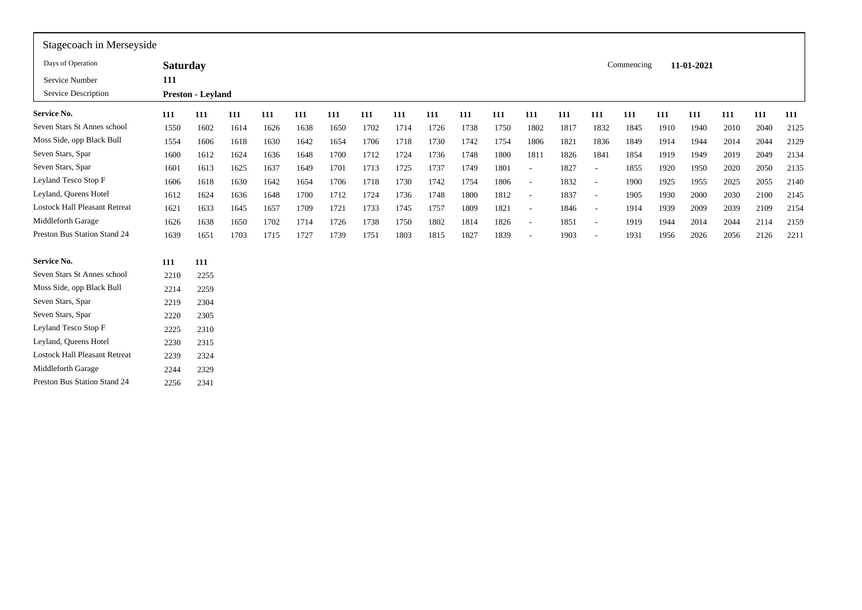| Stagecoach in Merseyside             |                 |                          |      |      |      |      |      |      |      |      |      |                          |      |                          |            |      |            |      |      |      |
|--------------------------------------|-----------------|--------------------------|------|------|------|------|------|------|------|------|------|--------------------------|------|--------------------------|------------|------|------------|------|------|------|
| Days of Operation                    | <b>Saturday</b> |                          |      |      |      |      |      |      |      |      |      |                          |      |                          | Commencing |      | 11-01-2021 |      |      |      |
| Service Number                       | 111             |                          |      |      |      |      |      |      |      |      |      |                          |      |                          |            |      |            |      |      |      |
| Service Description                  |                 | <b>Preston - Leyland</b> |      |      |      |      |      |      |      |      |      |                          |      |                          |            |      |            |      |      |      |
| <b>Service No.</b>                   | 111             | 111                      | 111  | 111  | 111  | 111  | 111  | 111  | 111  | 111  | 111  | 111                      | 111  | 111                      | 111        | 111  | 111        | 111  | 111  | 111  |
| Seven Stars St Annes school          | 1550            | 1602                     | 1614 | 1626 | 1638 | 1650 | 1702 | 1714 | 1726 | 1738 | 1750 | 1802                     | 1817 | 1832                     | 1845       | 1910 | 1940       | 2010 | 2040 | 2125 |
| Moss Side, opp Black Bull            | 1554            | 1606                     | 1618 | 1630 | 1642 | 1654 | 1706 | 1718 | 1730 | 1742 | 1754 | 1806                     | 1821 | 1836                     | 1849       | 1914 | 1944       | 2014 | 2044 | 2129 |
| Seven Stars, Spar                    | 1600            | 1612                     | 1624 | 1636 | 1648 | 1700 | 1712 | 1724 | 1736 | 1748 | 1800 | 1811                     | 1826 | 1841                     | 1854       | 1919 | 1949       | 2019 | 2049 | 2134 |
| Seven Stars, Spar                    | 1601            | 1613                     | 1625 | 1637 | 1649 | 1701 | 1713 | 1725 | 1737 | 1749 | 1801 | $\overline{\phantom{a}}$ | 1827 | $\overline{\phantom{a}}$ | 1855       | 1920 | 1950       | 2020 | 2050 | 2135 |
| Leyland Tesco Stop F                 | 1606            | 1618                     | 1630 | 1642 | 1654 | 1706 | 1718 | 1730 | 1742 | 1754 | 1806 | $\sim$                   | 1832 | $\overline{\phantom{a}}$ | 1900       | 1925 | 1955       | 2025 | 2055 | 2140 |
| Leyland, Queens Hotel                | 1612            | 1624                     | 1636 | 1648 | 1700 | 1712 | 1724 | 1736 | 1748 | 1800 | 1812 | $\sim$                   | 1837 | $\sim$                   | 1905       | 1930 | 2000       | 2030 | 2100 | 2145 |
| <b>Lostock Hall Pleasant Retreat</b> | 1621            | 1633                     | 1645 | 1657 | 1709 | 1721 | 1733 | 1745 | 1757 | 1809 | 1821 | $\overline{\phantom{a}}$ | 1846 | $\sim$                   | 1914       | 1939 | 2009       | 2039 | 2109 | 2154 |
| Middleforth Garage                   | 1626            | 1638                     | 1650 | 1702 | 1714 | 1726 | 1738 | 1750 | 1802 | 1814 | 1826 | $\sim$                   | 1851 | $\overline{\phantom{a}}$ | 1919       | 1944 | 2014       | 2044 | 2114 | 2159 |
| <b>Preston Bus Station Stand 24</b>  | 1639            | 1651                     | 1703 | 1715 | 1727 | 1739 | 1751 | 1803 | 1815 | 1827 | 1839 | $\overline{\phantom{a}}$ | 1903 | $\overline{\phantom{a}}$ | 1931       | 1956 | 2026       | 2056 | 2126 | 2211 |
| <b>Service No.</b>                   | 111             | 111                      |      |      |      |      |      |      |      |      |      |                          |      |                          |            |      |            |      |      |      |
| Seven Stars St Annes school          | 2210            | 2255                     |      |      |      |      |      |      |      |      |      |                          |      |                          |            |      |            |      |      |      |
| Moss Side, opp Black Bull            | 2214            | 2259                     |      |      |      |      |      |      |      |      |      |                          |      |                          |            |      |            |      |      |      |
| Seven Stars, Spar                    | 2219            | 2304                     |      |      |      |      |      |      |      |      |      |                          |      |                          |            |      |            |      |      |      |
| Seven Stars, Spar                    | 2220            | 2305                     |      |      |      |      |      |      |      |      |      |                          |      |                          |            |      |            |      |      |      |
| Leyland Tesco Stop F                 | 2225            | 2310                     |      |      |      |      |      |      |      |      |      |                          |      |                          |            |      |            |      |      |      |
| Leyland, Queens Hotel                | 2230            | 2315                     |      |      |      |      |      |      |      |      |      |                          |      |                          |            |      |            |      |      |      |
| <b>Lostock Hall Pleasant Retreat</b> | 2239            | 2324                     |      |      |      |      |      |      |      |      |      |                          |      |                          |            |      |            |      |      |      |
| Middleforth Garage                   | 2244            | 2329                     |      |      |      |      |      |      |      |      |      |                          |      |                          |            |      |            |      |      |      |
| Preston Bus Station Stand 24         | 2256            | 2341                     |      |      |      |      |      |      |      |      |      |                          |      |                          |            |      |            |      |      |      |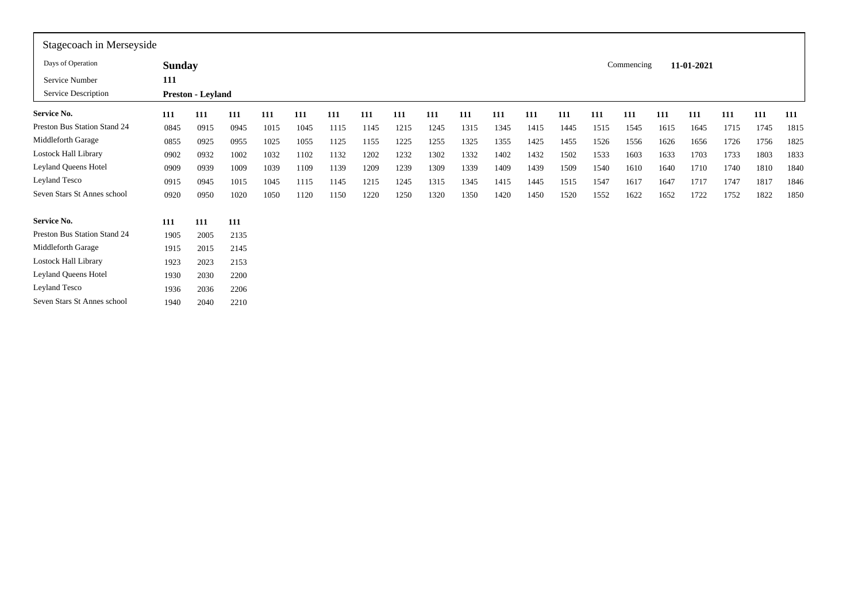| Stagecoach in Merseyside     |               |                          |      |      |      |      |      |      |      |      |      |      |      |      |            |      |            |      |      |      |
|------------------------------|---------------|--------------------------|------|------|------|------|------|------|------|------|------|------|------|------|------------|------|------------|------|------|------|
| Days of Operation            | <b>Sunday</b> |                          |      |      |      |      |      |      |      |      |      |      |      |      | Commencing |      | 11-01-2021 |      |      |      |
| Service Number               | 111           |                          |      |      |      |      |      |      |      |      |      |      |      |      |            |      |            |      |      |      |
| Service Description          |               | <b>Preston - Leyland</b> |      |      |      |      |      |      |      |      |      |      |      |      |            |      |            |      |      |      |
| <b>Service No.</b>           | 111           | 111                      | 111  | 111  | 111  | 111  | 111  | 111  | 111  | 111  | 111  | 111  | 111  | 111  | 111        | 111  | 111        | 111  | 111  | 111  |
| Preston Bus Station Stand 24 | 0845          | 0915                     | 0945 | 1015 | 1045 | 1115 | 1145 | 1215 | 1245 | 1315 | 1345 | 1415 | 1445 | 1515 | 1545       | 1615 | 1645       | 1715 | 1745 | 1815 |
| Middleforth Garage           | 0855          | 0925                     | 0955 | 1025 | 1055 | 1125 | 1155 | 1225 | 1255 | 1325 | 1355 | 1425 | 1455 | 1526 | 1556       | 1626 | 1656       | 1726 | 1756 | 1825 |
| Lostock Hall Library         | 0902          | 0932                     | 1002 | 1032 | 1102 | 1132 | 1202 | 1232 | 1302 | 1332 | 1402 | 1432 | 1502 | 1533 | 1603       | 1633 | 1703       | 1733 | 1803 | 1833 |
| Leyland Queens Hotel         | 0909          | 0939                     | 1009 | 1039 | 1109 | 1139 | 1209 | 1239 | 1309 | 1339 | 1409 | 1439 | 1509 | 1540 | 1610       | 1640 | 1710       | 1740 | 1810 | 1840 |
| Leyland Tesco                | 0915          | 0945                     | 1015 | 1045 | 1115 | 1145 | 1215 | 1245 | 1315 | 1345 | 1415 | 1445 | 1515 | 1547 | 1617       | 1647 | 1717       | 1747 | 1817 | 1846 |
| Seven Stars St Annes school  | 0920          | 0950                     | 1020 | 1050 | 1120 | 1150 | 1220 | 1250 | 1320 | 1350 | 1420 | 1450 | 1520 | 1552 | 1622       | 1652 | 1722       | 1752 | 1822 | 1850 |
| Service No.                  | 111           | 111                      | 111  |      |      |      |      |      |      |      |      |      |      |      |            |      |            |      |      |      |
| Preston Bus Station Stand 24 | 1905          | 2005                     | 2135 |      |      |      |      |      |      |      |      |      |      |      |            |      |            |      |      |      |
| Middleforth Garage           | 1915          | 2015                     | 2145 |      |      |      |      |      |      |      |      |      |      |      |            |      |            |      |      |      |
| Lostock Hall Library         | 1923          | 2023                     | 2153 |      |      |      |      |      |      |      |      |      |      |      |            |      |            |      |      |      |
| Leyland Queens Hotel         | 1930          | 2030                     | 2200 |      |      |      |      |      |      |      |      |      |      |      |            |      |            |      |      |      |
| Leyland Tesco                | 1936          | 2036                     | 2206 |      |      |      |      |      |      |      |      |      |      |      |            |      |            |      |      |      |
| Seven Stars St Annes school  | 1940          | 2040                     | 2210 |      |      |      |      |      |      |      |      |      |      |      |            |      |            |      |      |      |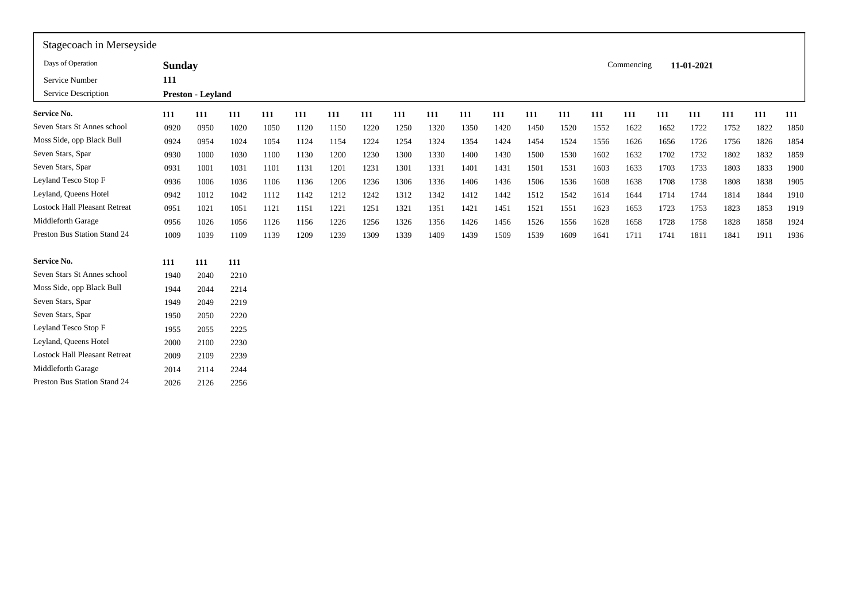| <b>Sunday</b><br>Commencing<br>11-01-2021                                                                                                                    |  |  |  |  |  |  |  |  |                                      |
|--------------------------------------------------------------------------------------------------------------------------------------------------------------|--|--|--|--|--|--|--|--|--------------------------------------|
|                                                                                                                                                              |  |  |  |  |  |  |  |  | Days of Operation                    |
| 111                                                                                                                                                          |  |  |  |  |  |  |  |  | Service Number                       |
| Preston - Leyland                                                                                                                                            |  |  |  |  |  |  |  |  | Service Description                  |
| 111<br>111<br>111<br>111<br>111<br>111<br>111<br>111<br>111<br>111<br>111<br>111<br>111<br>111<br>111<br>111<br>111<br>111<br>111<br>111                     |  |  |  |  |  |  |  |  | Service No.                          |
| 0920<br>0950<br>1150<br>1220<br>1250<br>1320<br>1350<br>1420<br>1450<br>1722<br>1752<br>1822<br>1850<br>1020<br>1050<br>1120<br>1520<br>1552<br>1622<br>1652 |  |  |  |  |  |  |  |  | Seven Stars St Annes school          |
| 1224<br>1324<br>1354<br>1424<br>1826<br>1854<br>0924<br>0954<br>1024<br>1054<br>1124<br>1154<br>1254<br>1454<br>1524<br>1556<br>1626<br>1656<br>1726<br>1756 |  |  |  |  |  |  |  |  | Moss Side, opp Black Bull            |
| 1400<br>1500<br>1832<br>1859<br>0930<br>1000<br>1030<br>1100<br>1130<br>1200<br>1230<br>1300<br>1330<br>1430<br>1530<br>1602<br>1632<br>1702<br>1732<br>1802 |  |  |  |  |  |  |  |  | Seven Stars, Spar                    |
| 0931<br>1001<br>1131<br>1201<br>1231<br>1301<br>1331<br>1401<br>1431<br>1501<br>1603<br>1703<br>1733<br>1803<br>1833<br>1900<br>1031<br>1101<br>1531<br>1633 |  |  |  |  |  |  |  |  | Seven Stars, Spar                    |
| 0936<br>1236<br>1306<br>1336<br>1406<br>1436<br>1506<br>1608<br>1708<br>1738<br>1808<br>1838<br>1905<br>1006<br>1036<br>1106<br>1136<br>1206<br>1536<br>1638 |  |  |  |  |  |  |  |  | Leyland Tesco Stop F                 |
| 0942<br>1242<br>1312<br>1342<br>1412<br>1442<br>1512<br>1542<br>1714<br>1744<br>1814<br>1844<br>1910<br>1012<br>1042<br>1112<br>1142<br>1212<br>1614<br>1644 |  |  |  |  |  |  |  |  | Leyland, Queens Hotel                |
| 1021<br>1221<br>1251<br>1321<br>1351<br>1421<br>1451<br>1521<br>1623<br>1723<br>1823<br>1853<br>1919<br>0951<br>1051<br>1121<br>1151<br>1551<br>1653<br>1753 |  |  |  |  |  |  |  |  | <b>Lostock Hall Pleasant Retreat</b> |
| 0956<br>1026<br>1126<br>1226<br>1256<br>1326<br>1356<br>1426<br>1456<br>1526<br>1628<br>1658<br>1728<br>1758<br>1828<br>1858<br>1924<br>1056<br>1156<br>1556 |  |  |  |  |  |  |  |  | Middleforth Garage                   |
| 1009<br>1309<br>1339<br>1509<br>1741<br>1811<br>1841<br>1936<br>1039<br>1109<br>1139<br>1209<br>1239<br>1409<br>1439<br>1539<br>1609<br>1641<br>1711<br>1911 |  |  |  |  |  |  |  |  | Preston Bus Station Stand 24         |
| 111<br>111<br>111                                                                                                                                            |  |  |  |  |  |  |  |  | <b>Service No.</b>                   |
| 1940<br>2040<br>2210                                                                                                                                         |  |  |  |  |  |  |  |  | Seven Stars St Annes school          |
| 1944<br>2044<br>2214                                                                                                                                         |  |  |  |  |  |  |  |  | Moss Side, opp Black Bull            |
| 1949<br>2049<br>2219                                                                                                                                         |  |  |  |  |  |  |  |  | Seven Stars, Spar                    |
| 1950<br>2050<br>2220                                                                                                                                         |  |  |  |  |  |  |  |  | Seven Stars, Spar                    |
| 1955<br>2225<br>2055                                                                                                                                         |  |  |  |  |  |  |  |  | Leyland Tesco Stop F                 |
| 2000<br>2100<br>2230                                                                                                                                         |  |  |  |  |  |  |  |  | Leyland, Queens Hotel                |
| 2009<br>2239<br>2109                                                                                                                                         |  |  |  |  |  |  |  |  | <b>Lostock Hall Pleasant Retreat</b> |
| 2014<br>2114<br>2244                                                                                                                                         |  |  |  |  |  |  |  |  | Middleforth Garage                   |
| 2026<br>2126<br>2256                                                                                                                                         |  |  |  |  |  |  |  |  | Preston Bus Station Stand 24         |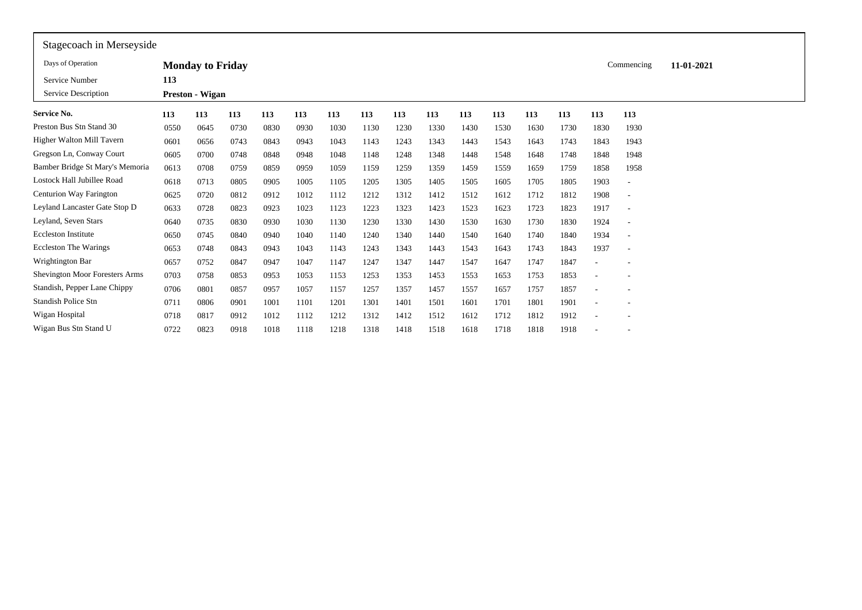| Stagecoach in Merseyside        |      |                         |      |      |      |      |      |      |      |      |      |      |      |      |                          |            |  |
|---------------------------------|------|-------------------------|------|------|------|------|------|------|------|------|------|------|------|------|--------------------------|------------|--|
| Days of Operation               |      | <b>Monday to Friday</b> |      |      |      |      |      |      |      |      |      |      |      |      | Commencing               | 11-01-2021 |  |
| Service Number                  | 113  |                         |      |      |      |      |      |      |      |      |      |      |      |      |                          |            |  |
| Service Description             |      | <b>Preston - Wigan</b>  |      |      |      |      |      |      |      |      |      |      |      |      |                          |            |  |
| Service No.                     | 113  | 113                     | 113  | 113  | 113  | 113  | 113  | 113  | 113  | 113  | 113  | 113  | 113  | 113  | 113                      |            |  |
| Preston Bus Stn Stand 30        | 0550 | 0645                    | 0730 | 0830 | 0930 | 1030 | 1130 | 1230 | 1330 | 1430 | 1530 | 1630 | 1730 | 1830 | 1930                     |            |  |
| Higher Walton Mill Tavern       | 0601 | 0656                    | 0743 | 0843 | 0943 | 1043 | 1143 | 1243 | 1343 | 1443 | 1543 | 1643 | 1743 | 1843 | 1943                     |            |  |
| Gregson Ln, Conway Court        | 0605 | 0700                    | 0748 | 0848 | 0948 | 1048 | 1148 | 1248 | 1348 | 1448 | 1548 | 1648 | 1748 | 1848 | 1948                     |            |  |
| Bamber Bridge St Mary's Memoria | 0613 | 0708                    | 0759 | 0859 | 0959 | 1059 | 1159 | 1259 | 1359 | 1459 | 1559 | 1659 | 1759 | 1858 | 1958                     |            |  |
| Lostock Hall Jubillee Road      | 0618 | 0713                    | 0805 | 0905 | 1005 | 1105 | 1205 | 1305 | 1405 | 1505 | 1605 | 1705 | 1805 | 1903 | $\overline{a}$           |            |  |
| Centurion Way Farington         | 0625 | 0720                    | 0812 | 0912 | 1012 | 1112 | 1212 | 1312 | 1412 | 1512 | 1612 | 1712 | 1812 | 1908 | ٠                        |            |  |
| Leyland Lancaster Gate Stop D   | 0633 | 0728                    | 0823 | 0923 | 1023 | 1123 | 1223 | 1323 | 1423 | 1523 | 1623 | 1723 | 1823 | 1917 | $\overline{\phantom{m}}$ |            |  |
| Leyland, Seven Stars            | 0640 | 0735                    | 0830 | 0930 | 1030 | 1130 | 1230 | 1330 | 1430 | 1530 | 1630 | 1730 | 1830 | 1924 | $\overline{\phantom{a}}$ |            |  |
| <b>Eccleston Institute</b>      | 0650 | 0745                    | 0840 | 0940 | 1040 | 1140 | 1240 | 1340 | 1440 | 1540 | 1640 | 1740 | 1840 | 1934 | $\overline{a}$           |            |  |
| <b>Eccleston The Warings</b>    | 0653 | 0748                    | 0843 | 0943 | 1043 | 1143 | 1243 | 1343 | 1443 | 1543 | 1643 | 1743 | 1843 | 1937 | $\overline{\phantom{a}}$ |            |  |
| Wrightington Bar                | 0657 | 0752                    | 0847 | 0947 | 1047 | 1147 | 1247 | 1347 | 1447 | 1547 | 1647 | 1747 | 1847 |      |                          |            |  |
| Shevington Moor Foresters Arms  | 0703 | 0758                    | 0853 | 0953 | 1053 | 1153 | 1253 | 1353 | 1453 | 1553 | 1653 | 1753 | 1853 |      | $\overline{\phantom{a}}$ |            |  |
| Standish, Pepper Lane Chippy    | 0706 | 0801                    | 0857 | 0957 | 1057 | 1157 | 1257 | 1357 | 1457 | 1557 | 1657 | 1757 | 1857 |      |                          |            |  |
| <b>Standish Police Stn</b>      | 0711 | 0806                    | 0901 | 1001 | 1101 | 1201 | 1301 | 1401 | 1501 | 1601 | 1701 | 1801 | 1901 |      |                          |            |  |
| Wigan Hospital                  | 0718 | 0817                    | 0912 | 1012 | 1112 | 1212 | 1312 | 1412 | 1512 | 1612 | 1712 | 1812 | 1912 |      |                          |            |  |
| Wigan Bus Stn Stand U           | 0722 | 0823                    | 0918 | 1018 | 1118 | 1218 | 1318 | 1418 | 1518 | 1618 | 1718 | 1818 | 1918 |      |                          |            |  |
|                                 |      |                         |      |      |      |      |      |      |      |      |      |      |      |      |                          |            |  |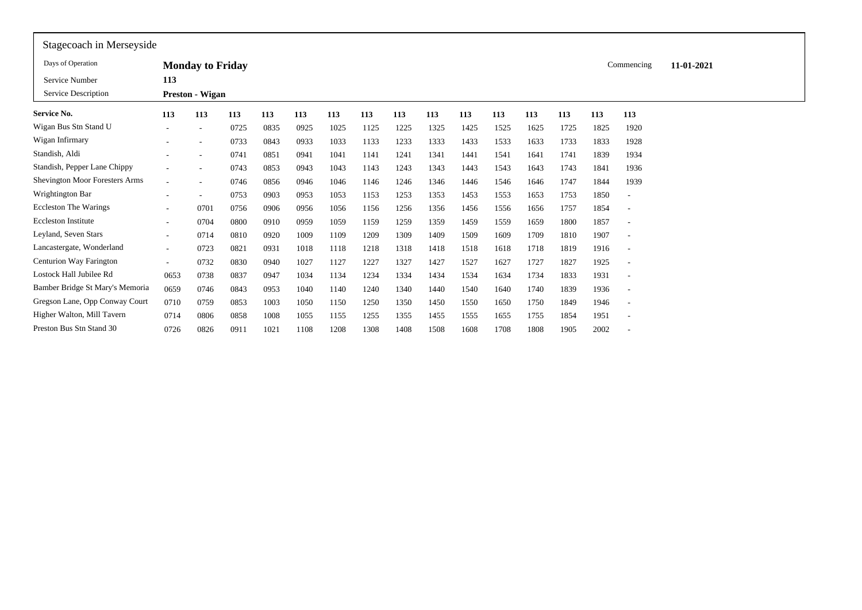| Stagecoach in Merseyside        |                          |                          |      |      |      |      |      |      |      |      |      |      |      |      |                          |            |  |
|---------------------------------|--------------------------|--------------------------|------|------|------|------|------|------|------|------|------|------|------|------|--------------------------|------------|--|
| Days of Operation               |                          | <b>Monday to Friday</b>  |      |      |      |      |      |      |      |      |      |      |      |      | Commencing               | 11-01-2021 |  |
| Service Number                  | 113                      |                          |      |      |      |      |      |      |      |      |      |      |      |      |                          |            |  |
| Service Description             |                          | <b>Preston - Wigan</b>   |      |      |      |      |      |      |      |      |      |      |      |      |                          |            |  |
| <b>Service No.</b>              | 113                      | 113                      | 113  | 113  | 113  | 113  | 113  | 113  | 113  | 113  | 113  | 113  | 113  | 113  | 113                      |            |  |
| Wigan Bus Stn Stand U           |                          | $\overline{\phantom{a}}$ | 0725 | 0835 | 0925 | 1025 | 1125 | 1225 | 1325 | 1425 | 1525 | 1625 | 1725 | 1825 | 1920                     |            |  |
| Wigan Infirmary                 |                          |                          | 0733 | 0843 | 0933 | 1033 | 1133 | 1233 | 1333 | 1433 | 1533 | 1633 | 1733 | 1833 | 1928                     |            |  |
| Standish, Aldi                  |                          |                          | 0741 | 0851 | 0941 | 1041 | 1141 | 1241 | 1341 | 1441 | 1541 | 1641 | 1741 | 1839 | 1934                     |            |  |
| Standish, Pepper Lane Chippy    |                          |                          | 0743 | 0853 | 0943 | 1043 | 1143 | 1243 | 1343 | 1443 | 1543 | 1643 | 1743 | 1841 | 1936                     |            |  |
| Shevington Moor Foresters Arms  |                          |                          | 0746 | 0856 | 0946 | 1046 | 1146 | 1246 | 1346 | 1446 | 1546 | 1646 | 1747 | 1844 | 1939                     |            |  |
| Wrightington Bar                |                          |                          | 0753 | 0903 | 0953 | 1053 | 1153 | 1253 | 1353 | 1453 | 1553 | 1653 | 1753 | 1850 | ٠                        |            |  |
| <b>Eccleston The Warings</b>    | $\sim$                   | 0701                     | 0756 | 0906 | 0956 | 1056 | 1156 | 1256 | 1356 | 1456 | 1556 | 1656 | 1757 | 1854 | ٠                        |            |  |
| <b>Eccleston Institute</b>      | ٠                        | 0704                     | 0800 | 0910 | 0959 | 1059 | 1159 | 1259 | 1359 | 1459 | 1559 | 1659 | 1800 | 1857 | ٠                        |            |  |
| Leyland, Seven Stars            | $\sim$                   | 0714                     | 0810 | 0920 | 1009 | 1109 | 1209 | 1309 | 1409 | 1509 | 1609 | 1709 | 1810 | 1907 | $\overline{\phantom{m}}$ |            |  |
| Lancastergate, Wonderland       | $\overline{\phantom{a}}$ | 0723                     | 0821 | 0931 | 1018 | 1118 | 1218 | 1318 | 1418 | 1518 | 1618 | 1718 | 1819 | 1916 | ٠                        |            |  |
| Centurion Way Farington         | $\sim$                   | 0732                     | 0830 | 0940 | 1027 | 1127 | 1227 | 1327 | 1427 | 1527 | 1627 | 1727 | 1827 | 1925 | $\overline{\phantom{m}}$ |            |  |
| Lostock Hall Jubilee Rd         | 0653                     | 0738                     | 0837 | 0947 | 1034 | 1134 | 1234 | 1334 | 1434 | 1534 | 1634 | 1734 | 1833 | 1931 | ٠                        |            |  |
| Bamber Bridge St Mary's Memoria | 0659                     | 0746                     | 0843 | 0953 | 1040 | 1140 | 1240 | 1340 | 1440 | 1540 | 1640 | 1740 | 1839 | 1936 | $\overline{\phantom{m}}$ |            |  |
| Gregson Lane, Opp Conway Court  | 0710                     | 0759                     | 0853 | 1003 | 1050 | 1150 | 1250 | 1350 | 1450 | 1550 | 1650 | 1750 | 1849 | 1946 | $\overline{\phantom{m}}$ |            |  |
| Higher Walton, Mill Tavern      | 0714                     | 0806                     | 0858 | 1008 | 1055 | 1155 | 1255 | 1355 | 1455 | 1555 | 1655 | 1755 | 1854 | 1951 | ٠                        |            |  |
| Preston Bus Stn Stand 30        | 0726                     | 0826                     | 0911 | 1021 | 1108 | 1208 | 1308 | 1408 | 1508 | 1608 | 1708 | 1808 | 1905 | 2002 |                          |            |  |
|                                 |                          |                          |      |      |      |      |      |      |      |      |      |      |      |      |                          |            |  |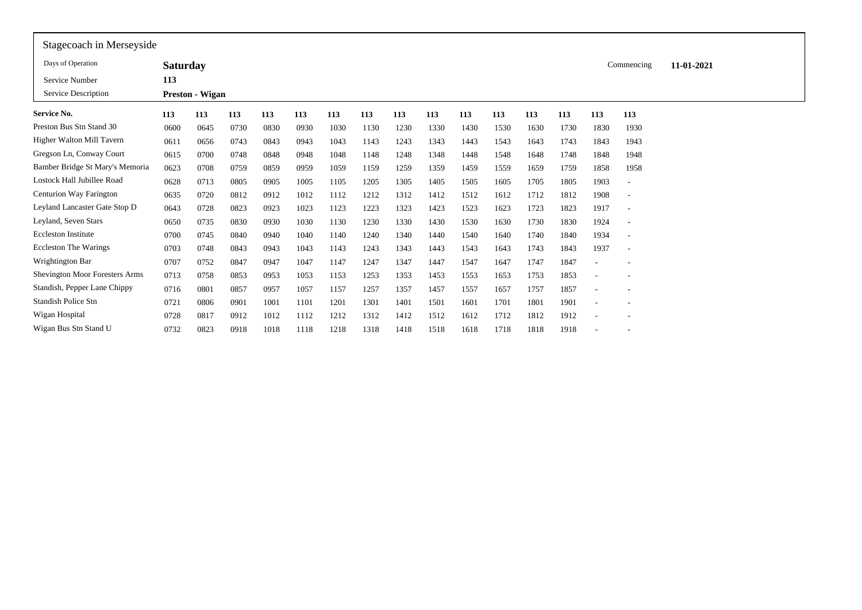| Stagecoach in Merseyside              |                 |                        |      |      |      |      |      |      |      |      |      |      |      |      |                          |            |  |
|---------------------------------------|-----------------|------------------------|------|------|------|------|------|------|------|------|------|------|------|------|--------------------------|------------|--|
| Days of Operation                     | <b>Saturday</b> |                        |      |      |      |      |      |      |      |      |      |      |      |      | Commencing               | 11-01-2021 |  |
| Service Number                        | 113             |                        |      |      |      |      |      |      |      |      |      |      |      |      |                          |            |  |
| Service Description                   |                 | <b>Preston - Wigan</b> |      |      |      |      |      |      |      |      |      |      |      |      |                          |            |  |
| <b>Service No.</b>                    | 113             | 113                    | 113  | 113  | 113  | 113  | 113  | 113  | 113  | 113  | 113  | 113  | 113  | 113  | 113                      |            |  |
| Preston Bus Stn Stand 30              | 0600            | 0645                   | 0730 | 0830 | 0930 | 1030 | 1130 | 1230 | 1330 | 1430 | 1530 | 1630 | 1730 | 1830 | 1930                     |            |  |
| Higher Walton Mill Tavern             | 0611            | 0656                   | 0743 | 0843 | 0943 | 1043 | 1143 | 1243 | 1343 | 1443 | 1543 | 1643 | 1743 | 1843 | 1943                     |            |  |
| Gregson Ln, Conway Court              | 0615            | 0700                   | 0748 | 0848 | 0948 | 1048 | 1148 | 1248 | 1348 | 1448 | 1548 | 1648 | 1748 | 1848 | 1948                     |            |  |
| Bamber Bridge St Mary's Memoria       | 0623            | 0708                   | 0759 | 0859 | 0959 | 1059 | 1159 | 1259 | 1359 | 1459 | 1559 | 1659 | 1759 | 1858 | 1958                     |            |  |
| Lostock Hall Jubillee Road            | 0628            | 0713                   | 0805 | 0905 | 1005 | 1105 | 1205 | 1305 | 1405 | 1505 | 1605 | 1705 | 1805 | 1903 | $\overline{\phantom{a}}$ |            |  |
| Centurion Way Farington               | 0635            | 0720                   | 0812 | 0912 | 1012 | 1112 | 1212 | 1312 | 1412 | 1512 | 1612 | 1712 | 1812 | 1908 | $\overline{\phantom{a}}$ |            |  |
| Leyland Lancaster Gate Stop D         | 0643            | 0728                   | 0823 | 0923 | 1023 | 1123 | 1223 | 1323 | 1423 | 1523 | 1623 | 1723 | 1823 | 1917 | $\overline{\phantom{a}}$ |            |  |
| Leyland, Seven Stars                  | 0650            | 0735                   | 0830 | 0930 | 1030 | 1130 | 1230 | 1330 | 1430 | 1530 | 1630 | 1730 | 1830 | 1924 | $\overline{\phantom{a}}$ |            |  |
| <b>Eccleston Institute</b>            | 0700            | 0745                   | 0840 | 0940 | 1040 | 1140 | 1240 | 1340 | 1440 | 1540 | 1640 | 1740 | 1840 | 1934 | $\overline{\phantom{a}}$ |            |  |
| <b>Eccleston The Warings</b>          | 0703            | 0748                   | 0843 | 0943 | 1043 | 1143 | 1243 | 1343 | 1443 | 1543 | 1643 | 1743 | 1843 | 1937 | $\overline{\phantom{a}}$ |            |  |
| Wrightington Bar                      | 0707            | 0752                   | 0847 | 0947 | 1047 | 1147 | 1247 | 1347 | 1447 | 1547 | 1647 | 1747 | 1847 |      |                          |            |  |
| <b>Shevington Moor Foresters Arms</b> | 0713            | 0758                   | 0853 | 0953 | 1053 | 1153 | 1253 | 1353 | 1453 | 1553 | 1653 | 1753 | 1853 |      |                          |            |  |
| Standish, Pepper Lane Chippy          | 0716            | 0801                   | 0857 | 0957 | 1057 | 1157 | 1257 | 1357 | 1457 | 1557 | 1657 | 1757 | 1857 |      |                          |            |  |
| <b>Standish Police Stn</b>            | 0721            | 0806                   | 0901 | 1001 | 1101 | 1201 | 1301 | 1401 | 1501 | 1601 | 1701 | 1801 | 1901 |      |                          |            |  |
| Wigan Hospital                        | 0728            | 0817                   | 0912 | 1012 | 1112 | 1212 | 1312 | 1412 | 1512 | 1612 | 1712 | 1812 | 1912 |      | $\overline{\phantom{a}}$ |            |  |
| Wigan Bus Stn Stand U                 | 0732            | 0823                   | 0918 | 1018 | 1118 | 1218 | 1318 | 1418 | 1518 | 1618 | 1718 | 1818 | 1918 |      |                          |            |  |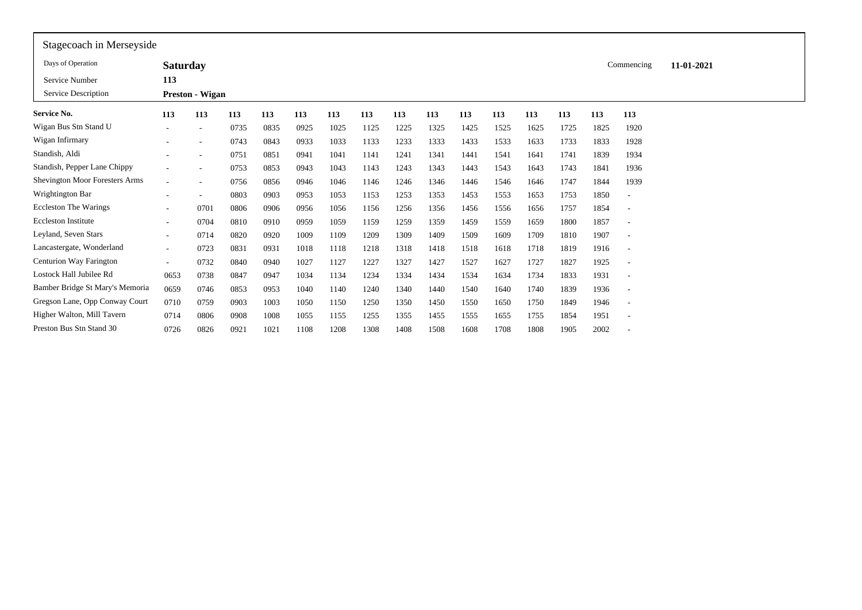| Stagecoach in Merseyside              |                          |                        |      |      |      |      |      |      |      |      |      |      |      |      |                          |            |  |
|---------------------------------------|--------------------------|------------------------|------|------|------|------|------|------|------|------|------|------|------|------|--------------------------|------------|--|
| Days of Operation                     | <b>Saturday</b>          |                        |      |      |      |      |      |      |      |      |      |      |      |      | Commencing               | 11-01-2021 |  |
| Service Number                        | 113                      |                        |      |      |      |      |      |      |      |      |      |      |      |      |                          |            |  |
| Service Description                   |                          | <b>Preston - Wigan</b> |      |      |      |      |      |      |      |      |      |      |      |      |                          |            |  |
| Service No.                           | 113                      | 113                    | 113  | 113  | 113  | 113  | 113  | 113  | 113  | 113  | 113  | 113  | 113  | 113  | 113                      |            |  |
| Wigan Bus Stn Stand U                 |                          | $\sim$                 | 0735 | 0835 | 0925 | 1025 | 1125 | 1225 | 1325 | 1425 | 1525 | 1625 | 1725 | 1825 | 1920                     |            |  |
| Wigan Infirmary                       |                          |                        | 0743 | 0843 | 0933 | 1033 | 1133 | 1233 | 1333 | 1433 | 1533 | 1633 | 1733 | 1833 | 1928                     |            |  |
| Standish, Aldi                        |                          |                        | 0751 | 0851 | 0941 | 1041 | 1141 | 1241 | 1341 | 1441 | 1541 | 1641 | 1741 | 1839 | 1934                     |            |  |
| Standish, Pepper Lane Chippy          |                          |                        | 0753 | 0853 | 0943 | 1043 | 1143 | 1243 | 1343 | 1443 | 1543 | 1643 | 1743 | 1841 | 1936                     |            |  |
| <b>Shevington Moor Foresters Arms</b> |                          |                        | 0756 | 0856 | 0946 | 1046 | 1146 | 1246 | 1346 | 1446 | 1546 | 1646 | 1747 | 1844 | 1939                     |            |  |
| Wrightington Bar                      |                          |                        | 0803 | 0903 | 0953 | 1053 | 1153 | 1253 | 1353 | 1453 | 1553 | 1653 | 1753 | 1850 | ٠                        |            |  |
| <b>Eccleston The Warings</b>          |                          | 0701                   | 0806 | 0906 | 0956 | 1056 | 1156 | 1256 | 1356 | 1456 | 1556 | 1656 | 1757 | 1854 | $\overline{\phantom{a}}$ |            |  |
| <b>Eccleston Institute</b>            |                          | 0704                   | 0810 | 0910 | 0959 | 1059 | 1159 | 1259 | 1359 | 1459 | 1559 | 1659 | 1800 | 1857 | $\overline{\phantom{a}}$ |            |  |
| Leyland, Seven Stars                  | $\overline{\phantom{a}}$ | 0714                   | 0820 | 0920 | 1009 | 1109 | 1209 | 1309 | 1409 | 1509 | 1609 | 1709 | 1810 | 1907 | ٠                        |            |  |
| Lancastergate, Wonderland             | $\sim$                   | 0723                   | 0831 | 0931 | 1018 | 1118 | 1218 | 1318 | 1418 | 1518 | 1618 | 1718 | 1819 | 1916 | $\overline{\phantom{a}}$ |            |  |
| Centurion Way Farington               | $\sim$                   | 0732                   | 0840 | 0940 | 1027 | 1127 | 1227 | 1327 | 1427 | 1527 | 1627 | 1727 | 1827 | 1925 | $\overline{\phantom{a}}$ |            |  |
| Lostock Hall Jubilee Rd               | 0653                     | 0738                   | 0847 | 0947 | 1034 | 1134 | 1234 | 1334 | 1434 | 1534 | 1634 | 1734 | 1833 | 1931 | $\overline{\phantom{a}}$ |            |  |
| Bamber Bridge St Mary's Memoria       | 0659                     | 0746                   | 0853 | 0953 | 1040 | 1140 | 1240 | 1340 | 1440 | 1540 | 1640 | 1740 | 1839 | 1936 | $\overline{\phantom{a}}$ |            |  |
| Gregson Lane, Opp Conway Court        | 0710                     | 0759                   | 0903 | 1003 | 1050 | 1150 | 1250 | 1350 | 1450 | 1550 | 1650 | 1750 | 1849 | 1946 | $\overline{\phantom{a}}$ |            |  |
| Higher Walton, Mill Tavern            | 0714                     | 0806                   | 0908 | 1008 | 1055 | 1155 | 1255 | 1355 | 1455 | 1555 | 1655 | 1755 | 1854 | 1951 | $\overline{\phantom{a}}$ |            |  |
| Preston Bus Stn Stand 30              | 0726                     | 0826                   | 0921 | 1021 | 1108 | 1208 | 1308 | 1408 | 1508 | 1608 | 1708 | 1808 | 1905 | 2002 | ٠                        |            |  |
|                                       |                          |                        |      |      |      |      |      |      |      |      |      |      |      |      |                          |            |  |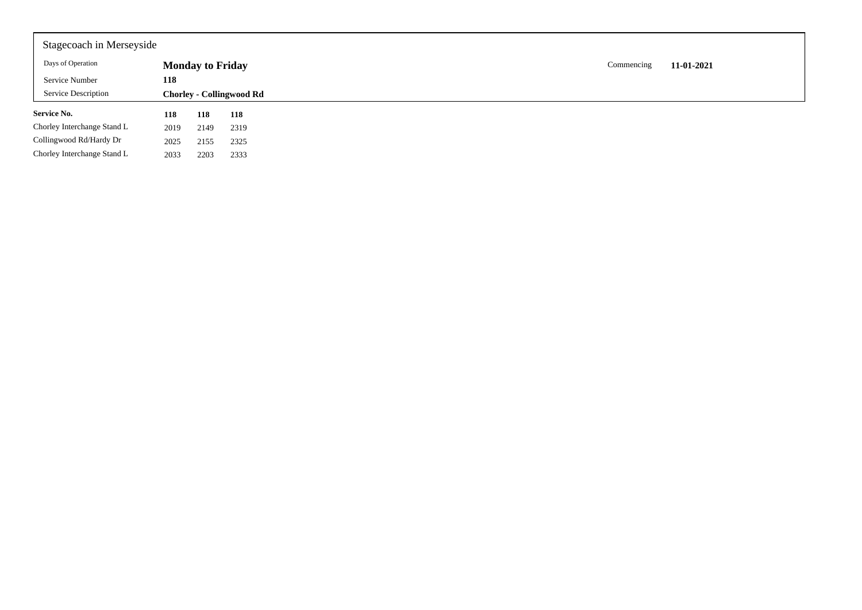| Stagecoach in Merseyside    |      |                         |                                 |  |            |            |
|-----------------------------|------|-------------------------|---------------------------------|--|------------|------------|
| Days of Operation           |      | <b>Monday to Friday</b> |                                 |  | Commencing | 11-01-2021 |
| Service Number              | 118  |                         |                                 |  |            |            |
| <b>Service Description</b>  |      |                         | <b>Chorley - Collingwood Rd</b> |  |            |            |
| <b>Service No.</b>          | 118  | 118                     | 118                             |  |            |            |
| Chorley Interchange Stand L | 2019 | 2149                    | 2319                            |  |            |            |
| Collingwood Rd/Hardy Dr     | 2025 | 2155                    | 2325                            |  |            |            |
| Chorley Interchange Stand L | 2033 | 2203                    | 2333                            |  |            |            |
|                             |      |                         |                                 |  |            |            |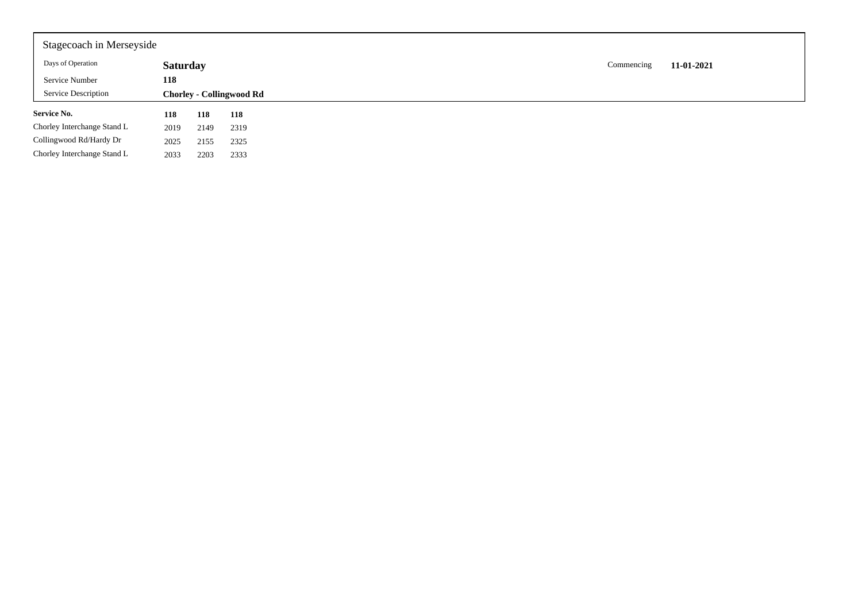| Stagecoach in Merseyside    |                 |      |                                 |            |            |
|-----------------------------|-----------------|------|---------------------------------|------------|------------|
| Days of Operation           | <b>Saturday</b> |      |                                 | Commencing | 11-01-2021 |
| Service Number              | 118             |      |                                 |            |            |
| Service Description         |                 |      | <b>Chorley - Collingwood Rd</b> |            |            |
|                             |                 |      |                                 |            |            |
| <b>Service No.</b>          | 118             | 118  | 118                             |            |            |
| Chorley Interchange Stand L | 2019            | 2149 | 2319                            |            |            |
| Collingwood Rd/Hardy Dr     | 2025            | 2155 | 2325                            |            |            |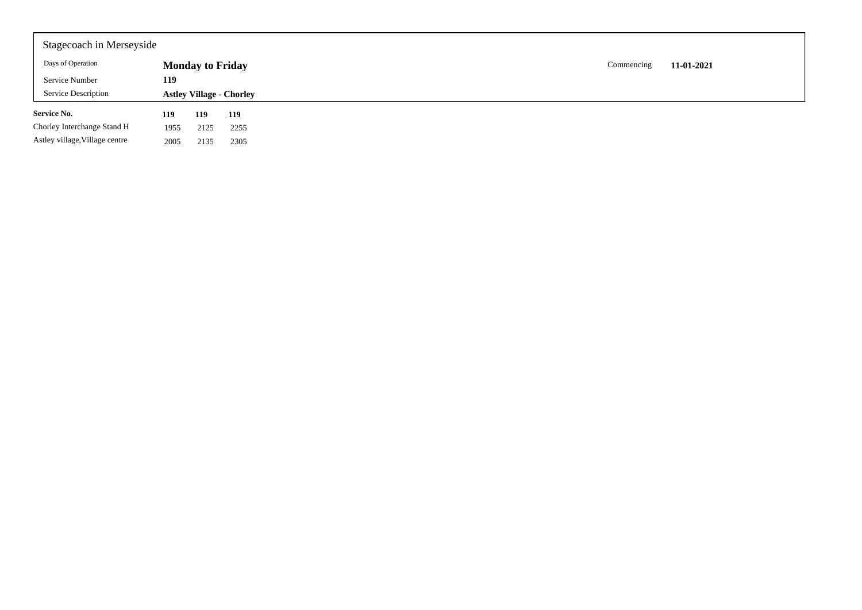| Stagecoach in Merseyside       |      |                         |                                 |            |            |
|--------------------------------|------|-------------------------|---------------------------------|------------|------------|
| Days of Operation              |      | <b>Monday to Friday</b> |                                 | Commencing | 11-01-2021 |
| Service Number                 | 119  |                         |                                 |            |            |
| <b>Service Description</b>     |      |                         | <b>Astley Village - Chorley</b> |            |            |
| <b>Service No.</b>             | 119  | 119                     | 119                             |            |            |
| Chorley Interchange Stand H    | 1955 | 2125                    | 2255                            |            |            |
| Astley village, Village centre | 2005 | 2135                    | 2305                            |            |            |
|                                |      |                         |                                 |            |            |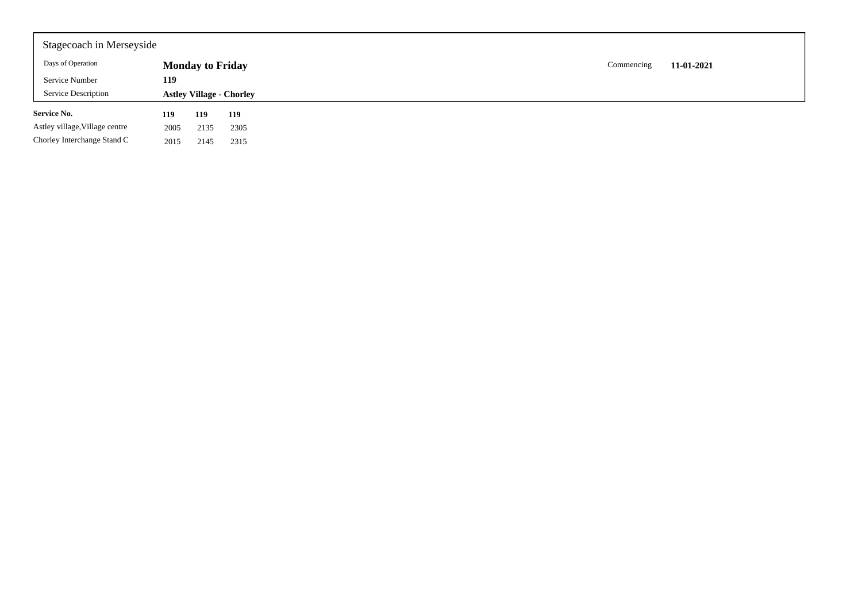| Stagecoach in Merseyside       |      |                         |                                 |                          |
|--------------------------------|------|-------------------------|---------------------------------|--------------------------|
| Days of Operation              |      | <b>Monday to Friday</b> |                                 | 11-01-2021<br>Commencing |
| Service Number                 | 119  |                         |                                 |                          |
| Service Description            |      |                         | <b>Astley Village - Chorley</b> |                          |
| <b>Service No.</b>             | 119  | 119                     | 119                             |                          |
| Astley village, Village centre | 2005 | 2135                    | 2305                            |                          |
| Chorley Interchange Stand C    | 2015 | 2145                    | 2315                            |                          |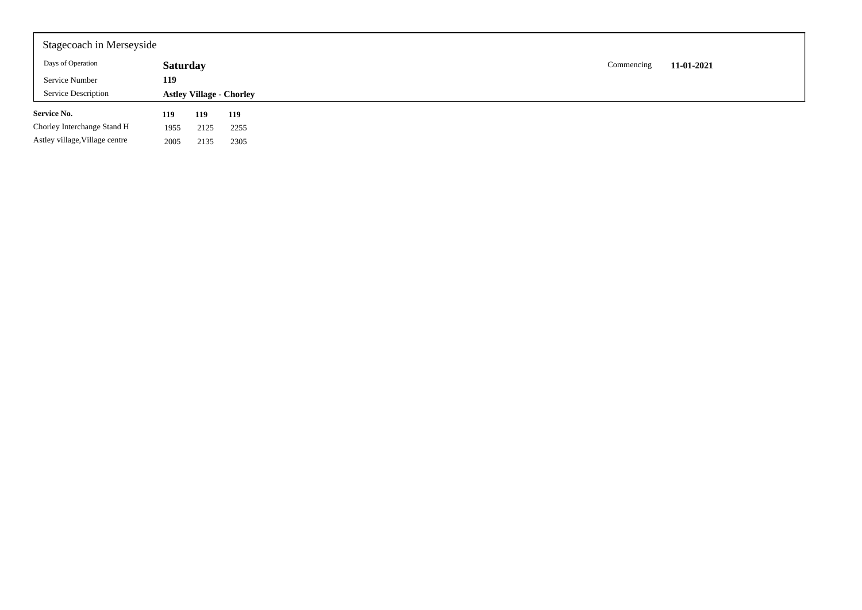| Stagecoach in Merseyside       |                 |      |                                 |            |            |
|--------------------------------|-----------------|------|---------------------------------|------------|------------|
| Days of Operation              | <b>Saturday</b> |      |                                 | Commencing | 11-01-2021 |
| Service Number                 | 119             |      |                                 |            |            |
| <b>Service Description</b>     |                 |      | <b>Astley Village - Chorley</b> |            |            |
| <b>Service No.</b>             | 119             | 119  | 119                             |            |            |
| Chorley Interchange Stand H    | 1955            | 2125 | 2255                            |            |            |
| Astley village, Village centre | 2005            | 2135 | 2305                            |            |            |
|                                |                 |      |                                 |            |            |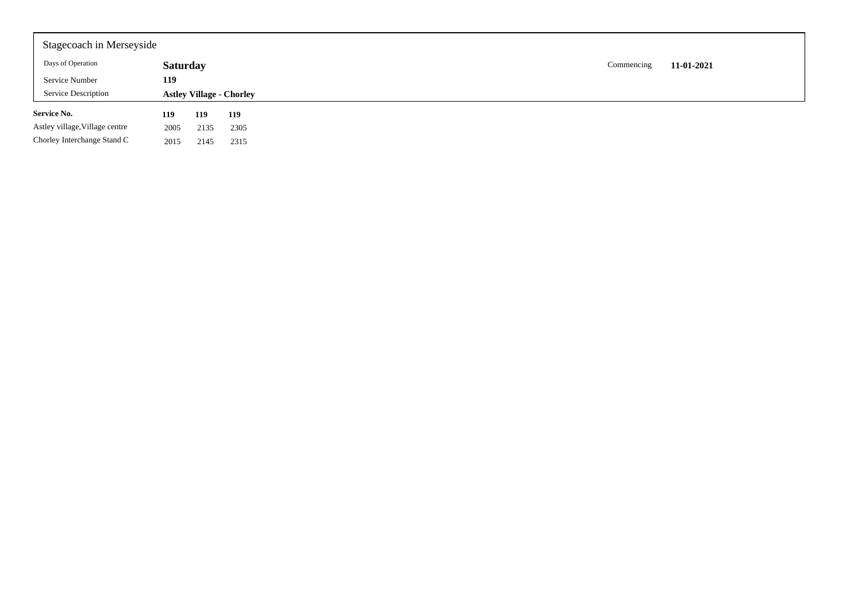| Stagecoach in Merseyside       |                 |      |                                 |  |            |            |
|--------------------------------|-----------------|------|---------------------------------|--|------------|------------|
| Days of Operation              | <b>Saturday</b> |      |                                 |  | Commencing | 11-01-2021 |
| Service Number                 | 119             |      |                                 |  |            |            |
| <b>Service Description</b>     |                 |      | <b>Astley Village - Chorley</b> |  |            |            |
| <b>Service No.</b>             | 119             | 119  | 119                             |  |            |            |
| Astley village, Village centre | 2005            | 2135 | 2305                            |  |            |            |
| Chorley Interchange Stand C    | 2015            | 2145 | 2315                            |  |            |            |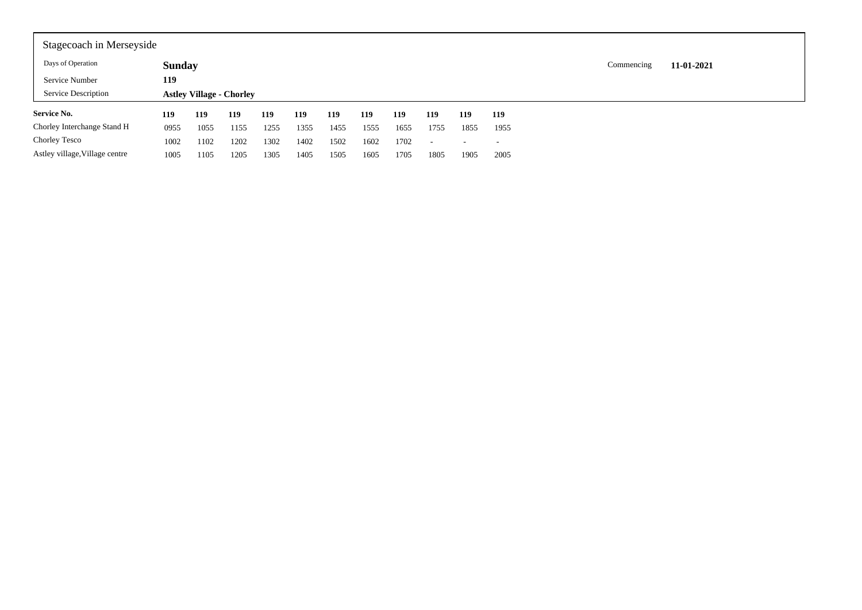| Stagecoach in Merseyside       |               |                                 |      |      |      |      |      |      |        |      |      |            |            |
|--------------------------------|---------------|---------------------------------|------|------|------|------|------|------|--------|------|------|------------|------------|
| Days of Operation              | <b>Sunday</b> |                                 |      |      |      |      |      |      |        |      |      | Commencing | 11-01-2021 |
| Service Number                 | 119           |                                 |      |      |      |      |      |      |        |      |      |            |            |
| <b>Service Description</b>     |               | <b>Astley Village - Chorley</b> |      |      |      |      |      |      |        |      |      |            |            |
| <b>Service No.</b>             | 119           | 119                             | 119  | 119  | 119  | 119  | 119  | 119  | 119    | 119  | 119  |            |            |
| Chorley Interchange Stand H    | 0955          | 1055                            | 1155 | 1255 | 1355 | 1455 | 1555 | 1655 | 1755   | 1855 | 1955 |            |            |
| Chorley Tesco                  | 1002          | 1102                            | 1202 | 1302 | 1402 | 1502 | 1602 | 1702 | $\sim$ | . .  |      |            |            |
| Astley village, Village centre | 1005          | 1105                            | 1205 | 1305 | 1405 | 1505 | 1605 | 1705 | 1805   | 1905 | 2005 |            |            |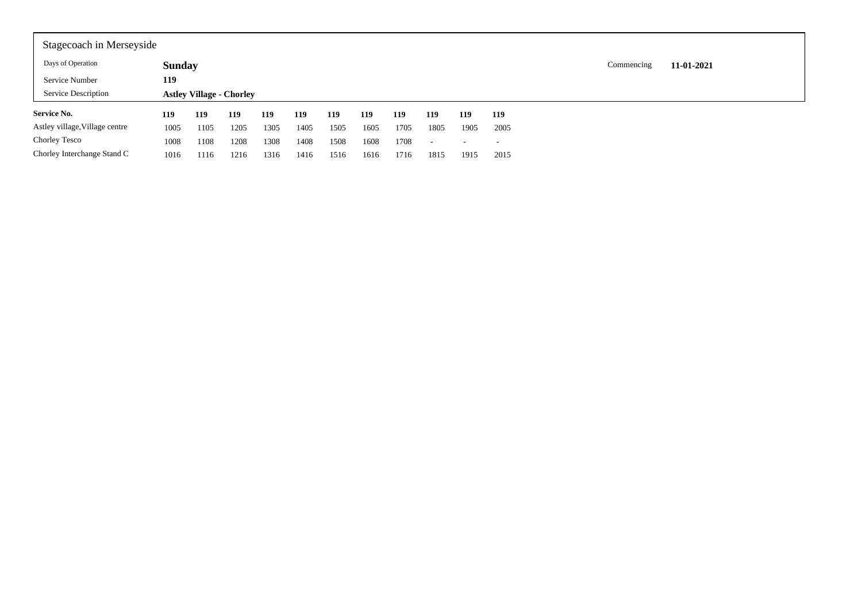| Stagecoach in Merseyside       |               |                                 |      |      |      |      |      |      |                          |      |      |            |            |
|--------------------------------|---------------|---------------------------------|------|------|------|------|------|------|--------------------------|------|------|------------|------------|
| Days of Operation              | <b>Sunday</b> |                                 |      |      |      |      |      |      |                          |      |      | Commencing | 11-01-2021 |
| Service Number                 | 119           |                                 |      |      |      |      |      |      |                          |      |      |            |            |
| Service Description            |               | <b>Astley Village - Chorley</b> |      |      |      |      |      |      |                          |      |      |            |            |
| <b>Service No.</b>             | 119           | 119                             | 119  | 119  | 119  | 119  | 119  | 119  | 119                      | 119  | 119  |            |            |
| Astley village, Village centre | 1005          | 1105                            | 1205 | 1305 | 1405 | 1505 | 1605 | 1705 | 1805                     | 1905 | 2005 |            |            |
| Chorley Tesco                  | 1008          | 1108                            | 1208 | 1308 | 1408 | 1508 | 1608 | 1708 | $\overline{\phantom{a}}$ |      |      |            |            |
| Chorley Interchange Stand C    | 1016          | 1116                            | 1216 | 1316 | 1416 | 1516 | 1616 | 1716 | 1815                     | 1915 | 2015 |            |            |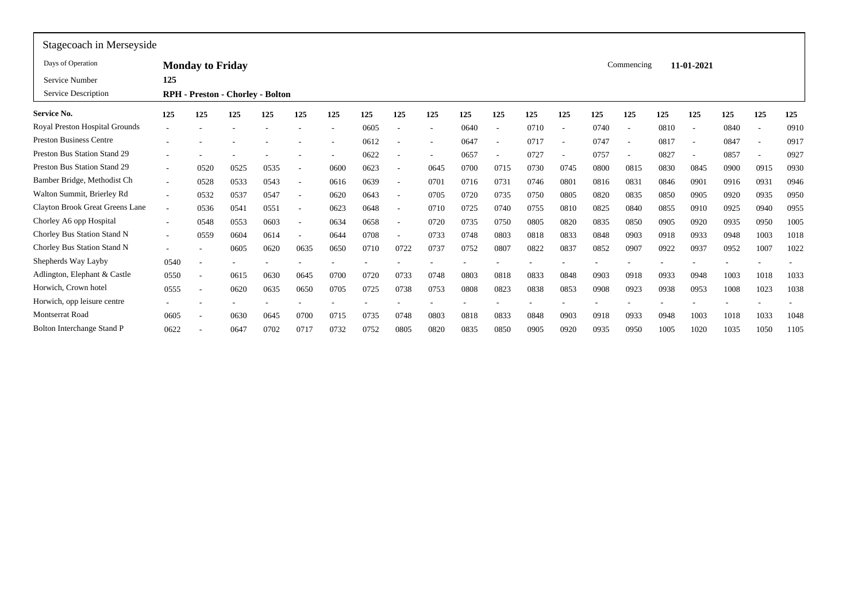| Stagecoach in Merseyside               |                          |                         |                                  |      |                          |      |      |                          |      |      |                          |      |      |      |            |      |                          |      |      |      |
|----------------------------------------|--------------------------|-------------------------|----------------------------------|------|--------------------------|------|------|--------------------------|------|------|--------------------------|------|------|------|------------|------|--------------------------|------|------|------|
| Days of Operation                      |                          | <b>Monday to Friday</b> |                                  |      |                          |      |      |                          |      |      |                          |      |      |      | Commencing |      | 11-01-2021               |      |      |      |
| Service Number                         | 125                      |                         |                                  |      |                          |      |      |                          |      |      |                          |      |      |      |            |      |                          |      |      |      |
| Service Description                    |                          |                         | RPH - Preston - Chorley - Bolton |      |                          |      |      |                          |      |      |                          |      |      |      |            |      |                          |      |      |      |
| <b>Service No.</b>                     | 125                      | 125                     | 125                              | 125  | 125                      | 125  | 125  | 125                      | 125  | 125  | 125                      | 125  | 125  | 125  | 125        | 125  | 125                      | 125  | 125  | 125  |
| Royal Preston Hospital Grounds         |                          |                         |                                  |      |                          | ٠    | 0605 |                          |      | 0640 | $\overline{\phantom{a}}$ | 0710 |      | 0740 |            | 0810 | $\overline{\phantom{0}}$ | 0840 |      | 0910 |
| <b>Preston Business Centre</b>         |                          |                         |                                  |      |                          |      | 0612 |                          |      | 0647 | ۰                        | 0717 |      | 0747 | <b>.</b>   | 0817 | $\overline{\phantom{a}}$ | 0847 |      | 0917 |
| Preston Bus Station Stand 29           |                          |                         |                                  |      |                          |      | 0622 |                          |      | 0657 | ٠                        | 0727 |      | 0757 |            | 0827 | $\overline{\phantom{a}}$ | 0857 |      | 0927 |
| Preston Bus Station Stand 29           | $\sim$                   | 0520                    | 0525                             | 0535 | $\overline{\phantom{a}}$ | 0600 | 0623 | $\overline{\phantom{a}}$ | 0645 | 0700 | 0715                     | 0730 | 0745 | 0800 | 0815       | 0830 | 0845                     | 0900 | 0915 | 0930 |
| Bamber Bridge, Methodist Ch            | $\sim$                   | 0528                    | 0533                             | 0543 | $\overline{\phantom{a}}$ | 0616 | 0639 | $\overline{\phantom{a}}$ | 0701 | 0716 | 0731                     | 0746 | 0801 | 0816 | 0831       | 0846 | 0901                     | 0916 | 0931 | 0946 |
| Walton Summit, Brierley Rd             |                          | 0532                    | 0537                             | 0547 | $\overline{\phantom{a}}$ | 0620 | 0643 | $\overline{\phantom{a}}$ | 0705 | 0720 | 0735                     | 0750 | 0805 | 0820 | 0835       | 0850 | 0905                     | 0920 | 0935 | 0950 |
| <b>Clayton Brook Great Greens Lane</b> | $\sim$                   | 0536                    | 0541                             | 0551 | $\overline{\phantom{a}}$ | 0623 | 0648 | $\overline{\phantom{a}}$ | 0710 | 0725 | 0740                     | 0755 | 0810 | 0825 | 0840       | 0855 | 0910                     | 0925 | 0940 | 0955 |
| Chorley A6 opp Hospital                |                          | 0548                    | 0553                             | 0603 | $\overline{\phantom{a}}$ | 0634 | 0658 | $\overline{\phantom{a}}$ | 0720 | 0735 | 0750                     | 0805 | 0820 | 0835 | 0850       | 0905 | 0920                     | 0935 | 0950 | 1005 |
| Chorley Bus Station Stand N            | $\overline{\phantom{a}}$ | 0559                    | 0604                             | 0614 |                          | 0644 | 0708 | $\overline{\phantom{a}}$ | 0733 | 0748 | 0803                     | 0818 | 0833 | 0848 | 0903       | 0918 | 0933                     | 0948 | 1003 | 1018 |
| Chorley Bus Station Stand N            |                          |                         | 0605                             | 0620 | 0635                     | 0650 | 0710 | 0722                     | 0737 | 0752 | 0807                     | 0822 | 0837 | 0852 | 0907       | 0922 | 0937                     | 0952 | 1007 | 1022 |
| Shepherds Way Layby                    | 0540                     |                         |                                  |      |                          |      |      |                          |      |      |                          |      |      |      |            |      |                          |      |      |      |
| Adlington, Elephant & Castle           | 0550                     |                         | 0615                             | 0630 | 0645                     | 0700 | 0720 | 0733                     | 0748 | 0803 | 0818                     | 0833 | 0848 | 0903 | 0918       | 0933 | 0948                     | 1003 | 1018 | 1033 |
| Horwich. Crown hotel                   | 0555                     |                         | 0620                             | 0635 | 0650                     | 0705 | 0725 | 0738                     | 0753 | 0808 | 0823                     | 0838 | 0853 | 0908 | 0923       | 0938 | 0953                     | 1008 | 1023 | 1038 |
| Horwich, opp leisure centre            |                          |                         |                                  |      |                          |      |      |                          |      |      |                          |      |      |      |            |      |                          |      |      |      |
| <b>Montserrat Road</b>                 | 0605                     |                         | 0630                             | 0645 | 0700                     | 0715 | 0735 | 0748                     | 0803 | 0818 | 0833                     | 0848 | 0903 | 0918 | 0933       | 0948 | 1003                     | 1018 | 1033 | 1048 |
| <b>Bolton Interchange Stand P</b>      | 0622                     |                         | 0647                             | 0702 | 0717                     | 0732 | 0752 | 0805                     | 0820 | 0835 | 0850                     | 0905 | 0920 | 0935 | 0950       | 1005 | 1020                     | 1035 | 1050 | 1105 |
|                                        |                          |                         |                                  |      |                          |      |      |                          |      |      |                          |      |      |      |            |      |                          |      |      |      |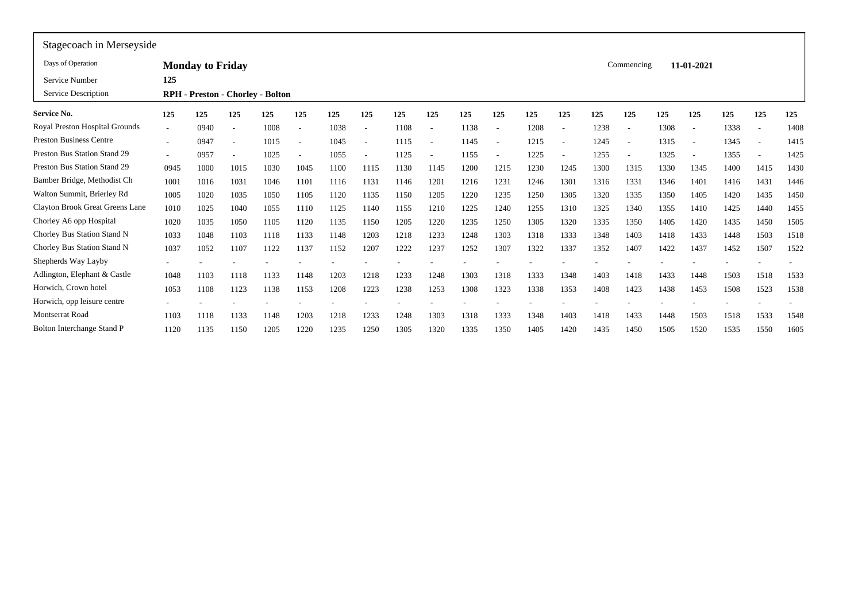| Stagecoach in Merseyside            |        |                                         |                          |      |                          |      |                          |      |        |      |                          |      |                          |      |                          |      |                          |      |                          |      |
|-------------------------------------|--------|-----------------------------------------|--------------------------|------|--------------------------|------|--------------------------|------|--------|------|--------------------------|------|--------------------------|------|--------------------------|------|--------------------------|------|--------------------------|------|
| Days of Operation                   |        | <b>Monday to Friday</b>                 |                          |      |                          |      |                          |      |        |      |                          |      |                          |      | Commencing               |      | 11-01-2021               |      |                          |      |
| Service Number                      | 125    |                                         |                          |      |                          |      |                          |      |        |      |                          |      |                          |      |                          |      |                          |      |                          |      |
| Service Description                 |        | <b>RPH</b> - Preston - Chorley - Bolton |                          |      |                          |      |                          |      |        |      |                          |      |                          |      |                          |      |                          |      |                          |      |
| <b>Service No.</b>                  | 125    | 125                                     | 125                      | 125  | 125                      | 125  | 125                      | 125  | 125    | 125  | 125                      | 125  | 125                      | 125  | 125                      | 125  | 125                      | 125  | 125                      | 125  |
| Royal Preston Hospital Grounds      |        | 0940                                    | $\overline{\phantom{a}}$ | 1008 | $\overline{\phantom{a}}$ | 1038 | $\overline{\phantom{0}}$ | 1108 | $\sim$ | 1138 | ٠                        | 1208 | $\overline{\phantom{a}}$ | 1238 | $\overline{\phantom{a}}$ | 1308 | $\overline{\phantom{a}}$ | 1338 | $\overline{\phantom{a}}$ | 1408 |
| <b>Preston Business Centre</b>      |        | 0947                                    | $\overline{\phantom{a}}$ | 1015 | $\overline{\phantom{a}}$ | 1045 |                          | 1115 |        | 1145 | $\overline{\phantom{a}}$ | 1215 |                          | 1245 | $\overline{\phantom{a}}$ | 1315 | $\overline{\phantom{a}}$ | 1345 |                          | 1415 |
| <b>Preston Bus Station Stand 29</b> | $\sim$ | 0957                                    | $\overline{\phantom{a}}$ | 1025 | ٠                        | 1055 |                          | 1125 |        | 1155 |                          | 1225 |                          | 1255 |                          | 1325 |                          | 1355 |                          | 1425 |
| <b>Preston Bus Station Stand 29</b> | 0945   | 1000                                    | 1015                     | 1030 | 1045                     | 1100 | 1115                     | 1130 | 1145   | 1200 | 1215                     | 1230 | 1245                     | 1300 | 1315                     | 1330 | 1345                     | 1400 | 1415                     | 1430 |
| Bamber Bridge, Methodist Ch         | 1001   | 1016                                    | 1031                     | 1046 | 1101                     | 1116 | 1131                     | 1146 | 1201   | 1216 | 1231                     | 1246 | 1301                     | 1316 | 1331                     | 1346 | 1401                     | 1416 | 1431                     | 1446 |
| Walton Summit, Brierley Rd          | 1005   | 1020                                    | 1035                     | 1050 | 1105                     | 1120 | 1135                     | 1150 | 1205   | 1220 | 1235                     | 1250 | 1305                     | 1320 | 1335                     | 1350 | 1405                     | 1420 | 1435                     | 1450 |
| Clayton Brook Great Greens Lane     | 1010   | 1025                                    | 1040                     | 1055 | 1110                     | 1125 | 1140                     | 1155 | 1210   | 1225 | 1240                     | 1255 | 1310                     | 1325 | 1340                     | 1355 | 1410                     | 1425 | 1440                     | 1455 |
| Chorley A6 opp Hospital             | 1020   | 1035                                    | 1050                     | 1105 | 1120                     | 1135 | 1150                     | 1205 | 1220   | 1235 | 1250                     | 1305 | 1320                     | 1335 | 1350                     | 1405 | 1420                     | 1435 | 1450                     | 1505 |
| Chorley Bus Station Stand N         | 1033   | 1048                                    | 1103                     | 1118 | 1133                     | 1148 | 1203                     | 1218 | 1233   | 1248 | 1303                     | 1318 | 1333                     | 1348 | 1403                     | 1418 | 1433                     | 1448 | 1503                     | 1518 |
| Chorley Bus Station Stand N         | 1037   | 1052                                    | 1107                     | 1122 | 1137                     | 1152 | 1207                     | 1222 | 1237   | 1252 | 1307                     | 1322 | 1337                     | 1352 | 1407                     | 1422 | 1437                     | 1452 | 1507                     | 1522 |
| Shepherds Way Layby                 |        |                                         |                          |      |                          |      |                          |      |        |      |                          |      |                          |      |                          |      |                          |      |                          |      |
| Adlington, Elephant & Castle        | 1048   | 1103                                    | 1118                     | 1133 | 1148                     | 1203 | 1218                     | 1233 | 1248   | 1303 | 1318                     | 1333 | 1348                     | 1403 | 1418                     | 1433 | 1448                     | 1503 | 1518                     | 1533 |
| Horwich, Crown hotel                | 1053   | 1108                                    | 1123                     | 1138 | 1153                     | 1208 | 1223                     | 1238 | 1253   | 1308 | 1323                     | 1338 | 1353                     | 1408 | 1423                     | 1438 | 1453                     | 1508 | 1523                     | 1538 |
| Horwich, opp leisure centre         |        |                                         |                          |      |                          |      |                          |      |        |      |                          |      |                          |      |                          |      |                          |      |                          |      |
| <b>Montserrat Road</b>              | 1103   | 1118                                    | 1133                     | 1148 | 1203                     | 1218 | 1233                     | 1248 | 1303   | 1318 | 1333                     | 1348 | 1403                     | 1418 | 1433                     | 1448 | 1503                     | 1518 | 1533                     | 1548 |
| <b>Bolton Interchange Stand P</b>   | 1120   | 1135                                    | 1150                     | 1205 | 1220                     | 1235 | 1250                     | 1305 | 1320   | 1335 | 1350                     | 1405 | 1420                     | 1435 | 1450                     | 1505 | 1520                     | 1535 | 1550                     | 1605 |
|                                     |        |                                         |                          |      |                          |      |                          |      |        |      |                          |      |                          |      |                          |      |                          |      |                          |      |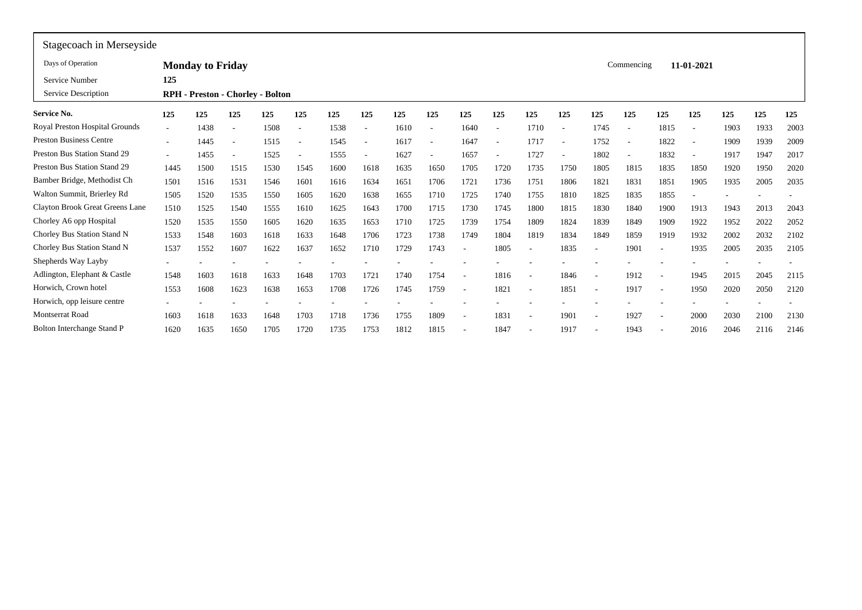| Stagecoach in Merseyside        |        |                                         |                          |      |      |      |      |      |      |                          |      |      |      |                          |                          |                          |                          |      |      |      |
|---------------------------------|--------|-----------------------------------------|--------------------------|------|------|------|------|------|------|--------------------------|------|------|------|--------------------------|--------------------------|--------------------------|--------------------------|------|------|------|
| Days of Operation               |        | <b>Monday to Friday</b>                 |                          |      |      |      |      |      |      |                          |      |      |      |                          | Commencing               |                          | 11-01-2021               |      |      |      |
| Service Number                  | 125    |                                         |                          |      |      |      |      |      |      |                          |      |      |      |                          |                          |                          |                          |      |      |      |
| Service Description             |        | <b>RPH</b> - Preston - Chorley - Bolton |                          |      |      |      |      |      |      |                          |      |      |      |                          |                          |                          |                          |      |      |      |
| <b>Service No.</b>              | 125    | 125                                     | 125                      | 125  | 125  | 125  | 125  | 125  | 125  | 125                      | 125  | 125  | 125  | 125                      | 125                      | 125                      | 125                      | 125  | 125  | 125  |
| Royal Preston Hospital Grounds  | $\sim$ | 1438                                    | $\overline{\phantom{a}}$ | 1508 | ٠    | 1538 |      | 1610 |      | 1640                     | ٠    | 1710 |      | 1745                     | $\overline{\phantom{a}}$ | 1815                     | $\overline{\phantom{a}}$ | 1903 | 1933 | 2003 |
| <b>Preston Business Centre</b>  |        | 1445                                    | $\overline{\phantom{a}}$ | 1515 | ٠    | 1545 |      | 1617 |      | 1647                     | ٠    | 1717 |      | 1752                     | $\overline{\phantom{a}}$ | 1822                     | $\overline{\phantom{a}}$ | 1909 | 1939 | 2009 |
| Preston Bus Station Stand 29    | $\sim$ | 1455                                    | $\overline{\phantom{a}}$ | 1525 |      | 1555 |      | 1627 |      | 1657                     |      | 1727 |      | 1802                     | . —                      | 1832                     |                          | 1917 | 1947 | 2017 |
| Preston Bus Station Stand 29    | 1445   | 1500                                    | 1515                     | 1530 | 1545 | 1600 | 1618 | 1635 | 1650 | 1705                     | 1720 | 1735 | 1750 | 1805                     | 1815                     | 1835                     | 1850                     | 1920 | 1950 | 2020 |
| Bamber Bridge, Methodist Ch     | 1501   | 1516                                    | 1531                     | 1546 | 1601 | 1616 | 1634 | 1651 | 1706 | 1721                     | 1736 | 1751 | 1806 | 1821                     | 1831                     | 1851                     | 1905                     | 1935 | 2005 | 2035 |
| Walton Summit, Brierley Rd      | 1505   | 1520                                    | 1535                     | 1550 | 1605 | 1620 | 1638 | 1655 | 1710 | 1725                     | 1740 | 1755 | 1810 | 1825                     | 1835                     | 1855                     |                          |      |      |      |
| Clayton Brook Great Greens Lane | 1510   | 1525                                    | 1540                     | 1555 | 1610 | 1625 | 1643 | 1700 | 1715 | 1730                     | 1745 | 1800 | 1815 | 1830                     | 1840                     | 1900                     | 1913                     | 1943 | 2013 | 2043 |
| Chorley A6 opp Hospital         | 1520   | 1535                                    | 1550                     | 1605 | 1620 | 1635 | 1653 | 1710 | 1725 | 1739                     | 1754 | 1809 | 1824 | 1839                     | 1849                     | 1909                     | 1922                     | 1952 | 2022 | 2052 |
| Chorley Bus Station Stand N     | 1533   | 1548                                    | 1603                     | 1618 | 1633 | 1648 | 1706 | 1723 | 1738 | 1749                     | 1804 | 1819 | 1834 | 1849                     | 1859                     | 1919                     | 1932                     | 2002 | 2032 | 2102 |
| Chorley Bus Station Stand N     | 1537   | 1552                                    | 1607                     | 1622 | 1637 | 1652 | 1710 | 1729 | 1743 |                          | 1805 |      | 1835 | $\overline{\phantom{a}}$ | 1901                     | ٠                        | 1935                     | 2005 | 2035 | 2105 |
| Shepherds Way Layby             |        |                                         |                          |      |      |      |      |      |      |                          |      |      |      |                          |                          |                          |                          |      |      |      |
| Adlington, Elephant & Castle    | 1548   | 1603                                    | 1618                     | 1633 | 1648 | 1703 | 1721 | 1740 | 1754 | $\overline{\phantom{a}}$ | 1816 |      | 1846 | $\overline{\phantom{a}}$ | 1912                     | $\overline{\phantom{a}}$ | 1945                     | 2015 | 2045 | 2115 |
| Horwich, Crown hotel            | 1553   | 1608                                    | 1623                     | 1638 | 1653 | 1708 | 1726 | 1745 | 1759 | $\overline{\phantom{a}}$ | 1821 |      | 1851 | $\overline{\phantom{a}}$ | 1917                     | $\overline{\phantom{a}}$ | 1950                     | 2020 | 2050 | 2120 |
| Horwich, opp leisure centre     |        |                                         |                          |      |      |      |      |      |      |                          |      |      |      |                          |                          |                          |                          |      |      |      |
| Montserrat Road                 | 1603   | 1618                                    | 1633                     | 1648 | 1703 | 1718 | 1736 | 1755 | 1809 | $\overline{\phantom{a}}$ | 1831 |      | 1901 | $\overline{\phantom{a}}$ | 1927                     | $\overline{\phantom{a}}$ | 2000                     | 2030 | 2100 | 2130 |
| Bolton Interchange Stand P      | 1620   | 1635                                    | 1650                     | 1705 | 1720 | 1735 | 1753 | 1812 | 1815 |                          | 1847 |      | 1917 | $\overline{\phantom{a}}$ | 1943                     | $\overline{\phantom{a}}$ | 2016                     | 2046 | 2116 | 2146 |
|                                 |        |                                         |                          |      |      |      |      |      |      |                          |      |      |      |                          |                          |                          |                          |      |      |      |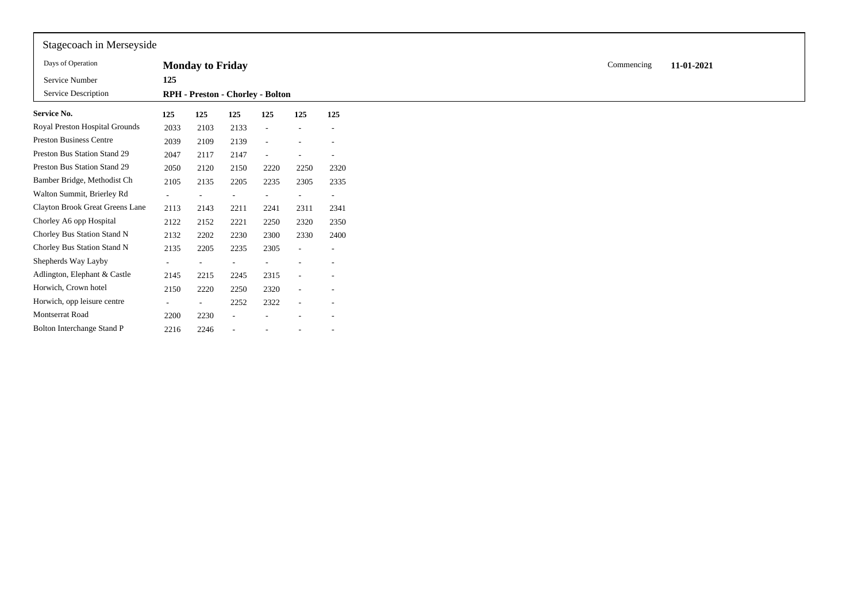| Stagecoach in Merseyside        |        |                                  |      |      |                          |                              |
|---------------------------------|--------|----------------------------------|------|------|--------------------------|------------------------------|
| Days of Operation               |        | <b>Monday to Friday</b>          |      |      |                          |                              |
| Service Number                  | 125    |                                  |      |      |                          |                              |
| Service Description             |        | RPH - Preston - Chorley - Bolton |      |      |                          |                              |
| Service No.                     | 125    | 125                              | 125  | 125  | 125                      | 125                          |
| Royal Preston Hospital Grounds  | 2033   | 2103                             | 2133 |      |                          |                              |
| <b>Preston Business Centre</b>  | 2039   | 2109                             | 2139 |      |                          |                              |
| Preston Bus Station Stand 29    | 2047   | 2117                             | 2147 |      |                          | $\qquad \qquad \blacksquare$ |
| Preston Bus Station Stand 29    | 2050   | 2120                             | 2150 | 2220 | 2250                     | 2320                         |
| Bamber Bridge, Methodist Ch     | 2105   | 2135                             | 2205 | 2235 | 2305                     | 2335                         |
| Walton Summit, Brierley Rd      |        |                                  |      |      |                          | $\overline{\phantom{a}}$     |
| Clayton Brook Great Greens Lane | 2113   | 2143                             | 2211 | 2241 | 2311                     | 2341                         |
| Chorley A6 opp Hospital         | 2122   | 2152                             | 2221 | 2250 | 2320                     | 2350                         |
| Chorley Bus Station Stand N     | 2132   | 2202                             | 2230 | 2300 | 2330                     | 2400                         |
| Chorley Bus Station Stand N     | 2135   | 2205                             | 2235 | 2305 | ٠                        | ۰                            |
| Shepherds Way Layby             | $\sim$ | $\sim$                           |      |      |                          |                              |
| Adlington, Elephant & Castle    | 2145   | 2215                             | 2245 | 2315 | ٠                        |                              |
| Horwich, Crown hotel            | 2150   | 2220                             | 2250 | 2320 | $\overline{\phantom{a}}$ | $\overline{\phantom{a}}$     |
| Horwich, opp leisure centre     | $\sim$ |                                  | 2252 | 2322 | $\overline{\phantom{a}}$ |                              |
| Montserrat Road                 | 2200   | 2230                             |      |      |                          |                              |
| Bolton Interchange Stand P      | 2216   | 2246                             |      |      |                          |                              |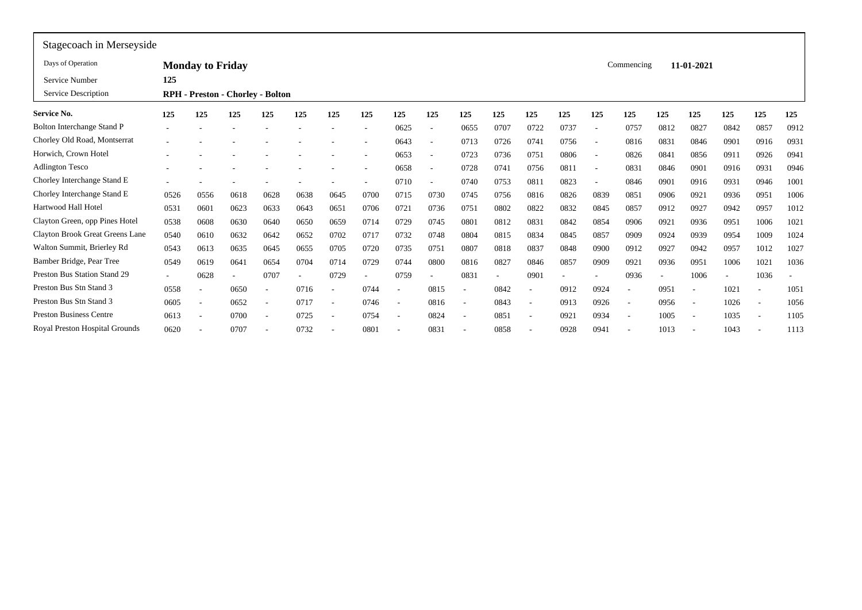| Stagecoach in Merseyside          |      |                          |      |                                         |                          |                          |      |                          |                          |                          |      |      |      |                          |                          |                          |                          |      |                          |                          |
|-----------------------------------|------|--------------------------|------|-----------------------------------------|--------------------------|--------------------------|------|--------------------------|--------------------------|--------------------------|------|------|------|--------------------------|--------------------------|--------------------------|--------------------------|------|--------------------------|--------------------------|
| Days of Operation                 |      | <b>Monday to Friday</b>  |      |                                         |                          |                          |      |                          |                          |                          |      |      |      |                          | Commencing               |                          | 11-01-2021               |      |                          |                          |
| Service Number                    | 125  |                          |      |                                         |                          |                          |      |                          |                          |                          |      |      |      |                          |                          |                          |                          |      |                          |                          |
| Service Description               |      |                          |      | <b>RPH</b> - Preston - Chorley - Bolton |                          |                          |      |                          |                          |                          |      |      |      |                          |                          |                          |                          |      |                          |                          |
| <b>Service No.</b>                | 125  | 125                      | 125  | 125                                     | 125                      | 125                      | 125  | 125                      | 125                      | 125                      | 125  | 125  | 125  | 125                      | 125                      | 125                      | 125                      | 125  | 125                      | 125                      |
| <b>Bolton Interchange Stand P</b> |      |                          |      |                                         |                          |                          |      | 0625                     | $\overline{\phantom{a}}$ | 0655                     | 0707 | 0722 | 0737 | $\overline{\phantom{a}}$ | 0757                     | 0812                     | 0827                     | 0842 | 0857                     | 0912                     |
| Chorley Old Road, Montserrat      |      |                          |      |                                         |                          |                          |      | 0643                     |                          | 0713                     | 0726 | 0741 | 0756 | $\overline{\phantom{a}}$ | 0816                     | 083                      | 0846                     | 0901 | 0916                     | 0931                     |
| Horwich, Crown Hotel              |      |                          |      |                                         |                          |                          |      | 0653                     |                          | 0723                     | 0736 | 0751 | 0806 | $\overline{\phantom{a}}$ | 0826                     | 084                      | 0856                     | 0911 | 0926                     | 0941                     |
| <b>Adlington Tesco</b>            |      |                          |      |                                         |                          |                          |      | 0658                     |                          | 0728                     | 074  | 0756 | 0811 | $\overline{\phantom{a}}$ | 083                      | 0846                     | 0901                     | 0916 | 0931                     | 0946                     |
| Chorley Interchange Stand E       |      |                          |      |                                         |                          |                          |      | 0710                     |                          | 0740                     | 0753 | 081  | 0823 |                          | 0846                     | 0901                     | 0916                     | 0931 | 0946                     | 1001                     |
| Chorley Interchange Stand E       | 0526 | 0556                     | 0618 | 0628                                    | 0638                     | 0645                     | 0700 | 0715                     | 0730                     | 0745                     | 0756 | 0816 | 0826 | 0839                     | 0851                     | 0906                     | 0921                     | 0936 | 0951                     | 1006                     |
| Hartwood Hall Hotel               | 0531 | 060                      | 0623 | 0633                                    | 0643                     | 0651                     | 0706 | 0721                     | 0736                     | 0751                     | 0802 | 0822 | 0832 | 0845                     | 0857                     | 0912                     | 0927                     | 0942 | 0957                     | 1012                     |
| Clayton Green, opp Pines Hotel    | 0538 | 0608                     | 0630 | 0640                                    | 0650                     | 0659                     | 0714 | 0729                     | 0745                     | 0801                     | 0812 | 0831 | 0842 | 0854                     | 0906                     | 0921                     | 0936                     | 0951 | 1006                     | 1021                     |
| Clayton Brook Great Greens Lane   | 0540 | 0610                     | 0632 | 0642                                    | 0652                     | 0702                     | 0717 | 0732                     | 0748                     | 0804                     | 0815 | 0834 | 0845 | 0857                     | 0909                     | 0924                     | 0939                     | 0954 | 1009                     | 1024                     |
| Walton Summit, Brierley Rd        | 0543 | 0613                     | 0635 | 0645                                    | 0655                     | 0705                     | 0720 | 0735                     | 0751                     | 0807                     | 0818 | 0837 | 0848 | 0900                     | 0912                     | 0927                     | 0942                     | 0957 | 1012                     | 1027                     |
| Bamber Bridge, Pear Tree          | 0549 | 0619                     | 0641 | 0654                                    | 0704                     | 0714                     | 0729 | 0744                     | 0800                     | 0816                     | 0827 | 0846 | 0857 | 0909                     | 0921                     | 0936                     | 0951                     | 1006 | 1021                     | 1036                     |
| Preston Bus Station Stand 29      |      | 0628                     |      | 0707                                    | $\overline{\phantom{a}}$ | 0729                     |      | 0759                     |                          | 0831                     | ٠    | 0901 |      |                          | 0936                     | $\overline{\phantom{a}}$ | 1006                     | ٠    | 1036                     | $\overline{\phantom{a}}$ |
| Preston Bus Stn Stand 3           | 0558 |                          | 0650 |                                         | 0716                     |                          | 0744 | ٠                        | 0815                     |                          | 0842 |      | 0912 | 0924                     |                          | 095                      |                          | 1021 |                          | 1051                     |
| Preston Bus Stn Stand 3           | 0605 | $\overline{\phantom{a}}$ | 0652 | $\overline{\phantom{a}}$                | 0717                     |                          | 0746 | ٠                        | 0816                     | $\overline{\phantom{a}}$ | 0843 |      | 0913 | 0926                     | $\overline{a}$           | 0956                     | $\overline{\phantom{0}}$ | 1026 |                          | 1056                     |
| <b>Preston Business Centre</b>    | 0613 | $\overline{\phantom{a}}$ | 0700 | $\overline{\phantom{a}}$                | 0725                     | $\overline{\phantom{a}}$ | 0754 | $\overline{\phantom{a}}$ | 0824                     | $\overline{\phantom{a}}$ | 0851 |      | 0921 | 0934                     | $\overline{\phantom{a}}$ | 1005                     | $\overline{\phantom{a}}$ | 1035 | $\overline{\phantom{a}}$ | 1105                     |
| Royal Preston Hospital Grounds    | 0620 |                          | 0707 | $\overline{\phantom{a}}$                | 0732                     | $\overline{\phantom{a}}$ | 0801 | ٠                        | 0831                     |                          | 0858 |      | 0928 | 0941                     | $\overline{\phantom{a}}$ | 1013                     | $\overline{\phantom{a}}$ | 1043 |                          | 1113                     |
|                                   |      |                          |      |                                         |                          |                          |      |                          |                          |                          |      |      |      |                          |                          |                          |                          |      |                          |                          |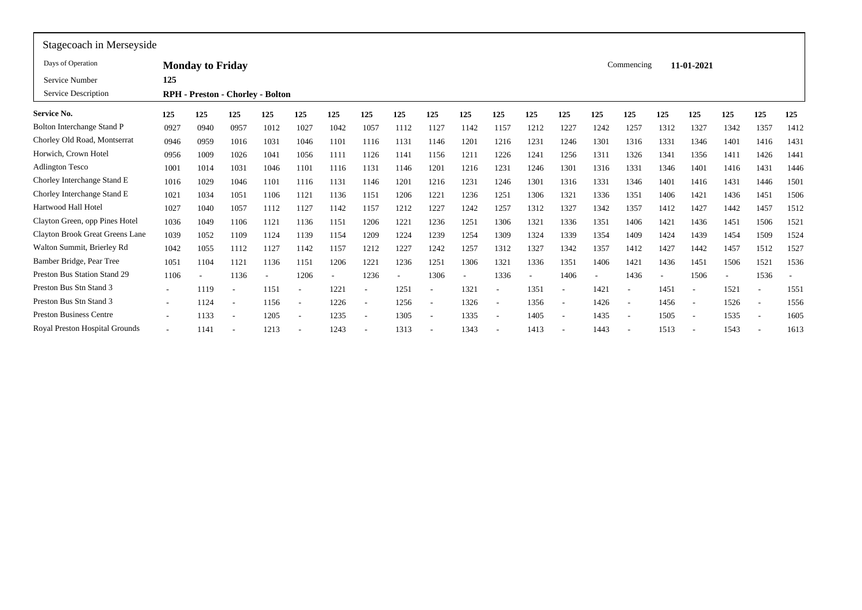| Stagecoach in Merseyside          |        |                         |                                         |      |                          |                          |      |                          |      |      |                          |      |                          |      |                          |      |                          |                          |                          |                          |
|-----------------------------------|--------|-------------------------|-----------------------------------------|------|--------------------------|--------------------------|------|--------------------------|------|------|--------------------------|------|--------------------------|------|--------------------------|------|--------------------------|--------------------------|--------------------------|--------------------------|
| Days of Operation                 |        | <b>Monday to Friday</b> |                                         |      |                          |                          |      |                          |      |      |                          |      |                          |      | Commencing               |      | 11-01-2021               |                          |                          |                          |
| Service Number                    | 125    |                         |                                         |      |                          |                          |      |                          |      |      |                          |      |                          |      |                          |      |                          |                          |                          |                          |
| Service Description               |        |                         | <b>RPH</b> - Preston - Chorley - Bolton |      |                          |                          |      |                          |      |      |                          |      |                          |      |                          |      |                          |                          |                          |                          |
| Service No.                       | 125    | 125                     | 125                                     | 125  | 125                      | 125                      | 125  | 125                      | 125  | 125  | 125                      | 125  | 125                      | 125  | 125                      | 125  | 125                      | 125                      | 125                      | 125                      |
| <b>Bolton Interchange Stand P</b> | 0927   | 0940                    | 0957                                    | 1012 | 1027                     | 1042                     | 1057 | 1112                     | 1127 | 1142 | 1157                     | 1212 | 1227                     | 1242 | 1257                     | 1312 | 1327                     | 1342                     | 1357                     | 1412                     |
| Chorley Old Road, Montserrat      | 0946   | 0959                    | 1016                                    | 1031 | 1046                     | 1101                     | 1116 | 1131                     | 1146 | 1201 | 1216                     | 1231 | 1246                     | 1301 | 1316                     | 1331 | 1346                     | 1401                     | 1416                     | 1431                     |
| Horwich, Crown Hotel              | 0956   | 1009                    | 1026                                    | 1041 | 1056                     | 1111                     | 1126 | 1141                     | 1156 | 1211 | 1226                     | 1241 | 1256                     | 1311 | 1326                     | 1341 | 1356                     | 1411                     | 1426                     | 1441                     |
| <b>Adlington Tesco</b>            | 1001   | 1014                    | 1031                                    | 1046 | 1101                     | 1116                     | 1131 | 1146                     | 1201 | 1216 | 1231                     | 1246 | 1301                     | 1316 | 1331                     | 1346 | 1401                     | 1416                     | 1431                     | 1446                     |
| Chorley Interchange Stand E       | 1016   | 1029                    | 1046                                    | 1101 | 1116                     | 1131                     | 1146 | 1201                     | 1216 | 1231 | 1246                     | 1301 | 1316                     | 1331 | 1346                     | 1401 | 1416                     | 1431                     | 1446                     | 1501                     |
| Chorley Interchange Stand E       | 1021   | 1034                    | 1051                                    | 1106 | 1121                     | 1136                     | 1151 | 1206                     | 1221 | 1236 | 1251                     | 1306 | 1321                     | 1336 | 1351                     | 1406 | 1421                     | 1436                     | 1451                     | 1506                     |
| Hartwood Hall Hotel               | 1027   | 1040                    | 1057                                    | 1112 | 1127                     | 1142                     | 1157 | 1212                     | 1227 | 1242 | 1257                     | 1312 | 1327                     | 1342 | 1357                     | 1412 | 1427                     | 1442                     | 1457                     | 1512                     |
| Clayton Green, opp Pines Hotel    | 1036   | 1049                    | 1106                                    | 1121 | 1136                     | 1151                     | 1206 | 1221                     | 1236 | 1251 | 1306                     | 1321 | 1336                     | 1351 | 1406                     | 1421 | 1436                     | 1451                     | 1506                     | 1521                     |
| Clayton Brook Great Greens Lane   | 1039   | 1052                    | 1109                                    | 1124 | 1139                     | 1154                     | 1209 | 1224                     | 1239 | 1254 | 1309                     | 1324 | 1339                     | 1354 | 1409                     | 1424 | 1439                     | 1454                     | 1509                     | 1524                     |
| Walton Summit, Brierley Rd        | 1042   | 1055                    | 1112                                    | 1127 | 1142                     | 1157                     | 1212 | 1227                     | 1242 | 1257 | 1312                     | 1327 | 1342                     | 1357 | 1412                     | 1427 | 1442                     | 1457                     | 1512                     | 1527                     |
| Bamber Bridge, Pear Tree          | 1051   | 1104                    | 1121                                    | 1136 | 1151                     | 1206                     | 1221 | 1236                     | 1251 | 1306 | 1321                     | 1336 | 1351                     | 1406 | 1421                     | 1436 | 1451                     | 1506                     | 1521                     | 1536                     |
| Preston Bus Station Stand 29      | 1106   |                         | 1136                                    |      | 1206                     | $\overline{\phantom{a}}$ | 1236 | $\overline{\phantom{a}}$ | 1306 |      | 1336                     |      | 1406                     |      | 1436                     | ٠    | 1506                     | $\overline{\phantom{a}}$ | 1536                     | $\overline{\phantom{a}}$ |
| Preston Bus Stn Stand 3           |        | 1119                    |                                         | 1151 | ٠                        | 1221                     |      | 1251                     |      | 1321 |                          | 1351 |                          | 1421 |                          | 145  |                          | 1521                     |                          | 1551                     |
| Preston Bus Stn Stand 3           | $\sim$ | 1124                    |                                         | 1156 | $\overline{\phantom{a}}$ | 1226                     |      | 1256                     |      | 1326 | $\overline{\phantom{a}}$ | 1356 |                          | 1426 | $\overline{\phantom{a}}$ | 1456 | $\overline{\phantom{a}}$ | 1526                     | $\overline{\phantom{a}}$ | 1556                     |
| <b>Preston Business Centre</b>    |        | 1133                    |                                         | 1205 | $\overline{\phantom{a}}$ | 1235                     |      | 1305                     |      | 1335 | $\overline{\phantom{a}}$ | 1405 | $\overline{\phantom{a}}$ | 1435 | $\sim$                   | 1505 | $\overline{\phantom{a}}$ | 1535                     |                          | 1605                     |
| Royal Preston Hospital Grounds    |        | 1141                    |                                         | 1213 | ٠                        | 1243                     |      | 1313                     |      | 1343 |                          | 1413 |                          | 1443 |                          | 1513 |                          | 1543                     |                          | 1613                     |
|                                   |        |                         |                                         |      |                          |                          |      |                          |      |      |                          |      |                          |      |                          |      |                          |                          |                          |                          |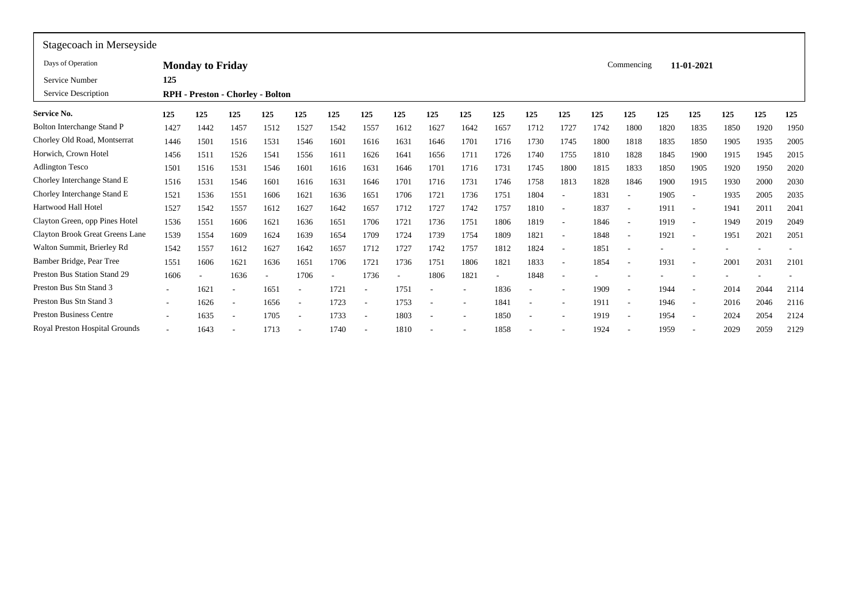| Stagecoach in Merseyside          |        |                         |                                  |      |                          |      |      |                          |      |          |      |      |                          |      |                          |      |                          |      |      |      |
|-----------------------------------|--------|-------------------------|----------------------------------|------|--------------------------|------|------|--------------------------|------|----------|------|------|--------------------------|------|--------------------------|------|--------------------------|------|------|------|
| Days of Operation                 |        | <b>Monday to Friday</b> |                                  |      |                          |      |      |                          |      |          |      |      |                          |      | Commencing               |      | 11-01-2021               |      |      |      |
| Service Number                    | 125    |                         |                                  |      |                          |      |      |                          |      |          |      |      |                          |      |                          |      |                          |      |      |      |
| Service Description               |        |                         | RPH - Preston - Chorley - Bolton |      |                          |      |      |                          |      |          |      |      |                          |      |                          |      |                          |      |      |      |
| <b>Service No.</b>                | 125    | 125                     | 125                              | 125  | 125                      | 125  | 125  | 125                      | 125  | 125      | 125  | 125  | 125                      | 125  | 125                      | 125  | 125                      | 125  | 125  | 125  |
| <b>Bolton Interchange Stand P</b> | 1427   | 1442                    | 1457                             | 1512 | 1527                     | 1542 | 1557 | 1612                     | 1627 | 1642     | 1657 | 1712 | 1727                     | 1742 | 1800                     | 1820 | 1835                     | 1850 | 1920 | 1950 |
| Chorley Old Road, Montserrat      | 1446   | 1501                    | 1516                             | 1531 | 1546                     | 1601 | 1616 | 1631                     | 1646 | 1701     | 1716 | 1730 | 1745                     | 1800 | 1818                     | 1835 | 1850                     | 1905 | 1935 | 2005 |
| Horwich, Crown Hotel              | 1456   | 1511                    | 1526                             | 1541 | 1556                     | 1611 | 1626 | 1641                     | 1656 | 1711     | 1726 | 1740 | 1755                     | 1810 | 1828                     | 1845 | 1900                     | 1915 | 1945 | 2015 |
| <b>Adlington Tesco</b>            | 1501   | 1516                    | 1531                             | 1546 | 1601                     | 1616 | 1631 | 1646                     | 1701 | 1716     | 1731 | 1745 | 1800                     | 1815 | 1833                     | 1850 | 1905                     | 1920 | 1950 | 2020 |
| Chorley Interchange Stand E       | 1516   | 1531                    | 1546                             | 1601 | 1616                     | 1631 | 1646 | 1701                     | 1716 | 1731     | 1746 | 1758 | 1813                     | 1828 | 1846                     | 1900 | 1915                     | 1930 | 2000 | 2030 |
| Chorley Interchange Stand E       | 1521   | 1536                    | 1551                             | 1606 | 1621                     | 1636 | 165  | 1706                     | 1721 | 1736     | 1751 | 1804 |                          | 1831 |                          | 1905 |                          | 1935 | 2005 | 2035 |
| Hartwood Hall Hotel               | 1527   | 1542                    | 1557                             | 1612 | 1627                     | 1642 | 1657 | 1712                     | 1727 | 1742     | 1757 | 1810 | $\overline{\phantom{a}}$ | 1837 | $\overline{\phantom{a}}$ | 191  | $\overline{\phantom{a}}$ | 1941 | 2011 | 2041 |
| Clayton Green, opp Pines Hotel    | 1536   | 1551                    | 1606                             | 1621 | 1636                     | 1651 | 1706 | 1721                     | 1736 | 1751     | 1806 | 1819 | $\overline{\phantom{a}}$ | 1846 | $\overline{\phantom{a}}$ | 1919 | $\overline{\phantom{a}}$ | 1949 | 2019 | 2049 |
| Clayton Brook Great Greens Lane   | 1539   | 1554                    | 1609                             | 1624 | 1639                     | 1654 | 1709 | 1724                     | 1739 | 1754     | 1809 | 1821 |                          | 1848 | $\overline{\phantom{a}}$ | 1921 | $\overline{\phantom{a}}$ | 1951 | 2021 | 2051 |
| Walton Summit, Brierley Rd        | 1542   | 1557                    | 1612                             | 1627 | 1642                     | 1657 | 1712 | 1727                     | 1742 | 1757     | 1812 | 1824 |                          | 1851 | $\overline{\phantom{a}}$ |      |                          |      |      |      |
| Bamber Bridge, Pear Tree          | 1551   | 1606                    | 1621                             | 1636 | 1651                     | 1706 | 1721 | 1736                     | 1751 | 1806     | 1821 | 1833 |                          | 1854 | $\overline{a}$           | 193  | $\overline{\phantom{a}}$ | 2001 | 2031 | 2101 |
| Preston Bus Station Stand 29      | 1606   |                         | 1636                             |      | 1706                     |      | 1736 | $\overline{\phantom{a}}$ | 1806 | 1821     | ٠    | 1848 |                          |      |                          |      |                          |      |      |      |
| Preston Bus Stn Stand 3           |        | 1621                    |                                  | 1651 | ٠                        | 1721 |      | 1751                     |      |          | 1836 |      |                          | 1909 | $\overline{\phantom{a}}$ | 1944 | $\overline{\phantom{a}}$ | 2014 | 2044 | 2114 |
| Preston Bus Stn Stand 3           | $\sim$ | 1626                    | $\overline{\phantom{a}}$         | 1656 | $\overline{\phantom{a}}$ | 1723 |      | 1753                     |      | <b>.</b> | 1841 |      |                          | 1911 | $\overline{\phantom{a}}$ | 1946 | $\overline{\phantom{a}}$ | 2016 | 2046 | 2116 |
| <b>Preston Business Centre</b>    |        | 1635                    |                                  | 1705 | $\overline{\phantom{a}}$ | 1733 |      | 1803                     |      |          | 1850 |      |                          | 1919 | $\overline{\phantom{a}}$ | 1954 | $\overline{\phantom{a}}$ | 2024 | 2054 | 2124 |
| Royal Preston Hospital Grounds    |        | 1643                    |                                  | 1713 |                          | 1740 |      | 1810                     |      |          | 1858 |      |                          | 1924 |                          | 1959 |                          | 2029 | 2059 | 2129 |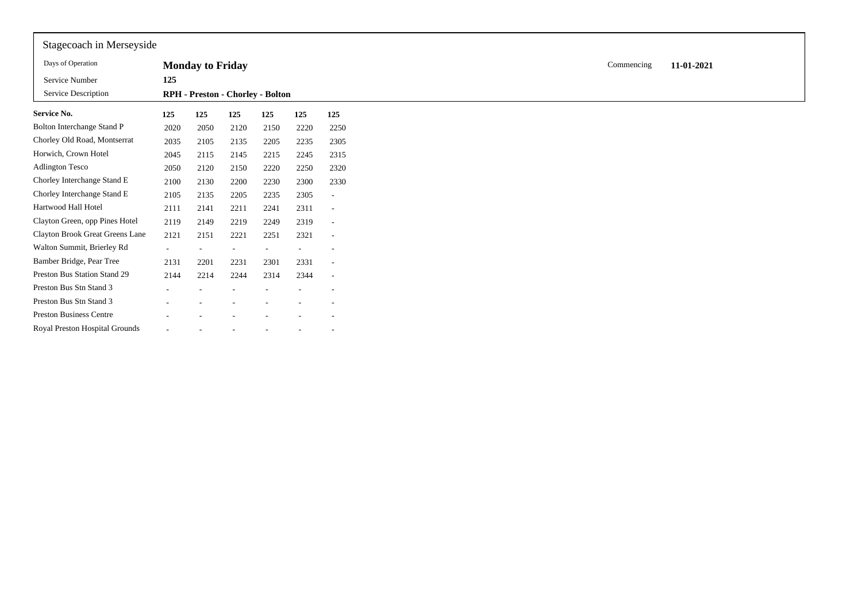| Stagecoach in Merseyside        |        |                         |                                  |      |      |                          |
|---------------------------------|--------|-------------------------|----------------------------------|------|------|--------------------------|
| Days of Operation               |        | <b>Monday to Friday</b> |                                  |      |      |                          |
| Service Number                  | 125    |                         |                                  |      |      |                          |
| Service Description             |        |                         | RPH - Preston - Chorley - Bolton |      |      |                          |
| <b>Service No.</b>              | 125    | 125                     | 125                              | 125  | 125  | 125                      |
| Bolton Interchange Stand P      | 2020   | 2050                    | 2120                             | 2150 | 2220 | 2250                     |
| Chorley Old Road, Montserrat    | 2035   | 2105                    | 2135                             | 2205 | 2235 | 2305                     |
| Horwich, Crown Hotel            | 2045   | 2115                    | 2145                             | 2215 | 2245 | 2315                     |
| <b>Adlington Tesco</b>          | 2050   | 2120                    | 2150                             | 2220 | 2250 | 2320                     |
| Chorley Interchange Stand E     | 2100   | 2130                    | 2200                             | 2230 | 2300 | 2330                     |
| Chorley Interchange Stand E     | 2105   | 2135                    | 2205                             | 2235 | 2305 | $\sim$                   |
| Hartwood Hall Hotel             | 2111   | 2141                    | 2211                             | 2241 | 2311 | $\overline{\phantom{a}}$ |
| Clayton Green, opp Pines Hotel  | 2119   | 2149                    | 2219                             | 2249 | 2319 | $\sim$                   |
| Clayton Brook Great Greens Lane | 2121   | 2151                    | 2221                             | 2251 | 2321 | $\overline{\phantom{a}}$ |
| Walton Summit, Brierley Rd      | $\sim$ |                         | $\overline{\phantom{a}}$         |      |      |                          |
| Bamber Bridge, Pear Tree        | 2131   | 2201                    | 2231                             | 2301 | 2331 | $\sim$                   |
| Preston Bus Station Stand 29    | 2144   | 2214                    | 2244                             | 2314 | 2344 | $\overline{\phantom{a}}$ |
| Preston Bus Stn Stand 3         |        |                         |                                  |      | ۰    | $\overline{\phantom{a}}$ |
| Preston Bus Stn Stand 3         |        |                         |                                  |      |      |                          |
| <b>Preston Business Centre</b>  |        |                         |                                  |      |      |                          |
| Royal Preston Hospital Grounds  |        |                         |                                  |      |      |                          |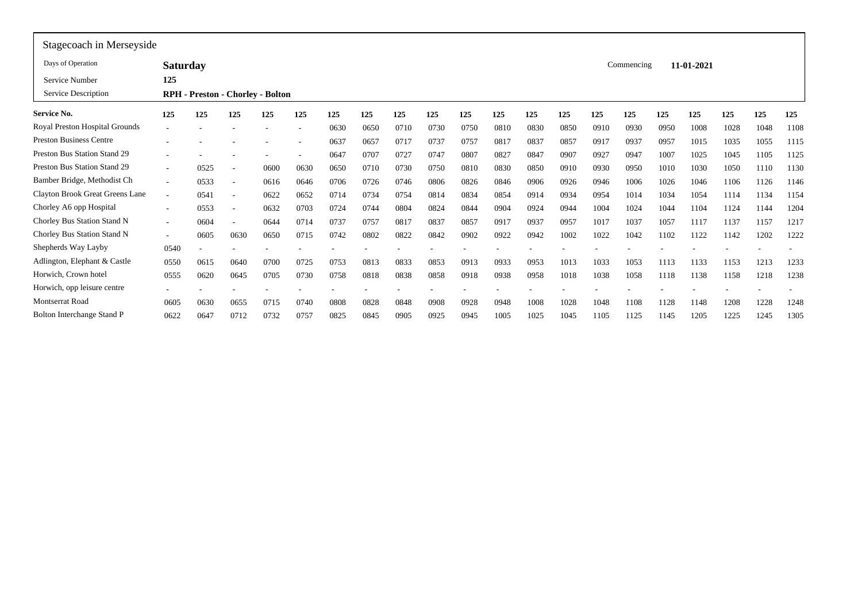| Stagecoach in Merseyside            |                 |      |                          |                                  |      |      |      |      |      |      |      |      |      |      |            |      |            |      |      |      |
|-------------------------------------|-----------------|------|--------------------------|----------------------------------|------|------|------|------|------|------|------|------|------|------|------------|------|------------|------|------|------|
| Days of Operation                   | <b>Saturday</b> |      |                          |                                  |      |      |      |      |      |      |      |      |      |      | Commencing |      | 11-01-2021 |      |      |      |
| Service Number                      | 125             |      |                          |                                  |      |      |      |      |      |      |      |      |      |      |            |      |            |      |      |      |
| Service Description                 |                 |      |                          | RPH - Preston - Chorley - Bolton |      |      |      |      |      |      |      |      |      |      |            |      |            |      |      |      |
| Service No.                         | 125             | 125  | 125                      | 125                              | 125  | 125  | 125  | 125  | 125  | 125  | 125  | 125  | 125  | 125  | 125        | 125  | 125        | 125  | 125  | 125  |
| Royal Preston Hospital Grounds      |                 |      |                          |                                  | ٠    | 0630 | 0650 | 0710 | 0730 | 0750 | 0810 | 0830 | 0850 | 0910 | 0930       | 0950 | 1008       | 1028 | 1048 | 1108 |
| <b>Preston Business Centre</b>      |                 |      |                          |                                  | ٠    | 0637 | 0657 | 0717 | 0737 | 0757 | 0817 | 0837 | 0857 | 0917 | 0937       | 0957 | 1015       | 1035 | 1055 | 1115 |
| Preston Bus Station Stand 29        |                 |      |                          |                                  | ۰    | 0647 | 0707 | 0727 | 0747 | 0807 | 0827 | 0847 | 0907 | 0927 | 0947       | 1007 | 1025       | 1045 | 1105 | 1125 |
| <b>Preston Bus Station Stand 29</b> | $\sim$          | 0525 |                          | 0600                             | 0630 | 0650 | 0710 | 0730 | 0750 | 0810 | 0830 | 0850 | 0910 | 0930 | 0950       | 1010 | 1030       | 1050 | 1110 | 1130 |
| Bamber Bridge, Methodist Ch         | $\sim$          | 0533 | $\overline{\phantom{a}}$ | 0616                             | 0646 | 0706 | 0726 | 0746 | 0806 | 0826 | 0846 | 0906 | 0926 | 0946 | 1006       | 1026 | 1046       | 1106 | 1126 | 1146 |
| Clayton Brook Great Greens Lane     |                 | 0541 |                          | 0622                             | 0652 | 0714 | 0734 | 0754 | 0814 | 0834 | 0854 | 0914 | 0934 | 0954 | 1014       | 1034 | 1054       | 1114 | 1134 | 1154 |
| Chorley A6 opp Hospital             | $\sim$          | 0553 | $\overline{\phantom{a}}$ | 0632                             | 0703 | 0724 | 0744 | 0804 | 0824 | 0844 | 0904 | 0924 | 0944 | 1004 | 1024       | 1044 | 1104       | 1124 | 1144 | 1204 |
| Chorley Bus Station Stand N         | $\sim$          | 0604 | $\overline{\phantom{a}}$ | 0644                             | 0714 | 0737 | 0757 | 0817 | 0837 | 0857 | 0917 | 0937 | 0957 | 1017 | 1037       | 1057 | 1117       | 1137 | 1157 | 1217 |
| Chorley Bus Station Stand N         | $\sim$          | 0605 | 0630                     | 0650                             | 0715 | 0742 | 0802 | 0822 | 0842 | 0902 | 0922 | 0942 | 1002 | 1022 | 1042       | 1102 | 1122       | 1142 | 1202 | 1222 |
| Shepherds Way Layby                 | 0540            |      |                          |                                  |      |      |      |      |      |      |      |      |      |      |            |      |            |      |      |      |
| Adlington, Elephant & Castle        | 0550            | 0615 | 0640                     | 0700                             | 0725 | 0753 | 0813 | 0833 | 0853 | 0913 | 0933 | 0953 | 1013 | 1033 | 1053       | 1113 | 1133       | 1153 | 1213 | 1233 |
| Horwich, Crown hotel                | 0555            | 0620 | 0645                     | 0705                             | 0730 | 0758 | 0818 | 0838 | 0858 | 0918 | 0938 | 0958 | 1018 | 1038 | 1058       | 1118 | 1138       | 1158 | 1218 | 1238 |
| Horwich, opp leisure centre         |                 |      |                          |                                  |      |      |      |      |      |      |      |      |      |      |            |      |            |      |      |      |
| <b>Montserrat Road</b>              | 0605            | 0630 | 0655                     | 0715                             | 0740 | 0808 | 0828 | 0848 | 0908 | 0928 | 0948 | 1008 | 1028 | 1048 | 1108       | 1128 | 1148       | 1208 | 1228 | 1248 |
| Bolton Interchange Stand P          | 0622            | 0647 | 0712                     | 0732                             | 0757 | 0825 | 0845 | 0905 | 0925 | 0945 | 1005 | 1025 | 1045 | 1105 | 1125       | 1145 | 1205       | 1225 | 1245 | 1305 |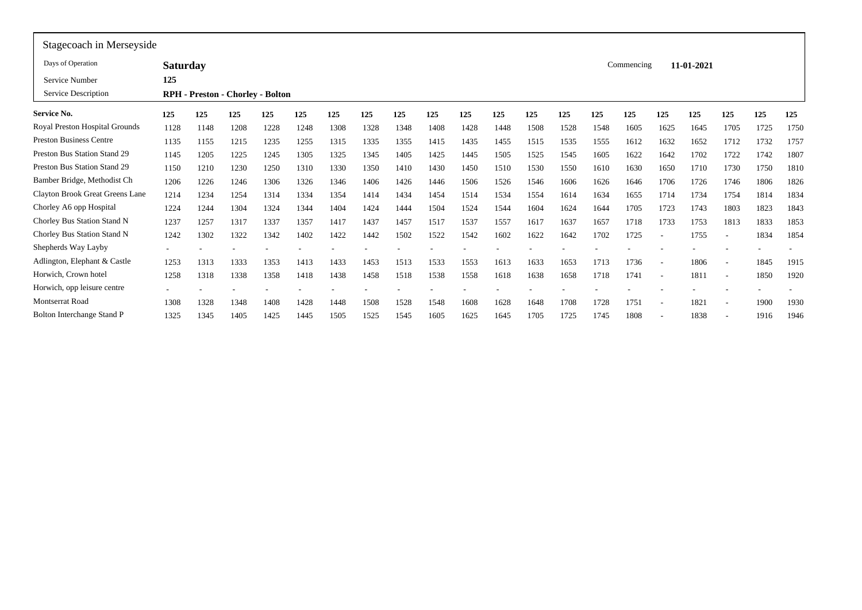| Stagecoach in Merseyside |      |                 |      |      |                                         |      |      |      |      |      |      |      |      |      |                          |            |                          |      |      |
|--------------------------|------|-----------------|------|------|-----------------------------------------|------|------|------|------|------|------|------|------|------|--------------------------|------------|--------------------------|------|------|
|                          |      |                 |      |      |                                         |      |      |      |      |      |      |      |      |      |                          |            |                          |      |      |
| 125                      |      |                 |      |      |                                         |      |      |      |      |      |      |      |      |      |                          |            |                          |      |      |
|                          |      |                 |      |      |                                         |      |      |      |      |      |      |      |      |      |                          |            |                          |      |      |
| 125                      | 125  | 125             | 125  | 125  | 125                                     | 125  | 125  | 125  | 125  | 125  | 125  | 125  | 125  | 125  | 125                      | 125        | 125                      | 125  | 125  |
| 1128                     | 1148 | 1208            | 1228 | 1248 | 1308                                    | 1328 | 1348 | 1408 | 1428 | 1448 | 1508 | 1528 | 1548 | 1605 | 1625                     | 1645       | 1705                     | 1725 | 1750 |
| 1135                     | 1155 | 1215            | 1235 | 1255 | 1315                                    | 1335 | 1355 | 1415 | 1435 | 1455 | 1515 | 1535 | 1555 | 1612 | 1632                     | 1652       | 1712                     | 1732 | 1757 |
| 1145                     | 1205 | 1225            | 1245 | 1305 | 1325                                    | 1345 | 1405 | 1425 | 1445 | 1505 | 1525 | 1545 | 1605 | 1622 | 1642                     | 1702       | 1722                     | 1742 | 1807 |
| 1150                     | 1210 | 1230            | 1250 | 1310 | 1330                                    | 1350 | 1410 | 1430 | 1450 | 1510 | 1530 | 1550 | 1610 | 1630 | 1650                     | 1710       | 1730                     | 1750 | 1810 |
| 1206                     | 1226 | 1246            | 1306 | 1326 | 1346                                    | 1406 | 1426 | 1446 | 1506 | 1526 | 1546 | 1606 | 1626 | 1646 | 1706                     | 1726       | 1746                     | 1806 | 1826 |
| 1214                     | 1234 | 1254            | 1314 | 1334 | 1354                                    | 1414 | 1434 | 1454 | 1514 | 1534 | 1554 | 1614 | 1634 | 1655 | 1714                     | 1734       | 1754                     | 1814 | 1834 |
| 1224                     | 1244 | 1304            | 1324 | 1344 | 1404                                    | 1424 | 1444 | 1504 | 1524 | 1544 | 1604 | 1624 | 1644 | 1705 | 1723                     | 1743       | 1803                     | 1823 | 1843 |
| 1237                     | 1257 | 1317            | 1337 | 1357 | 1417                                    | 1437 | 1457 | 1517 | 1537 | 1557 | 1617 | 1637 | 1657 | 1718 | 1733                     | 1753       | 1813                     | 1833 | 1853 |
| 1242                     | 1302 | 1322            | 1342 | 1402 | 1422                                    | 1442 | 1502 | 1522 | 1542 | 1602 | 1622 | 1642 | 1702 | 1725 | $\overline{\phantom{a}}$ | 1755       | $\overline{\phantom{a}}$ | 1834 | 1854 |
|                          |      |                 |      |      |                                         |      |      |      |      |      |      |      |      |      |                          |            |                          |      |      |
| 1253                     | 1313 | 1333            | 1353 | 1413 | 1433                                    | 1453 | 1513 | 1533 | 1553 | 1613 | 1633 | 1653 | 1713 | 1736 | $\overline{\phantom{a}}$ | 1806       | $\overline{\phantom{a}}$ | 1845 | 1915 |
| 1258                     | 1318 | 1338            | 1358 | 1418 | 1438                                    | 1458 | 1518 | 1538 | 1558 | 1618 | 1638 | 1658 | 1718 | 1741 | $\overline{\phantom{a}}$ | 1811       | $\overline{\phantom{a}}$ | 1850 | 1920 |
|                          |      |                 |      |      |                                         |      |      |      |      |      |      |      |      |      |                          |            |                          |      |      |
| 1308                     | 1328 | 1348            | 1408 | 1428 | 1448                                    | 1508 | 1528 | 1548 | 1608 | 1628 | 1648 | 1708 | 1728 | 1751 | $\overline{\phantom{a}}$ | 1821       | $\overline{\phantom{a}}$ | 1900 | 1930 |
| 1325                     | 1345 | 1405            | 1425 | 1445 | 1505                                    | 1525 | 1545 | 1605 | 1625 | 1645 | 1705 | 1725 | 1745 | 1808 |                          | 1838       |                          | 1916 | 1946 |
|                          |      | <b>Saturday</b> |      |      | <b>RPH</b> - Preston - Chorley - Bolton |      |      |      |      |      |      |      |      |      |                          | Commencing | 11-01-2021               |      |      |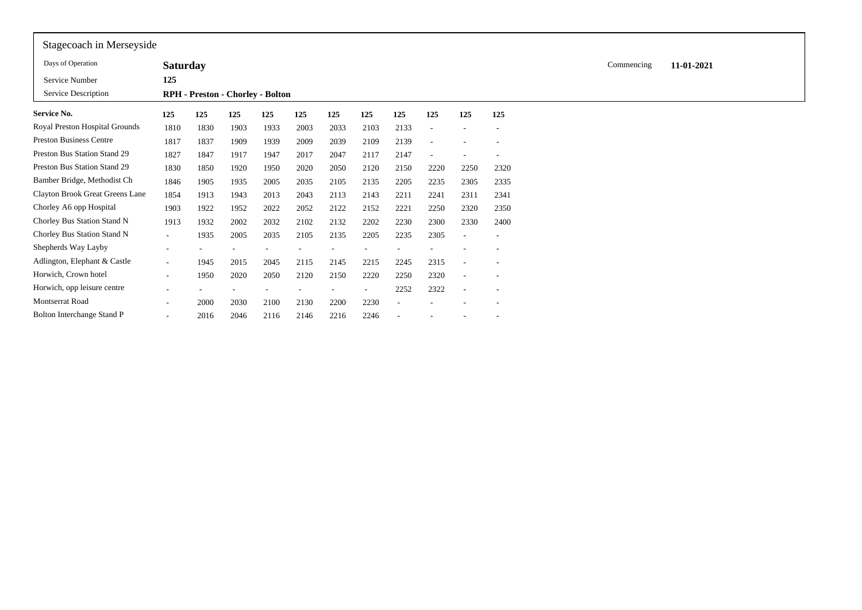| Stagecoach in Merseyside          |                          |                                  |      |      |      |      |      |      |      |                          |                          |  |            |            |  |  |
|-----------------------------------|--------------------------|----------------------------------|------|------|------|------|------|------|------|--------------------------|--------------------------|--|------------|------------|--|--|
| Days of Operation                 | <b>Saturday</b>          |                                  |      |      |      |      |      |      |      |                          |                          |  | Commencing | 11-01-2021 |  |  |
| Service Number                    | 125                      |                                  |      |      |      |      |      |      |      |                          |                          |  |            |            |  |  |
| Service Description               |                          | RPH - Preston - Chorley - Bolton |      |      |      |      |      |      |      |                          |                          |  |            |            |  |  |
| <b>Service No.</b>                | 125                      | 125                              | 125  | 125  | 125  | 125  | 125  | 125  | 125  | 125                      | 125                      |  |            |            |  |  |
| Royal Preston Hospital Grounds    | 1810                     | 1830                             | 1903 | 1933 | 2003 | 2033 | 2103 | 2133 |      |                          |                          |  |            |            |  |  |
| <b>Preston Business Centre</b>    | 1817                     | 1837                             | 1909 | 1939 | 2009 | 2039 | 2109 | 2139 |      |                          |                          |  |            |            |  |  |
| Preston Bus Station Stand 29      | 1827                     | 1847                             | 1917 | 1947 | 2017 | 2047 | 2117 | 2147 |      |                          |                          |  |            |            |  |  |
| Preston Bus Station Stand 29      | 1830                     | 1850                             | 1920 | 1950 | 2020 | 2050 | 2120 | 2150 | 2220 | 2250                     | 2320                     |  |            |            |  |  |
| Bamber Bridge, Methodist Ch       | 1846                     | 1905                             | 1935 | 2005 | 2035 | 2105 | 2135 | 2205 | 2235 | 2305                     | 2335                     |  |            |            |  |  |
| Clayton Brook Great Greens Lane   | 1854                     | 1913                             | 1943 | 2013 | 2043 | 2113 | 2143 | 2211 | 2241 | 2311                     | 2341                     |  |            |            |  |  |
| Chorley A6 opp Hospital           | 1903                     | 1922                             | 1952 | 2022 | 2052 | 2122 | 2152 | 2221 | 2250 | 2320                     | 2350                     |  |            |            |  |  |
| Chorley Bus Station Stand N       | 1913                     | 1932                             | 2002 | 2032 | 2102 | 2132 | 2202 | 2230 | 2300 | 2330                     | 2400                     |  |            |            |  |  |
| Chorley Bus Station Stand N       | $\sim$                   | 1935                             | 2005 | 2035 | 2105 | 2135 | 2205 | 2235 | 2305 | $\overline{\phantom{a}}$ |                          |  |            |            |  |  |
| Shepherds Way Layby               |                          |                                  |      |      |      |      |      |      |      |                          |                          |  |            |            |  |  |
| Adlington, Elephant & Castle      | $\sim$                   | 1945                             | 2015 | 2045 | 2115 | 2145 | 2215 | 2245 | 2315 | $\overline{\phantom{a}}$ | $\overline{\phantom{a}}$ |  |            |            |  |  |
| Horwich, Crown hotel              | $\overline{\phantom{a}}$ | 1950                             | 2020 | 2050 | 2120 | 2150 | 2220 | 2250 | 2320 | $\overline{\phantom{a}}$ |                          |  |            |            |  |  |
| Horwich, opp leisure centre       |                          |                                  |      |      |      |      |      | 2252 | 2322 | $\overline{\phantom{a}}$ |                          |  |            |            |  |  |
| <b>Montserrat Road</b>            | $\overline{\phantom{0}}$ | 2000                             | 2030 | 2100 | 2130 | 2200 | 2230 |      |      |                          |                          |  |            |            |  |  |
| <b>Bolton Interchange Stand P</b> |                          | 2016                             | 2046 | 2116 | 2146 | 2216 | 2246 |      |      |                          |                          |  |            |            |  |  |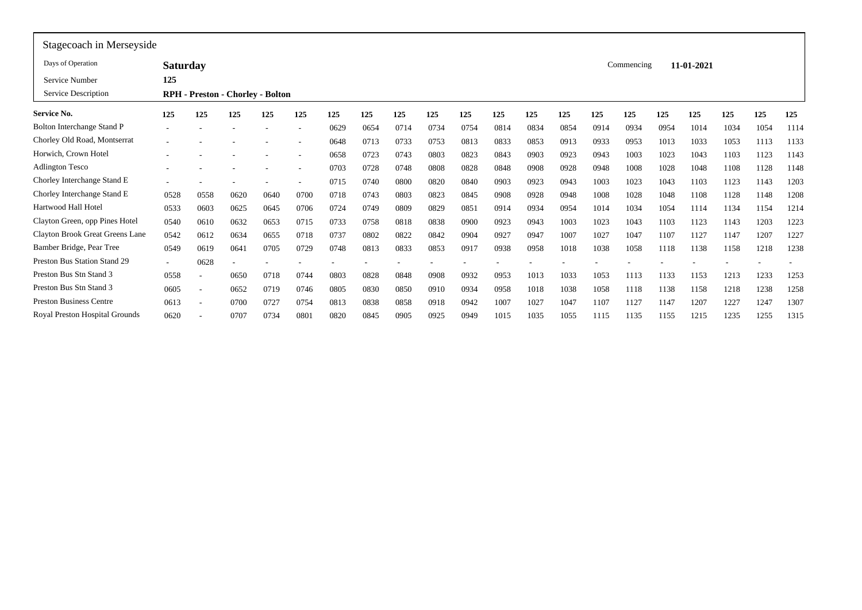| Stagecoach in Merseyside            |                 |                          |                                         |      |                          |      |      |      |      |      |      |      |      |      |            |      |            |      |      |      |
|-------------------------------------|-----------------|--------------------------|-----------------------------------------|------|--------------------------|------|------|------|------|------|------|------|------|------|------------|------|------------|------|------|------|
| Days of Operation                   | <b>Saturday</b> |                          |                                         |      |                          |      |      |      |      |      |      |      |      |      | Commencing |      | 11-01-2021 |      |      |      |
| Service Number                      | 125             |                          |                                         |      |                          |      |      |      |      |      |      |      |      |      |            |      |            |      |      |      |
| Service Description                 |                 |                          | <b>RPH</b> - Preston - Chorley - Bolton |      |                          |      |      |      |      |      |      |      |      |      |            |      |            |      |      |      |
| <b>Service No.</b>                  | 125             | 125                      | 125                                     | 125  | 125                      | 125  | 125  | 125  | 125  | 125  | 125  | 125  | 125  | 125  | 125        | 125  | 125        | 125  | 125  | 125  |
| Bolton Interchange Stand P          |                 |                          |                                         |      | -                        | 0629 | 0654 | 0714 | 0734 | 0754 | 0814 | 0834 | 0854 | 0914 | 0934       | 0954 | 1014       | 1034 | 1054 | 1114 |
| Chorley Old Road, Montserrat        |                 |                          |                                         |      | $\overline{a}$           | 0648 | 0713 | 0733 | 0753 | 0813 | 0833 | 0853 | 0913 | 0933 | 0953       | 1013 | 1033       | 1053 | 1113 | 1133 |
| Horwich, Crown Hotel                |                 |                          |                                         |      | -                        | 0658 | 0723 | 0743 | 0803 | 0823 | 0843 | 0903 | 0923 | 0943 | 1003       | 1023 | 1043       | 1103 | 1123 | 1143 |
| <b>Adlington Tesco</b>              |                 |                          |                                         |      | $\overline{\phantom{a}}$ | 0703 | 0728 | 0748 | 0808 | 0828 | 0848 | 0908 | 0928 | 0948 | 1008       | 1028 | 1048       | 1108 | 1128 | 1148 |
| Chorley Interchange Stand E         |                 |                          |                                         |      | ۰                        | 0715 | 0740 | 0800 | 0820 | 0840 | 0903 | 0923 | 0943 | 1003 | 1023       | 1043 | 1103       | 1123 | 1143 | 1203 |
| Chorley Interchange Stand E         | 0528            | 0558                     | 0620                                    | 0640 | 0700                     | 0718 | 0743 | 0803 | 0823 | 0845 | 0908 | 0928 | 0948 | 1008 | 1028       | 1048 | 1108       | 1128 | 1148 | 1208 |
| Hartwood Hall Hotel                 | 0533            | 0603                     | 0625                                    | 0645 | 0706                     | 0724 | 0749 | 0809 | 0829 | 0851 | 0914 | 0934 | 0954 | 1014 | 1034       | 1054 | 1114       | 1134 | 1154 | 1214 |
| Clayton Green, opp Pines Hotel      | 0540            | 0610                     | 0632                                    | 0653 | 0715                     | 0733 | 0758 | 0818 | 0838 | 0900 | 0923 | 0943 | 1003 | 1023 | 1043       | 1103 | 1123       | 1143 | 1203 | 1223 |
| Clayton Brook Great Greens Lane     | 0542            | 0612                     | 0634                                    | 0655 | 0718                     | 0737 | 0802 | 0822 | 0842 | 0904 | 0927 | 0947 | 1007 | 1027 | 1047       | 1107 | 1127       | 1147 | 1207 | 1227 |
| Bamber Bridge, Pear Tree            | 0549            | 0619                     | 0641                                    | 0705 | 0729                     | 0748 | 0813 | 0833 | 0853 | 0917 | 0938 | 0958 | 1018 | 1038 | 1058       | 1118 | 1138       | 1158 | 1218 | 1238 |
| <b>Preston Bus Station Stand 29</b> | $\sim$          | 0628                     |                                         |      |                          |      |      |      |      |      |      |      |      |      |            |      |            |      |      |      |
| Preston Bus Stn Stand 3             | 0558            | ٠                        | 0650                                    | 0718 | 0744                     | 0803 | 0828 | 0848 | 0908 | 0932 | 0953 | 1013 | 1033 | 1053 | 1113       | 1133 | 1153       | 1213 | 1233 | 1253 |
| Preston Bus Stn Stand 3             | 0605            | $\overline{\phantom{a}}$ | 0652                                    | 0719 | 0746                     | 0805 | 0830 | 0850 | 0910 | 0934 | 0958 | 1018 | 1038 | 1058 | 1118       | 1138 | 1158       | 1218 | 1238 | 1258 |
| <b>Preston Business Centre</b>      | 0613            | $\overline{\phantom{a}}$ | 0700                                    | 0727 | 0754                     | 0813 | 0838 | 0858 | 0918 | 0942 | 1007 | 1027 | 1047 | 1107 | 1127       | 1147 | 1207       | 1227 | 1247 | 1307 |
| Royal Preston Hospital Grounds      | 0620            |                          | 0707                                    | 0734 | 0801                     | 0820 | 0845 | 0905 | 0925 | 0949 | 1015 | 1035 | 1055 | 1115 | 1135       | 1155 | 1215       | 1235 | 1255 | 1315 |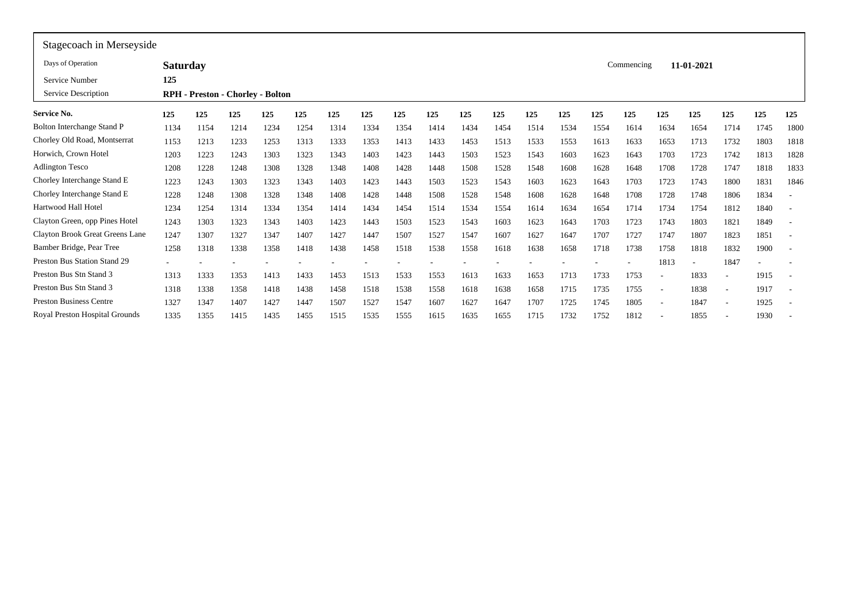| Stagecoach in Merseyside        |                 |      |      |                                         |      |      |      |      |      |      |      |      |      |      |            |                          |            |                          |      |                          |
|---------------------------------|-----------------|------|------|-----------------------------------------|------|------|------|------|------|------|------|------|------|------|------------|--------------------------|------------|--------------------------|------|--------------------------|
| Days of Operation               | <b>Saturday</b> |      |      |                                         |      |      |      |      |      |      |      |      |      |      | Commencing |                          | 11-01-2021 |                          |      |                          |
| Service Number                  | 125             |      |      |                                         |      |      |      |      |      |      |      |      |      |      |            |                          |            |                          |      |                          |
| Service Description             |                 |      |      | <b>RPH</b> - Preston - Chorley - Bolton |      |      |      |      |      |      |      |      |      |      |            |                          |            |                          |      |                          |
| Service No.                     | 125             | 125  | 125  | 125                                     | 125  | 125  | 125  | 125  | 125  | 125  | 125  | 125  | 125  | 125  | 125        | 125                      | 125        | 125                      | 125  | 125                      |
| Bolton Interchange Stand P      | 1134            | 1154 | 1214 | 1234                                    | 1254 | 1314 | 1334 | 1354 | 1414 | 1434 | 1454 | 1514 | 1534 | 1554 | 1614       | 1634                     | 1654       | 1714                     | 1745 | 1800                     |
| Chorley Old Road, Montserrat    | 1153            | 1213 | 1233 | 1253                                    | 1313 | 1333 | 1353 | 1413 | 1433 | 1453 | 1513 | 1533 | 1553 | 1613 | 1633       | 1653                     | 1713       | 1732                     | 1803 | 1818                     |
| Horwich, Crown Hotel            | 1203            | 1223 | 1243 | 1303                                    | 1323 | 1343 | 1403 | 1423 | 1443 | 1503 | 1523 | 1543 | 1603 | 1623 | 1643       | 1703                     | 1723       | 1742                     | 1813 | 1828                     |
| <b>Adlington Tesco</b>          | 1208            | 1228 | 1248 | 1308                                    | 1328 | 1348 | 1408 | 1428 | 1448 | 1508 | 1528 | 1548 | 1608 | 1628 | 1648       | 1708                     | 1728       | 1747                     | 1818 | 1833                     |
| Chorley Interchange Stand E     | 1223            | 1243 | 1303 | 1323                                    | 1343 | 1403 | 1423 | 1443 | 1503 | 1523 | 1543 | 1603 | 1623 | 1643 | 1703       | 1723                     | 1743       | 1800                     | 1831 | 1846                     |
| Chorley Interchange Stand E     | 1228            | 1248 | 1308 | 1328                                    | 1348 | 1408 | 1428 | 1448 | 1508 | 1528 | 1548 | 1608 | 1628 | 1648 | 1708       | 1728                     | 1748       | 1806                     | 1834 | $\overline{\phantom{a}}$ |
| Hartwood Hall Hotel             | 1234            | 1254 | 1314 | 1334                                    | 1354 | 1414 | 1434 | 1454 | 1514 | 1534 | 1554 | 1614 | 1634 | 1654 | 1714       | 1734                     | 1754       | 1812                     | 1840 |                          |
| Clayton Green, opp Pines Hotel  | 1243            | 1303 | 1323 | 1343                                    | 1403 | 1423 | 1443 | 1503 | 1523 | 1543 | 1603 | 1623 | 1643 | 1703 | 1723       | 1743                     | 1803       | 1821                     | 1849 |                          |
| Clayton Brook Great Greens Lane | 1247            | 1307 | 1327 | 1347                                    | 1407 | 1427 | 1447 | 1507 | 1527 | 1547 | 1607 | 1627 | 1647 | 1707 | 1727       | 1747                     | 1807       | 1823                     | 1851 | $\overline{\phantom{a}}$ |
| Bamber Bridge, Pear Tree        | 1258            | 1318 | 1338 | 1358                                    | 1418 | 1438 | 1458 | 1518 | 1538 | 1558 | 1618 | 1638 | 1658 | 1718 | 1738       | 1758                     | 1818       | 1832                     | 1900 | $\overline{\phantom{a}}$ |
| Preston Bus Station Stand 29    |                 |      |      |                                         |      |      |      |      |      |      |      |      |      |      |            | 1813                     |            | 1847                     |      |                          |
| Preston Bus Stn Stand 3         | 1313            | 1333 | 1353 | 1413                                    | 1433 | 1453 | 1513 | 1533 | 1553 | 1613 | 1633 | 1653 | 1713 | 1733 | 1753       | $\overline{\phantom{a}}$ | 1833       | ۰                        | 1915 | $\overline{\phantom{a}}$ |
| Preston Bus Stn Stand 3         | 1318            | 1338 | 1358 | 1418                                    | 1438 | 1458 | 1518 | 1538 | 1558 | 1618 | 1638 | 1658 | 1715 | 1735 | 1755       | $\overline{\phantom{a}}$ | 1838       | ۰                        | 1917 | $\overline{\phantom{a}}$ |
| <b>Preston Business Centre</b>  | 1327            | 1347 | 1407 | 1427                                    | 1447 | 1507 | 1527 | 1547 | 1607 | 1627 | 1647 | 1707 | 1725 | 1745 | 1805       | $\overline{\phantom{a}}$ | 1847       | $\overline{\phantom{a}}$ | 1925 | $\sim$                   |
| Royal Preston Hospital Grounds  | 1335            | 1355 | 1415 | 1435                                    | 1455 | 1515 | 1535 | 1555 | 1615 | 1635 | 1655 | 1715 | 1732 | 1752 | 1812       |                          | 1855       |                          | 1930 |                          |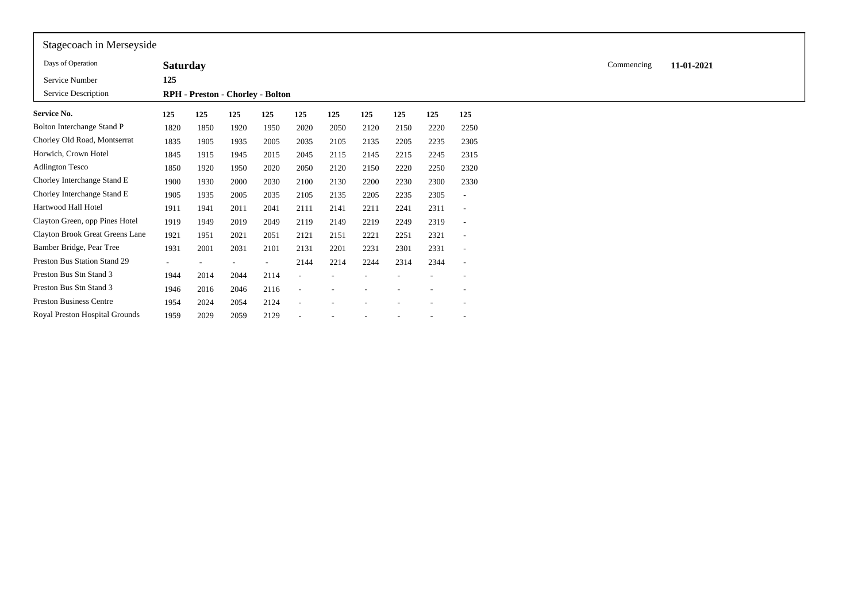| Stagecoach in Merseyside        |                          |      |      |                                  |      |      |      |      |      |                          |            |            |
|---------------------------------|--------------------------|------|------|----------------------------------|------|------|------|------|------|--------------------------|------------|------------|
| Days of Operation               | <b>Saturday</b>          |      |      |                                  |      |      |      |      |      |                          | Commencing | 11-01-2021 |
| Service Number                  | 125                      |      |      |                                  |      |      |      |      |      |                          |            |            |
| Service Description             |                          |      |      | RPH - Preston - Chorley - Bolton |      |      |      |      |      |                          |            |            |
| <b>Service No.</b>              | 125                      | 125  | 125  | 125                              | 125  | 125  | 125  | 125  | 125  | 125                      |            |            |
| Bolton Interchange Stand P      | 1820                     | 1850 | 1920 | 1950                             | 2020 | 2050 | 2120 | 2150 | 2220 | 2250                     |            |            |
| Chorley Old Road, Montserrat    | 1835                     | 1905 | 1935 | 2005                             | 2035 | 2105 | 2135 | 2205 | 2235 | 2305                     |            |            |
| Horwich, Crown Hotel            | 1845                     | 1915 | 1945 | 2015                             | 2045 | 2115 | 2145 | 2215 | 2245 | 2315                     |            |            |
| <b>Adlington Tesco</b>          | 1850                     | 1920 | 1950 | 2020                             | 2050 | 2120 | 2150 | 2220 | 2250 | 2320                     |            |            |
| Chorley Interchange Stand E     | 1900                     | 1930 | 2000 | 2030                             | 2100 | 2130 | 2200 | 2230 | 2300 | 2330                     |            |            |
| Chorley Interchange Stand E     | 1905                     | 1935 | 2005 | 2035                             | 2105 | 2135 | 2205 | 2235 | 2305 | ٠                        |            |            |
| Hartwood Hall Hotel             | 1911                     | 1941 | 2011 | 2041                             | 2111 | 2141 | 2211 | 2241 | 2311 | $\overline{\phantom{a}}$ |            |            |
| Clayton Green, opp Pines Hotel  | 1919                     | 1949 | 2019 | 2049                             | 2119 | 2149 | 2219 | 2249 | 2319 | $\overline{\phantom{a}}$ |            |            |
| Clayton Brook Great Greens Lane | 1921                     | 1951 | 2021 | 2051                             | 2121 | 2151 | 2221 | 2251 | 2321 | $\overline{\phantom{a}}$ |            |            |
| Bamber Bridge, Pear Tree        | 1931                     | 2001 | 2031 | 2101                             | 2131 | 2201 | 2231 | 2301 | 2331 | $\overline{\phantom{a}}$ |            |            |
| Preston Bus Station Stand 29    | $\overline{\phantom{a}}$ |      |      |                                  | 2144 | 2214 | 2244 | 2314 | 2344 | $\overline{\phantom{a}}$ |            |            |
| Preston Bus Stn Stand 3         | 1944                     | 2014 | 2044 | 2114                             |      |      |      |      |      |                          |            |            |
| Preston Bus Stn Stand 3         | 1946                     | 2016 | 2046 | 2116                             | ٠    |      |      |      |      |                          |            |            |
| <b>Preston Business Centre</b>  | 1954                     | 2024 | 2054 | 2124                             | ٠    |      |      |      |      |                          |            |            |
| Royal Preston Hospital Grounds  | 1959                     | 2029 | 2059 | 2129                             |      |      |      |      |      | $\overline{\phantom{a}}$ |            |            |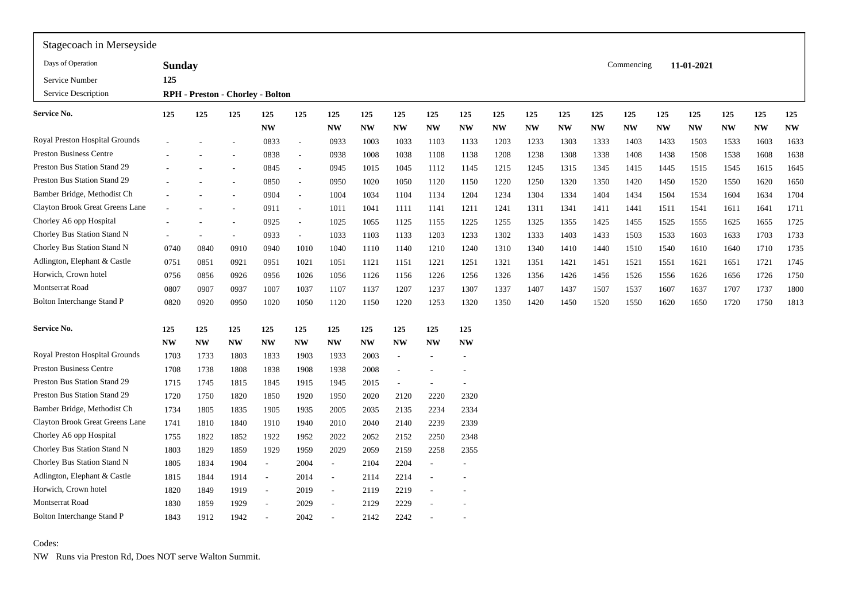| Stagecoach in Merseyside          |               |           |                          |                                  |                          |           |           |           |           |           |           |           |           |           |            |           |            |           |           |                        |
|-----------------------------------|---------------|-----------|--------------------------|----------------------------------|--------------------------|-----------|-----------|-----------|-----------|-----------|-----------|-----------|-----------|-----------|------------|-----------|------------|-----------|-----------|------------------------|
| Days of Operation                 | <b>Sunday</b> |           |                          |                                  |                          |           |           |           |           |           |           |           |           |           | Commencing |           | 11-01-2021 |           |           |                        |
| Service Number                    | 125           |           |                          |                                  |                          |           |           |           |           |           |           |           |           |           |            |           |            |           |           |                        |
| Service Description               |               |           |                          | RPH - Preston - Chorley - Bolton |                          |           |           |           |           |           |           |           |           |           |            |           |            |           |           |                        |
| Service No.                       | 125           | 125       | 125                      | 125                              | 125                      | 125       | 125       | 125       | 125       | 125       | 125       | 125       | 125       | 125       | 125        | 125       | 125        | 125       | 125       | 125                    |
|                                   |               |           |                          | <b>NW</b>                        |                          | <b>NW</b> | <b>NW</b> | <b>NW</b> | <b>NW</b> | <b>NW</b> | <b>NW</b> | <b>NW</b> | <b>NW</b> | <b>NW</b> | <b>NW</b>  | <b>NW</b> | <b>NW</b>  | <b>NW</b> | <b>NW</b> | $\mathbf{N}\mathbf{W}$ |
| Royal Preston Hospital Grounds    |               |           |                          | 0833                             | $\sim$                   | 0933      | 1003      | 1033      | 1103      | 1133      | 1203      | 1233      | 1303      | 1333      | 1403       | 1433      | 1503       | 1533      | 1603      | 1633                   |
| <b>Preston Business Centre</b>    |               |           |                          | 0838                             | $\sim$                   | 0938      | 1008      | 1038      | 1108      | 1138      | 1208      | 1238      | 1308      | 1338      | 1408       | 1438      | 1508       | 1538      | 1608      | 1638                   |
| Preston Bus Station Stand 29      |               |           |                          | 0845                             | $\sim$                   | 0945      | 1015      | 1045      | 1112      | 1145      | 1215      | 1245      | 1315      | 1345      | 1415       | 1445      | 1515       | 1545      | 1615      | 1645                   |
| Preston Bus Station Stand 29      |               |           |                          | 0850                             | $\sim$                   | 0950      | 1020      | 1050      | 1120      | 1150      | 1220      | 1250      | 1320      | 1350      | 1420       | 1450      | 1520       | 1550      | 1620      | 1650                   |
| Bamber Bridge, Methodist Ch       |               |           |                          | 0904                             | $\sim$                   | 1004      | 1034      | 1104      | 1134      | 1204      | 1234      | 1304      | 1334      | 1404      | 1434       | 1504      | 1534       | 1604      | 1634      | 1704                   |
| Clayton Brook Great Greens Lane   |               |           | $\overline{\phantom{a}}$ | 0911                             | $\sim$                   | 1011      | 1041      | 1111      | 1141      | 1211      | 1241      | 1311      | 1341      | 1411      | 1441       | 1511      | 1541       | 1611      | 1641      | 1711                   |
| Chorley A6 opp Hospital           |               |           |                          | 0925                             | $\sim$                   | 1025      | 1055      | 1125      | 1155      | 1225      | 1255      | 1325      | 1355      | 1425      | 1455       | 1525      | 1555       | 1625      | 1655      | 1725                   |
| Chorley Bus Station Stand N       |               |           |                          | 0933                             | $\overline{\phantom{a}}$ | 1033      | 1103      | 1133      | 1203      | 1233      | 1302      | 1333      | 1403      | 1433      | 1503       | 1533      | 1603       | 1633      | 1703      | 1733                   |
| Chorley Bus Station Stand N       | 0740          | 0840      | 0910                     | 0940                             | 1010                     | 1040      | 1110      | 1140      | 1210      | 1240      | 1310      | 1340      | 1410      | 1440      | 1510       | 1540      | 1610       | 1640      | 1710      | 1735                   |
| Adlington, Elephant & Castle      | 0751          | 0851      | 0921                     | 0951                             | 1021                     | 1051      | 1121      | 1151      | 1221      | 1251      | 1321      | 1351      | 1421      | 1451      | 1521       | 1551      | 1621       | 1651      | 1721      | 1745                   |
| Horwich, Crown hotel              | 0756          | 0856      | 0926                     | 0956                             | 1026                     | 1056      | 1126      | 1156      | 1226      | 1256      | 1326      | 1356      | 1426      | 1456      | 1526       | 1556      | 1626       | 1656      | 1726      | 1750                   |
| Montserrat Road                   | 0807          | 0907      | 0937                     | 1007                             | 1037                     | 1107      | 1137      | 1207      | 1237      | 1307      | 1337      | 1407      | 1437      | 1507      | 1537       | 1607      | 1637       | 1707      | 1737      | 1800                   |
| <b>Bolton Interchange Stand P</b> | 0820          | 0920      | 0950                     | 1020                             | 1050                     | 1120      | 1150      | 1220      | 1253      | 1320      | 1350      | 1420      | 1450      | 1520      | 1550       | 1620      | 1650       | 1720      | 1750      | 1813                   |
| Service No.                       | 125           | 125       | 125                      | 125                              | 125                      | 125       | 125       | 125       | 125       | 125       |           |           |           |           |            |           |            |           |           |                        |
|                                   | <b>NW</b>     | <b>NW</b> | <b>NW</b>                | <b>NW</b>                        | <b>NW</b>                | <b>NW</b> | <b>NW</b> | <b>NW</b> | <b>NW</b> | <b>NW</b> |           |           |           |           |            |           |            |           |           |                        |
| Royal Preston Hospital Grounds    | 1703          | 1733      | 1803                     | 1833                             | 1903                     | 1933      | 2003      | ٠         |           |           |           |           |           |           |            |           |            |           |           |                        |
| <b>Preston Business Centre</b>    | 1708          | 1738      | 1808                     | 1838                             | 1908                     | 1938      | 2008      |           |           |           |           |           |           |           |            |           |            |           |           |                        |
| Preston Bus Station Stand 29      | 1715          | 1745      | 1815                     | 1845                             | 1915                     | 1945      | 2015      |           |           |           |           |           |           |           |            |           |            |           |           |                        |
| Preston Bus Station Stand 29      | 1720          | 1750      | 1820                     | 1850                             | 1920                     | 1950      | 2020      | 2120      | 2220      | 2320      |           |           |           |           |            |           |            |           |           |                        |
| Bamber Bridge, Methodist Ch       | 1734          | 1805      | 1835                     | 1905                             | 1935                     | 2005      | 2035      | 2135      | 2234      | 2334      |           |           |           |           |            |           |            |           |           |                        |
| Clayton Brook Great Greens Lane   | 1741          | 1810      | 1840                     | 1910                             | 1940                     | 2010      | 2040      | 2140      | 2239      | 2339      |           |           |           |           |            |           |            |           |           |                        |
| Chorley A6 opp Hospital           | 1755          | 1822      | 1852                     | 1922                             | 1952                     | 2022      | 2052      | 2152      | 2250      | 2348      |           |           |           |           |            |           |            |           |           |                        |
| Chorley Bus Station Stand N       | 1803          | 1829      | 1859                     | 1929                             | 1959                     | 2029      | 2059      | 2159      | 2258      | 2355      |           |           |           |           |            |           |            |           |           |                        |
| Chorley Bus Station Stand N       | 1805          | 1834      | 1904                     | $\overline{\phantom{a}}$         | 2004                     | $\sim$    | 2104      | 2204      |           |           |           |           |           |           |            |           |            |           |           |                        |
| Adlington, Elephant & Castle      | 1815          | 1844      | 1914                     | $\overline{\phantom{a}}$         | 2014                     | $\sim$    | 2114      | 2214      |           |           |           |           |           |           |            |           |            |           |           |                        |
| Horwich, Crown hotel              | 1820          | 1849      | 1919                     | $\overline{\phantom{a}}$         | 2019                     | $\sim$    | 2119      | 2219      |           |           |           |           |           |           |            |           |            |           |           |                        |
| Montserrat Road                   | 1830          | 1859      | 1929                     | ٠                                | 2029                     | $\sim$    | 2129      | 2229      |           |           |           |           |           |           |            |           |            |           |           |                        |
| <b>Bolton Interchange Stand P</b> | 1843          | 1912      | 1942                     |                                  | 2042                     | $\sim$    | 2142      | 2242      |           |           |           |           |           |           |            |           |            |           |           |                        |
|                                   |               |           |                          |                                  |                          |           |           |           |           |           |           |           |           |           |            |           |            |           |           |                        |

Codes:

NW Runs via Preston Rd, Does NOT serve Walton Summit.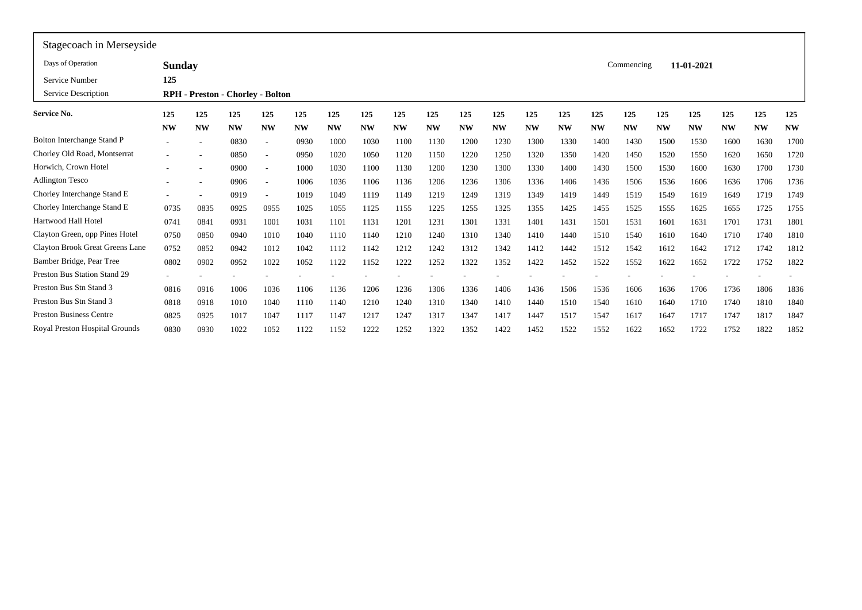| Stagecoach in Merseyside        |               |           |           |                                         |           |           |           |           |           |           |           |           |           |           |            |           |            |           |           |           |
|---------------------------------|---------------|-----------|-----------|-----------------------------------------|-----------|-----------|-----------|-----------|-----------|-----------|-----------|-----------|-----------|-----------|------------|-----------|------------|-----------|-----------|-----------|
| Days of Operation               | <b>Sunday</b> |           |           |                                         |           |           |           |           |           |           |           |           |           |           | Commencing |           | 11-01-2021 |           |           |           |
| Service Number                  | 125           |           |           |                                         |           |           |           |           |           |           |           |           |           |           |            |           |            |           |           |           |
| Service Description             |               |           |           | <b>RPH</b> - Preston - Chorley - Bolton |           |           |           |           |           |           |           |           |           |           |            |           |            |           |           |           |
| Service No.                     | 125           | 125       | 125       | 125                                     | 125       | 125       | 125       | 125       | 125       | 125       | 125       | 125       | 125       | 125       | 125        | 125       | 125        | 125       | 125       | 125       |
|                                 | <b>NW</b>     | <b>NW</b> | <b>NW</b> | <b>NW</b>                               | <b>NW</b> | <b>NW</b> | <b>NW</b> | <b>NW</b> | <b>NW</b> | <b>NW</b> | <b>NW</b> | <b>NW</b> | <b>NW</b> | <b>NW</b> | <b>NW</b>  | <b>NW</b> | <b>NW</b>  | <b>NW</b> | <b>NW</b> | <b>NW</b> |
| Bolton Interchange Stand P      |               |           | 0830      |                                         | 0930      | 1000      | 1030      | 1100      | 1130      | 1200      | 1230      | 1300      | 1330      | 1400      | 1430       | 1500      | 1530       | 1600      | 1630      | 1700      |
| Chorley Old Road, Montserrat    |               |           | 0850      |                                         | 0950      | 1020      | 1050      | 1120      | 1150      | 1220      | 1250      | 1320      | 1350      | 1420      | 1450       | 1520      | 1550       | 1620      | 1650      | 1720      |
| Horwich, Crown Hotel            |               |           | 0900      | ٠                                       | 1000      | 1030      | 1100      | 1130      | 1200      | 1230      | 1300      | 1330      | 1400      | 1430      | 1500       | 1530      | 1600       | 1630      | 1700      | 1730      |
| <b>Adlington Tesco</b>          |               |           | 0906      |                                         | 1006      | 1036      | 1106      | 1136      | 1206      | 1236      | 1306      | 1336      | 1406      | 1436      | 1506       | 1536      | 1606       | 1636      | 1706      | 1736      |
| Chorley Interchange Stand E     |               |           | 0919      |                                         | 1019      | 1049      | 1119      | 1149      | 1219      | 1249      | 1319      | 1349      | 1419      | 1449      | 1519       | 1549      | 1619       | 1649      | 1719      | 1749      |
| Chorley Interchange Stand E     | 0735          | 0835      | 0925      | 0955                                    | 1025      | 1055      | 1125      | 1155      | 1225      | 1255      | 1325      | 1355      | 1425      | 1455      | 1525       | 1555      | 1625       | 1655      | 1725      | 1755      |
| Hartwood Hall Hotel             | 0741          | 0841      | 0931      | 1001                                    | 1031      | 1101      | 1131      | 1201      | 1231      | 1301      | 1331      | 1401      | 1431      | 1501      | 1531       | 1601      | 1631       | 1701      | 1731      | 1801      |
| Clayton Green, opp Pines Hotel  | 0750          | 0850      | 0940      | 1010                                    | 1040      | 1110      | 1140      | 1210      | 1240      | 1310      | 1340      | 1410      | 1440      | 1510      | 1540       | 1610      | 1640       | 1710      | 1740      | 1810      |
| Clayton Brook Great Greens Lane | 0752          | 0852      | 0942      | 1012                                    | 1042      | 1112      | 1142      | 1212      | 1242      | 1312      | 1342      | 1412      | 1442      | 1512      | 1542       | 1612      | 1642       | 1712      | 1742      | 1812      |
| Bamber Bridge, Pear Tree        | 0802          | 0902      | 0952      | 1022                                    | 1052      | 1122      | 1152      | 1222      | 1252      | 1322      | 1352      | 1422      | 1452      | 1522      | 1552       | 1622      | 1652       | 1722      | 1752      | 1822      |
| Preston Bus Station Stand 29    |               |           |           |                                         |           |           |           |           |           |           |           |           |           |           |            |           |            |           |           |           |
| Preston Bus Stn Stand 3         | 0816          | 091       | 1006      | 1036                                    | 1106      | 1136      | 1206      | 1236      | 1306      | 1336      | 1406      | 1436      | 1506      | 1536      | 1606       | 1636      | 1706       | 1736      | 1806      | 1836      |
| Preston Bus Stn Stand 3         | 0818          | 0918      | 1010      | 1040                                    | 1110      | 1140      | 1210      | 1240      | 1310      | 1340      | 1410      | 1440      | 1510      | 1540      | 1610       | 1640      | 1710       | 1740      | 1810      | 1840      |
| <b>Preston Business Centre</b>  | 0825          | 0925      | 1017      | 1047                                    | 1117      | 1147      | 1217      | 1247      | 1317      | 1347      | 1417      | 1447      | 1517      | 1547      | 1617       | 1647      | 1717       | 1747      | 1817      | 1847      |
| Royal Preston Hospital Grounds  | 0830          | 0930      | 1022      | 1052                                    | 1122      | 1152      | 1222      | 1252      | 1322      | 1352      | 1422      | 1452      | 1522      | 1552      | 1622       | 1652      | 1722       | 1752      | 1822      | 1852      |
|                                 |               |           |           |                                         |           |           |           |           |           |           |           |           |           |           |            |           |            |           |           |           |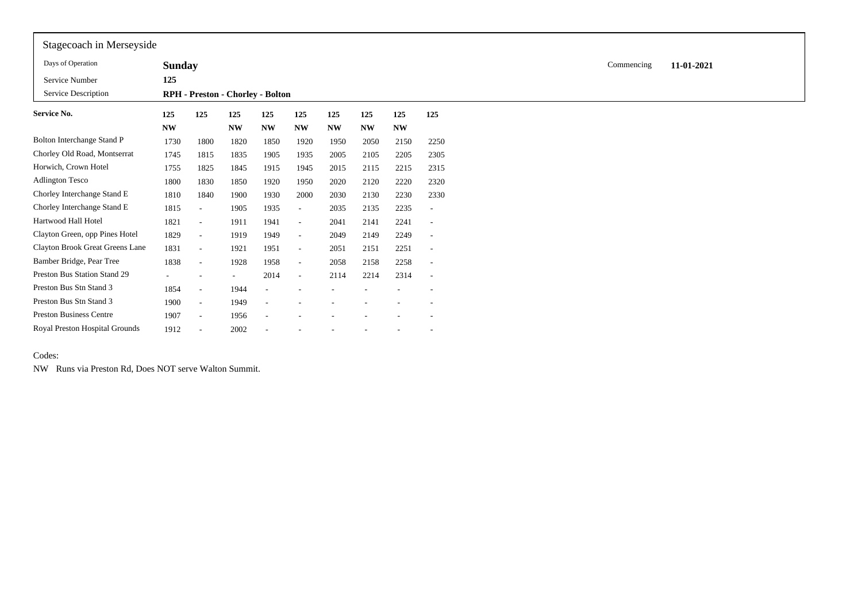| Stagecoach in Merseyside        |               |                          |                   |                                  |                          |                          |                          |           |                          |            |            |
|---------------------------------|---------------|--------------------------|-------------------|----------------------------------|--------------------------|--------------------------|--------------------------|-----------|--------------------------|------------|------------|
| Days of Operation               | <b>Sunday</b> |                          |                   |                                  |                          |                          |                          |           |                          | Commencing | 11-01-2021 |
| Service Number                  | 125           |                          |                   |                                  |                          |                          |                          |           |                          |            |            |
| Service Description             |               |                          |                   | RPH - Preston - Chorley - Bolton |                          |                          |                          |           |                          |            |            |
| Service No.                     | 125           | 125                      | 125               | 125                              | 125                      | 125                      | 125                      | 125       | 125                      |            |            |
|                                 | <b>NW</b>     |                          | <b>NW</b>         | <b>NW</b>                        | <b>NW</b>                | <b>NW</b>                | <b>NW</b>                | <b>NW</b> |                          |            |            |
| Bolton Interchange Stand P      | 1730          | 1800                     | 1820              | 1850                             | 1920                     | 1950                     | 2050                     | 2150      | 2250                     |            |            |
| Chorley Old Road, Montserrat    | 1745          | 1815                     | 1835              | 1905                             | 1935                     | 2005                     | 2105                     | 2205      | 2305                     |            |            |
| Horwich, Crown Hotel            | 1755          | 1825                     | 1845              | 1915                             | 1945                     | 2015                     | 2115                     | 2215      | 2315                     |            |            |
| Adlington Tesco                 | 1800          | 1830                     | 1850              | 1920                             | 1950                     | 2020                     | 2120                     | 2220      | 2320                     |            |            |
| Chorley Interchange Stand E     | 1810          | 1840                     | 1900              | 1930                             | 2000                     | 2030                     | 2130                     | 2230      | 2330                     |            |            |
| Chorley Interchange Stand E     | 1815          | $\overline{\phantom{a}}$ | 1905              | 1935                             | $\overline{\phantom{a}}$ | 2035                     | 2135                     | 2235      | $\overline{\phantom{a}}$ |            |            |
| Hartwood Hall Hotel             | 1821          | $\overline{\phantom{a}}$ | 1911              | 1941                             | $\sim$                   | 2041                     | 2141                     | 2241      | $\overline{\phantom{a}}$ |            |            |
| Clayton Green, opp Pines Hotel  | 1829          | $\overline{\phantom{a}}$ | 1919              | 1949                             | $\sim$                   | 2049                     | 2149                     | 2249      | $\overline{\phantom{a}}$ |            |            |
| Clayton Brook Great Greens Lane | 1831          | $\overline{\phantom{a}}$ | 1921              | 1951                             | $\sim$                   | 2051                     | 2151                     | 2251      | $\overline{\phantom{a}}$ |            |            |
| Bamber Bridge, Pear Tree        | 1838          | $\sim$                   | 1928              | 1958                             | $\sim$                   | 2058                     | 2158                     | 2258      | $\sim$                   |            |            |
| Preston Bus Station Stand 29    | $\sim$        | $\overline{\phantom{a}}$ | $\qquad \qquad -$ | 2014                             | $\sim$                   | 2114                     | 2214                     | 2314      | $\overline{\phantom{a}}$ |            |            |
| Preston Bus Stn Stand 3         | 1854          | $\overline{\phantom{a}}$ | 1944              |                                  |                          |                          |                          |           | $\overline{\phantom{a}}$ |            |            |
| Preston Bus Stn Stand 3         | 1900          | $\overline{\phantom{a}}$ | 1949              |                                  |                          |                          |                          |           |                          |            |            |
| <b>Preston Business Centre</b>  | 1907          | $\sim$                   | 1956              |                                  |                          |                          |                          |           | $\overline{\phantom{a}}$ |            |            |
| Royal Preston Hospital Grounds  | 1912          |                          | 2002              |                                  | $\overline{\phantom{a}}$ | $\overline{\phantom{a}}$ | $\overline{\phantom{a}}$ |           | $\sim$                   |            |            |

## Codes:

NW Runs via Preston Rd, Does NOT serve Walton Summit.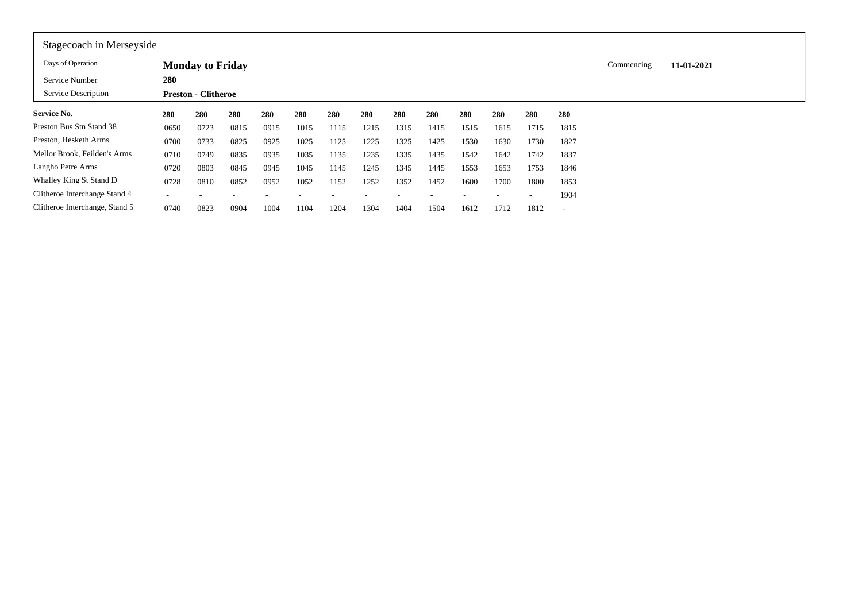| Stagecoach in Merseyside       |                          |                            |      |      |      |      |      |      |      |      |      |      |                          |            |            |
|--------------------------------|--------------------------|----------------------------|------|------|------|------|------|------|------|------|------|------|--------------------------|------------|------------|
| Days of Operation              |                          | <b>Monday to Friday</b>    |      |      |      |      |      |      |      |      |      |      |                          | Commencing | 11-01-2021 |
| Service Number                 | 280                      |                            |      |      |      |      |      |      |      |      |      |      |                          |            |            |
| Service Description            |                          | <b>Preston - Clitheroe</b> |      |      |      |      |      |      |      |      |      |      |                          |            |            |
| <b>Service No.</b>             | 280                      | 280                        | 280  | 280  | 280  | 280  | 280  | 280  | 280  | 280  | 280  | 280  | 280                      |            |            |
| Preston Bus Stn Stand 38       | 0650                     | 0723                       | 0815 | 0915 | 1015 | 1115 | 1215 | 1315 | 1415 | 1515 | 1615 | 1715 | 1815                     |            |            |
| Preston, Hesketh Arms          | 0700                     | 0733                       | 0825 | 0925 | 1025 | 1125 | 1225 | 1325 | 1425 | 1530 | 1630 | 1730 | 1827                     |            |            |
| Mellor Brook, Feilden's Arms   | 0710                     | 0749                       | 0835 | 0935 | 1035 | 1135 | 1235 | 1335 | 1435 | 1542 | 1642 | 1742 | 1837                     |            |            |
| Langho Petre Arms              | 0720                     | 0803                       | 0845 | 0945 | 1045 | 1145 | 1245 | 1345 | 1445 | 1553 | 1653 | 1753 | 1846                     |            |            |
| Whalley King St Stand D        | 0728                     | 0810                       | 0852 | 0952 | 1052 | 1152 | 1252 | 1352 | 1452 | 1600 | 1700 | 1800 | 1853                     |            |            |
| Clitheroe Interchange Stand 4  | $\overline{\phantom{a}}$ |                            |      |      |      |      |      |      |      |      |      | ٠    | 1904                     |            |            |
| Clitheroe Interchange, Stand 5 | 0740                     | 0823                       | 0904 | 1004 | 1104 | 1204 | 1304 | 1404 | 1504 | 1612 | 1712 | 1812 | $\overline{\phantom{a}}$ |            |            |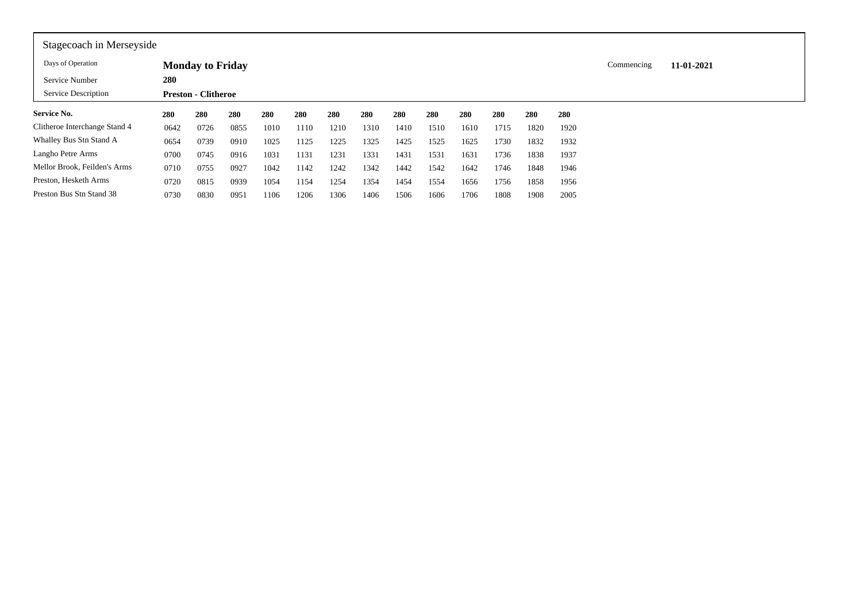| Stagecoach in Merseyside      |      |                            |      |      |      |      |      |      |      |      |      |      |      |            |            |  |
|-------------------------------|------|----------------------------|------|------|------|------|------|------|------|------|------|------|------|------------|------------|--|
| Days of Operation             |      | <b>Monday to Friday</b>    |      |      |      |      |      |      |      |      |      |      |      | Commencing | 11-01-2021 |  |
| Service Number                | 280  |                            |      |      |      |      |      |      |      |      |      |      |      |            |            |  |
| Service Description           |      | <b>Preston - Clitheroe</b> |      |      |      |      |      |      |      |      |      |      |      |            |            |  |
| <b>Service No.</b>            | 280  | 280                        | 280  | 280  | 280  | 280  | 280  | 280  | 280  | 280  | 280  | 280  | 280  |            |            |  |
| Clitheroe Interchange Stand 4 | 0642 | 0726                       | 0855 | 1010 | 1110 | 1210 | 1310 | 1410 | 1510 | 1610 | 1715 | 1820 | 1920 |            |            |  |
| Whalley Bus Stn Stand A       | 0654 | 0739                       | 0910 | 1025 | 1125 | 1225 | 1325 | 1425 | 1525 | 1625 | 1730 | 1832 | 1932 |            |            |  |
| Langho Petre Arms             | 0700 | 0745                       | 0916 | 1031 | 1131 | 1231 | 1331 | 1431 | 1531 | 1631 | 1736 | 1838 | 1937 |            |            |  |
| Mellor Brook, Feilden's Arms  | 0710 | 0755                       | 0927 | 1042 | 1142 | 1242 | 1342 | 1442 | 1542 | 1642 | 1746 | 1848 | 1946 |            |            |  |
| Preston, Hesketh Arms         | 0720 | 0815                       | 0939 | 1054 | 1154 | 1254 | 1354 | 1454 | 1554 | 1656 | 1756 | 1858 | 1956 |            |            |  |
| Preston Bus Stn Stand 38      | 0730 | 0830                       | 0951 | 1106 | 1206 | 1306 | 1406 | 1506 | 1606 | 1706 | 1808 | 1908 | 2005 |            |            |  |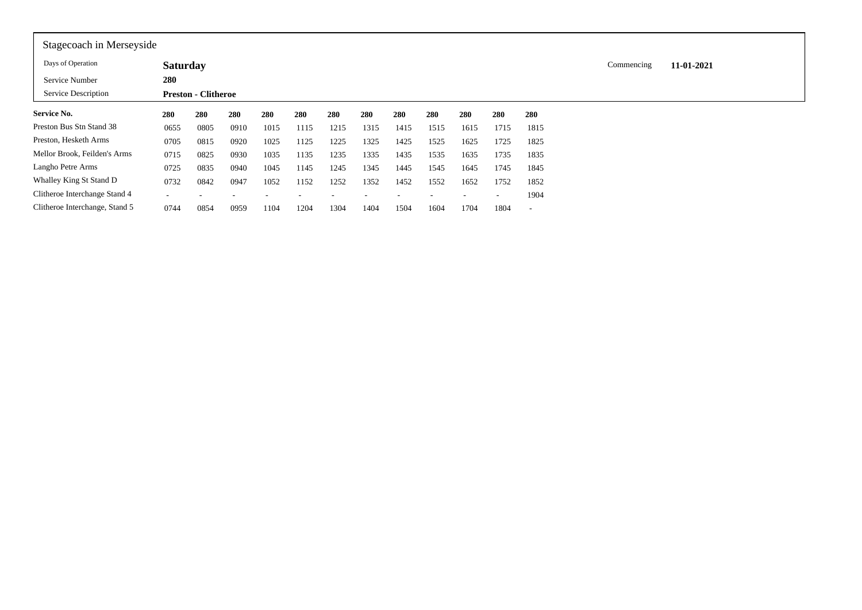| Stagecoach in Merseyside       |                 |                            |      |      |      |      |      |      |      |      |      |                          |            |            |
|--------------------------------|-----------------|----------------------------|------|------|------|------|------|------|------|------|------|--------------------------|------------|------------|
| Days of Operation              | <b>Saturday</b> |                            |      |      |      |      |      |      |      |      |      |                          | Commencing | 11-01-2021 |
| Service Number                 | 280             |                            |      |      |      |      |      |      |      |      |      |                          |            |            |
| Service Description            |                 | <b>Preston - Clitheroe</b> |      |      |      |      |      |      |      |      |      |                          |            |            |
| Service No.                    | 280             | 280                        | 280  | 280  | 280  | 280  | 280  | 280  | 280  | 280  | 280  | 280                      |            |            |
| Preston Bus Stn Stand 38       | 0655            | 0805                       | 0910 | 1015 | 1115 | 1215 | 1315 | 1415 | 1515 | 1615 | 1715 | 1815                     |            |            |
| Preston, Hesketh Arms          | 0705            | 0815                       | 0920 | 1025 | 1125 | 1225 | 1325 | 1425 | 1525 | 1625 | 1725 | 1825                     |            |            |
| Mellor Brook, Feilden's Arms   | 0715            | 0825                       | 0930 | 1035 | 1135 | 1235 | 1335 | 1435 | 1535 | 1635 | 1735 | 1835                     |            |            |
| Langho Petre Arms              | 0725            | 0835                       | 0940 | 1045 | 1145 | 1245 | 1345 | 1445 | 1545 | 1645 | 1745 | 1845                     |            |            |
| Whalley King St Stand D        | 0732            | 0842                       | 0947 | 1052 | 1152 | 1252 | 1352 | 1452 | 1552 | 1652 | 1752 | 1852                     |            |            |
| Clitheroe Interchange Stand 4  |                 |                            |      |      |      |      |      |      |      |      |      | 1904                     |            |            |
| Clitheroe Interchange, Stand 5 | 0744            | 0854                       | 0959 | 1104 | 1204 | 1304 | 1404 | 1504 | 1604 | 1704 | 1804 | $\overline{\phantom{a}}$ |            |            |
|                                |                 |                            |      |      |      |      |      |      |      |      |      |                          |            |            |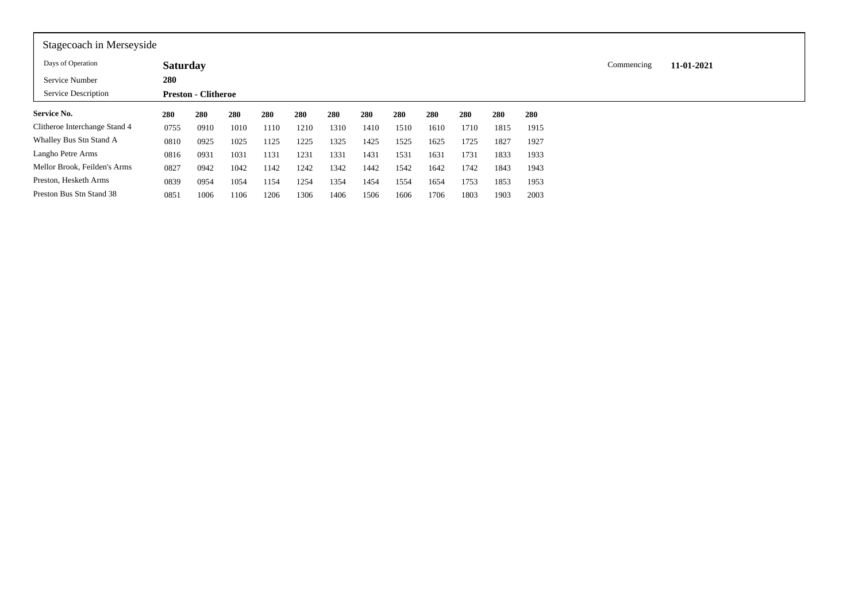| Stagecoach in Merseyside      |                 |                            |      |      |      |      |      |      |      |      |      |      |            |            |
|-------------------------------|-----------------|----------------------------|------|------|------|------|------|------|------|------|------|------|------------|------------|
| Days of Operation             | <b>Saturday</b> |                            |      |      |      |      |      |      |      |      |      |      | Commencing | 11-01-2021 |
| Service Number                | 280             |                            |      |      |      |      |      |      |      |      |      |      |            |            |
| Service Description           |                 | <b>Preston - Clitheroe</b> |      |      |      |      |      |      |      |      |      |      |            |            |
| <b>Service No.</b>            | 280             | 280                        | 280  | 280  | 280  | 280  | 280  | 280  | 280  | 280  | 280  | 280  |            |            |
| Clitheroe Interchange Stand 4 | 0755            | 0910                       | 1010 | 1110 | 1210 | 1310 | 1410 | 1510 | 1610 | 1710 | 1815 | 1915 |            |            |
| Whalley Bus Stn Stand A       | 0810            | 0925                       | 1025 | 1125 | 1225 | 1325 | 1425 | 1525 | 1625 | 1725 | 1827 | 1927 |            |            |
| Langho Petre Arms             | 0816            | 0931                       | 1031 | 1131 | 1231 | 1331 | 1431 | 1531 | 1631 | 1731 | 1833 | 1933 |            |            |
| Mellor Brook, Feilden's Arms  | 0827            | 0942                       | 1042 | 1142 | 1242 | 1342 | 1442 | 1542 | 1642 | 1742 | 1843 | 1943 |            |            |
| Preston, Hesketh Arms         | 0839            | 0954                       | 1054 | 1154 | 1254 | 1354 | 1454 | 1554 | 1654 | 1753 | 1853 | 1953 |            |            |
| Preston Bus Stn Stand 38      | 0851            | 1006                       | 1106 | 1206 | 1306 | 1406 | 1506 | 1606 | 1706 | 1803 | 1903 | 2003 |            |            |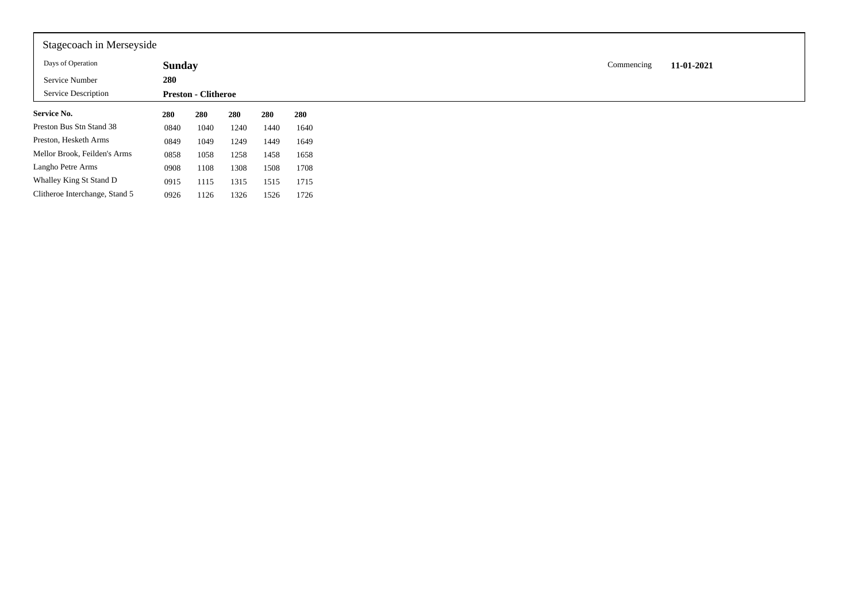| Stagecoach in Merseyside       |               |                            |      |      |      |
|--------------------------------|---------------|----------------------------|------|------|------|
| Days of Operation              | <b>Sunday</b> |                            |      |      |      |
| Service Number                 | 280           |                            |      |      |      |
| <b>Service Description</b>     |               | <b>Preston - Clitheroe</b> |      |      |      |
| <b>Service No.</b>             | 280           | 280                        | 280  | 280  | 280  |
| Preston Bus Stn Stand 38       | 0840          | 1040                       | 1240 | 1440 | 1640 |
| Preston, Hesketh Arms          | 0849          | 1049                       | 1249 | 1449 | 1649 |
| Mellor Brook, Feilden's Arms   | 0858          | 1058                       | 1258 | 1458 | 1658 |
| Langho Petre Arms              | 0908          | 1108                       | 1308 | 1508 | 1708 |
| Whalley King St Stand D        | 0915          | 1115                       | 1315 | 1515 | 1715 |
| Clitheroe Interchange, Stand 5 | 0926          | 1126                       | 1326 | 1526 | 1726 |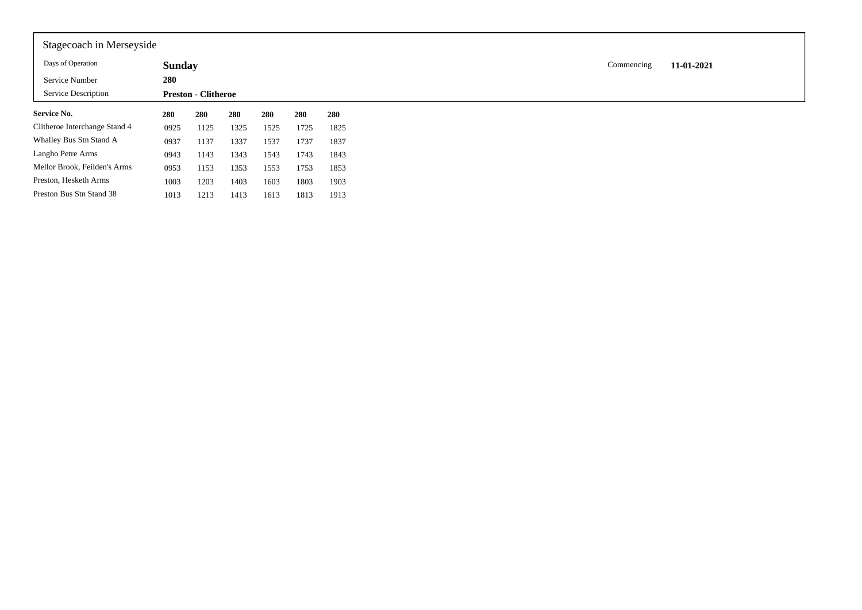| Stagecoach in Merseyside      |               |                            |      |      |      |      |
|-------------------------------|---------------|----------------------------|------|------|------|------|
| Days of Operation             | <b>Sunday</b> |                            |      |      |      |      |
| Service Number                | 280           |                            |      |      |      |      |
| Service Description           |               | <b>Preston - Clitheroe</b> |      |      |      |      |
| <b>Service No.</b>            | 280           | 280                        | 280  | 280  | 280  | 280  |
| Clitheroe Interchange Stand 4 | 0925          | 1125                       | 1325 | 1525 | 1725 | 1825 |
| Whalley Bus Stn Stand A       | 0937          | 1137                       | 1337 | 1537 | 1737 | 1837 |
| Langho Petre Arms             | 0943          | 1143                       | 1343 | 1543 | 1743 | 1843 |
| Mellor Brook, Feilden's Arms  | 0953          | 1153                       | 1353 | 1553 | 1753 | 1853 |
| Preston, Hesketh Arms         | 1003          | 1203                       | 1403 | 1603 | 1803 | 1903 |
| Preston Bus Stn Stand 38      | 1013          | 1213                       | 1413 | 1613 | 1813 | 1913 |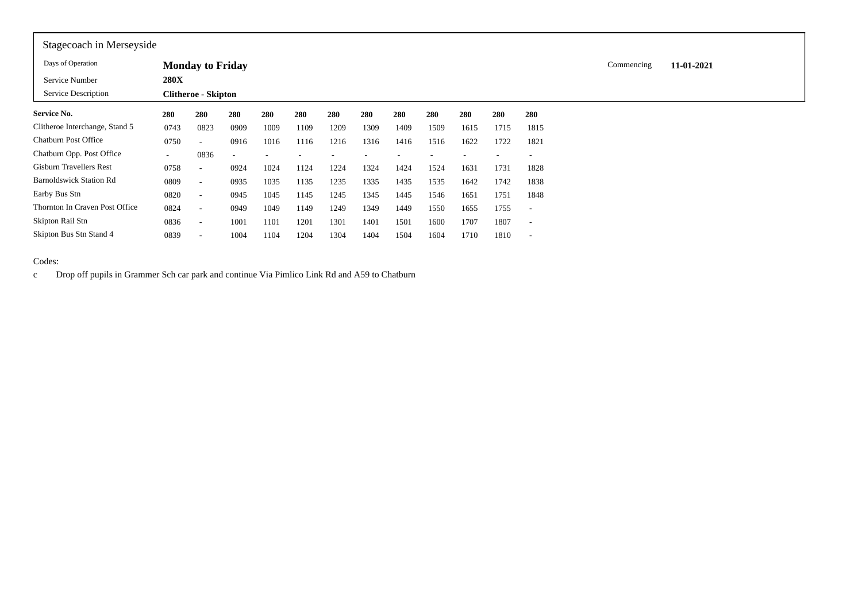| Stagecoach in Merseyside       |             |                            |                          |      |      |      |      |      |      |      |      |                          |            |            |  |
|--------------------------------|-------------|----------------------------|--------------------------|------|------|------|------|------|------|------|------|--------------------------|------------|------------|--|
| Days of Operation              |             | <b>Monday to Friday</b>    |                          |      |      |      |      |      |      |      |      |                          | Commencing | 11-01-2021 |  |
| Service Number                 | <b>280X</b> |                            |                          |      |      |      |      |      |      |      |      |                          |            |            |  |
| Service Description            |             | <b>Clitheroe - Skipton</b> |                          |      |      |      |      |      |      |      |      |                          |            |            |  |
| <b>Service No.</b>             | 280         | 280                        | 280                      | 280  | 280  | 280  | 280  | 280  | 280  | 280  | 280  | 280                      |            |            |  |
| Clitheroe Interchange, Stand 5 | 0743        | 0823                       | 0909                     | 1009 | 1109 | 1209 | 1309 | 1409 | 1509 | 1615 | 1715 | 1815                     |            |            |  |
| <b>Chatburn Post Office</b>    | 0750        | $\overline{\phantom{a}}$   | 0916                     | 1016 | 1116 | 1216 | 1316 | 1416 | 1516 | 1622 | 1722 | 1821                     |            |            |  |
| Chatburn Opp. Post Office      | $\sim$      | 0836                       | $\overline{\phantom{a}}$ |      |      |      |      |      |      |      |      | $\overline{\phantom{a}}$ |            |            |  |
| Gisburn Travellers Rest        | 0758        | $\overline{\phantom{a}}$   | 0924                     | 1024 | 1124 | 1224 | 1324 | 1424 | 1524 | 1631 | 1731 | 1828                     |            |            |  |
| <b>Barnoldswick Station Rd</b> | 0809        | $\overline{\phantom{a}}$   | 0935                     | 1035 | 1135 | 1235 | 1335 | 1435 | 1535 | 1642 | 1742 | 1838                     |            |            |  |
| Earby Bus Stn                  | 0820        | $\sim$                     | 0945                     | 1045 | 1145 | 1245 | 1345 | 1445 | 1546 | 1651 | 1751 | 1848                     |            |            |  |
| Thornton In Craven Post Office | 0824        | $\sim$                     | 0949                     | 1049 | 1149 | 1249 | 1349 | 1449 | 1550 | 1655 | 1755 | $\overline{\phantom{a}}$ |            |            |  |
| Skipton Rail Stn               | 0836        | $\sim$                     | 1001                     | 1101 | 1201 | 1301 | 1401 | 1501 | 1600 | 1707 | 1807 | $\overline{\phantom{a}}$ |            |            |  |
| Skipton Bus Stn Stand 4        | 0839        | $\overline{\phantom{a}}$   | 1004                     | 1104 | 1204 | 1304 | 1404 | 1504 | 1604 | 1710 | 1810 | $\overline{\phantom{a}}$ |            |            |  |

Codes:

c Drop off pupils in Grammer Sch car park and continue Via Pimlico Link Rd and A59 to Chatburn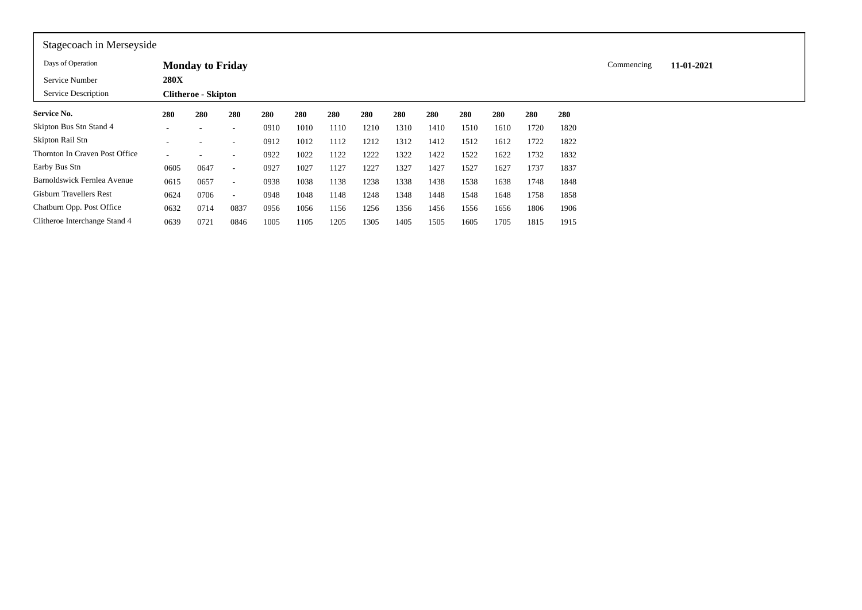| Stagecoach in Merseyside       |             |                            |                          |      |      |      |      |      |      |      |      |      |      |            |            |
|--------------------------------|-------------|----------------------------|--------------------------|------|------|------|------|------|------|------|------|------|------|------------|------------|
| Days of Operation              |             | <b>Monday to Friday</b>    |                          |      |      |      |      |      |      |      |      |      |      | Commencing | 11-01-2021 |
| Service Number                 | <b>280X</b> |                            |                          |      |      |      |      |      |      |      |      |      |      |            |            |
| Service Description            |             | <b>Clitheroe - Skipton</b> |                          |      |      |      |      |      |      |      |      |      |      |            |            |
| Service No.                    | 280         | 280                        | 280                      | 280  | 280  | 280  | 280  | 280  | 280  | 280  | 280  | 280  | 280  |            |            |
| Skipton Bus Stn Stand 4        | ۰           | $\overline{\phantom{a}}$   | $\overline{\phantom{a}}$ | 0910 | 1010 | 1110 | 1210 | 1310 | 1410 | 1510 | 1610 | 1720 | 1820 |            |            |
| Skipton Rail Stn               |             |                            | $\overline{\phantom{a}}$ | 0912 | 1012 | 1112 | 1212 | 1312 | 1412 | 1512 | 1612 | 1722 | 1822 |            |            |
| Thornton In Craven Post Office | ۰           |                            | $\overline{\phantom{a}}$ | 0922 | 1022 | 1122 | 1222 | 1322 | 1422 | 1522 | 1622 | 1732 | 1832 |            |            |
| Earby Bus Stn                  | 0605        | 0647                       | $\overline{\phantom{a}}$ | 0927 | 1027 | 1127 | 1227 | 1327 | 1427 | 1527 | 1627 | 1737 | 1837 |            |            |
| Barnoldswick Fernlea Avenue    | 0615        | 0657                       | $\sim$                   | 0938 | 1038 | 1138 | 1238 | 1338 | 1438 | 1538 | 1638 | 1748 | 1848 |            |            |
| <b>Gisburn Travellers Rest</b> | 0624        | 0706                       | $\overline{\phantom{a}}$ | 0948 | 1048 | 1148 | 1248 | 1348 | 1448 | 1548 | 1648 | 1758 | 1858 |            |            |
| Chatburn Opp. Post Office      | 0632        | 0714                       | 0837                     | 0956 | 1056 | 1156 | 1256 | 1356 | 1456 | 1556 | 1656 | 1806 | 1906 |            |            |
| Clitheroe Interchange Stand 4  | 0639        | 0721                       | 0846                     | 1005 | 1105 | 1205 | 1305 | 1405 | 1505 | 1605 | 1705 | 1815 | 1915 |            |            |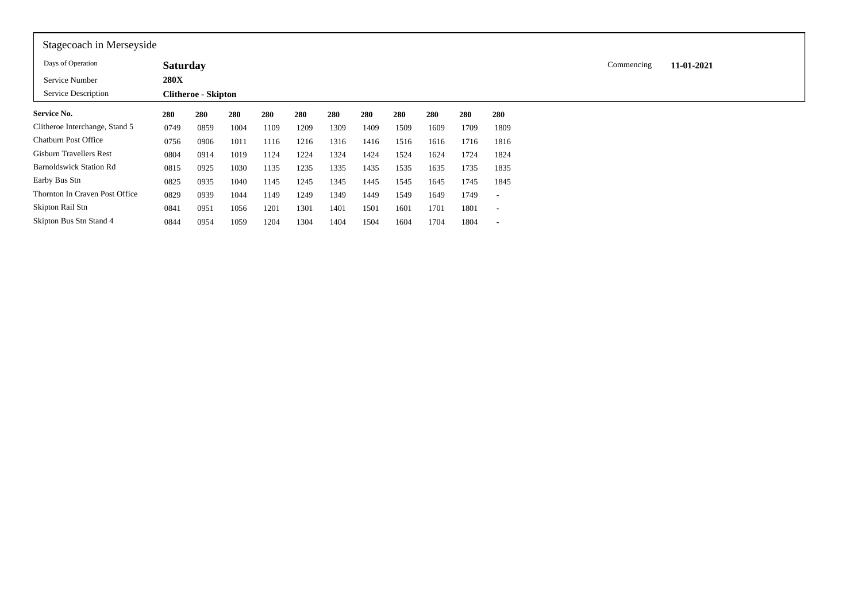| Stagecoach in Merseyside       |                 |                            |      |      |      |      |      |      |      |      |                          |            |            |
|--------------------------------|-----------------|----------------------------|------|------|------|------|------|------|------|------|--------------------------|------------|------------|
| Days of Operation              | <b>Saturday</b> |                            |      |      |      |      |      |      |      |      |                          | Commencing | 11-01-2021 |
| Service Number                 | <b>280X</b>     |                            |      |      |      |      |      |      |      |      |                          |            |            |
| Service Description            |                 | <b>Clitheroe - Skipton</b> |      |      |      |      |      |      |      |      |                          |            |            |
| <b>Service No.</b>             | 280             | 280                        | 280  | 280  | 280  | 280  | 280  | 280  | 280  | 280  | 280                      |            |            |
| Clitheroe Interchange, Stand 5 | 0749            | 0859                       | 1004 | 1109 | 1209 | 1309 | 1409 | 1509 | 1609 | 1709 | 1809                     |            |            |
| Chatburn Post Office           | 0756            | 0906                       | 1011 | 1116 | 1216 | 1316 | 1416 | 1516 | 1616 | 1716 | 1816                     |            |            |
| <b>Gisburn Travellers Rest</b> | 0804            | 0914                       | 1019 | 1124 | 1224 | 1324 | 1424 | 1524 | 1624 | 1724 | 1824                     |            |            |
| <b>Barnoldswick Station Rd</b> | 0815            | 0925                       | 1030 | 1135 | 1235 | 1335 | 1435 | 1535 | 1635 | 1735 | 1835                     |            |            |
| Earby Bus Stn                  | 0825            | 0935                       | 1040 | 1145 | 1245 | 1345 | 1445 | 1545 | 1645 | 1745 | 1845                     |            |            |
| Thornton In Craven Post Office | 0829            | 0939                       | 1044 | 1149 | 1249 | 1349 | 1449 | 1549 | 1649 | 1749 | $\overline{\phantom{a}}$ |            |            |
| Skipton Rail Stn               | 0841            | 0951                       | 1056 | 1201 | 1301 | 1401 | 1501 | 1601 | 1701 | 1801 | $\overline{\phantom{a}}$ |            |            |
| Skipton Bus Stn Stand 4        | 0844            | 0954                       | 1059 | 1204 | 1304 | 1404 | 1504 | 1604 | 1704 | 1804 | $\overline{\phantom{a}}$ |            |            |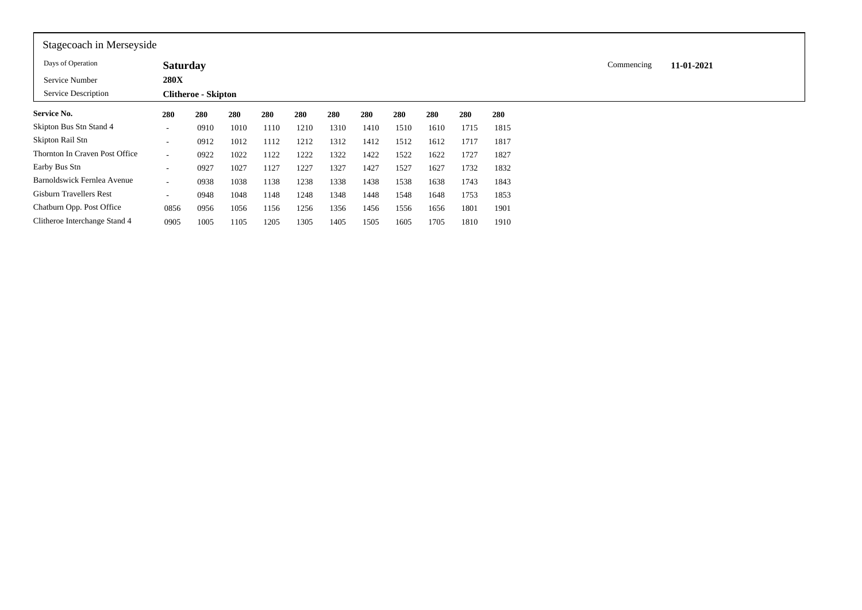| Stagecoach in Merseyside       |                          |                            |      |      |      |      |      |      |      |      |      |            |            |
|--------------------------------|--------------------------|----------------------------|------|------|------|------|------|------|------|------|------|------------|------------|
| Days of Operation              | <b>Saturday</b>          |                            |      |      |      |      |      |      |      |      |      | Commencing | 11-01-2021 |
| Service Number                 | <b>280X</b>              |                            |      |      |      |      |      |      |      |      |      |            |            |
| Service Description            |                          | <b>Clitheroe - Skipton</b> |      |      |      |      |      |      |      |      |      |            |            |
| <b>Service No.</b>             | 280                      | 280                        | 280  | 280  | 280  | 280  | 280  | 280  | 280  | 280  | 280  |            |            |
| Skipton Bus Stn Stand 4        | $\sim$                   | 0910                       | 1010 | 1110 | 1210 | 1310 | 1410 | 1510 | 1610 | 1715 | 1815 |            |            |
| Skipton Rail Stn               | $\overline{\phantom{a}}$ | 0912                       | 1012 | 1112 | 1212 | 1312 | 1412 | 1512 | 1612 | 1717 | 1817 |            |            |
| Thornton In Craven Post Office | $\sim$                   | 0922                       | 1022 | 1122 | 1222 | 1322 | 1422 | 1522 | 1622 | 1727 | 1827 |            |            |
| Earby Bus Stn                  | $\sim$                   | 0927                       | 1027 | 1127 | 1227 | 1327 | 1427 | 1527 | 1627 | 1732 | 1832 |            |            |
| Barnoldswick Fernlea Avenue    | $\sim$                   | 0938                       | 1038 | 1138 | 1238 | 1338 | 1438 | 1538 | 1638 | 1743 | 1843 |            |            |
| Gisburn Travellers Rest        | $\overline{\phantom{a}}$ | 0948                       | 1048 | 1148 | 1248 | 1348 | 1448 | 1548 | 1648 | 1753 | 1853 |            |            |
| Chatburn Opp. Post Office      | 0856                     | 0956                       | 1056 | 1156 | 1256 | 1356 | 1456 | 1556 | 1656 | 1801 | 1901 |            |            |
| Clitheroe Interchange Stand 4  | 0905                     | 1005                       | 1105 | 1205 | 1305 | 1405 | 1505 | 1605 | 1705 | 1810 | 1910 |            |            |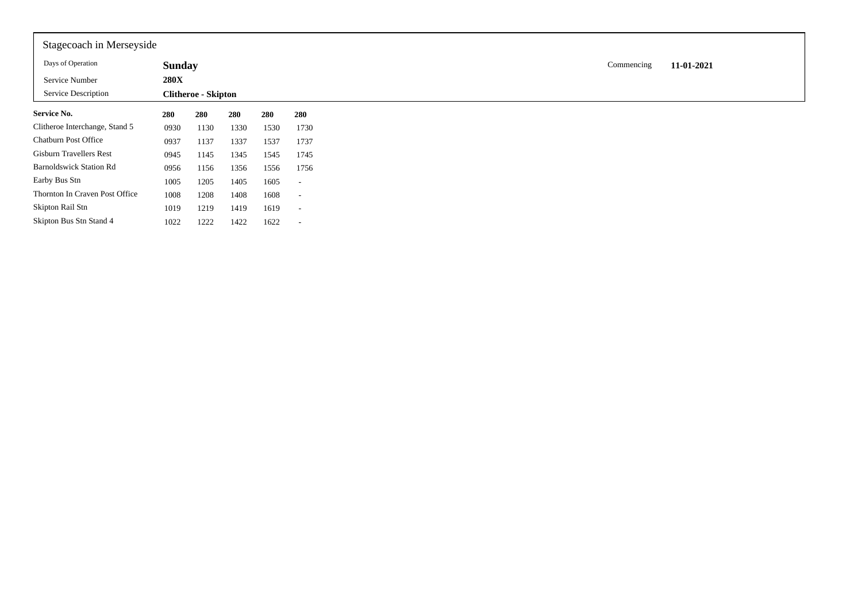| Stagecoach in Merseyside            |                              |                            |      |      |                          |
|-------------------------------------|------------------------------|----------------------------|------|------|--------------------------|
| Days of Operation<br>Service Number | <b>Sunday</b><br><b>280X</b> |                            |      |      |                          |
| Service Description                 |                              | <b>Clitheroe - Skipton</b> |      |      |                          |
| <b>Service No.</b>                  | 280                          | 280                        | 280  | 280  | 280                      |
| Clitheroe Interchange, Stand 5      | 0930                         | 1130                       | 1330 | 1530 | 1730                     |
| Chatburn Post Office                | 0937                         | 1137                       | 1337 | 1537 | 1737                     |
| <b>Gisburn Travellers Rest</b>      | 0945                         | 1145                       | 1345 | 1545 | 1745                     |
| <b>Barnoldswick Station Rd</b>      | 0956                         | 1156                       | 1356 | 1556 | 1756                     |
| Earby Bus Stn                       | 1005                         | 1205                       | 1405 | 1605 | $\sim$                   |
| Thornton In Craven Post Office      | 1008                         | 1208                       | 1408 | 1608 | $\sim$                   |
| Skipton Rail Stn                    | 1019                         | 1219                       | 1419 | 1619 | $\sim$                   |
| Skipton Bus Stn Stand 4             | 1022                         | 1222                       | 1422 | 1622 | $\overline{\phantom{a}}$ |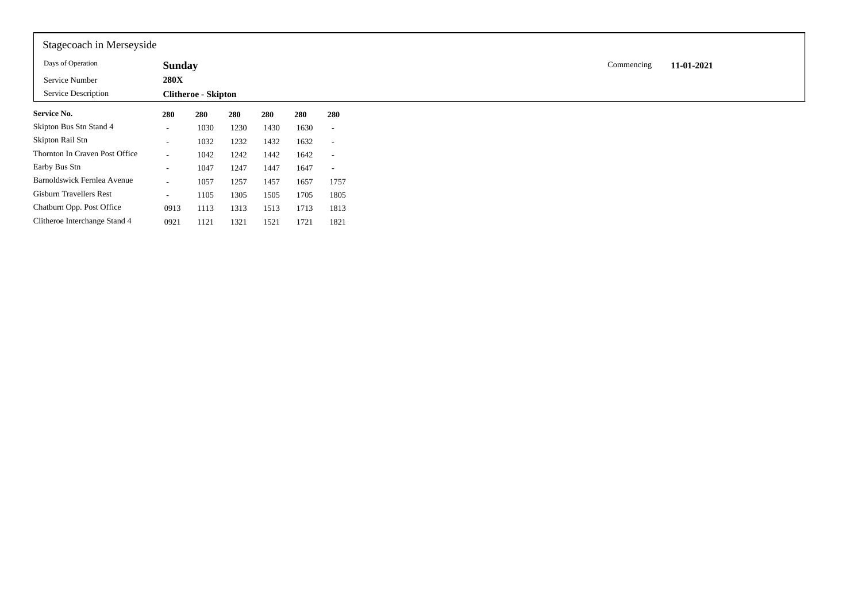| Stagecoach in Merseyside       |               |                            |      |      |      |                          |
|--------------------------------|---------------|----------------------------|------|------|------|--------------------------|
| Days of Operation              | <b>Sunday</b> |                            |      |      |      |                          |
| Service Number                 | <b>280X</b>   |                            |      |      |      |                          |
| Service Description            |               | <b>Clitheroe - Skipton</b> |      |      |      |                          |
| <b>Service No.</b>             | 280           | 280                        | 280  | 280  | 280  | 280                      |
| Skipton Bus Stn Stand 4        | $\sim$        | 1030                       | 1230 | 1430 | 1630 | $\overline{\phantom{a}}$ |
| Skipton Rail Stn               | $\sim$        | 1032                       | 1232 | 1432 | 1632 | $\overline{\phantom{a}}$ |
| Thornton In Craven Post Office | $\sim$        | 1042                       | 1242 | 1442 | 1642 | $\overline{\phantom{a}}$ |
| Earby Bus Stn                  | $\sim$        | 1047                       | 1247 | 1447 | 1647 | $\overline{\phantom{a}}$ |
| Barnoldswick Fernlea Avenue    | $\sim$        | 1057                       | 1257 | 1457 | 1657 | 1757                     |
| <b>Gisburn Travellers Rest</b> | $\sim$        | 1105                       | 1305 | 1505 | 1705 | 1805                     |
| Chatburn Opp. Post Office      | 0913          | 1113                       | 1313 | 1513 | 1713 | 1813                     |
| Clitheroe Interchange Stand 4  | 0921          | 1121                       | 1321 | 1521 | 1721 | 1821                     |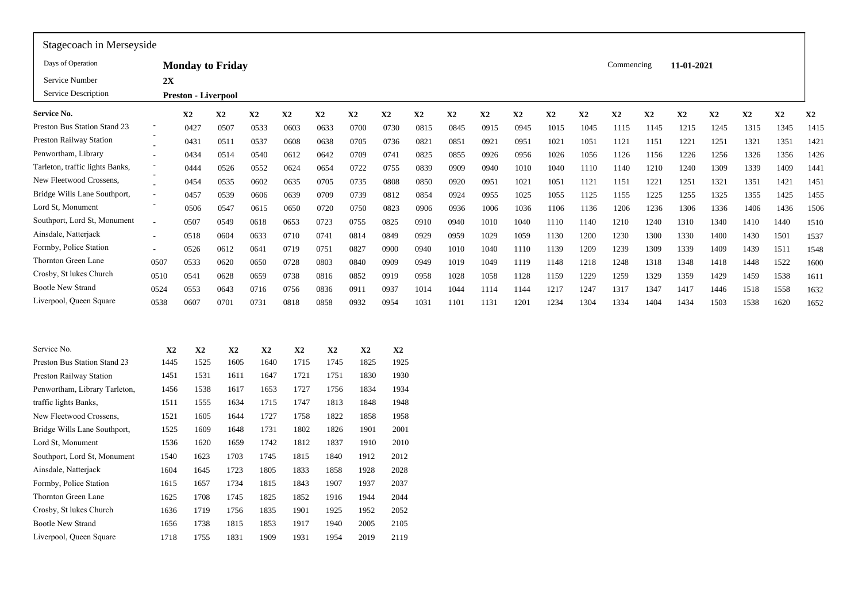| Stagecoach in Merseyside        |                          |                            |                         |               |               |      |               |               |               |               |      |      |               |              |            |               |               |               |      |           |              |
|---------------------------------|--------------------------|----------------------------|-------------------------|---------------|---------------|------|---------------|---------------|---------------|---------------|------|------|---------------|--------------|------------|---------------|---------------|---------------|------|-----------|--------------|
| Days of Operation               |                          |                            | <b>Monday to Friday</b> |               |               |      |               |               |               |               |      |      |               |              | Commencing |               | 11-01-2021    |               |      |           |              |
| Service Number                  | 2X                       |                            |                         |               |               |      |               |               |               |               |      |      |               |              |            |               |               |               |      |           |              |
| Service Description             |                          | <b>Preston - Liverpool</b> |                         |               |               |      |               |               |               |               |      |      |               |              |            |               |               |               |      |           |              |
| Service No.                     |                          | $\mathbf{X}2$              | X2                      | $\mathbf{X}2$ | $\mathbf{X}2$ | X2   | X2            | $\mathbf{X}2$ | $\mathbf{X}2$ | $\mathbf{X}2$ | X2   | X2   | $\mathbf{X}2$ | $\mathbf{X}$ | X2         | $\mathbf{X}2$ | $\mathbf{X2}$ | $\mathbf{X}2$ | X2   | <b>X2</b> | $\mathbf{X}$ |
| Preston Bus Station Stand 23    |                          | 0427                       | 0507                    | 0533          | 0603          | 0633 | 0700          | 0730          | 0815          | 0845          | 0915 | 0945 | 1015          | 1045         | 1115       | 1145          | 1215          | 1245          | 1315 | 1345      | 1415         |
| Preston Railway Station         |                          | 0431                       | 0511                    | 0537          | 0608          | 0638 | 0705          | 0736          | 0821          | 0851          | 0921 | 0951 | 1021          | 1051         | 1121       | 1151          | 1221          | 1251          | 1321 | 1351      | 1421         |
| Penwortham, Library             |                          | 0434                       | 0514                    | 0540          | 0612          | 0642 | 0709          | 0741          | 0825          | 0855          | 0926 | 0956 | 1026          | 1056         | 1126       | 1156          | 1226          | 1256          | 1326 | 1356      | 1426         |
| Tarleton, traffic lights Banks, |                          | 0444                       | 0526                    | 0552          | 0624          | 0654 | 0722          | 0755          | 0839          | 0909          | 0940 | 1010 | 1040          | 1110         | 1140       | 1210          | 1240          | 1309          | 1339 | 1409      | 1441         |
| New Fleetwood Crossens,         |                          | 0454                       | 0535                    | 0602          | 0635          | 0705 | 0735          | 0808          | 0850          | 0920          | 0951 | 1021 | 1051          | 1121         | 1151       | 1221          | 1251          | 1321          | 1351 | 1421      | 1451         |
| Bridge Wills Lane Southport,    |                          | 0457                       | 0539                    | 0606          | 0639          | 0709 | 0739          | 0812          | 0854          | 0924          | 0955 | 1025 | 1055          | 1125         | 1155       | 1225          | 1255          | 1325          | 1355 | 1425      | 1455         |
| Lord St, Monument               |                          | 0506                       | 0547                    | 0615          | 0650          | 0720 | 0750          | 0823          | 0906          | 0936          | 1006 | 1036 | 1106          | 1136         | 1206       | 1236          | 1306          | 1336          | 1406 | 1436      | 1506         |
| Southport, Lord St, Monument    |                          | 0507                       | 0549                    | 0618          | 0653          | 0723 | 0755          | 0825          | 0910          | 0940          | 1010 | 1040 | 1110          | 1140         | 1210       | 1240          | 1310          | 1340          | 1410 | 1440      | 1510         |
| Ainsdale, Natterjack            | $\overline{\phantom{a}}$ | 0518                       | 0604                    | 0633          | 0710          | 0741 | 0814          | 0849          | 0929          | 0959          | 1029 | 1059 | 1130          | 1200         | 1230       | 1300          | 1330          | 1400          | 1430 | 1501      | 1537         |
| Formby, Police Station          | $\overline{\phantom{a}}$ | 0526                       | 0612                    | 0641          | 0719          | 0751 | 0827          | 0900          | 0940          | 1010          | 1040 | 1110 | 1139          | 1209         | 1239       | 1309          | 1339          | 1409          | 1439 | 1511      | 1548         |
| Thornton Green Lane             | 0507                     | 0533                       | 0620                    | 0650          | 0728          | 0803 | 0840          | 0909          | 0949          | 1019          | 1049 | 1119 | 1148          | 1218         | 1248       | 1318          | 1348          | 1418          | 1448 | 1522      | 1600         |
| Crosby, St lukes Church         | 0510                     | 0541                       | 0628                    | 0659          | 0738          | 0816 | 0852          | 0919          | 0958          | 1028          | 1058 | 1128 | 1159          | 1229         | 1259       | 1329          | 1359          | 1429          | 1459 | 1538      | 1611         |
| <b>Bootle New Strand</b>        | 0524                     | 0553                       | 0643                    | 0716          | 0756          | 0836 | 0911          | 0937          | 1014          | 1044          | 1114 | 1144 | 1217          | 1247         | 1317       | 1347          | 1417          | 1446          | 1518 | 1558      | 1632         |
| Liverpool, Queen Square         | 0538                     | 0607                       | 0701                    | 0731          | 0818          | 0858 | 0932          | 0954          | 1031          | 1101          | 1131 | 1201 | 1234          | 1304         | 1334       | 1404          | 1434          | 1503          | 1538 | 1620      | 1652         |
|                                 |                          |                            |                         |               |               |      |               |               |               |               |      |      |               |              |            |               |               |               |      |           |              |
|                                 |                          |                            |                         |               |               |      |               |               |               |               |      |      |               |              |            |               |               |               |      |           |              |
| Service No.                     | $\mathbf{X}2$            | $\mathbf{X}2$              | $\mathbf{X}2$           | X2            | $\mathbf{X2}$ | X2   | $\mathbf{X}2$ | X2            |               |               |      |      |               |              |            |               |               |               |      |           |              |
| Preston Bus Station Stand 23    | 1445                     | 1525                       | 1605                    | 1640          | 1715          | 1745 | 1825          | 1925          |               |               |      |      |               |              |            |               |               |               |      |           |              |
| Preston Railway Station         | 1451                     | 1531                       | 1611                    | 1647          | 1721          | 1751 | 1830          | 1930          |               |               |      |      |               |              |            |               |               |               |      |           |              |
| Penwortham, Library Tarleton,   | 1456                     | 1538                       | 1617                    | 1653          | 1727          | 1756 | 1834          | 1934          |               |               |      |      |               |              |            |               |               |               |      |           |              |
| traffic lights Banks,           | 1511                     | 1555                       | 1634                    | 1715          | 1747          | 1813 | 1848          | 1948          |               |               |      |      |               |              |            |               |               |               |      |           |              |
| New Fleetwood Crossens,         | 1521                     | 1605                       | 1644                    | 1727          | 1758          | 1822 | 1858          | 1958          |               |               |      |      |               |              |            |               |               |               |      |           |              |
| Bridge Wills Lane Southport,    | 1525                     | 1609                       | 1648                    | 1731          | 1802          | 1826 | 1901          | 2001          |               |               |      |      |               |              |            |               |               |               |      |           |              |
| Lord St, Monument               | 1536                     | 1620                       | 1659                    | 1742          | 1812          | 1837 | 1910          | 2010          |               |               |      |      |               |              |            |               |               |               |      |           |              |
| Southport, Lord St, Monument    | 1540                     | 1623                       | 1703                    | 1745          | 1815          | 1840 | 1912          | 2012          |               |               |      |      |               |              |            |               |               |               |      |           |              |
| Ainsdale, Natterjack            | 1604                     | 1645                       | 1723                    | 1805          | 1833          | 1858 | 1928          | 2028          |               |               |      |      |               |              |            |               |               |               |      |           |              |
| Formby, Police Station          | 1615                     | 1657                       | 1734                    | 1815          | 1843          | 1907 | 1937          | 2037          |               |               |      |      |               |              |            |               |               |               |      |           |              |
| Thornton Green Lane             | 1625                     | 1708                       | 1745                    | 1825          | 1852          | 1916 | 1944          | 2044          |               |               |      |      |               |              |            |               |               |               |      |           |              |
| Crosby, St lukes Church         | 1636                     | 1719                       | 1756                    | 1835          | 1901          | 1925 | 1952          | 2052          |               |               |      |      |               |              |            |               |               |               |      |           |              |
| <b>Bootle New Strand</b>        | 1656                     | 1738                       | 1815                    | 1853          | 1917          | 1940 | 2005          | 2105          |               |               |      |      |               |              |            |               |               |               |      |           |              |
| Liverpool, Queen Square         | 1718                     | 1755                       | 1831                    | 1909          | 1931          | 1954 | 2019          | 2119          |               |               |      |      |               |              |            |               |               |               |      |           |              |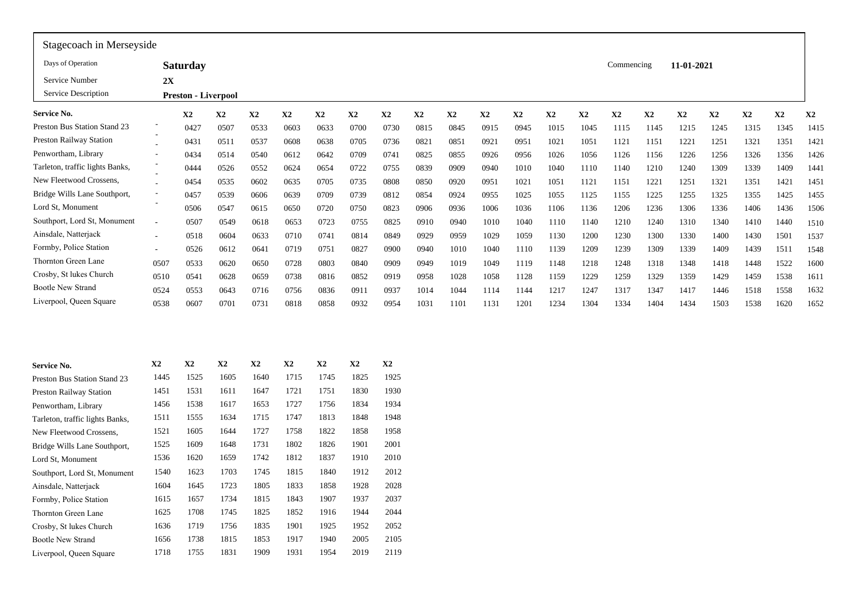| Stagecoach in Merseyside        |                          |                            |               |               |               |      |       |               |      |      |      |      |      |      |            |      |            |               |      |      |      |
|---------------------------------|--------------------------|----------------------------|---------------|---------------|---------------|------|-------|---------------|------|------|------|------|------|------|------------|------|------------|---------------|------|------|------|
| Days of Operation               |                          | <b>Saturday</b>            |               |               |               |      |       |               |      |      |      |      |      |      | Commencing |      | 11-01-2021 |               |      |      |      |
| Service Number                  | 2X                       |                            |               |               |               |      |       |               |      |      |      |      |      |      |            |      |            |               |      |      |      |
| Service Description             |                          | <b>Preston - Liverpool</b> |               |               |               |      |       |               |      |      |      |      |      |      |            |      |            |               |      |      |      |
| Service No.                     |                          | X2                         | $\mathbf{X2}$ | X2            | X2            | X2   | X2    | X2            | X2   | X2   | X2   | X2   | X2   | X2   | X2         | X2   | X2         | $\mathbf{X2}$ | X2   | X2   | X2   |
| Preston Bus Station Stand 23    |                          | 0427                       | 0507          | 0533          | 0603          | 0633 | 0700  | 0730          | 0815 | 0845 | 0915 | 0945 | 1015 | 1045 | 1115       | 1145 | 1215       | 1245          | 1315 | 1345 | 1415 |
| Preston Railway Station         |                          | 0431                       | 0511          | 0537          | 0608          | 0638 | 0705  | 0736          | 0821 | 0851 | 0921 | 0951 | 1021 | 1051 | 1121       | 1151 | 1221       | 1251          | 1321 | 1351 | 1421 |
| Penwortham, Library             | $\sim$                   | 0434                       | 0514          | 0540          | 0612          | 0642 | 0709  | 0741          | 0825 | 0855 | 0926 | 0956 | 1026 | 1056 | 1126       | 1156 | 1226       | 1256          | 1326 | 1356 | 1426 |
| Tarleton, traffic lights Banks, |                          | 0444                       | 0526          | 0552          | 0624          | 0654 | 0722  | 0755          | 0839 | 0909 | 0940 | 1010 | 1040 | 1110 | 1140       | 1210 | 1240       | 1309          | 1339 | 1409 | 1441 |
| New Fleetwood Crossens,         |                          | 0454                       | 0535          | 0602          | 0635          | 0705 | 0735  | 0808          | 0850 | 0920 | 0951 | 1021 | 1051 | 1121 | 1151       | 1221 | 1251       | 1321          | 1351 | 1421 | 1451 |
| Bridge Wills Lane Southport,    | $\overline{\phantom{a}}$ | 0457                       | 0539          | 0606          | 0639          | 0709 | 0739  | 0812          | 0854 | 0924 | 0955 | 1025 | 1055 | 1125 | 1155       | 1225 | 1255       | 1325          | 1355 | 1425 | 1455 |
| Lord St, Monument               |                          | 0506                       | 0547          | 0615          | 0650          | 0720 | 0750  | 0823          | 0906 | 0936 | 1006 | 1036 | 1106 | 1136 | 1206       | 1236 | 1306       | 1336          | 1406 | 1436 | 1506 |
| Southport, Lord St, Monument    |                          | 0507                       | 0549          | 0618          | 0653          | 0723 | 0755  | 0825          | 0910 | 0940 | 1010 | 1040 | 1110 | 1140 | 1210       | 1240 | 1310       | 1340          | 1410 | 1440 | 1510 |
| Ainsdale, Natterjack            | $\overline{\phantom{a}}$ | 0518                       | 0604          | 0633          | 0710          | 0741 | 0814  | 0849          | 0929 | 0959 | 1029 | 1059 | 1130 | 1200 | 1230       | 1300 | 1330       | 1400          | 1430 | 1501 | 1537 |
| Formby, Police Station          | $\sim$                   | 0526                       | 0612          | 0641          | 0719          | 0751 | 0827  | 0900          | 0940 | 1010 | 1040 | 1110 | 1139 | 1209 | 1239       | 1309 | 1339       | 1409          | 1439 | 1511 | 1548 |
| Thornton Green Lane             | 0507                     | 0533                       | 0620          | 0650          | 0728          | 0803 | 0840  | 0909          | 0949 | 1019 | 1049 | 1119 | 1148 | 1218 | 1248       | 1318 | 1348       | 1418          | 1448 | 1522 | 1600 |
| Crosby, St lukes Church         | 0510                     | 0541                       | 0628          | 0659          | 0738          | 0816 | 0852  | 0919          | 0958 | 1028 | 1058 | 1128 | 1159 | 1229 | 1259       | 1329 | 1359       | 1429          | 1459 | 1538 | 1611 |
| <b>Bootle New Strand</b>        | 0524                     | 0553                       | 0643          | 0716          | 0756          | 0836 | 0911  | 0937          | 1014 | 1044 | 1114 | 1144 | 1217 | 1247 | 1317       | 1347 | 1417       | 1446          | 1518 | 1558 | 1632 |
| Liverpool, Queen Square         | 0538                     | 0607                       | 0701          | 0731          | 0818          | 0858 | 0932  | 0954          | 1031 | 1101 | 1131 | 1201 | 1234 | 1304 | 1334       | 1404 | 1434       | 1503          | 1538 | 1620 | 1652 |
|                                 |                          |                            |               |               |               |      |       |               |      |      |      |      |      |      |            |      |            |               |      |      |      |
| <b>Service No.</b>              | X2                       | X2                         | X2            | $\mathbf{X2}$ | $\mathbf{X2}$ | X2   | X2    | $\mathbf{X2}$ |      |      |      |      |      |      |            |      |            |               |      |      |      |
| Preston Bus Station Stand 23    | 1445                     | 1525                       | 1605          | 1640          | 1715          | 1745 | 1825  | 1925          |      |      |      |      |      |      |            |      |            |               |      |      |      |
| <b>Preston Railway Station</b>  | 1451                     | 1531                       | 1611          | 1647          | 1721          | 1751 | 1830  | 1930          |      |      |      |      |      |      |            |      |            |               |      |      |      |
| Penwortham, Library             | 1456                     | 1538                       | 1617          | 1653          | 1727          | 1756 | 1834  | 1934          |      |      |      |      |      |      |            |      |            |               |      |      |      |
| Tarleton, traffic lights Banks, | 1511                     | 1555                       | 1634          | 1715          | 1747          | 1813 | 1848  | 1948          |      |      |      |      |      |      |            |      |            |               |      |      |      |
|                                 |                          |                            |               | 1.727         | 1.7.7         | 0.02 | 0.050 |               |      |      |      |      |      |      |            |      |            |               |      |      |      |

| <b>Bootle New Strand</b>        | 0524 | 0553 | 0643 | 0716           | 0756 | 0836           | 0911 | 0937           | 1014 | 1044 |
|---------------------------------|------|------|------|----------------|------|----------------|------|----------------|------|------|
| Liverpool, Queen Square         | 0538 | 0607 | 0701 | 0731           | 0818 | 0858           | 0932 | 0954           | 1031 | 1101 |
|                                 |      |      |      |                |      |                |      |                |      |      |
|                                 |      |      |      |                |      |                |      |                |      |      |
|                                 |      |      |      |                |      |                |      |                |      |      |
|                                 |      |      |      |                |      |                |      |                |      |      |
| Service No.                     | X2   | X2   | X2   | X <sub>2</sub> | X2   | X <sub>2</sub> | X2   | X <sub>2</sub> |      |      |
| Preston Bus Station Stand 23    | 1445 | 1525 | 1605 | 1640           | 1715 | 1745           | 1825 | 1925           |      |      |
| <b>Preston Railway Station</b>  | 1451 | 1531 | 1611 | 1647           | 1721 | 1751           | 1830 | 1930           |      |      |
| Penwortham, Library             | 1456 | 1538 | 1617 | 1653           | 1727 | 1756           | 1834 | 1934           |      |      |
| Tarleton, traffic lights Banks, | 1511 | 1555 | 1634 | 1715           | 1747 | 1813           | 1848 | 1948           |      |      |
| New Fleetwood Crossens,         | 1521 | 1605 | 1644 | 1727           | 1758 | 1822           | 1858 | 1958           |      |      |
| Bridge Wills Lane Southport,    | 1525 | 1609 | 1648 | 1731           | 1802 | 1826           | 1901 | 2001           |      |      |
| Lord St, Monument               | 1536 | 1620 | 1659 | 1742           | 1812 | 1837           | 1910 | 2010           |      |      |
| Southport, Lord St, Monument    | 1540 | 1623 | 1703 | 1745           | 1815 | 1840           | 1912 | 2012           |      |      |
| Ainsdale, Natterjack            | 1604 | 1645 | 1723 | 1805           | 1833 | 1858           | 1928 | 2028           |      |      |
| Formby, Police Station          | 1615 | 1657 | 1734 | 1815           | 1843 | 1907           | 1937 | 2037           |      |      |
| Thornton Green Lane             | 1625 | 1708 | 1745 | 1825           | 1852 | 1916           | 1944 | 2044           |      |      |
| Crosby, St lukes Church         | 1636 | 1719 | 1756 | 1835           | 1901 | 1925           | 1952 | 2052           |      |      |
| <b>Bootle New Strand</b>        | 1656 | 1738 | 1815 | 1853           | 1917 | 1940           | 2005 | 2105           |      |      |
| Liverpool, Queen Square         | 1718 | 1755 | 1831 | 1909           | 1931 | 1954           | 2019 | 2119           |      |      |
|                                 |      |      |      |                |      |                |      |                |      |      |
|                                 |      |      |      |                |      |                |      |                |      |      |
|                                 |      |      |      |                |      |                |      |                |      |      |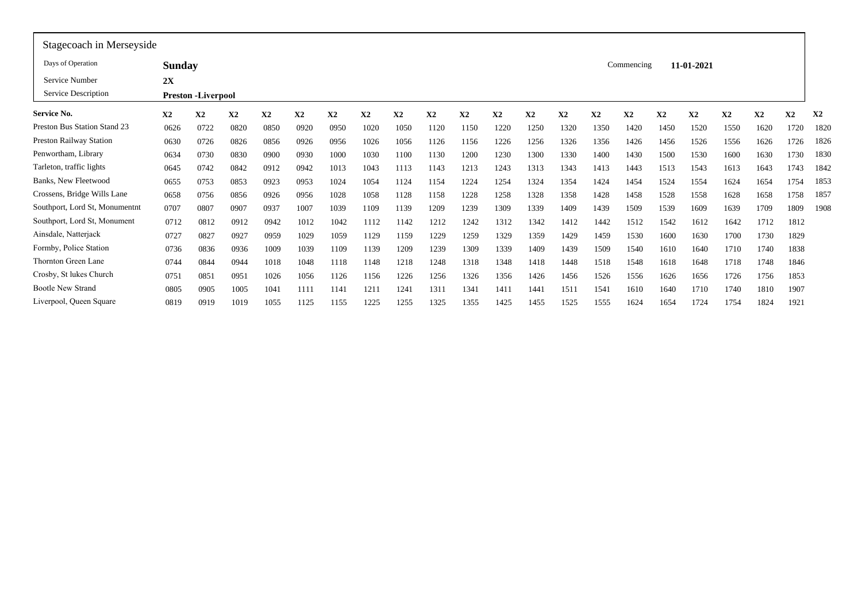| Days of Operation                   | <b>Sunday</b> |                           |      |      |      |                |      |      |      |      |      |      |                |      | Commencing |      | 11-01-2021 |      |                |                |                |
|-------------------------------------|---------------|---------------------------|------|------|------|----------------|------|------|------|------|------|------|----------------|------|------------|------|------------|------|----------------|----------------|----------------|
| Service Number                      | 2X            |                           |      |      |      |                |      |      |      |      |      |      |                |      |            |      |            |      |                |                |                |
| Service Description                 |               | <b>Preston -Liverpool</b> |      |      |      |                |      |      |      |      |      |      |                |      |            |      |            |      |                |                |                |
| Service No.                         | $\mathbf{X2}$ | X2                        | X2   | X2   | X2   | X <sub>2</sub> | X2   | X2   | X2   | X2   | X2   | X2   | X <sub>2</sub> | X2   | X2         | X2   | X2         | X2   | X <sub>2</sub> | X <sub>2</sub> | X <sub>2</sub> |
| <b>Preston Bus Station Stand 23</b> | 0626          | 0722                      | 0820 | 0850 | 0920 | 0950           | 1020 | 1050 | 1120 | 1150 | 1220 | 1250 | 1320           | 1350 | 1420       | 1450 | 1520       | 1550 | 1620           | 1720           | 1820           |
| <b>Preston Railway Station</b>      | 0630          | 0726                      | 0826 | 0856 | 0926 | 0956           | 1026 | 1056 | 1126 | 1156 | 1226 | 1256 | 1326           | 1356 | 1426       | 1456 | 1526       | 1556 | 1626           | 1726           | 1826           |
| Penwortham, Library                 | 0634          | 0730                      | 0830 | 0900 | 0930 | 1000           | 1030 | 1100 | 1130 | 1200 | 1230 | 1300 | 1330           | 1400 | 1430       | 1500 | 1530       | 1600 | 1630           | 1730           | 1830           |
| Tarleton, traffic lights            | 0645          | 0742                      | 0842 | 0912 | 0942 | 1013           | 1043 | 1113 | 1143 | 1213 | 1243 | 1313 | 1343           | 1413 | 1443       | 1513 | 1543       | 1613 | 1643           | 1743           | 1842           |
| <b>Banks, New Fleetwood</b>         | 0655          | 0753                      | 0853 | 0923 | 0953 | 1024           | 1054 | 1124 | 1154 | 1224 | 1254 | 1324 | 1354           | 1424 | 1454       | 1524 | 1554       | 1624 | 1654           | 1754           | 1853           |
| Crossens, Bridge Wills Lane         | 0658          | 0756                      | 0856 | 0926 | 0956 | 1028           | 1058 | 1128 | 1158 | 1228 | 1258 | 1328 | 1358           | 1428 | 1458       | 1528 | 1558       | 1628 | 1658           | 1758           | 1857           |
| Southport, Lord St, Monumentnt      | 0707          | 0807                      | 0907 | 0937 | 1007 | 1039           | 1109 | 1139 | 1209 | 1239 | 1309 | 1339 | 1409           | 1439 | 1509       | 1539 | 1609       | 1639 | 1709           | 1809           | 1908           |
| Southport, Lord St, Monument        | 0712          | 0812                      | 0912 | 0942 | 1012 | 1042           | 1112 | 1142 | 1212 | 1242 | 1312 | 1342 | 1412           | 1442 | 1512       | 1542 | 1612       | 1642 | 1712           | 1812           |                |
| Ainsdale, Natterjack                | 0727          | 0827                      | 0927 | 0959 | 1029 | 1059           | 1129 | 1159 | 1229 | 1259 | 1329 | 1359 | 1429           | 1459 | 1530       | 1600 | 1630       | 1700 | 1730           | 1829           |                |
| Formby, Police Station              | 0736          | 0836                      | 0936 | 1009 | 1039 | 1109           | 1139 | 1209 | 1239 | 1309 | 1339 | 1409 | 1439           | 1509 | 1540       | 1610 | 1640       | 1710 | 1740           | 1838           |                |
| Thornton Green Lane                 | 0744          | 0844                      | 0944 | 1018 | 1048 | 1118           | 1148 | 1218 | 1248 | 1318 | 1348 | 1418 | 1448           | 1518 | 1548       | 1618 | 1648       | 1718 | 1748           | 1846           |                |
| Crosby, St lukes Church             | 075           | 0851                      | 0951 | 1026 | 1056 | 1126           | 1156 | 1226 | 1256 | 1326 | 1356 | 1426 | 1456           | 1526 | 1556       | 1626 | 1656       | 1726 | 1756           | 1853           |                |
| <b>Bootle New Strand</b>            | 0805          | 0905                      | 1005 | 1041 | 1111 | 1141           | 1211 | 1241 | 1311 | 1341 | 1411 | 1441 | 151            | 1541 | 1610       | 1640 | 1710       | 1740 | 1810           | 1907           |                |
| Liverpool, Queen Square             | 0819          | 0919                      | 1019 | 1055 | 1125 | 1155           | 1225 | 1255 | 1325 | 1355 | 1425 | 1455 | 1525           | 1555 | 1624       | 1654 | 1724       | 1754 | 1824           | 1921           |                |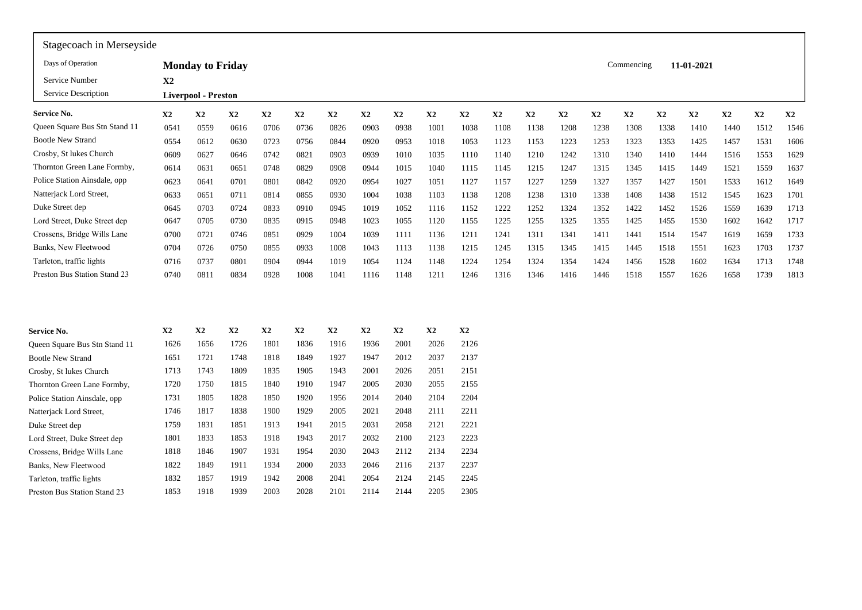| Stagecoach in Merseyside      |                |                            |                      |      |                |               |                      |          |               |                      |      |      |               |      |            |      |               |      |      |      |
|-------------------------------|----------------|----------------------------|----------------------|------|----------------|---------------|----------------------|----------|---------------|----------------------|------|------|---------------|------|------------|------|---------------|------|------|------|
| Days of Operation             |                | <b>Monday to Friday</b>    |                      |      |                |               |                      |          |               |                      |      |      |               |      | Commencing |      | 11-01-2021    |      |      |      |
| Service Number                | X <sub>2</sub> |                            |                      |      |                |               |                      |          |               |                      |      |      |               |      |            |      |               |      |      |      |
| Service Description           |                | <b>Liverpool - Preston</b> |                      |      |                |               |                      |          |               |                      |      |      |               |      |            |      |               |      |      |      |
| Service No.                   | X2             | X2                         | X2                   | X2   | X2             | X2            | X2                   | X2       | X2            | X2                   | X2   | X2   | $\mathbf{X}2$ | X2   | X2         | X2   | $\mathbf{X}2$ | X2   | X2   | X2   |
| Queen Square Bus Stn Stand 11 | 0541           | 0559                       | 0616                 | 0706 | 0736           | 0826          | 0903                 | 0938     | 1001          | 1038                 | 1108 | 1138 | 1208          | 1238 | 1308       | 1338 | 1410          | 1440 | 1512 | 1546 |
| <b>Bootle New Strand</b>      | 0554           | 0612                       | 0630                 | 0723 | 0756           | 0844          | 0920                 | 0953     | 1018          | 1053                 | 1123 | 1153 | 1223          | 1253 | 1323       | 1353 | 1425          | 1457 | 1531 | 1606 |
| Crosby, St lukes Church       | 0609           | 0627                       | 0646                 | 0742 | 0821           | 0903          | 0939                 | 1010     | 1035          | 1110                 | 1140 | 1210 | 1242          | 1310 | 1340       | 1410 | 1444          | 1516 | 1553 | 1629 |
| Thornton Green Lane Formby,   | 0614           | 0631                       | 0651                 | 0748 | 0829           | 0908          | 0944                 | 1015     | 1040          | 1115                 | 1145 | 1215 | 1247          | 1315 | 1345       | 1415 | 1449          | 1521 | 1559 | 1637 |
| Police Station Ainsdale, opp  | 0623           | 0641                       | 0701                 | 0801 | 0842           | 0920          | 0954                 | 1027     | 1051          | 1127                 | 1157 | 1227 | 1259          | 1327 | 1357       | 1427 | 1501          | 1533 | 1612 | 1649 |
| Natterjack Lord Street,       | 0633           | 0651                       | 0711                 | 0814 | 0855           | 0930          | 1004                 | 1038     | 1103          | 1138                 | 1208 | 1238 | 1310          | 1338 | 1408       | 1438 | 1512          | 1545 | 1623 | 1701 |
| Duke Street dep               | 0645           | 0703                       | 0724                 | 0833 | 0910           | 0945          | 1019                 | 1052     | 1116          | 1152                 | 1222 | 1252 | 1324          | 1352 | 1422       | 1452 | 1526          | 1559 | 1639 | 1713 |
| Lord Street, Duke Street dep  | 0647           | 0705                       | 0730                 | 0835 | 0915           | 0948          | 1023                 | 1055     | 1120          | 1155                 | 1225 | 1255 | 1325          | 1355 | 1425       | 1455 | 1530          | 1602 | 1642 | 1717 |
| Crossens, Bridge Wills Lane   | 0700           | 0721                       | 0746                 | 0851 | 0929           | 1004          | 1039                 | 1111     | 1136          | 1211                 | 1241 | 1311 | 1341          | 1411 | 1441       | 1514 | 1547          | 1619 | 1659 | 1733 |
| Banks, New Fleetwood          | 0704           | 0726                       | 0750                 | 0855 | 0933           | 1008          | 1043                 | 1113     | 1138          | 1215                 | 1245 | 1315 | 1345          | 1415 | 1445       | 1518 | 1551          | 1623 | 1703 | 1737 |
| Tarleton, traffic lights      | 0716           | 0737                       | 0801                 | 0904 | 0944           | 1019          | 1054                 | 1124     | 1148          | 1224                 | 1254 | 1324 | 1354          | 1424 | 1456       | 1528 | 1602          | 1634 | 1713 | 1748 |
| Preston Bus Station Stand 23  | 0740           | 0811                       | 0834                 | 0928 | 1008           | 1041          | 1116                 | 1148     | 1211          | 1246                 | 1316 | 1346 | 1416          | 1446 | 1518       | 1557 | 1626          | 1658 | 1739 | 1813 |
|                               |                |                            |                      |      |                |               |                      |          |               |                      |      |      |               |      |            |      |               |      |      |      |
| Service No.                   | $\mathbf{X}2$  | X2                         | X2                   | X2   | X2             | X2            | X2                   | X2       | $\mathbf{X2}$ | X2                   |      |      |               |      |            |      |               |      |      |      |
| Queen Square Bus Stn Stand 11 | 1626           | 1656                       | 1726                 | 1801 | 1836           | 1916          | 1936                 | 2001     | 2026          | 2126                 |      |      |               |      |            |      |               |      |      |      |
| Bootle New Strand             | 1651           | 1721                       | 1748                 | 1818 | 1849           | 1927          | 1947                 | 2012     | 2037          | 2137                 |      |      |               |      |            |      |               |      |      |      |
| Crosby, St lukes Church       | 1713           | 1743                       | 1809                 | 1835 | 1905           | 1943          | 2001                 | 2026     | 2051          | 2151                 |      |      |               |      |            |      |               |      |      |      |
|                               | $1 - 2 - 1$    | $- - - -$                  | $\sim$ $\sim$ $\sim$ | 1010 | $\overline{a}$ | $\sim$ $\sim$ | $\sim$ $\sim$ $\sim$ | $\cdots$ | $\frac{1}{2}$ | $\sim$ $\sim$ $\sim$ |      |      |               |      |            |      |               |      |      |      |

| Crossens, Bridge Wills Lane   | 0700 | 0721 | 0746 | 0851          | 0929 | 1004          | 1039          | 1111 | 1136          | 1211 | 1241 | 1311 |  |
|-------------------------------|------|------|------|---------------|------|---------------|---------------|------|---------------|------|------|------|--|
| Banks, New Fleetwood          | 0704 | 0726 | 0750 | 0855          | 0933 | 1008          | 1043          | 1113 | 1138          | 1215 | 1245 | 1315 |  |
| Tarleton, traffic lights      | 0716 | 0737 | 0801 | 0904          | 0944 | 1019          | 1054          | 1124 | 1148          | 1224 | 1254 | 1324 |  |
| Preston Bus Station Stand 23  | 0740 | 0811 | 0834 | 0928          | 1008 | 1041          | 1116          | 1148 | 1211          | 1246 | 1316 | 1346 |  |
|                               |      |      |      |               |      |               |               |      |               |      |      |      |  |
| Service No.                   | X2   | X2   | X2   | $\mathbf{X2}$ | X2   | $\mathbf{X2}$ | $\mathbf{X}2$ | X2   | $\mathbf{X}2$ | X2   |      |      |  |
| Queen Square Bus Stn Stand 11 | 1626 | 1656 | 1726 | 1801          | 1836 | 1916          | 1936          | 2001 | 2026          | 2126 |      |      |  |
| <b>Bootle New Strand</b>      | 1651 | 1721 | 1748 | 1818          | 1849 | 1927          | 1947          | 2012 | 2037          | 2137 |      |      |  |
| Crosby, St lukes Church       | 1713 | 1743 | 1809 | 1835          | 1905 | 1943          | 2001          | 2026 | 2051          | 2151 |      |      |  |
| Thornton Green Lane Formby,   | 1720 | 1750 | 1815 | 1840          | 1910 | 1947          | 2005          | 2030 | 2055          | 2155 |      |      |  |
| Police Station Ainsdale, opp  | 1731 | 1805 | 1828 | 1850          | 1920 | 1956          | 2014          | 2040 | 2104          | 2204 |      |      |  |
| Natterjack Lord Street,       | 1746 | 1817 | 1838 | 1900          | 1929 | 2005          | 2021          | 2048 | 2111          | 2211 |      |      |  |
| Duke Street dep               | 1759 | 1831 | 1851 | 1913          | 1941 | 2015          | 2031          | 2058 | 2121          | 2221 |      |      |  |
| Lord Street, Duke Street dep  | 1801 | 1833 | 1853 | 1918          | 1943 | 2017          | 2032          | 2100 | 2123          | 2223 |      |      |  |
| Crossens, Bridge Wills Lane   | 1818 | 1846 | 1907 | 1931          | 1954 | 2030          | 2043          | 2112 | 2134          | 2234 |      |      |  |
| Banks, New Fleetwood          | 1822 | 1849 | 1911 | 1934          | 2000 | 2033          | 2046          | 2116 | 2137          | 2237 |      |      |  |
| Tarleton, traffic lights      | 1832 | 1857 | 1919 | 1942          | 2008 | 2041          | 2054          | 2124 | 2145          | 2245 |      |      |  |
| Preston Bus Station Stand 23  | 1853 | 1918 | 1939 | 2003          | 2028 | 2101          | 2114          | 2144 | 2205          | 2305 |      |      |  |
|                               |      |      |      |               |      |               |               |      |               |      |      |      |  |
|                               |      |      |      |               |      |               |               |      |               |      |      |      |  |
|                               |      |      |      |               |      |               |               |      |               |      |      |      |  |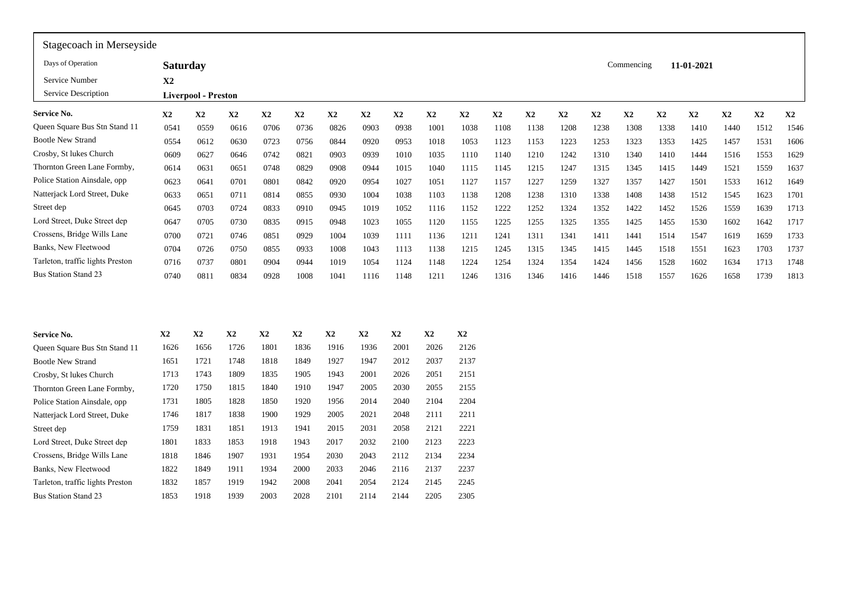| Stagecoach in Merseyside         |                 |                            |                      |               |      |               |                      |                      |               |             |      |      |      |      |            |      |            |      |      |               |
|----------------------------------|-----------------|----------------------------|----------------------|---------------|------|---------------|----------------------|----------------------|---------------|-------------|------|------|------|------|------------|------|------------|------|------|---------------|
| Days of Operation                | <b>Saturday</b> |                            |                      |               |      |               |                      |                      |               |             |      |      |      |      | Commencing |      | 11-01-2021 |      |      |               |
| Service Number                   | X <sub>2</sub>  |                            |                      |               |      |               |                      |                      |               |             |      |      |      |      |            |      |            |      |      |               |
| Service Description              |                 | <b>Liverpool - Preston</b> |                      |               |      |               |                      |                      |               |             |      |      |      |      |            |      |            |      |      |               |
| <b>Service No.</b>               | $\mathbf{X}2$   | X2                         | X2                   | $\mathbf{X2}$ | X2   | X2            | X2                   | X2                   | X2            | X2          | X2   | X2   | X2   | X2   | X2         | X2   | X2         | X2   | X2   | $\mathbf{X2}$ |
| Queen Square Bus Stn Stand 11    | 0541            | 0559                       | 0616                 | 0706          | 0736 | 0826          | 0903                 | 0938                 | 1001          | 1038        | 1108 | 1138 | 1208 | 1238 | 1308       | 1338 | 1410       | 1440 | 1512 | 1546          |
| <b>Bootle New Strand</b>         | 0554            | 0612                       | 0630                 | 0723          | 0756 | 0844          | 0920                 | 0953                 | 1018          | 1053        | 1123 | 1153 | 1223 | 1253 | 1323       | 1353 | 1425       | 1457 | 1531 | 1606          |
| Crosby, St lukes Church          | 0609            | 0627                       | 0646                 | 0742          | 0821 | 0903          | 0939                 | 1010                 | 1035          | 1110        | 1140 | 1210 | 1242 | 1310 | 1340       | 1410 | 1444       | 1516 | 1553 | 1629          |
| Thornton Green Lane Formby,      | 0614            | 0631                       | 0651                 | 0748          | 0829 | 0908          | 0944                 | 1015                 | 1040          | 1115        | 1145 | 1215 | 1247 | 1315 | 1345       | 1415 | 1449       | 1521 | 1559 | 1637          |
| Police Station Ainsdale, opp     | 0623            | 0641                       | 0701                 | 0801          | 0842 | 0920          | 0954                 | 1027                 | 1051          | 1127        | 1157 | 1227 | 1259 | 1327 | 1357       | 1427 | 1501       | 1533 | 1612 | 1649          |
| Natterjack Lord Street, Duke     | 0633            | 0651                       | 0711                 | 0814          | 0855 | 0930          | 1004                 | 1038                 | 1103          | 1138        | 1208 | 1238 | 1310 | 1338 | 1408       | 1438 | 1512       | 1545 | 1623 | 1701          |
| Street dep                       | 0645            | 0703                       | 0724                 | 0833          | 0910 | 0945          | 1019                 | 1052                 | 1116          | 1152        | 1222 | 1252 | 1324 | 1352 | 1422       | 1452 | 1526       | 1559 | 1639 | 1713          |
| Lord Street, Duke Street dep     | 0647            | 0705                       | 0730                 | 0835          | 0915 | 0948          | 1023                 | 1055                 | 1120          | 1155        | 1225 | 1255 | 1325 | 1355 | 1425       | 1455 | 1530       | 1602 | 1642 | 1717          |
| Crossens, Bridge Wills Lane      | 0700            | 0721                       | 0746                 | 0851          | 0929 | 1004          | 1039                 | 1111                 | 1136          | 1211        | 1241 | 1311 | 1341 | 1411 | 1441       | 1514 | 1547       | 1619 | 1659 | 1733          |
| Banks, New Fleetwood             | 0704            | 0726                       | 0750                 | 0855          | 0933 | 1008          | 1043                 | 1113                 | 1138          | 1215        | 1245 | 1315 | 1345 | 1415 | 1445       | 1518 | 1551       | 1623 | 1703 | 1737          |
| Tarleton, traffic lights Preston | 0716            | 0737                       | 0801                 | 0904          | 0944 | 1019          | 1054                 | 1124                 | 1148          | 1224        | 1254 | 1324 | 1354 | 1424 | 1456       | 1528 | 1602       | 1634 | 1713 | 1748          |
| <b>Bus Station Stand 23</b>      | 0740            | 0811                       | 0834                 | 0928          | 1008 | 1041          | 1116                 | 1148                 | 1211          | 1246        | 1316 | 1346 | 1416 | 1446 | 1518       | 1557 | 1626       | 1658 | 1739 | 1813          |
|                                  |                 |                            |                      |               |      |               |                      |                      |               |             |      |      |      |      |            |      |            |      |      |               |
| <b>Service No.</b>               | X2              | X2                         | X2                   | X2            | X2   | X2            | X2                   | X2                   | X2            | X2          |      |      |      |      |            |      |            |      |      |               |
| Queen Square Bus Stn Stand 11    | 1626            | 1656                       | 1726                 | 180           | 1836 | 1916          | 1936                 | 2001                 | 2026          | 2126        |      |      |      |      |            |      |            |      |      |               |
| <b>Bootle New Strand</b>         | 1651            | 1721                       | 1748                 | 1818          | 1849 | 1927          | 1947                 | 2012                 | 2037          | 2137        |      |      |      |      |            |      |            |      |      |               |
| Crosby, St lukes Church          | 1713            | 1743                       | 1809                 | 1835          | 1905 | 1943          | 2001                 | 2026                 | 2051          | 2151        |      |      |      |      |            |      |            |      |      |               |
|                                  | $1 - 2$         | $1 - 1$                    | $\sim$ $\sim$ $\sim$ | $\sim$ $\sim$ | 1010 | $\sim$ $\sim$ | $\sim$ $\sim$ $\sim$ | $\sim$ $\sim$ $\sim$ | $\frac{1}{2}$ | $\sim$ $ -$ |      |      |      |      |            |      |            |      |      |               |

| $\epsilon$ crosseling, $\epsilon$ and $\epsilon$ is the $\epsilon$ must | v/vv | U / ∠ 1 | <u>0740</u> | UOJ 1 | リンムフ      | 1004          | 1022 | 1111          | 1120 | 1411 | 1441 | 1711 |  |
|-------------------------------------------------------------------------|------|---------|-------------|-------|-----------|---------------|------|---------------|------|------|------|------|--|
| Banks, New Fleetwood                                                    | 0704 | 0726    | 0750        | 0855  | 0933      | 1008          | 1043 | 1113          | 1138 | 1215 | 1245 | 1315 |  |
| Tarleton, traffic lights Preston                                        | 0716 | 0737    | 0801        | 0904  | 0944      | 1019          | 1054 | 1124          | 1148 | 1224 | 1254 | 1324 |  |
| <b>Bus Station Stand 23</b>                                             | 0740 | 0811    | 0834        | 0928  | 1008      | 1041          | 1116 | 1148          | 1211 | 1246 | 1316 | 1346 |  |
|                                                                         |      |         |             |       |           |               |      |               |      |      |      |      |  |
| Service No.                                                             | X2   | X2      | X2          | X2    | <b>X2</b> | $\mathbf{X}2$ | X2   | $\mathbf{X}2$ | X2   | X2   |      |      |  |
| Queen Square Bus Stn Stand 11                                           | 1626 | 1656    | 1726        | 1801  | 1836      | 1916          | 1936 | 2001          | 2026 | 2126 |      |      |  |
| <b>Bootle New Strand</b>                                                | 1651 | 1721    | 1748        | 1818  | 1849      | 1927          | 1947 | 2012          | 2037 | 2137 |      |      |  |
| Crosby, St lukes Church                                                 | 1713 | 1743    | 1809        | 1835  | 1905      | 1943          | 2001 | 2026          | 2051 | 2151 |      |      |  |
| Thornton Green Lane Formby,                                             | 1720 | 1750    | 1815        | 1840  | 1910      | 1947          | 2005 | 2030          | 2055 | 2155 |      |      |  |
| Police Station Ainsdale, opp                                            | 1731 | 1805    | 1828        | 1850  | 1920      | 1956          | 2014 | 2040          | 2104 | 2204 |      |      |  |
| Natterjack Lord Street, Duke                                            | 1746 | 1817    | 1838        | 1900  | 1929      | 2005          | 2021 | 2048          | 2111 | 2211 |      |      |  |
| Street dep                                                              | 1759 | 1831    | 1851        | 1913  | 1941      | 2015          | 2031 | 2058          | 2121 | 2221 |      |      |  |
| Lord Street, Duke Street dep                                            | 1801 | 1833    | 1853        | 1918  | 1943      | 2017          | 2032 | 2100          | 2123 | 2223 |      |      |  |
| Crossens, Bridge Wills Lane                                             | 1818 | 1846    | 1907        | 1931  | 1954      | 2030          | 2043 | 2112          | 2134 | 2234 |      |      |  |
| Banks, New Fleetwood                                                    | 1822 | 1849    | 1911        | 1934  | 2000      | 2033          | 2046 | 2116          | 2137 | 2237 |      |      |  |
| Tarleton, traffic lights Preston                                        | 1832 | 1857    | 1919        | 1942  | 2008      | 2041          | 2054 | 2124          | 2145 | 2245 |      |      |  |
| <b>Bus Station Stand 23</b>                                             | 1853 | 1918    | 1939        | 2003  | 2028      | 2101          | 2114 | 2144          | 2205 | 2305 |      |      |  |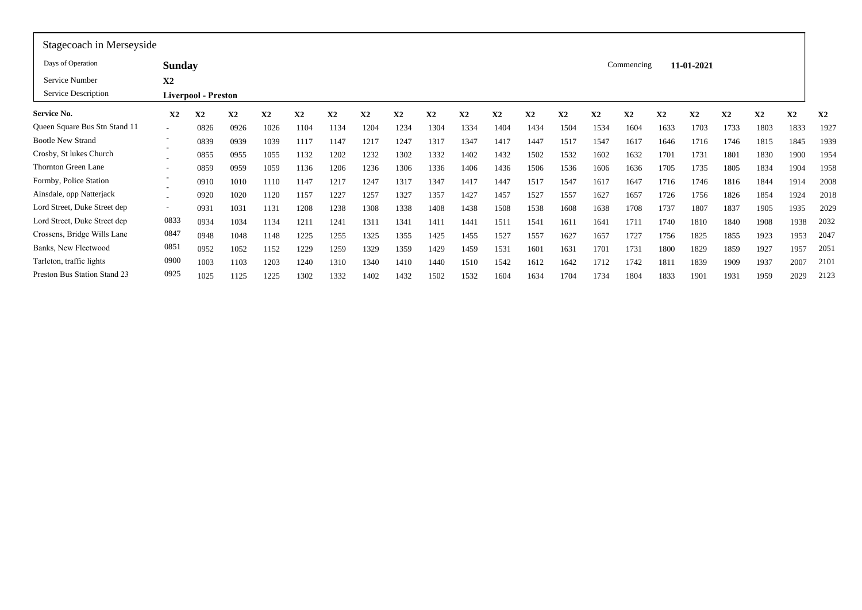| Stagecoach in Merseyside      |                          |                            |      |      |      |              |      |      |      |      |              |      |      |      |            |      |               |      |      |      |      |
|-------------------------------|--------------------------|----------------------------|------|------|------|--------------|------|------|------|------|--------------|------|------|------|------------|------|---------------|------|------|------|------|
| Days of Operation             | <b>Sunday</b>            |                            |      |      |      |              |      |      |      |      |              |      |      |      | Commencing |      | 11-01-2021    |      |      |      |      |
| Service Number                | X2                       |                            |      |      |      |              |      |      |      |      |              |      |      |      |            |      |               |      |      |      |      |
| Service Description           |                          | <b>Liverpool - Preston</b> |      |      |      |              |      |      |      |      |              |      |      |      |            |      |               |      |      |      |      |
| Service No.                   | X2                       | X2                         | X2   | X2   | X2   | $\mathbf{X}$ | X2   | X2   | X2   | X2   | $\mathbf{X}$ | X2   | X2   | X2   | X2         | X2   | $\mathbf{X}2$ | X2   | X2   | X2   | X2   |
| Queen Square Bus Stn Stand 11 | $\overline{\phantom{a}}$ | 0826                       | 0926 | 1026 | 1104 | 1134         | 1204 | 1234 | 1304 | 1334 | 1404         | 1434 | 1504 | 1534 | 1604       | 1633 | 1703          | 1733 | 1803 | 1833 | 1927 |
| <b>Bootle New Strand</b>      | $\overline{\phantom{a}}$ | 0839                       | 0939 | 1039 | 1117 | 1147         | 1217 | 1247 | 1317 | 1347 | 1417         | 1447 | 1517 | 1547 | 1617       | 1646 | 1716          | 1746 | 1815 | 1845 | 1939 |
| Crosby, St lukes Church       |                          | 0855                       | 0955 | 1055 | 1132 | 1202         | 1232 | 1302 | 1332 | 1402 | 1432         | 1502 | 1532 | 1602 | 1632       | 1701 | 1731          | 1801 | 1830 | 1900 | 1954 |
| <b>Thornton Green Lane</b>    | $\overline{\phantom{a}}$ | 0859                       | 0959 | 1059 | 1136 | 1206         | 1236 | 1306 | 1336 | 1406 | 1436         | 1506 | 1536 | 1606 | 1636       | 1705 | 1735          | 1805 | 1834 | 1904 | 1958 |
| Formby, Police Station        |                          | 0910                       | 1010 | 1110 | 1147 | 1217         | 1247 | 1317 | 1347 | 1417 | 1447         | 1517 | 1547 | 1617 | 1647       | 1716 | 1746          | 1816 | 1844 | 1914 | 2008 |
| Ainsdale, opp Natterjack      | ۰<br>$\sim$              | 0920                       | 1020 | 1120 | 1157 | 1227         | 1257 | 1327 | 1357 | 1427 | 1457         | 1527 | 1557 | 1627 | 1657       | 1726 | 1756          | 1826 | 1854 | 1924 | 2018 |
| Lord Street, Duke Street dep  | $\sim$                   | 0931                       | 1031 | 1131 | 1208 | 1238         | 1308 | 1338 | 1408 | 1438 | 1508         | 1538 | 1608 | 1638 | 1708       | 1737 | 1807          | 1837 | 1905 | 1935 | 2029 |
| Lord Street, Duke Street dep  | 0833                     | 0934                       | 1034 | 1134 | 1211 | 1241         | 1311 | 1341 | 1411 | 1441 | 1511         | 1541 | 1611 | 1641 | 1711       | 1740 | 1810          | 1840 | 1908 | 1938 | 2032 |
| Crossens, Bridge Wills Lane   | 0847                     | 0948                       | 1048 | 1148 | 1225 | 1255         | 1325 | 1355 | 1425 | 1455 | 1527         | 1557 | 1627 | 1657 | 1727       | 1756 | 1825          | 1855 | 1923 | 1953 | 2047 |
| Banks, New Fleetwood          | 0851                     | 0952                       | 1052 | 1152 | 1229 | 1259         | 1329 | 1359 | 1429 | 1459 | 1531         | 1601 | 1631 | 1701 | 1731       | 1800 | 1829          | 1859 | 1927 | 1957 | 2051 |
| Tarleton, traffic lights      | 0900                     | 1003                       | 1103 | 1203 | 1240 | 1310         | 1340 | 1410 | 1440 | 1510 | 1542         | 1612 | 1642 | 1712 | 1742       | 1811 | 1839          | 1909 | 1937 | 2007 | 2101 |
| Preston Bus Station Stand 23  | 0925                     | 1025                       | 1125 | 1225 | 1302 | 1332         | 1402 | 1432 | 1502 | 1532 | 1604         | 1634 | 1704 | 1734 | 1804       | 1833 | 1901          | 1931 | 1959 | 2029 | 2123 |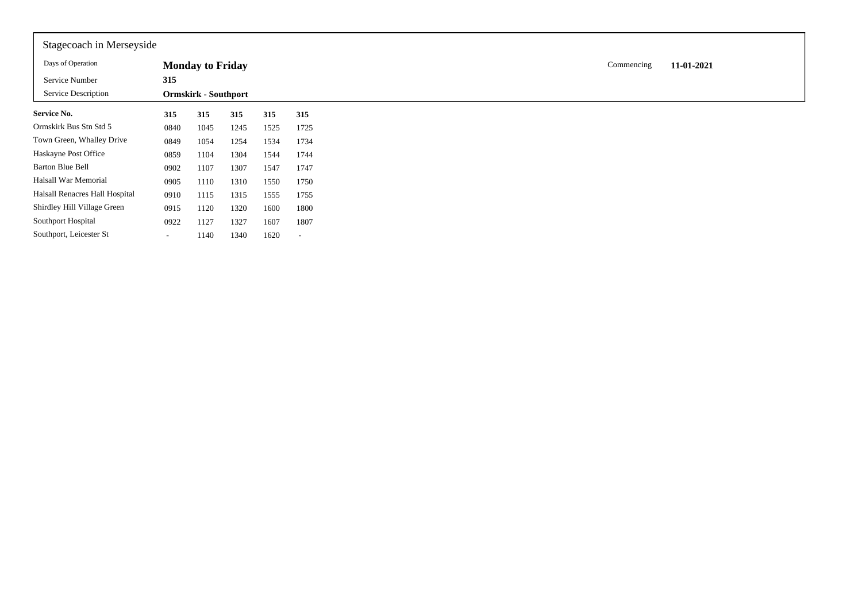| Stagecoach in Merseyside       |        |                             |      |      |      |
|--------------------------------|--------|-----------------------------|------|------|------|
| Days of Operation              |        | <b>Monday to Friday</b>     |      |      |      |
| Service Number                 | 315    |                             |      |      |      |
| Service Description            |        | <b>Ormskirk - Southport</b> |      |      |      |
| <b>Service No.</b>             | 315    | 315                         | 315  | 315  | 315  |
| Ormskirk Bus Stn Std 5         | 0840   | 1045                        | 1245 | 1525 | 1725 |
| Town Green, Whalley Drive      | 0849   | 1054                        | 1254 | 1534 | 1734 |
| Haskayne Post Office           | 0859   | 1104                        | 1304 | 1544 | 1744 |
| <b>Barton Blue Bell</b>        | 0902   | 1107                        | 1307 | 1547 | 1747 |
| Halsall War Memorial           | 0905   | 1110                        | 1310 | 1550 | 1750 |
| Halsall Renacres Hall Hospital | 0910   | 1115                        | 1315 | 1555 | 1755 |
| Shirdley Hill Village Green    | 0915   | 1120                        | 1320 | 1600 | 1800 |
| Southport Hospital             | 0922   | 1127                        | 1327 | 1607 | 1807 |
| Southport, Leicester St        | $\sim$ | 1140                        | 1340 | 1620 |      |